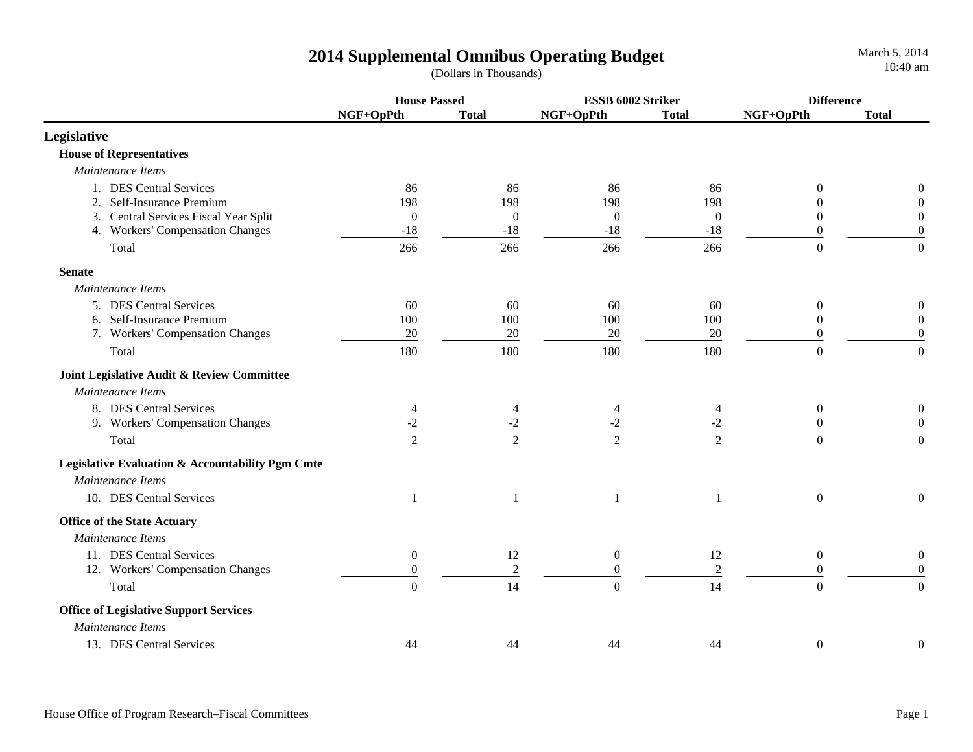|                                                  | <b>House Passed</b>   |                       | ESSB 6002 Striker  |                       | <b>Difference</b> |                  |
|--------------------------------------------------|-----------------------|-----------------------|--------------------|-----------------------|-------------------|------------------|
|                                                  | NGF+OpPth             | <b>Total</b>          | NGF+OpPth          | <b>Total</b>          | NGF+OpPth         | <b>Total</b>     |
| Legislative                                      |                       |                       |                    |                       |                   |                  |
| <b>House of Representatives</b>                  |                       |                       |                    |                       |                   |                  |
| Maintenance Items                                |                       |                       |                    |                       |                   |                  |
| 1. DES Central Services                          | 86                    | 86                    | 86                 | 86                    | $\Omega$          | $\boldsymbol{0}$ |
| 2. Self-Insurance Premium                        | 198                   | 198                   | 198                | 198                   | $\theta$          | $\overline{0}$   |
| 3. Central Services Fiscal Year Split            | $\overline{0}$        | $\overline{0}$        | $\boldsymbol{0}$   | $\boldsymbol{0}$      | 0                 | $\boldsymbol{0}$ |
| 4. Workers' Compensation Changes                 | $-18$                 | $-18$                 | $-18$              | $-18$                 | $\theta$          | $\boldsymbol{0}$ |
| Total                                            | 266                   | 266                   | 266                | 266                   | $\overline{0}$    | $\overline{0}$   |
| <b>Senate</b>                                    |                       |                       |                    |                       |                   |                  |
| Maintenance Items                                |                       |                       |                    |                       |                   |                  |
| 5. DES Central Services                          | 60                    | 60                    | 60                 | 60                    | $\overline{0}$    | $\overline{0}$   |
| 6. Self-Insurance Premium                        | 100                   | 100                   | 100                | 100                   | $\Omega$          | $\overline{0}$   |
| 7. Workers' Compensation Changes                 | $20\,$                | $20\,$                | $20\,$             | $20\,$                | $\overline{0}$    | $\boldsymbol{0}$ |
| Total                                            | 180                   | 180                   | 180                | 180                   | $\overline{0}$    | $\mathbf{0}$     |
| Joint Legislative Audit & Review Committee       |                       |                       |                    |                       |                   |                  |
| Maintenance Items                                |                       |                       |                    |                       |                   |                  |
| 8. DES Central Services                          | 4                     | 4                     | $\overline{4}$     | 4                     | $\boldsymbol{0}$  | $\boldsymbol{0}$ |
| 9. Workers' Compensation Changes                 | $\frac{-2}{\sqrt{2}}$ | $\frac{-2}{\sqrt{2}}$ | $\frac{-2}{\cdot}$ | $\frac{-2}{\sqrt{2}}$ | $\boldsymbol{0}$  | $\boldsymbol{0}$ |
| Total                                            | $\overline{2}$        | $\overline{2}$        | $\overline{2}$     | $\overline{2}$        | $\overline{0}$    | $\overline{0}$   |
| Legislative Evaluation & Accountability Pgm Cmte |                       |                       |                    |                       |                   |                  |
| Maintenance Items                                |                       |                       |                    |                       |                   |                  |
| 10. DES Central Services                         | 1                     |                       |                    |                       | $\boldsymbol{0}$  | $\overline{0}$   |
| <b>Office of the State Actuary</b>               |                       |                       |                    |                       |                   |                  |
| Maintenance Items                                |                       |                       |                    |                       |                   |                  |
| 11. DES Central Services                         | $\boldsymbol{0}$      | 12                    | $\boldsymbol{0}$   | 12                    | $\boldsymbol{0}$  | $\boldsymbol{0}$ |
| 12. Workers' Compensation Changes                | $\boldsymbol{0}$      | $\overline{2}$        | $\boldsymbol{0}$   | $\sqrt{2}$            | $\boldsymbol{0}$  | $\boldsymbol{0}$ |
| Total                                            | $\Omega$              | 14                    | $\overline{0}$     | 14                    | $\Omega$          | $\Omega$         |
| <b>Office of Legislative Support Services</b>    |                       |                       |                    |                       |                   |                  |
| Maintenance Items                                |                       |                       |                    |                       |                   |                  |
| 13. DES Central Services                         | 44                    | 44                    | 44                 | 44                    | $\boldsymbol{0}$  | $\overline{0}$   |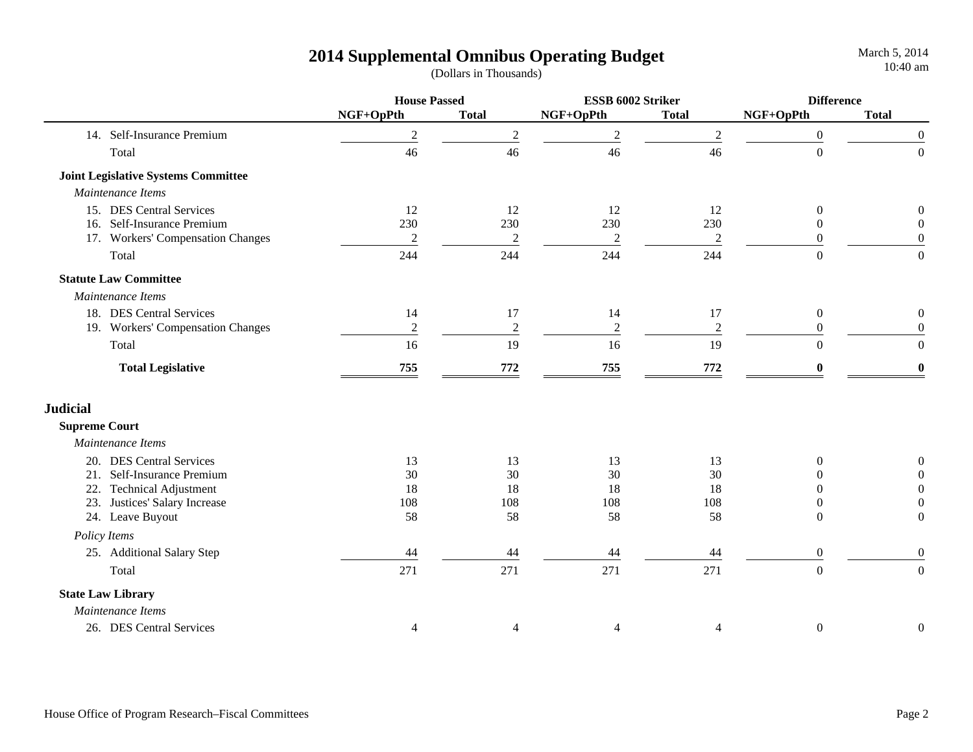|                      |                                            | <b>House Passed</b> |                  | ESSB 6002 Striker |                | <b>Difference</b> |                  |
|----------------------|--------------------------------------------|---------------------|------------------|-------------------|----------------|-------------------|------------------|
|                      |                                            | NGF+OpPth           | <b>Total</b>     | NGF+OpPth         | <b>Total</b>   | NGF+OpPth         | <b>Total</b>     |
|                      | 14. Self-Insurance Premium                 | $\overline{2}$      | $\overline{2}$   | $\overline{2}$    | $\mathfrak{2}$ | $\overline{0}$    | $\boldsymbol{0}$ |
|                      | Total                                      | 46                  | 46               | 46                | 46             | $\boldsymbol{0}$  | $\boldsymbol{0}$ |
|                      | <b>Joint Legislative Systems Committee</b> |                     |                  |                   |                |                   |                  |
|                      | Maintenance Items                          |                     |                  |                   |                |                   |                  |
|                      | 15. DES Central Services                   | 12                  | 12               | 12                | 12             | $\boldsymbol{0}$  | $\boldsymbol{0}$ |
|                      | 16. Self-Insurance Premium                 | 230                 | 230              | 230               | 230            | $\overline{0}$    | $\overline{0}$   |
|                      | 17. Workers' Compensation Changes          | $\sqrt{2}$          | $\boldsymbol{2}$ | $\overline{2}$    | $\sqrt{2}$     | $\overline{0}$    | $\boldsymbol{0}$ |
|                      | Total                                      | 244                 | 244              | 244               | 244            | $\overline{0}$    | $\overline{0}$   |
|                      | <b>Statute Law Committee</b>               |                     |                  |                   |                |                   |                  |
|                      | Maintenance Items                          |                     |                  |                   |                |                   |                  |
|                      | 18. DES Central Services                   | 14                  | 17               | 14                | 17             | $\mathbf{0}$      | $\mathbf{0}$     |
|                      | 19. Workers' Compensation Changes          | $\overline{2}$      | $\sqrt{2}$       | $\sqrt{2}$        | $\mathbf{2}$   | $\overline{0}$    | $\boldsymbol{0}$ |
|                      | Total                                      | 16                  | 19               | 16                | 19             | $\overline{0}$    | $\overline{0}$   |
|                      | <b>Total Legislative</b>                   | 755                 | $772\,$          | 755               | 772            | $\bf{0}$          | $\boldsymbol{0}$ |
| <b>Judicial</b>      |                                            |                     |                  |                   |                |                   |                  |
| <b>Supreme Court</b> |                                            |                     |                  |                   |                |                   |                  |
|                      | Maintenance Items                          |                     |                  |                   |                |                   |                  |
|                      | 20. DES Central Services                   | 13                  | 13               | 13                | 13             | $\overline{0}$    | $\boldsymbol{0}$ |
| 21.                  | Self-Insurance Premium                     | 30                  | 30               | 30                | 30             | $\overline{0}$    | $\boldsymbol{0}$ |
| 22.                  | <b>Technical Adjustment</b>                | 18                  | 18               | 18                | 18             | $\overline{0}$    | $\boldsymbol{0}$ |
| 23.                  | Justices' Salary Increase                  | 108                 | 108              | 108               | 108            | $\overline{0}$    | $\boldsymbol{0}$ |
|                      | 24. Leave Buyout                           | 58                  | 58               | 58                | 58             | $\theta$          | $\boldsymbol{0}$ |
| Policy Items         |                                            |                     |                  |                   |                |                   |                  |
|                      | 25. Additional Salary Step                 | 44                  | 44               | 44                | 44             | $\boldsymbol{0}$  | $\boldsymbol{0}$ |
|                      | Total                                      | 271                 | 271              | 271               | 271            | $\overline{0}$    | $\mathbf{0}$     |
|                      | <b>State Law Library</b>                   |                     |                  |                   |                |                   |                  |
|                      | Maintenance Items                          |                     |                  |                   |                |                   |                  |
|                      | 26. DES Central Services                   | $\overline{4}$      | 4                | 4                 | 4              | $\boldsymbol{0}$  | $\boldsymbol{0}$ |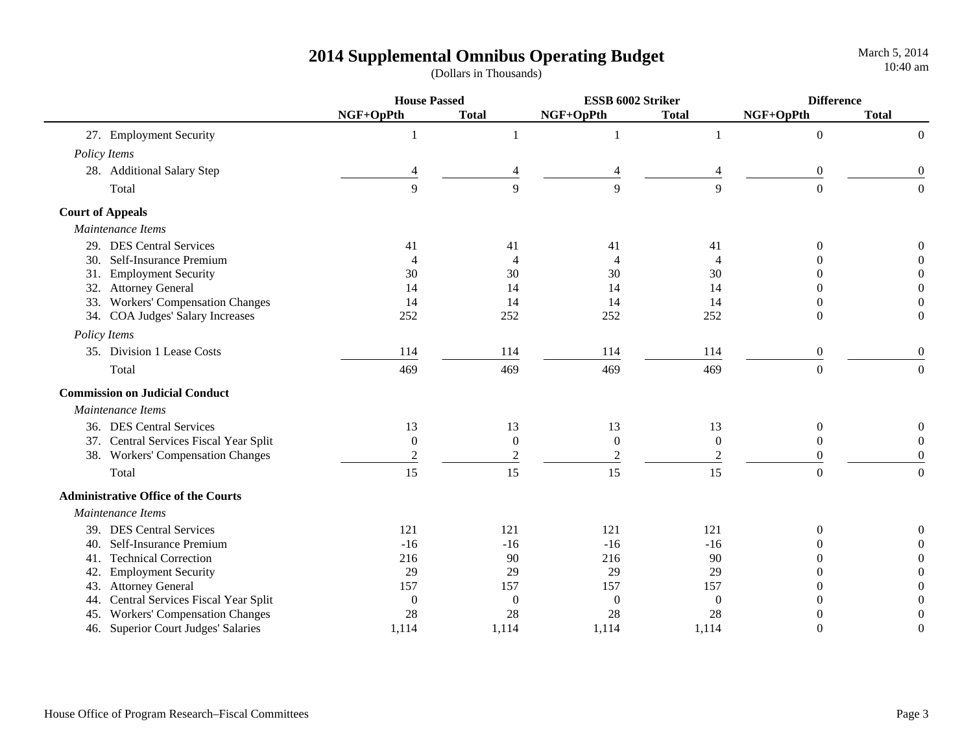|     |                                            | <b>House Passed</b> |                  | ESSB 6002 Striker |                  | <b>Difference</b> |                  |
|-----|--------------------------------------------|---------------------|------------------|-------------------|------------------|-------------------|------------------|
|     |                                            | NGF+OpPth           | <b>Total</b>     | NGF+OpPth         | <b>Total</b>     | NGF+OpPth         | <b>Total</b>     |
|     | 27. Employment Security                    | 1                   | 1                | 1                 |                  | $\boldsymbol{0}$  | $\mathbf{0}$     |
|     | Policy Items                               |                     |                  |                   |                  |                   |                  |
|     | 28. Additional Salary Step                 |                     | $\overline{4}$   | $\overline{4}$    |                  | $\boldsymbol{0}$  | $\boldsymbol{0}$ |
|     | Total                                      | 9                   | 9                | 9                 | 9                | $\overline{0}$    | $\overline{0}$   |
|     | <b>Court of Appeals</b>                    |                     |                  |                   |                  |                   |                  |
|     | Maintenance Items                          |                     |                  |                   |                  |                   |                  |
|     | 29. DES Central Services                   | 41                  | 41               | 41                | 41               | $\theta$          | $\boldsymbol{0}$ |
|     | 30. Self-Insurance Premium                 |                     | 4                | 4                 | 4                |                   | $\theta$         |
|     | 31. Employment Security                    | 30                  | 30               | 30                | 30               | 0                 | $\boldsymbol{0}$ |
|     | 32. Attorney General                       | 14                  | 14               | 14                | 14               | $\Omega$          | $\boldsymbol{0}$ |
|     | 33. Workers' Compensation Changes          | 14                  | 14               | 14                | 14               | $\theta$          | $\boldsymbol{0}$ |
|     | 34. COA Judges' Salary Increases           | 252                 | 252              | 252               | 252              | $\theta$          | $\boldsymbol{0}$ |
|     | Policy Items                               |                     |                  |                   |                  |                   |                  |
|     | 35. Division 1 Lease Costs                 | 114                 | 114              | 114               | 114              | $\boldsymbol{0}$  | $\boldsymbol{0}$ |
|     | Total                                      | 469                 | 469              | 469               | 469              | $\overline{0}$    | $\overline{0}$   |
|     | <b>Commission on Judicial Conduct</b>      |                     |                  |                   |                  |                   |                  |
|     | Maintenance Items                          |                     |                  |                   |                  |                   |                  |
|     | 36. DES Central Services                   | 13                  | 13               | 13                | 13               | $\boldsymbol{0}$  | $\overline{0}$   |
|     | 37. Central Services Fiscal Year Split     | $\boldsymbol{0}$    | $\boldsymbol{0}$ | $\boldsymbol{0}$  | $\boldsymbol{0}$ | $\boldsymbol{0}$  | $\theta$         |
|     | 38. Workers' Compensation Changes          | $\mathfrak 2$       | $\sqrt{2}$       | $\boldsymbol{2}$  | $\overline{c}$   | $\theta$          | $\boldsymbol{0}$ |
|     | Total                                      | 15                  | 15               | 15                | 15               | $\theta$          | $\overline{0}$   |
|     | <b>Administrative Office of the Courts</b> |                     |                  |                   |                  |                   |                  |
|     | Maintenance Items                          |                     |                  |                   |                  |                   |                  |
|     | 39. DES Central Services                   | 121                 | 121              | 121               | 121              | $\theta$          |                  |
|     | 40. Self-Insurance Premium                 | $-16$               | $-16$            | $-16$             | $-16$            | 0                 |                  |
| 41. | <b>Technical Correction</b>                | 216                 | 90               | 216               | 90               | $\Omega$          | $\theta$         |
| 42. | <b>Employment Security</b>                 | 29                  | 29               | 29                | 29               | 0                 | $\theta$         |
| 43. | <b>Attorney General</b>                    | 157                 | 157              | 157               | 157              | 0                 | $\Omega$         |
| 44. | Central Services Fiscal Year Split         | $\boldsymbol{0}$    | $\boldsymbol{0}$ | $\boldsymbol{0}$  | $\boldsymbol{0}$ | 0                 | $\Omega$         |
|     | 45. Workers' Compensation Changes          | 28                  | 28               | 28                | 28               | 0                 | $\overline{0}$   |
|     | 46. Superior Court Judges' Salaries        | 1,114               | 1,114            | 1,114             | 1,114            | $\theta$          | $\theta$         |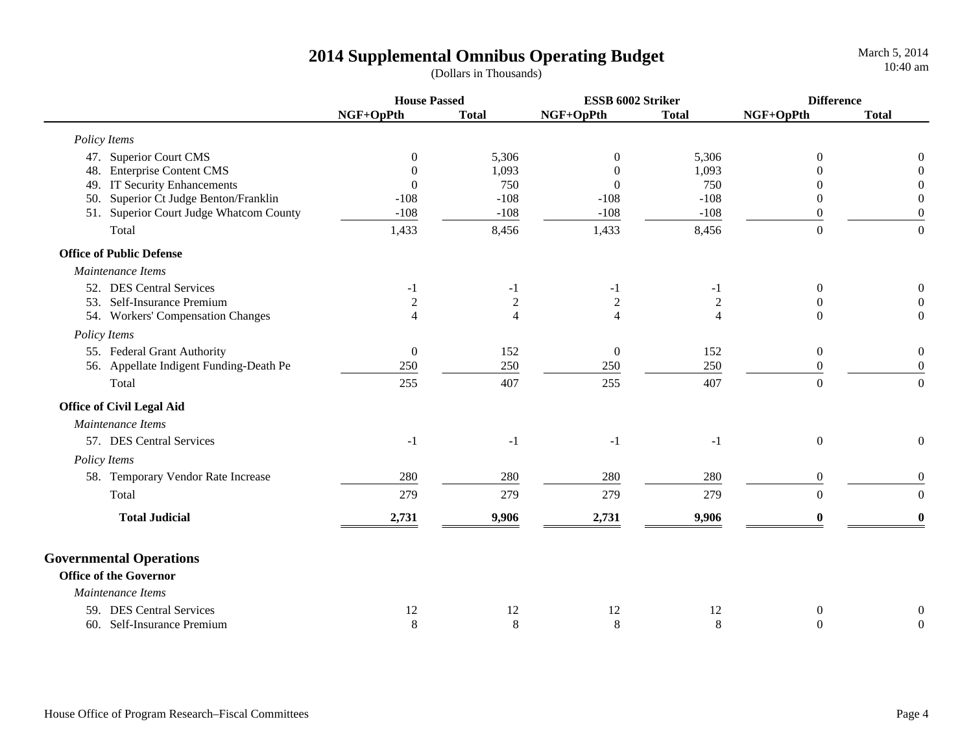|                                          | <b>House Passed</b> |                | ESSB 6002 Striker |                | <b>Difference</b> |                  |
|------------------------------------------|---------------------|----------------|-------------------|----------------|-------------------|------------------|
|                                          | NGF+OpPth           | <b>Total</b>   | NGF+OpPth         | <b>Total</b>   | NGF+OpPth         | <b>Total</b>     |
| Policy Items                             |                     |                |                   |                |                   |                  |
| 47. Superior Court CMS                   | $\theta$            | 5,306          | $\overline{0}$    | 5,306          | $\Omega$          | $\theta$         |
| 48. Enterprise Content CMS               | $\Omega$            | 1,093          | $\theta$          | 1,093          |                   | $\theta$         |
| 49. IT Security Enhancements             | $\theta$            | 750            | $\overline{0}$    | 750            | 0                 | $\boldsymbol{0}$ |
| Superior Ct Judge Benton/Franklin<br>50. | $-108$              | $-108$         | $-108$            | $-108$         | $\theta$          | $\boldsymbol{0}$ |
| 51. Superior Court Judge Whatcom County  | $-108$              | $-108$         | $-108$            | $-108$         | $\theta$          | $\boldsymbol{0}$ |
| Total                                    | 1,433               | 8,456          | 1,433             | 8,456          | $\overline{0}$    | $\overline{0}$   |
| <b>Office of Public Defense</b>          |                     |                |                   |                |                   |                  |
| Maintenance Items                        |                     |                |                   |                |                   |                  |
| 52. DES Central Services                 | $-1$                | $-1$           | -1                | $-1$           | $\boldsymbol{0}$  | $\overline{0}$   |
| 53. Self-Insurance Premium               | $\overline{2}$      | $\mathfrak 2$  | $\sqrt{2}$        | $\overline{c}$ | $\Omega$          | $\boldsymbol{0}$ |
| 54. Workers' Compensation Changes        | 4                   | $\overline{4}$ | $\overline{4}$    | $\overline{4}$ | $\Omega$          | $\overline{0}$   |
| Policy Items                             |                     |                |                   |                |                   |                  |
| 55. Federal Grant Authority              | $\boldsymbol{0}$    | 152            | $\boldsymbol{0}$  | 152            | $\overline{0}$    | $\boldsymbol{0}$ |
| 56. Appellate Indigent Funding-Death Pe  | 250                 | 250            | 250               | 250            | $\theta$          | $\overline{0}$   |
| Total                                    | 255                 | 407            | 255               | 407            | $\Omega$          | $\Omega$         |
| <b>Office of Civil Legal Aid</b>         |                     |                |                   |                |                   |                  |
| Maintenance Items                        |                     |                |                   |                |                   |                  |
| 57. DES Central Services                 | $-1$                | $-1$           | $-1$              | $-1$           | $\overline{0}$    | $\Omega$         |
| Policy Items                             |                     |                |                   |                |                   |                  |
| 58. Temporary Vendor Rate Increase       | 280                 | 280            | 280               | 280            | $\mathbf{0}$      | $\overline{0}$   |
| Total                                    | 279                 | 279            | 279               | 279            | $\overline{0}$    | $\overline{0}$   |
| <b>Total Judicial</b>                    | 2,731               | 9,906          | 2,731             | 9,906          |                   | $\mathbf{0}$     |
| <b>Governmental Operations</b>           |                     |                |                   |                |                   |                  |
| <b>Office of the Governor</b>            |                     |                |                   |                |                   |                  |
| Maintenance Items                        |                     |                |                   |                |                   |                  |
| 59. DES Central Services                 | 12                  | 12             | 12                | 12             | $\theta$          | $\boldsymbol{0}$ |
| 60. Self-Insurance Premium               | $8\,$               | $\,8\,$        | $\,8\,$           | $\,8\,$        | $\Omega$          | $\boldsymbol{0}$ |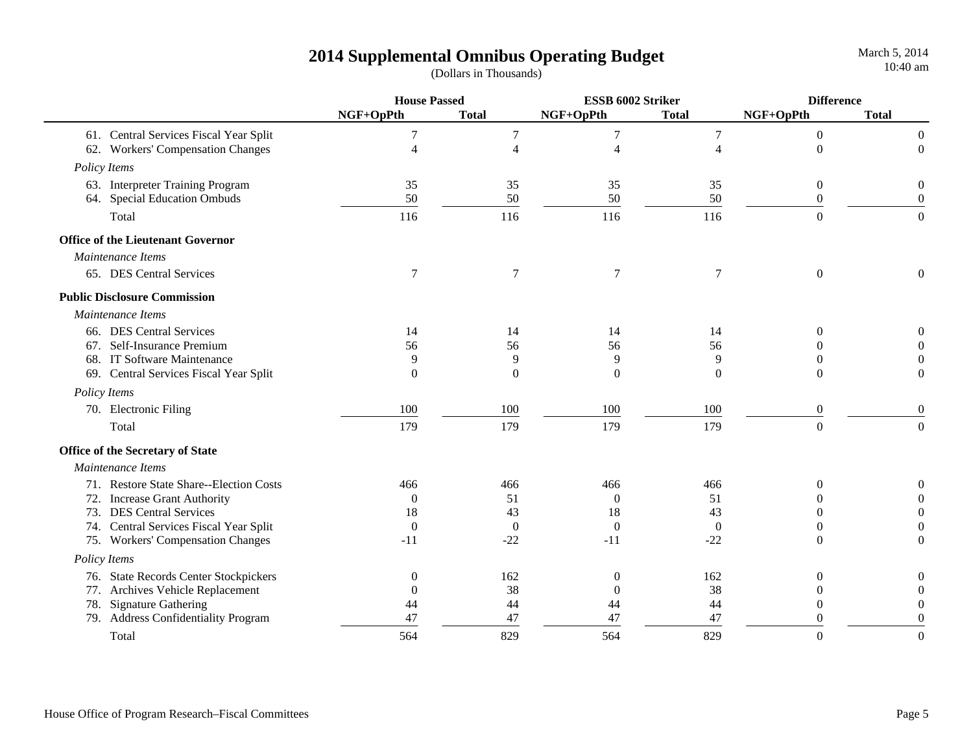|                                          | <b>House Passed</b> |                  | ESSB 6002 Striker       |                | <b>Difference</b> |                  |
|------------------------------------------|---------------------|------------------|-------------------------|----------------|-------------------|------------------|
|                                          | NGF+OpPth           | <b>Total</b>     | NGF+OpPth               | <b>Total</b>   | NGF+OpPth         | <b>Total</b>     |
| 61. Central Services Fiscal Year Split   | 7                   | 7                | $\overline{7}$          | $\tau$         | $\boldsymbol{0}$  | $\mathbf{0}$     |
| 62. Workers' Compensation Changes        | $\overline{4}$      | $\overline{4}$   | $\overline{\mathbf{4}}$ | 4              | $\theta$          | $\boldsymbol{0}$ |
| Policy Items                             |                     |                  |                         |                |                   |                  |
| 63. Interpreter Training Program         | 35                  | 35               | 35                      | 35             | $\boldsymbol{0}$  | $\boldsymbol{0}$ |
| 64. Special Education Ombuds             | 50                  | 50               | 50                      | 50             | $\theta$          | $\boldsymbol{0}$ |
| Total                                    | 116                 | 116              | 116                     | 116            | $\theta$          | $\overline{0}$   |
| <b>Office of the Lieutenant Governor</b> |                     |                  |                         |                |                   |                  |
| Maintenance Items                        |                     |                  |                         |                |                   |                  |
| 65. DES Central Services                 | 7                   | $\tau$           | $\tau$                  | $\tau$         | $\boldsymbol{0}$  | $\theta$         |
| <b>Public Disclosure Commission</b>      |                     |                  |                         |                |                   |                  |
| Maintenance Items                        |                     |                  |                         |                |                   |                  |
| 66. DES Central Services                 | 14                  | 14               | 14                      | 14             | $\Omega$          | 0                |
| 67. Self-Insurance Premium               | 56                  | 56               | 56                      | 56             |                   |                  |
| 68. IT Software Maintenance              | 9                   | 9                | 9                       | 9              | $\Omega$          |                  |
| 69. Central Services Fiscal Year Split   | $\Omega$            | $\theta$         | $\Omega$                | $\Omega$       | $\theta$          | $\Omega$         |
| Policy Items                             |                     |                  |                         |                |                   |                  |
| 70. Electronic Filing                    | 100                 | 100              | 100                     | 100            | $\boldsymbol{0}$  | $\theta$         |
| Total                                    | 179                 | 179              | 179                     | 179            | $\overline{0}$    | $\Omega$         |
| Office of the Secretary of State         |                     |                  |                         |                |                   |                  |
| Maintenance Items                        |                     |                  |                         |                |                   |                  |
| 71. Restore State Share--Election Costs  | 466                 | 466              | 466                     | 466            | $\Omega$          | 0                |
| 72. Increase Grant Authority             | $\Omega$            | 51               | $\Omega$                | 51             | 0                 | $\Omega$         |
| 73. DES Central Services                 | 18                  | 43               | 18                      | 43             | 0                 | $\Omega$         |
| 74. Central Services Fiscal Year Split   | $\overline{0}$      | $\boldsymbol{0}$ | $\boldsymbol{0}$        | $\overline{0}$ | 0                 |                  |
| 75. Workers' Compensation Changes        | $-11$               | $-22$            | $-11$                   | $-22$          | $\theta$          | $\Omega$         |
| Policy Items                             |                     |                  |                         |                |                   |                  |
| 76. State Records Center Stockpickers    | $\Omega$            | 162              | $\theta$                | 162            | $\Omega$          | $\boldsymbol{0}$ |
| 77. Archives Vehicle Replacement         | $\overline{0}$      | 38               | $\theta$                | 38             | $\theta$          | $\overline{0}$   |
| 78. Signature Gathering                  | 44                  | 44               | 44                      | 44             | $\Omega$          | $\theta$         |
| 79. Address Confidentiality Program      | 47                  | 47               | 47                      | 47             | 0                 | $\theta$         |
| Total                                    | 564                 | 829              | 564                     | 829            | $\theta$          | $\boldsymbol{0}$ |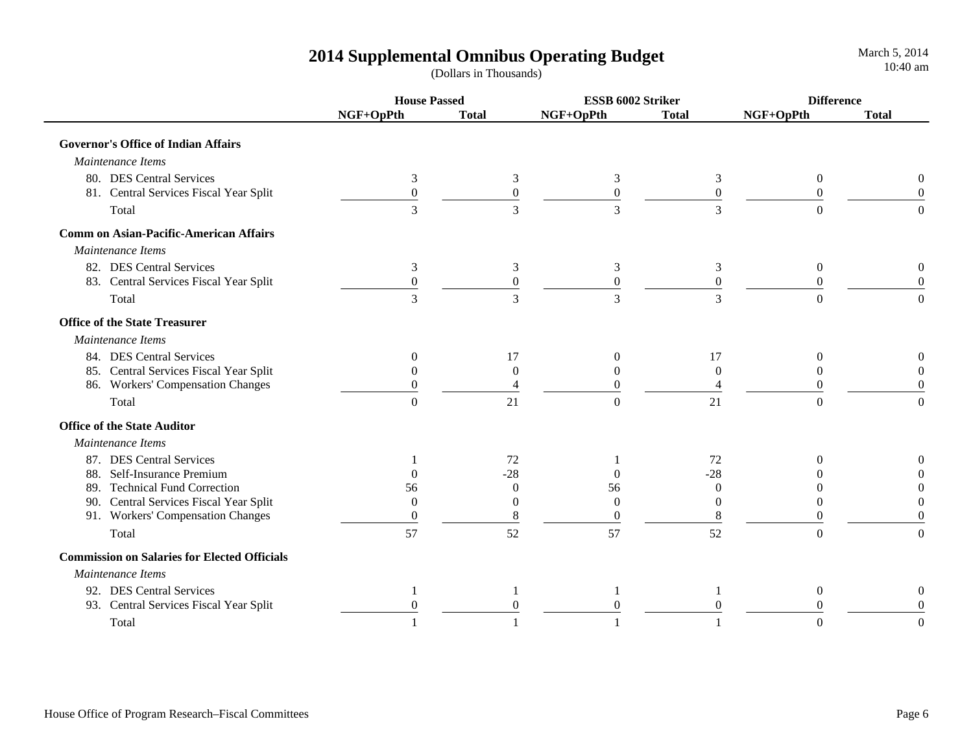|                                                     | <b>House Passed</b> |                  | ESSB 6002 Striker |                  | <b>Difference</b> |              |
|-----------------------------------------------------|---------------------|------------------|-------------------|------------------|-------------------|--------------|
|                                                     | NGF+OpPth           | <b>Total</b>     | NGF+OpPth         | <b>Total</b>     | NGF+OpPth         | <b>Total</b> |
| <b>Governor's Office of Indian Affairs</b>          |                     |                  |                   |                  |                   |              |
| Maintenance Items                                   |                     |                  |                   |                  |                   |              |
| 80. DES Central Services                            | 3                   | 3                | 3                 | 3                | $\overline{0}$    |              |
| 81. Central Services Fiscal Year Split              | $\mathbf{0}$        | $\boldsymbol{0}$ | $\boldsymbol{0}$  | $\overline{0}$   | $\Omega$          |              |
| Total                                               | $\overline{3}$      | $\overline{3}$   | $\overline{3}$    | $\overline{3}$   | $\Omega$          |              |
| <b>Comm on Asian-Pacific-American Affairs</b>       |                     |                  |                   |                  |                   |              |
| Maintenance Items                                   |                     |                  |                   |                  |                   |              |
| 82. DES Central Services                            | 3                   | 3                | 3                 | 3                | $\overline{0}$    |              |
| 83. Central Services Fiscal Year Split              | $\overline{0}$      | $\boldsymbol{0}$ | $\boldsymbol{0}$  | $\boldsymbol{0}$ | 0                 |              |
| Total                                               | 3                   | 3                | $\mathfrak{Z}$    | 3                | $\Omega$          |              |
| <b>Office of the State Treasurer</b>                |                     |                  |                   |                  |                   |              |
| Maintenance Items                                   |                     |                  |                   |                  |                   |              |
| 84. DES Central Services                            | 0                   | 17               | $\mathbf{0}$      | 17               | $\theta$          |              |
| 85. Central Services Fiscal Year Split              | $\Omega$            | $\overline{0}$   | 0                 | $\theta$         | 0                 |              |
| 86. Workers' Compensation Changes                   | 0                   |                  | $\overline{0}$    | 4                | 0                 |              |
| Total                                               | $\Omega$            | 21               | $\Omega$          | 21               | $\Omega$          |              |
| <b>Office of the State Auditor</b>                  |                     |                  |                   |                  |                   |              |
| Maintenance Items                                   |                     |                  |                   |                  |                   |              |
| 87. DES Central Services                            |                     | 72               |                   | 72               | 0                 |              |
| 88. Self-Insurance Premium                          | $\Omega$            | $-28$            | $\Omega$          | $-28$            |                   |              |
| <b>Technical Fund Correction</b><br>89.             | 56                  | $\theta$         | 56                | $\Omega$         | $\theta$          |              |
| 90. Central Services Fiscal Year Split              | $\Omega$            | $\Omega$         | $\Omega$          | $\Omega$         | 0                 |              |
| 91. Workers' Compensation Changes                   | $\Omega$            | 8                | $\Omega$          | 8                | 0                 |              |
| Total                                               | 57                  | 52               | 57                | 52               | $\overline{0}$    |              |
| <b>Commission on Salaries for Elected Officials</b> |                     |                  |                   |                  |                   |              |
| Maintenance Items                                   |                     |                  |                   |                  |                   |              |
| 92. DES Central Services                            |                     | 1                | 1                 | 1                | $\overline{0}$    |              |
| 93. Central Services Fiscal Year Split              | $\Omega$            | $\Omega$         | $\theta$          | $\Omega$         | 0                 |              |
| Total                                               |                     |                  |                   |                  | $\Omega$          |              |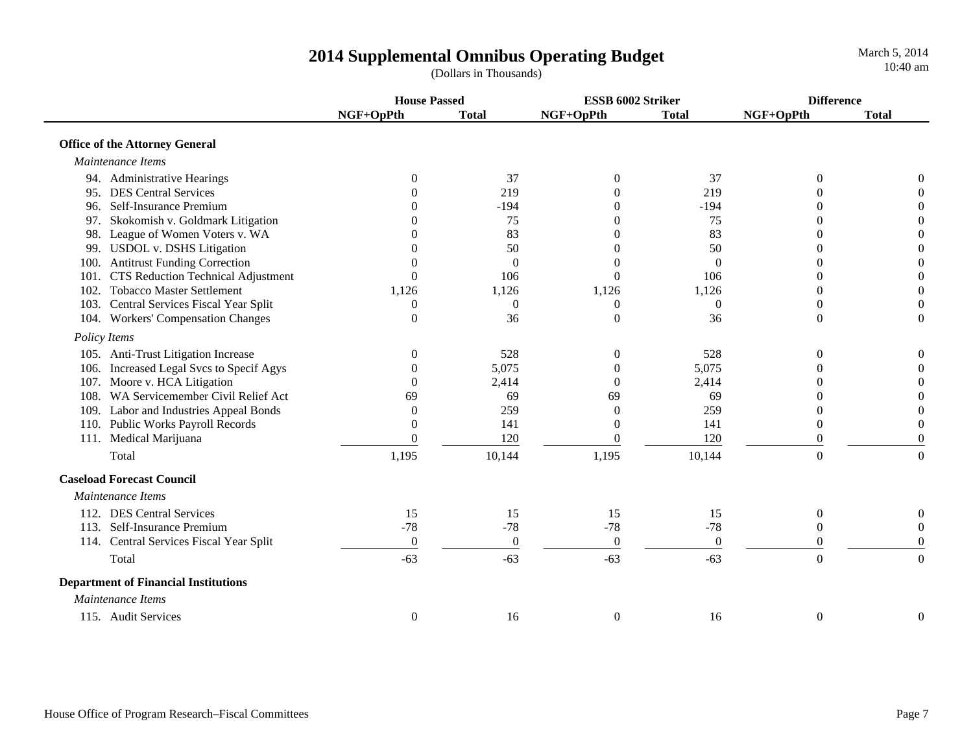**House Passed ESSB 6002 Striker DifferenceNGF+OpPth Total NGF+OpPth Total NGF+OpPth Total Office of the Attorney General**  *Maintenance Items*94. Administrative Hearings **0** 37 0 37 0 0 0 0 95. DES Central Services **0** 219 0 219 0 0 0 0 96. Self-Insurance Premium 0 -194 0 -194 0 097. Skokomish v. Goldmark Litigation 0 75 0 75 0 0 98. League of Women Voters v. WA 0 83 0 83 0 0 99. USDOL v. DSHS Litigation and the control of the control of the control of the control of the control of the control of the control of the control of the control of the control of the control of the control of the contr 100. Antitrust Funding Correction 000000 101. CTS Reduction Technical Adjustment 0 106 0 106 0 0 102. Tobacco Master Settlement 1,126 1,126 1,126 1,126 0 0 103. Central Services Fiscal Year Split  $\begin{array}{ccc} 0 & 0 & 0 & 0 \end{array}$ 104. Workers' Compensation Changes 0 36 0 36 0 0  *Policy Items* 105. Anti-Trust Litigation Increase 0 528 0 528 0 0 106. Increased Legal Svcs to Specif Agys 0 5,075 0 5,075 0 0 107. Moore v. HCA Litigation 0 2,414 0 2,414 0 0 108. WA Servicemember Civil Relief Act 69 69 69 69 0 0109. Labor and Industries Appeal Bonds 0 259 0 259 0 0 110. Public Works Payroll Records 0 141 0 141 0 0 111. Medical Marijuana 0 120 0 120 0 0 Total 1,195 10,144 1,195 10,144 0 0 0  **Caseload Forecast Council** *Maintenance Items*112. DES Central Services 15 15 15 15 0 0 $\boldsymbol{0}$ 113. Self-Insurance Premium -78 -78 -78 -78 0 0114. Central Services Fiscal Year Split  $\begin{pmatrix} 0 & 0 & 0 \\ 0 & 0 & 0 \\ 0 & 0 & 0 \end{pmatrix}$  ( Total  $-63$  -63 -63 -63 -63 -63 0 0 0  **Department of Financial Institutions**  *Maintenance Items*115. Audit Services and the control of the control of the control of the control of the control of the control o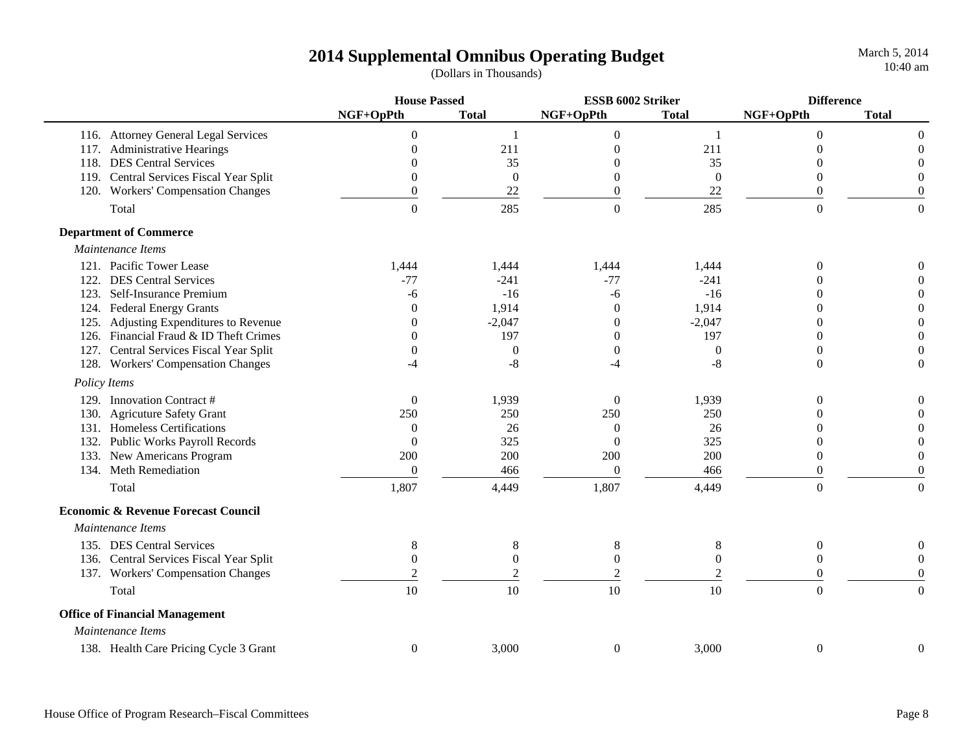|                                                | <b>House Passed</b> |                  | ESSB 6002 Striker |                  | <b>Difference</b> |                  |
|------------------------------------------------|---------------------|------------------|-------------------|------------------|-------------------|------------------|
|                                                | NGF+OpPth           | <b>Total</b>     | NGF+OpPth         | <b>Total</b>     | NGF+OpPth         | <b>Total</b>     |
| 116. Attorney General Legal Services           | $\Omega$            | -1               | $\overline{0}$    | 1                | $\Omega$          | $\theta$         |
| 117. Administrative Hearings                   | 0                   | 211              | $\overline{0}$    | 211              | 0                 | $\overline{0}$   |
| 118. DES Central Services                      |                     | 35               | $\Omega$          | 35               | 0                 | $\Omega$         |
| 119. Central Services Fiscal Year Split        | 0                   | $\boldsymbol{0}$ | $\boldsymbol{0}$  | $\boldsymbol{0}$ | 0                 | $\overline{0}$   |
| 120. Workers' Compensation Changes             | 0                   | 22               | $\boldsymbol{0}$  | 22               | $\overline{0}$    | $\overline{0}$   |
| Total                                          | $\Omega$            | 285              | $\Omega$          | 285              | $\Omega$          | $\theta$         |
| <b>Department of Commerce</b>                  |                     |                  |                   |                  |                   |                  |
| Maintenance Items                              |                     |                  |                   |                  |                   |                  |
| 121. Pacific Tower Lease                       | 1,444               | 1,444            | 1,444             | 1,444            | $\theta$          | 0                |
| 122. DES Central Services                      | $-77$               | $-241$           | $-77$             | $-241$           | 0                 | $\overline{0}$   |
| 123. Self-Insurance Premium                    | -6                  | $-16$            | -6                | $-16$            | $\Omega$          | $\overline{0}$   |
| 124. Federal Energy Grants                     | $\theta$            | 1,914            | $\boldsymbol{0}$  | 1,914            | 0                 | $\boldsymbol{0}$ |
| 125. Adjusting Expenditures to Revenue         | $\Omega$            | $-2,047$         | $\theta$          | $-2,047$         | 0                 | $\boldsymbol{0}$ |
| 126. Financial Fraud & ID Theft Crimes         | $\Omega$            | 197              | $\theta$          | 197              | $\theta$          | $\boldsymbol{0}$ |
| 127. Central Services Fiscal Year Split        | $\theta$            | $\overline{0}$   | $\theta$          | $\theta$         | $\Omega$          | $\theta$         |
| 128. Workers' Compensation Changes             | -4                  | $-8$             | $-4$              | $-8$             | $\overline{0}$    | $\boldsymbol{0}$ |
| Policy Items                                   |                     |                  |                   |                  |                   |                  |
| 129. Innovation Contract #                     | $\overline{0}$      | 1,939            | $\overline{0}$    | 1,939            | $\theta$          | $\boldsymbol{0}$ |
| 130. Agricuture Safety Grant                   | 250                 | 250              | 250               | 250              | 0                 | $\boldsymbol{0}$ |
| 131. Homeless Certifications                   | $\Omega$            | 26               | $\boldsymbol{0}$  | 26               | 0                 | $\theta$         |
| 132. Public Works Payroll Records              | $\theta$            | 325              | $\overline{0}$    | 325              | $\theta$          | $\boldsymbol{0}$ |
| 133. New Americans Program                     | 200                 | 200              | 200               | 200              | $\Omega$          | $\theta$         |
| 134. Meth Remediation                          | $\boldsymbol{0}$    | 466              | $\boldsymbol{0}$  | 466              | $\overline{0}$    | $\boldsymbol{0}$ |
| Total                                          | 1,807               | 4,449            | 1,807             | 4,449            | $\Omega$          | $\overline{0}$   |
| <b>Economic &amp; Revenue Forecast Council</b> |                     |                  |                   |                  |                   |                  |
| Maintenance Items                              |                     |                  |                   |                  |                   |                  |
| 135. DES Central Services                      | 8                   | $8\,$            | $8\,$             | $8\,$            | $\boldsymbol{0}$  | 0                |
| 136. Central Services Fiscal Year Split        | $\theta$            | $\boldsymbol{0}$ | $\boldsymbol{0}$  | $\boldsymbol{0}$ | $\theta$          | $\overline{0}$   |
| 137. Workers' Compensation Changes             | $\overline{2}$      | $\mathfrak{2}$   | $\mathfrak{2}$    | $\overline{2}$   | $\overline{0}$    | $\boldsymbol{0}$ |
| Total                                          | 10                  | 10               | 10                | 10               | $\overline{0}$    | $\Omega$         |
| <b>Office of Financial Management</b>          |                     |                  |                   |                  |                   |                  |
| Maintenance Items                              |                     |                  |                   |                  |                   |                  |
| 138. Health Care Pricing Cycle 3 Grant         | $\theta$            | 3,000            | $\boldsymbol{0}$  | 3,000            | $\boldsymbol{0}$  | $\overline{0}$   |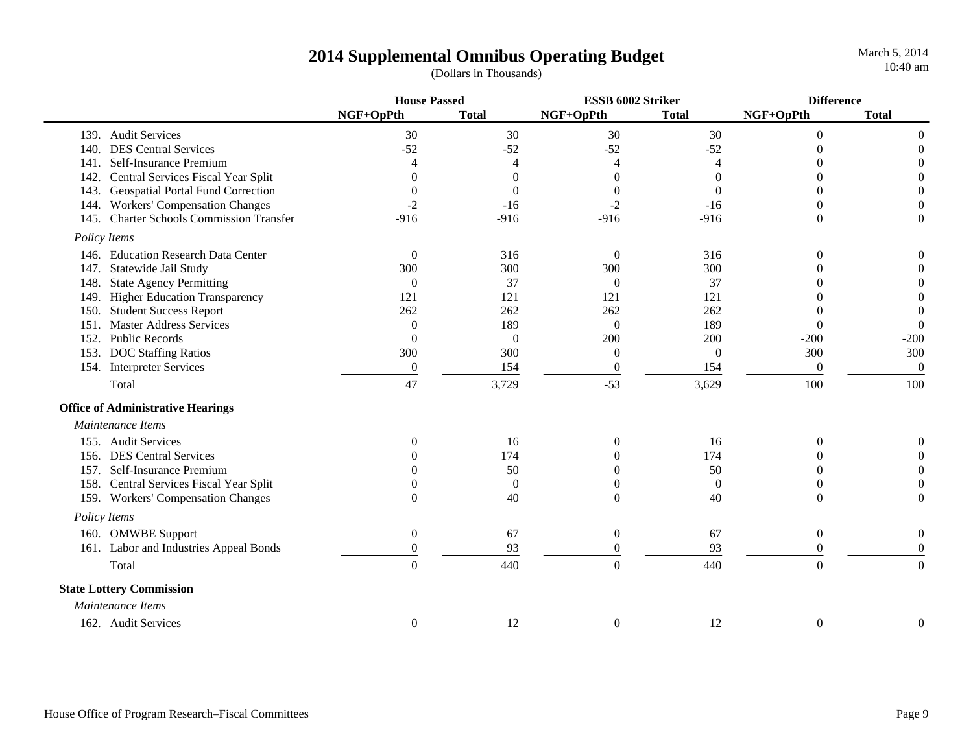|                   |                                          | <b>House Passed</b> |                  | ESSB 6002 Striker |                | <b>Difference</b> |                  |
|-------------------|------------------------------------------|---------------------|------------------|-------------------|----------------|-------------------|------------------|
|                   |                                          | NGF+OpPth           | <b>Total</b>     | NGF+OpPth         | <b>Total</b>   | NGF+OpPth         | <b>Total</b>     |
|                   | 139. Audit Services                      | 30                  | 30               | 30                | 30             | $\boldsymbol{0}$  | $\boldsymbol{0}$ |
| 140.              | <b>DES Central Services</b>              | $-52$               | $-52$            | $-52$             | $-52$          | $\Omega$          | $\boldsymbol{0}$ |
| 141.              | Self-Insurance Premium                   | $\overline{4}$      | $\overline{4}$   | 4                 | $\overline{4}$ |                   | $\boldsymbol{0}$ |
| 142.              | Central Services Fiscal Year Split       | $\Omega$            | $\theta$         | $\theta$          | 0              | 0                 | $\boldsymbol{0}$ |
| 143.              | <b>Geospatial Portal Fund Correction</b> | $\overline{0}$      | $\Omega$         | $\overline{0}$    | $\Omega$       |                   | $\boldsymbol{0}$ |
|                   | 144. Workers' Compensation Changes       | $-2$                | $-16$            | $-2$              | $-16$          | 0                 | $\boldsymbol{0}$ |
|                   | 145. Charter Schools Commission Transfer | $-916$              | $-916$           | $-916$            | $-916$         | $\Omega$          | $\theta$         |
| Policy Items      |                                          |                     |                  |                   |                |                   |                  |
|                   | 146. Education Research Data Center      | $\boldsymbol{0}$    | 316              | $\theta$          | 316            | $\theta$          | $\boldsymbol{0}$ |
| 147.              | Statewide Jail Study                     | 300                 | 300              | 300               | 300            | 0                 | $\mathbf{0}$     |
| 148.              | <b>State Agency Permitting</b>           | $\theta$            | 37               | $\Omega$          | 37             | Ω                 | $\boldsymbol{0}$ |
| 149.              | Higher Education Transparency            | 121                 | 121              | 121               | 121            |                   | $\boldsymbol{0}$ |
| 150.              | <b>Student Success Report</b>            | 262                 | 262              | 262               | 262            | 0                 | $\boldsymbol{0}$ |
| 151.              | <b>Master Address Services</b>           | $\boldsymbol{0}$    | 189              | $\theta$          | 189            | $\overline{0}$    | $\boldsymbol{0}$ |
| 152.              | <b>Public Records</b>                    | $\boldsymbol{0}$    | $\boldsymbol{0}$ | 200               | 200            | $-200$            | $-200$           |
| 153.              | <b>DOC Staffing Ratios</b>               | 300                 | 300              | $\theta$          | $\overline{0}$ | 300               | 300              |
|                   | 154. Interpreter Services                | $\boldsymbol{0}$    | 154              | $\boldsymbol{0}$  | 154            | $\boldsymbol{0}$  | $\boldsymbol{0}$ |
| Total             |                                          | 47                  | 3,729            | $-53$             | 3,629          | 100               | 100              |
|                   | <b>Office of Administrative Hearings</b> |                     |                  |                   |                |                   |                  |
| Maintenance Items |                                          |                     |                  |                   |                |                   |                  |
|                   | 155. Audit Services                      | $\theta$            | 16               | $\theta$          | 16             | $\Omega$          | $\boldsymbol{0}$ |
| 156.              | <b>DES Central Services</b>              | O                   | 174              | $\Omega$          | 174            | 0                 | $\mathbf{0}$     |
|                   | 157. Self-Insurance Premium              | O                   | 50               | $\Omega$          | 50             | 0                 | $\boldsymbol{0}$ |
|                   | 158. Central Services Fiscal Year Split  | $\Omega$            | $\theta$         | $\Omega$          | $\overline{0}$ | 0                 | $\theta$         |
|                   | 159. Workers' Compensation Changes       | $\theta$            | 40               | $\theta$          | 40             | $\Omega$          | $\theta$         |
| Policy Items      |                                          |                     |                  |                   |                |                   |                  |
|                   | 160. OMWBE Support                       | $\boldsymbol{0}$    | 67               | $\overline{0}$    | 67             | $\boldsymbol{0}$  | $\boldsymbol{0}$ |
|                   | 161. Labor and Industries Appeal Bonds   | $\overline{0}$      | 93               | $\overline{0}$    | 93             | $\Omega$          | $\theta$         |
| Total             |                                          | $\overline{0}$      | 440              | $\boldsymbol{0}$  | 440            | $\overline{0}$    | $\theta$         |
|                   | <b>State Lottery Commission</b>          |                     |                  |                   |                |                   |                  |
| Maintenance Items |                                          |                     |                  |                   |                |                   |                  |
|                   | 162. Audit Services                      | $\boldsymbol{0}$    | 12               | $\boldsymbol{0}$  | 12             | $\boldsymbol{0}$  | $\boldsymbol{0}$ |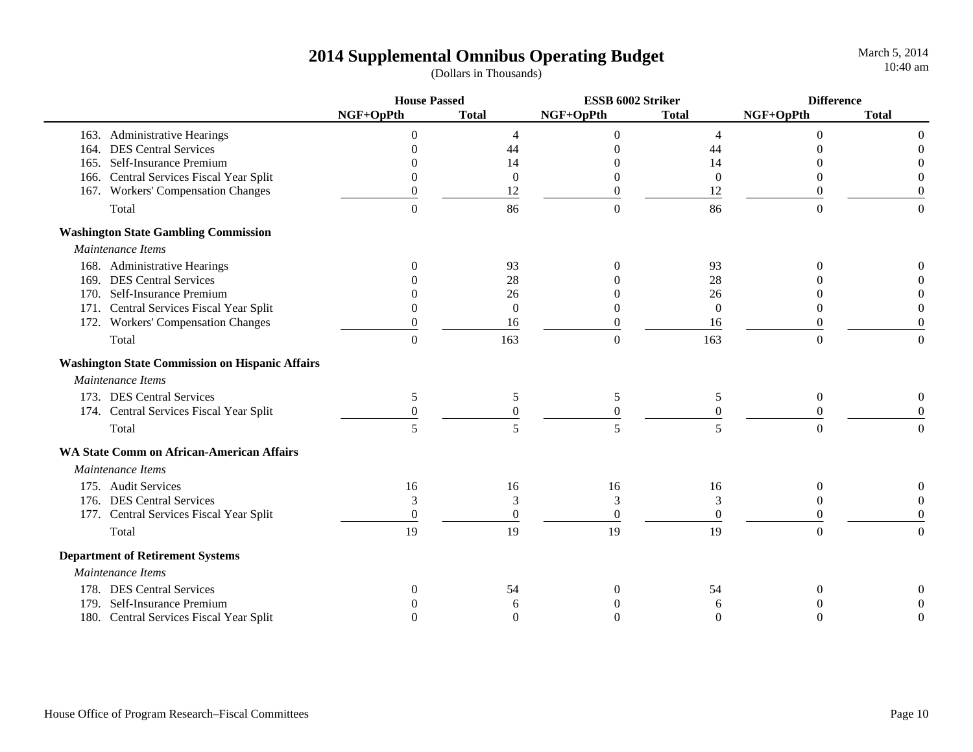|                                                        | <b>House Passed</b> |                  | ESSB 6002 Striker |                  | <b>Difference</b> |                  |
|--------------------------------------------------------|---------------------|------------------|-------------------|------------------|-------------------|------------------|
|                                                        | NGF+OpPth           | <b>Total</b>     | NGF+OpPth         | <b>Total</b>     | NGF+OpPth         | <b>Total</b>     |
| 163. Administrative Hearings                           | $\theta$            | $\overline{4}$   | $\boldsymbol{0}$  | $\overline{4}$   | $\theta$          | $\theta$         |
| 164. DES Central Services                              |                     | 44               |                   | 44               |                   |                  |
| 165. Self-Insurance Premium                            |                     | 14               |                   | 14               |                   |                  |
| 166. Central Services Fiscal Year Split                |                     | $\overline{0}$   | 0                 | $\theta$         | $\Omega$          |                  |
| 167. Workers' Compensation Changes                     | $\overline{0}$      | 12               | $\overline{0}$    | 12               | $\boldsymbol{0}$  | $\Omega$         |
| Total                                                  | $\Omega$            | 86               | $\boldsymbol{0}$  | 86               | $\overline{0}$    | $\mathbf{0}$     |
| <b>Washington State Gambling Commission</b>            |                     |                  |                   |                  |                   |                  |
| Maintenance Items                                      |                     |                  |                   |                  |                   |                  |
| 168. Administrative Hearings                           | $\Omega$            | 93               | $\Omega$          | 93               |                   |                  |
| 169. DES Central Services                              |                     | 28               |                   | 28               |                   |                  |
| 170. Self-Insurance Premium                            |                     | 26               |                   | 26               |                   |                  |
| 171. Central Services Fiscal Year Split                |                     | $\Omega$         | $\Omega$          | $\Omega$         | $\Omega$          |                  |
| 172. Workers' Compensation Changes                     |                     | 16               | ∩                 | 16               | $\Omega$          | $\Omega$         |
| Total                                                  | $\overline{0}$      | 163              | $\overline{0}$    | 163              | $\overline{0}$    | $\overline{0}$   |
| <b>Washington State Commission on Hispanic Affairs</b> |                     |                  |                   |                  |                   |                  |
| Maintenance Items                                      |                     |                  |                   |                  |                   |                  |
| 173. DES Central Services                              | 5                   | 5                | 5                 | 5                | $\theta$          | $\boldsymbol{0}$ |
| 174. Central Services Fiscal Year Split                | $\boldsymbol{0}$    | $\boldsymbol{0}$ | $\boldsymbol{0}$  | $\boldsymbol{0}$ | $\boldsymbol{0}$  | $\overline{0}$   |
| Total                                                  | 5                   | 5                | 5                 | 5                | $\Omega$          | $\Omega$         |
| <b>WA State Comm on African-American Affairs</b>       |                     |                  |                   |                  |                   |                  |
| Maintenance Items                                      |                     |                  |                   |                  |                   |                  |
| 175. Audit Services                                    | 16                  | 16               | 16                | 16               | $\Omega$          | 0                |
| 176. DES Central Services                              | 3                   | 3                | 3                 | 3                | $\theta$          | $\Omega$         |
| 177. Central Services Fiscal Year Split                | $\Omega$            | $\Omega$         | $\Omega$          | $\Omega$         | $\Omega$          | $\Omega$         |
| Total                                                  | 19                  | 19               | 19                | 19               | $\boldsymbol{0}$  | $\mathbf{0}$     |
| <b>Department of Retirement Systems</b>                |                     |                  |                   |                  |                   |                  |
| Maintenance Items                                      |                     |                  |                   |                  |                   |                  |
| 178. DES Central Services                              |                     | 54               | $\Omega$          | 54               | $\Omega$          |                  |
| 179. Self-Insurance Premium                            |                     | 6                |                   | 6                |                   |                  |
| 180. Central Services Fiscal Year Split                |                     | $\Omega$         | $\theta$          | $\theta$         | $\Omega$          | $\Omega$         |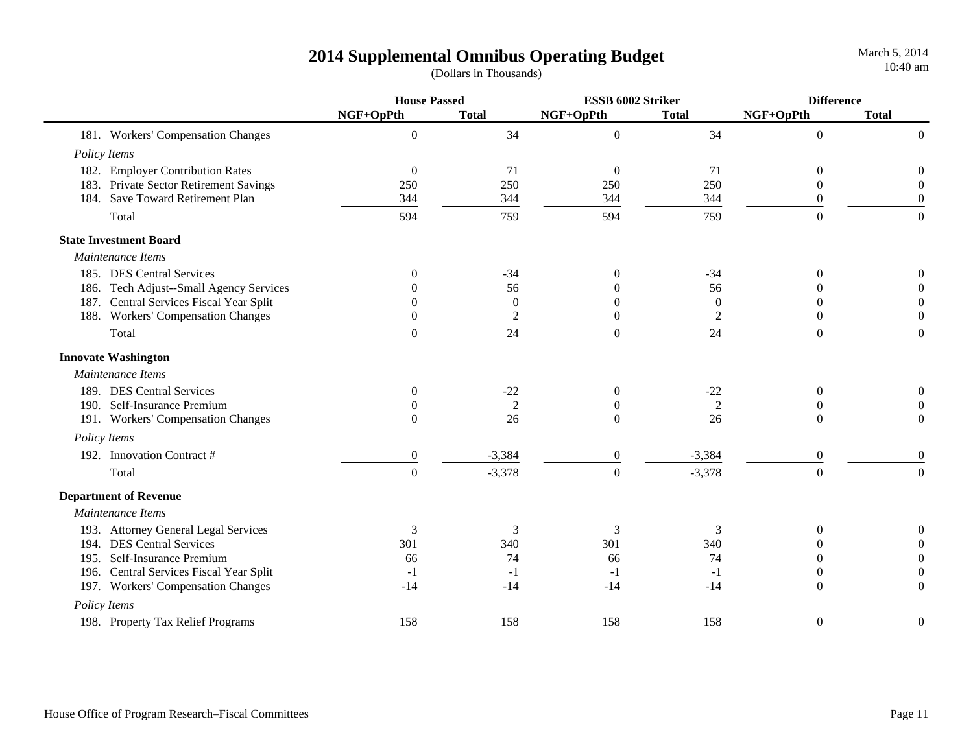|              |                                         | <b>House Passed</b> |                  | ESSB 6002 Striker |                | <b>Difference</b> |                  |
|--------------|-----------------------------------------|---------------------|------------------|-------------------|----------------|-------------------|------------------|
|              |                                         | NGF+OpPth           | <b>Total</b>     | NGF+OpPth         | <b>Total</b>   | NGF+OpPth         | <b>Total</b>     |
|              | 181. Workers' Compensation Changes      | $\boldsymbol{0}$    | 34               | $\boldsymbol{0}$  | 34             | $\boldsymbol{0}$  | $\overline{0}$   |
| Policy Items |                                         |                     |                  |                   |                |                   |                  |
|              | 182. Employer Contribution Rates        | $\mathbf{0}$        | 71               | $\overline{0}$    | 71             | $\boldsymbol{0}$  | $\boldsymbol{0}$ |
|              | 183. Private Sector Retirement Savings  | 250                 | 250              | 250               | 250            | $\boldsymbol{0}$  | $\boldsymbol{0}$ |
|              | 184. Save Toward Retirement Plan        | 344                 | 344              | 344               | 344            | $\boldsymbol{0}$  | $\boldsymbol{0}$ |
|              | Total                                   | 594                 | 759              | 594               | 759            | $\Omega$          | $\boldsymbol{0}$ |
|              | <b>State Investment Board</b>           |                     |                  |                   |                |                   |                  |
|              | Maintenance Items                       |                     |                  |                   |                |                   |                  |
|              | 185. DES Central Services               | $\Omega$            | $-34$            | $\theta$          | $-34$          | $\theta$          | 0                |
|              | 186. Tech Adjust--Small Agency Services | $\Omega$            | 56               |                   | 56             | $\Omega$          | $\Omega$         |
|              | 187. Central Services Fiscal Year Split | $\Omega$            | $\overline{0}$   | $\overline{0}$    | $\Omega$       | $\Omega$          | $\Omega$         |
|              | 188. Workers' Compensation Changes      | $\theta$            | $\boldsymbol{2}$ | $\theta$          | $\overline{2}$ | $\theta$          | $\overline{0}$   |
|              | Total                                   | $\overline{0}$      | 24               | $\boldsymbol{0}$  | 24             | $\overline{0}$    | $\boldsymbol{0}$ |
|              | <b>Innovate Washington</b>              |                     |                  |                   |                |                   |                  |
|              | Maintenance Items                       |                     |                  |                   |                |                   |                  |
|              | 189. DES Central Services               | $\theta$            | $-22$            | $\overline{0}$    | $-22$          | $\theta$          | 0                |
|              | 190. Self-Insurance Premium             | $\Omega$            | $\overline{2}$   | $\Omega$          | $\mathfrak{2}$ | $\Omega$          | $\theta$         |
|              | 191. Workers' Compensation Changes      | $\theta$            | 26               | $\Omega$          | 26             | $\Omega$          | $\overline{0}$   |
| Policy Items |                                         |                     |                  |                   |                |                   |                  |
|              | 192. Innovation Contract #              | $\boldsymbol{0}$    | $-3,384$         | $\boldsymbol{0}$  | $-3,384$       | $\boldsymbol{0}$  | $\boldsymbol{0}$ |
|              | Total                                   | $\boldsymbol{0}$    | $-3,378$         | $\boldsymbol{0}$  | $-3,378$       | $\boldsymbol{0}$  | $\overline{0}$   |
|              | <b>Department of Revenue</b>            |                     |                  |                   |                |                   |                  |
|              | Maintenance Items                       |                     |                  |                   |                |                   |                  |
|              | 193. Attorney General Legal Services    | $\mathfrak{Z}$      | 3                | 3                 | 3              | $\theta$          | 0                |
|              | 194. DES Central Services               | 301                 | 340              | 301               | 340            | 0                 | $\Omega$         |
|              | 195. Self-Insurance Premium             | 66                  | 74               | 66                | 74             | 0                 | $\boldsymbol{0}$ |
|              | 196. Central Services Fiscal Year Split | $-1$                | $-1$             | $-1$              | $-1$           | $\overline{0}$    | $\boldsymbol{0}$ |
|              | 197. Workers' Compensation Changes      | $-14$               | $-14$            | $-14$             | $-14$          | $\Omega$          | $\mathbf{0}$     |
| Policy Items |                                         |                     |                  |                   |                |                   |                  |
|              | 198. Property Tax Relief Programs       | 158                 | 158              | 158               | 158            | $\boldsymbol{0}$  | $\boldsymbol{0}$ |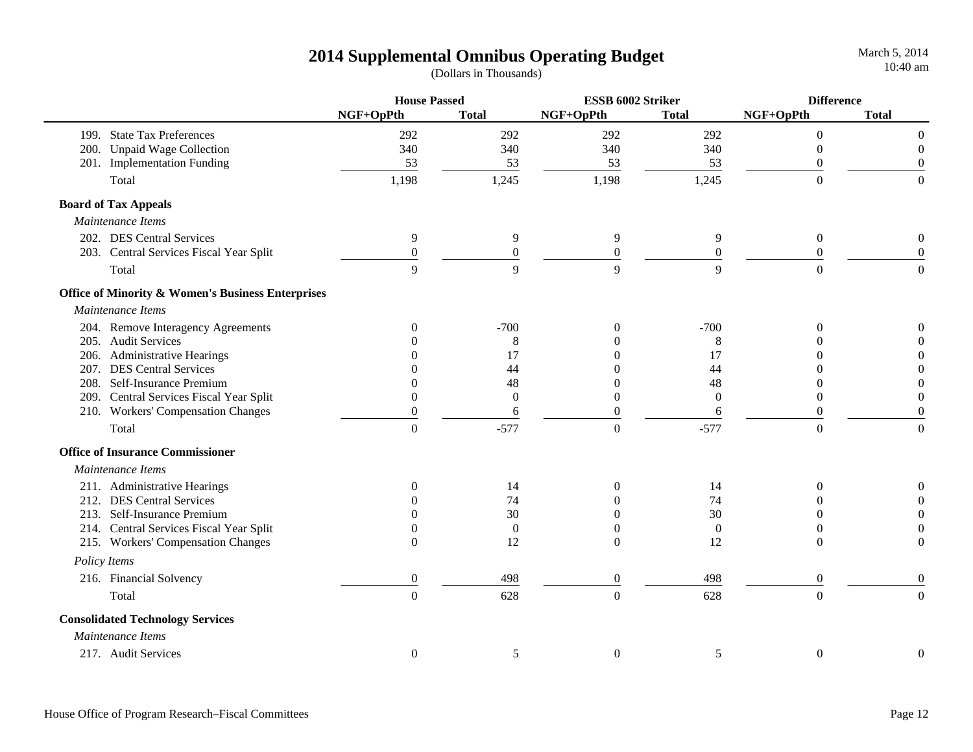|                                                   | <b>House Passed</b> |                  | ESSB 6002 Striker |                  | <b>Difference</b> |                  |
|---------------------------------------------------|---------------------|------------------|-------------------|------------------|-------------------|------------------|
|                                                   | NGF+OpPth           | <b>Total</b>     | NGF+OpPth         | <b>Total</b>     | NGF+OpPth         | <b>Total</b>     |
| 199. State Tax Preferences                        | 292                 | 292              | 292               | 292              | $\overline{0}$    | $\Omega$         |
| 200. Unpaid Wage Collection                       | 340                 | 340              | 340               | 340              | $\overline{0}$    | $\boldsymbol{0}$ |
| 201. Implementation Funding                       | 53                  | 53               | 53                | 53               | $\theta$          | $\overline{0}$   |
| Total                                             | 1,198               | 1,245            | 1,198             | 1,245            | $\overline{0}$    | $\theta$         |
| <b>Board of Tax Appeals</b>                       |                     |                  |                   |                  |                   |                  |
| Maintenance Items                                 |                     |                  |                   |                  |                   |                  |
| 202. DES Central Services                         | 9                   | 9                | $\overline{9}$    | 9                | $\boldsymbol{0}$  | $\boldsymbol{0}$ |
| 203. Central Services Fiscal Year Split           | $\boldsymbol{0}$    | $\boldsymbol{0}$ | $\boldsymbol{0}$  | $\boldsymbol{0}$ | $\boldsymbol{0}$  | $\boldsymbol{0}$ |
| Total                                             | 9                   | 9                | 9                 | 9                | $\theta$          | $\boldsymbol{0}$ |
| Office of Minority & Women's Business Enterprises |                     |                  |                   |                  |                   |                  |
| Maintenance Items                                 |                     |                  |                   |                  |                   |                  |
| 204. Remove Interagency Agreements                | 0                   | $-700$           | $\Omega$          | $-700$           | $\theta$          | $\Omega$         |
| 205. Audit Services                               |                     | 8                |                   | 8                | $\Omega$          | $\overline{0}$   |
| 206. Administrative Hearings                      |                     | 17               | 0                 | 17               | ∩                 | $\overline{0}$   |
| 207. DES Central Services                         |                     | 44               |                   | 44               | ∩                 | $\Omega$         |
| 208. Self-Insurance Premium                       |                     | 48               | 0                 | 48               | $\Omega$          | $\Omega$         |
| 209. Central Services Fiscal Year Split           |                     | $\boldsymbol{0}$ | $\boldsymbol{0}$  | $\boldsymbol{0}$ | $\boldsymbol{0}$  | $\overline{0}$   |
| 210. Workers' Compensation Changes                | $\overline{0}$      | 6                | $\boldsymbol{0}$  | 6                | $\overline{0}$    | $\boldsymbol{0}$ |
| Total                                             | $\Omega$            | $-577$           | $\boldsymbol{0}$  | $-577$           | $\overline{0}$    | $\boldsymbol{0}$ |
| <b>Office of Insurance Commissioner</b>           |                     |                  |                   |                  |                   |                  |
| Maintenance Items                                 |                     |                  |                   |                  |                   |                  |
| 211. Administrative Hearings                      | 0                   | 14               | $\mathbf{0}$      | 14               | $\Omega$          | $\boldsymbol{0}$ |
| 212. DES Central Services                         |                     | 74               | $\theta$          | 74               | $\Omega$          | $\theta$         |
| 213. Self-Insurance Premium                       |                     | 30               | $\Omega$          | 30               | $\Omega$          | 0                |
| 214. Central Services Fiscal Year Split           |                     | $\theta$         | 0                 | $\overline{0}$   | $\Omega$          | 0                |
| 215. Workers' Compensation Changes                | $\Omega$            | 12               | $\Omega$          | 12               | $\Omega$          | $\theta$         |
| Policy Items                                      |                     |                  |                   |                  |                   |                  |
| 216. Financial Solvency                           | $\boldsymbol{0}$    | 498              | $\boldsymbol{0}$  | 498              | $\boldsymbol{0}$  | $\overline{0}$   |
| Total                                             | $\Omega$            | 628              | $\overline{0}$    | 628              | $\overline{0}$    | $\overline{0}$   |
| <b>Consolidated Technology Services</b>           |                     |                  |                   |                  |                   |                  |
| Maintenance Items                                 |                     |                  |                   |                  |                   |                  |
| 217. Audit Services                               | $\overline{0}$      | 5                | $\boldsymbol{0}$  | 5                | $\boldsymbol{0}$  | $\boldsymbol{0}$ |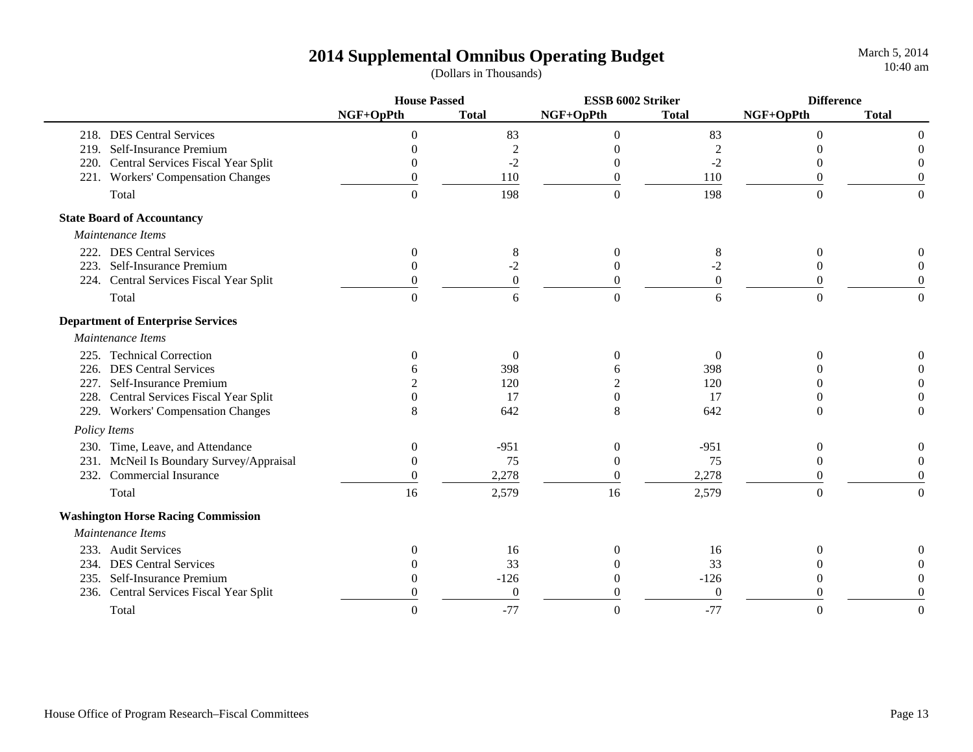March 5, 2014 10:40 am

|      |                                           | <b>House Passed</b> |                  | ESSB 6002 Striker |                | <b>Difference</b> |                  |
|------|-------------------------------------------|---------------------|------------------|-------------------|----------------|-------------------|------------------|
|      |                                           | NGF+OpPth           | <b>Total</b>     | NGF+OpPth         | <b>Total</b>   | NGF+OpPth         | <b>Total</b>     |
|      | 218. DES Central Services                 | $\Omega$            | 83               | $\Omega$          | 83             | $\Omega$          |                  |
| 219. | Self-Insurance Premium                    | $\Omega$            | $\overline{c}$   |                   | $\overline{c}$ |                   |                  |
|      | 220. Central Services Fiscal Year Split   | $\Omega$            | $-2$             |                   | $-2$           | 0                 |                  |
|      | 221. Workers' Compensation Changes        | $\Omega$            | 110              | $\Omega$          | 110            | $\Omega$          |                  |
|      | Total                                     | $\Omega$            | 198              | $\boldsymbol{0}$  | 198            | $\theta$          | $\mathbf{0}$     |
|      | <b>State Board of Accountancy</b>         |                     |                  |                   |                |                   |                  |
|      | Maintenance Items                         |                     |                  |                   |                |                   |                  |
|      | 222. DES Central Services                 | $\overline{0}$      | 8                | $\Omega$          | 8              | $\Omega$          |                  |
|      | 223. Self-Insurance Premium               | $\Omega$            | $-2$             | $\theta$          | $-2$           | $\Omega$          | $\theta$         |
|      | 224. Central Services Fiscal Year Split   | $\theta$            | $\boldsymbol{0}$ | $\boldsymbol{0}$  | $\overline{0}$ | 0                 | $\overline{0}$   |
|      | Total                                     | $\Omega$            | 6                | $\Omega$          | 6              | $\Omega$          | $\Omega$         |
|      | <b>Department of Enterprise Services</b>  |                     |                  |                   |                |                   |                  |
|      | Maintenance Items                         |                     |                  |                   |                |                   |                  |
|      | 225. Technical Correction                 | $\Omega$            | $\Omega$         | 0                 | $\Omega$       | $\Omega$          | $\boldsymbol{0}$ |
|      | 226. DES Central Services                 |                     | 398              |                   | 398            |                   | $\Omega$         |
|      | 227. Self-Insurance Premium               |                     | 120              |                   | 120            |                   | $\theta$         |
|      | 228. Central Services Fiscal Year Split   | $\Omega$            | 17               | $\Omega$          | 17             |                   | $\Omega$         |
|      | 229. Workers' Compensation Changes        | 8                   | 642              | 8                 | 642            | $\Omega$          | $\overline{0}$   |
|      | Policy Items                              |                     |                  |                   |                |                   |                  |
|      | 230. Time, Leave, and Attendance          | $\mathbf{0}$        | $-951$           | $\theta$          | $-951$         | $\theta$          | 0                |
|      | 231. McNeil Is Boundary Survey/Appraisal  | $\Omega$            | 75               | $\Omega$          | 75             | $\Omega$          | $\overline{0}$   |
|      | 232. Commercial Insurance                 | $\theta$            | 2,278            | $\theta$          | 2,278          | 0                 | $\theta$         |
|      | Total                                     | 16                  | 2,579            | 16                | 2,579          | $\theta$          | $\boldsymbol{0}$ |
|      | <b>Washington Horse Racing Commission</b> |                     |                  |                   |                |                   |                  |
|      | Maintenance Items                         |                     |                  |                   |                |                   |                  |
|      | 233. Audit Services                       | $\Omega$            | 16               |                   | 16             |                   |                  |
|      | 234. DES Central Services                 |                     | 33               |                   | 33             |                   |                  |
|      | 235. Self-Insurance Premium               |                     | $-126$           |                   | $-126$         |                   |                  |
|      | 236. Central Services Fiscal Year Split   | $\Omega$            | $\Omega$         |                   | $\Omega$       |                   | $\Omega$         |
|      | Total                                     | $\Omega$            | $-77$            | ∩                 | $-77$          | ∩                 | $\Omega$         |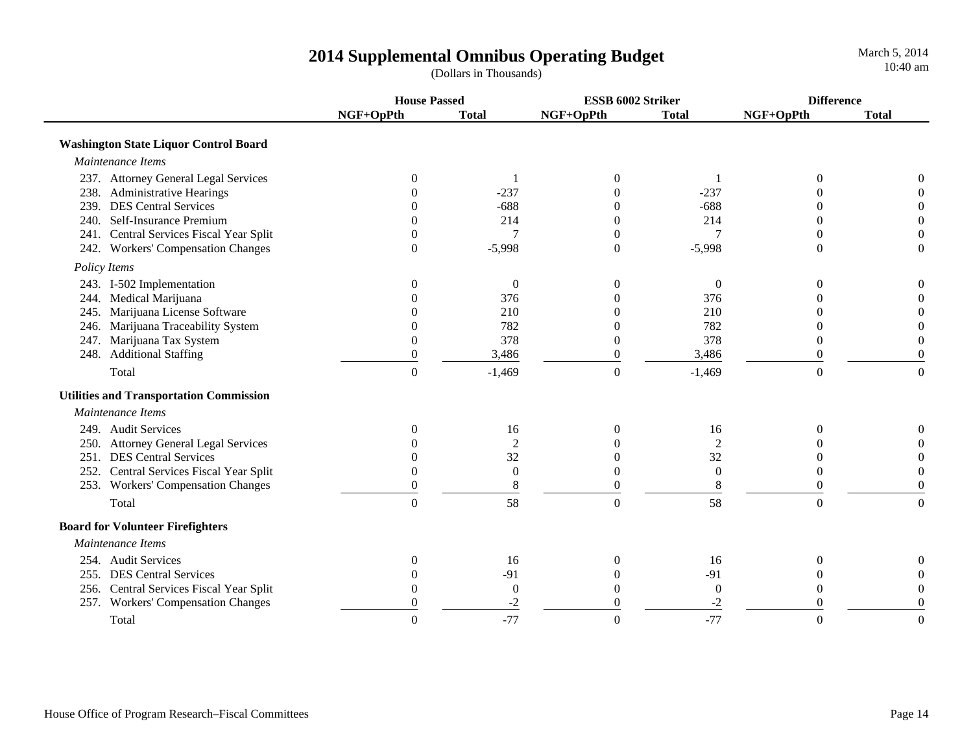**House Passed ESSB 6002 Striker DifferenceNGF+OpPth Total NGF+OpPth Total NGF+OpPth Total Washington State Liquor Control Board**  *Maintenance Items*237. Attorney General Legal Services  $\begin{array}{ccccccc} 0 & 1 & 0 & 1 & 0 & 0 \end{array}$ 238. Administrative Hearings  $0 \qquad -237 \qquad 0 \qquad -237$  0  $-237 \qquad 0 \qquad 0$ 239. DES Central Services 0 -688 0 -688 0 0240. Self-Insurance Premium 0 0 214 0 214 0 0 0 0 241. Central Services Fiscal Year Split  $\begin{array}{ccccccc} 0 & 7 & 0 & 7 & 0 & 0 \end{array}$ 242. Workers' Compensation Changes 0 -5,998 0 -5,998 0 0  *Policy Items* 243. I-502 Implementation 000000 244. Medical Marijuana 0 376 0 376 0 0 245. Marijuana License Software 0 210 0 210 0 0 246. Marijuana Traceability System 0 782 0 782 0 0 247. Marijuana Tax System 0 378 0 378 0 0 248. Additional Staffing and the control of the control of the control of the control of the control of the control of the control of the control of the control of the control of the control of the control of the control o Total 0 -1,469 0 -1,469 0 0  **Utilities and Transportation Commission**  *Maintenance Items*249. Audit Services and the contract of the contract of the contract of the contract of the contract of the contract of the contract of the contract of the contract of the contract of the contract of the contract of the co 250. Attorney General Legal Services and the control of the control of the control of the control of the control of the control of the control of the control of the control of the control of the control of the control of t 251. DES Central Services and the contract of the contract of the contract of the contract of the contract of the contract of the contract of the contract of the contract of the contract of the contract of the contract of 252. Central Services Fiscal Year Split  $\begin{array}{cccc} 0 & 0 & 0 & 0 & 0 \\ 253. & Workers' \end{array}$  O and  $\begin{array}{cccc} 0 & 0 & 0 & 0 \\ 0 & 8 & 0 & 0 \\ 0 & 0 & 0 & 0 \end{array}$ 253. Workers' Compensation Changes 080800 Total and the contract of  $\begin{array}{ccc} 0 & 58 & 0 & 58 \end{array}$  ,  $\begin{array}{ccc} 58 & 0 & 0 \end{array}$  **Board for Volunteer Firefighters**  *Maintenance Items*254. Audit Services and the contract of the contract of the contract of the contract of the contract of the contract of the contract of the contract of the contract of the contract of the contract of the contract of the co 255. DES Central Services  $0$  -91 0 -91 0 0 0 256. Central Services Fiscal Year Split 000000 257. Workers' Compensation Changes 0 -2 0 -2 0 0 Total and the contract of  $\begin{array}{ccc} 0 & -77 & 0 & -77 \end{array}$  . Total  $\begin{array}{ccc} 0 & 0 & 0 \end{array}$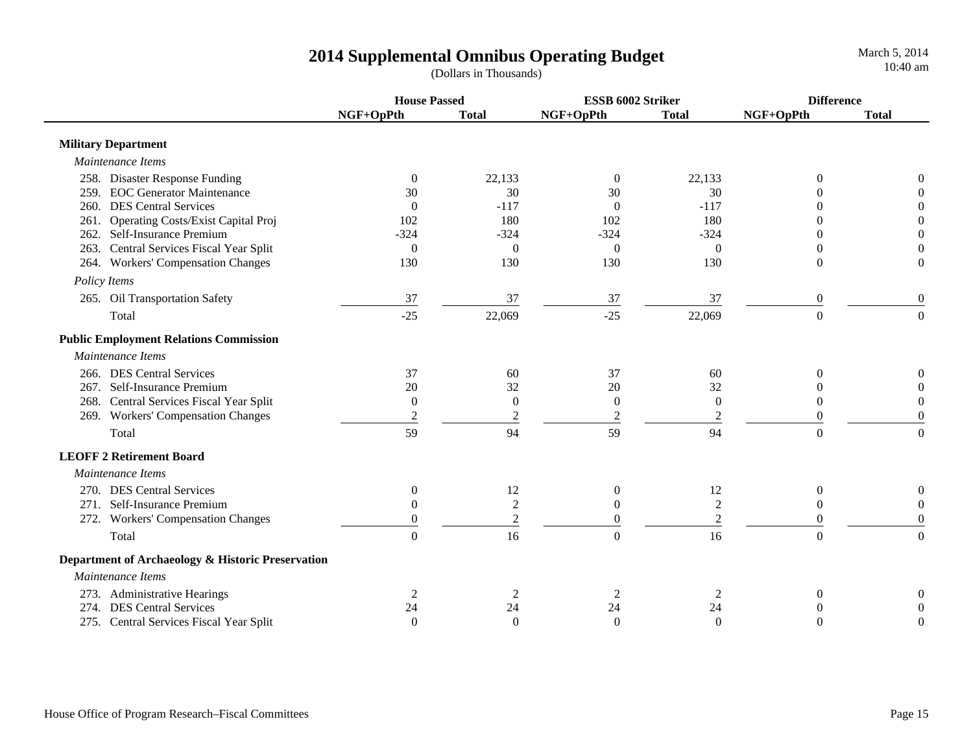**House Passed ESSB 6002 Striker DifferenceNGF+OpPth Total NGF+OpPth Total NGF+OpPth Total Military Department**  *Maintenance Items* 258. Disaster Response Funding  $\begin{pmatrix} 0 & 22.133 & 0 & 22.133 \end{pmatrix}$  0 0 0 259. EOC Generator Maintenance 30 30 30 30 0 0260. DES Central Services 0 -117 0 -117 0 0261. Operating Costs/Exist Capital Proj 102 180 102 180 0 0 262. Self-Insurance Premium -324 -324 -324 -324 0 0263. Central Services Fiscal Year Split  $\begin{pmatrix} 0 & 0 & 0 \\ 0 & 0 & 0 \\ 0 & 0 & 0 \end{pmatrix}$  ( 264. Workers' Compensation Changes 130 130 130 130 0 0  *Policy Items* 265. Oil Transportation Safety 37 37 37 37 37 0 0  $\rm Total$  0 0 0 0 0 0  $\rm 22,069$   $\rm 22,069$   $\rm 22,069$  0 0 0  **Public Employment Relations Commission**  *Maintenance Items*266. DES Central Services 37 60 37 60 0 0267. Self-Insurance Premium 20 32 20 32 0 0 0 268. Central Services Fiscal Year Split  $\begin{array}{ccccccccc}\n0 & 0 & 0 & 0 & 0 & 0 \\
269. & Workers' Comparison \end{array}$ 269. Workers' Compensation Changes  $\frac{2}{2}$   $\frac{2}{2}$   $\frac{2}{2}$   $\frac{2}{2}$   $\frac{2}{2}$   $\frac{0}{2}$  0  $\text{Total}$  6.0  $\text{Total}$  59  $\text{Total}$  59  $\text{Total}$  59  $\text{Total}$   $\text{Total}$   $\text{Total}$   $\text{Total}$  **LEOFF 2 Retirement Board** *Maintenance Items* 270. DES Central Services and the contract of the contract of the contract of the contract of the contract of the contract of the contract of the contract of the contract of the contract of the contract of the contract of 271. Self-Insurance Premiumm 0 2 0 2 0 0 0 272. Workers' Compensation Changes  $\begin{array}{ccc} 0 & 2 & 0 \\ 0 & 2 & 0 \end{array}$  (0 Total and the contract of  $\begin{array}{ccc} 0 & 16 & 0 & 16 \end{array}$  , and the contract of  $\begin{array}{ccc} 0 & 0 & 0 \end{array}$  **Department of Archaeology & Historic Preservation**  *Maintenance Items*273. Administrative Hearings  $\begin{array}{ccccccccc}\n & 2 & 2 & 2 & 2 & 2 & 0 & 0\n\end{array}$ 274. DES Central Services 24 24 24 24 0 0

275. Central Services Fiscal Year Split 000000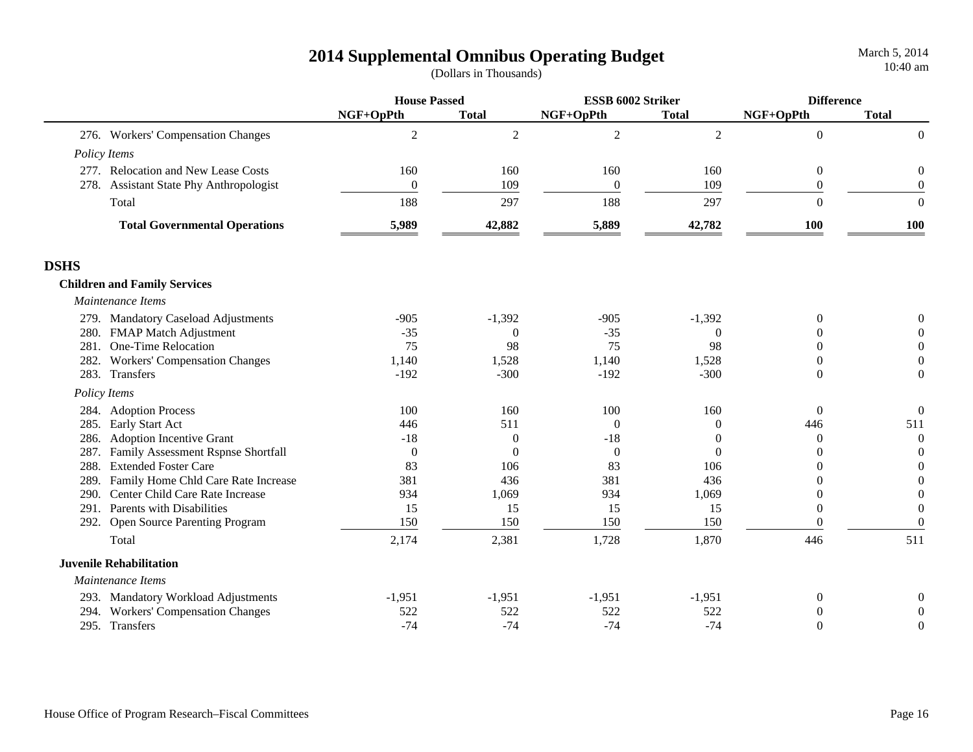|             |                                         | <b>House Passed</b> |                  | ESSB 6002 Striker |              | <b>Difference</b> |                  |
|-------------|-----------------------------------------|---------------------|------------------|-------------------|--------------|-------------------|------------------|
|             |                                         | NGF+OpPth           | <b>Total</b>     | NGF+OpPth         | <b>Total</b> | NGF+OpPth         | <b>Total</b>     |
|             | 276. Workers' Compensation Changes      | $\overline{c}$      | $\overline{2}$   | $\overline{2}$    | 2            | $\mathbf{0}$      | $\boldsymbol{0}$ |
|             | Policy Items                            |                     |                  |                   |              |                   |                  |
|             | 277. Relocation and New Lease Costs     | 160                 | 160              | 160               | 160          | $\overline{0}$    | $\boldsymbol{0}$ |
|             | 278. Assistant State Phy Anthropologist | $\overline{0}$      | 109              | $\boldsymbol{0}$  | 109          | $\boldsymbol{0}$  | $\boldsymbol{0}$ |
|             | Total                                   | 188                 | 297              | 188               | 297          | $\Omega$          | $\Omega$         |
|             | <b>Total Governmental Operations</b>    | 5,989               | 42,882           | 5,889             | 42,782       | 100               | 100              |
| <b>DSHS</b> |                                         |                     |                  |                   |              |                   |                  |
|             | <b>Children and Family Services</b>     |                     |                  |                   |              |                   |                  |
|             | Maintenance Items                       |                     |                  |                   |              |                   |                  |
|             | 279. Mandatory Caseload Adjustments     | $-905$              | $-1,392$         | $-905$            | $-1,392$     | $\Omega$          | 0                |
|             | 280. FMAP Match Adjustment              | $-35$               | $\Omega$         | $-35$             | $\theta$     | $\Omega$          | $\Omega$         |
| 281.        | One-Time Relocation                     | 75                  | 98               | 75                | 98           | $\Omega$          | $\Omega$         |
|             | 282. Workers' Compensation Changes      | 1,140               | 1,528            | 1,140             | 1,528        | $\Omega$          | $\Omega$         |
|             | 283. Transfers                          | $-192$              | $-300$           | $-192$            | $-300$       | $\theta$          | $\Omega$         |
|             | Policy Items                            |                     |                  |                   |              |                   |                  |
|             | 284. Adoption Process                   | 100                 | 160              | 100               | 160          | $\overline{0}$    | $\boldsymbol{0}$ |
|             | 285. Early Start Act                    | 446                 | 511              | $\boldsymbol{0}$  | $\Omega$     | 446               | 511              |
|             | 286. Adoption Incentive Grant           | $-18$               | $\boldsymbol{0}$ | $-18$             | $\theta$     | $\mathbf{0}$      | $\theta$         |
|             | 287. Family Assessment Rspnse Shortfall | $\overline{0}$      | $\Omega$         | $\boldsymbol{0}$  | $\Omega$     | $\theta$          | $\theta$         |
| 288.        | <b>Extended Foster Care</b>             | 83                  | 106              | 83                | 106          | $\Omega$          | $\theta$         |
| 289.        | Family Home Chld Care Rate Increase     | 381                 | 436              | 381               | 436          | $\theta$          | $\theta$         |
| 290.        | Center Child Care Rate Increase         | 934                 | 1,069            | 934               | 1,069        | $\theta$          | $\theta$         |
|             | 291. Parents with Disabilities          | 15                  | 15               | 15                | 15           | $\theta$          | $\theta$         |
|             | 292. Open Source Parenting Program      | 150                 | 150              | 150               | 150          | $\theta$          | $\overline{0}$   |
|             | Total                                   | 2,174               | 2,381            | 1,728             | 1,870        | 446               | 511              |
|             | <b>Juvenile Rehabilitation</b>          |                     |                  |                   |              |                   |                  |
|             | Maintenance Items                       |                     |                  |                   |              |                   |                  |
|             | 293. Mandatory Workload Adjustments     | $-1,951$            | $-1,951$         | $-1,951$          | $-1,951$     | $\boldsymbol{0}$  | 0                |
|             | 294. Workers' Compensation Changes      | 522                 | 522              | 522               | 522          | 0                 | $\Omega$         |
|             | 295. Transfers                          | $-74$               | $-74$            | $-74$             | $-74$        | $\theta$          | $\overline{0}$   |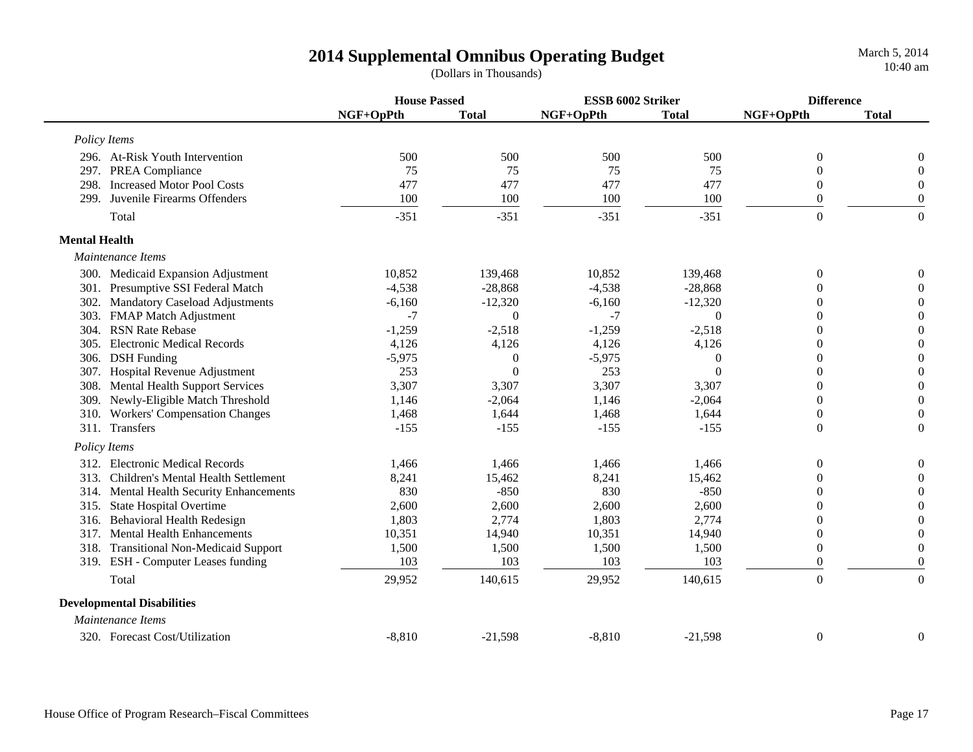|                      |                                          | <b>House Passed</b> |                | ESSB 6002 Striker |              |                  | <b>Difference</b> |  |
|----------------------|------------------------------------------|---------------------|----------------|-------------------|--------------|------------------|-------------------|--|
|                      |                                          | NGF+OpPth           | <b>Total</b>   | NGF+OpPth         | <b>Total</b> | NGF+OpPth        | <b>Total</b>      |  |
|                      | Policy Items                             |                     |                |                   |              |                  |                   |  |
|                      | 296. At-Risk Youth Intervention          | 500                 | 500            | 500               | 500          | $\overline{0}$   | $\overline{0}$    |  |
| 297.                 | PREA Compliance                          | 75                  | 75             | 75                | 75           | $\theta$         | $\mathbf{0}$      |  |
| 298.                 | <b>Increased Motor Pool Costs</b>        | 477                 | 477            | 477               | 477          | $\overline{0}$   | $\boldsymbol{0}$  |  |
| 299.                 | Juvenile Firearms Offenders              | 100                 | 100            | 100               | 100          | $\overline{0}$   | $\mathbf{0}$      |  |
|                      | Total                                    | $-351$              | $-351$         | $-351$            | $-351$       | $\overline{0}$   | $\overline{0}$    |  |
| <b>Mental Health</b> |                                          |                     |                |                   |              |                  |                   |  |
|                      | Maintenance Items                        |                     |                |                   |              |                  |                   |  |
|                      | 300. Medicaid Expansion Adjustment       | 10,852              | 139,468        | 10,852            | 139,468      | $\overline{0}$   | $\overline{0}$    |  |
|                      | 301. Presumptive SSI Federal Match       | $-4,538$            | $-28,868$      | $-4,538$          | $-28,868$    | $\Omega$         | $\mathbf{0}$      |  |
| 302.                 | <b>Mandatory Caseload Adjustments</b>    | $-6,160$            | $-12,320$      | $-6,160$          | $-12,320$    | $\theta$         | $\mathbf{0}$      |  |
| 303.                 | <b>FMAP Match Adjustment</b>             | $-7$                | $\theta$       | $-7$              | $\Omega$     | $\Omega$         | $\boldsymbol{0}$  |  |
| 304.                 | <b>RSN Rate Rebase</b>                   | $-1,259$            | $-2,518$       | $-1,259$          | $-2,518$     | $\theta$         | $\boldsymbol{0}$  |  |
| 305.                 | <b>Electronic Medical Records</b>        | 4,126               | 4,126          | 4,126             | 4,126        | $\overline{0}$   | $\boldsymbol{0}$  |  |
|                      | 306. DSH Funding                         | $-5,975$            | $\overline{0}$ | $-5,975$          | 0            | $\overline{0}$   | $\boldsymbol{0}$  |  |
|                      | 307. Hospital Revenue Adjustment         | 253                 | $\Omega$       | 253               | $\theta$     | $\theta$         | $\boldsymbol{0}$  |  |
| 308.                 | <b>Mental Health Support Services</b>    | 3,307               | 3,307          | 3,307             | 3,307        | $\Omega$         | $\boldsymbol{0}$  |  |
| 309.                 | Newly-Eligible Match Threshold           | 1,146               | $-2,064$       | 1,146             | $-2,064$     | $\Omega$         | $\boldsymbol{0}$  |  |
| 310.                 | <b>Workers' Compensation Changes</b>     | 1,468               | 1,644          | 1,468             | 1,644        | $\overline{0}$   | $\boldsymbol{0}$  |  |
|                      | 311. Transfers                           | $-155$              | $-155$         | $-155$            | $-155$       | $\boldsymbol{0}$ | $\boldsymbol{0}$  |  |
|                      | Policy Items                             |                     |                |                   |              |                  |                   |  |
|                      | 312. Electronic Medical Records          | 1,466               | 1,466          | 1,466             | 1,466        | $\theta$         | $\overline{0}$    |  |
|                      | 313. Children's Mental Health Settlement | 8,241               | 15,462         | 8,241             | 15,462       | $\Omega$         | $\overline{0}$    |  |
| 314.                 | Mental Health Security Enhancements      | 830                 | $-850$         | 830               | $-850$       | $\theta$         | $\boldsymbol{0}$  |  |
|                      | 315. State Hospital Overtime             | 2,600               | 2,600          | 2,600             | 2,600        | $\theta$         | $\boldsymbol{0}$  |  |
|                      | 316. Behavioral Health Redesign          | 1,803               | 2,774          | 1,803             | 2,774        | $\overline{0}$   | $\boldsymbol{0}$  |  |
|                      | 317. Mental Health Enhancements          | 10,351              | 14,940         | 10,351            | 14,940       | $\boldsymbol{0}$ | $\boldsymbol{0}$  |  |
|                      | 318. Transitional Non-Medicaid Support   | 1,500               | 1,500          | 1,500             | 1,500        | $\overline{0}$   | $\boldsymbol{0}$  |  |
|                      | 319. ESH - Computer Leases funding       | 103                 | 103            | 103               | 103          | $\overline{0}$   | $\boldsymbol{0}$  |  |
|                      | Total                                    | 29,952              | 140,615        | 29,952            | 140,615      | $\overline{0}$   | $\mathbf{0}$      |  |
|                      | <b>Developmental Disabilities</b>        |                     |                |                   |              |                  |                   |  |
|                      | Maintenance Items                        |                     |                |                   |              |                  |                   |  |
|                      | 320. Forecast Cost/Utilization           | $-8,810$            | $-21,598$      | $-8,810$          | $-21,598$    | $\boldsymbol{0}$ | $\overline{0}$    |  |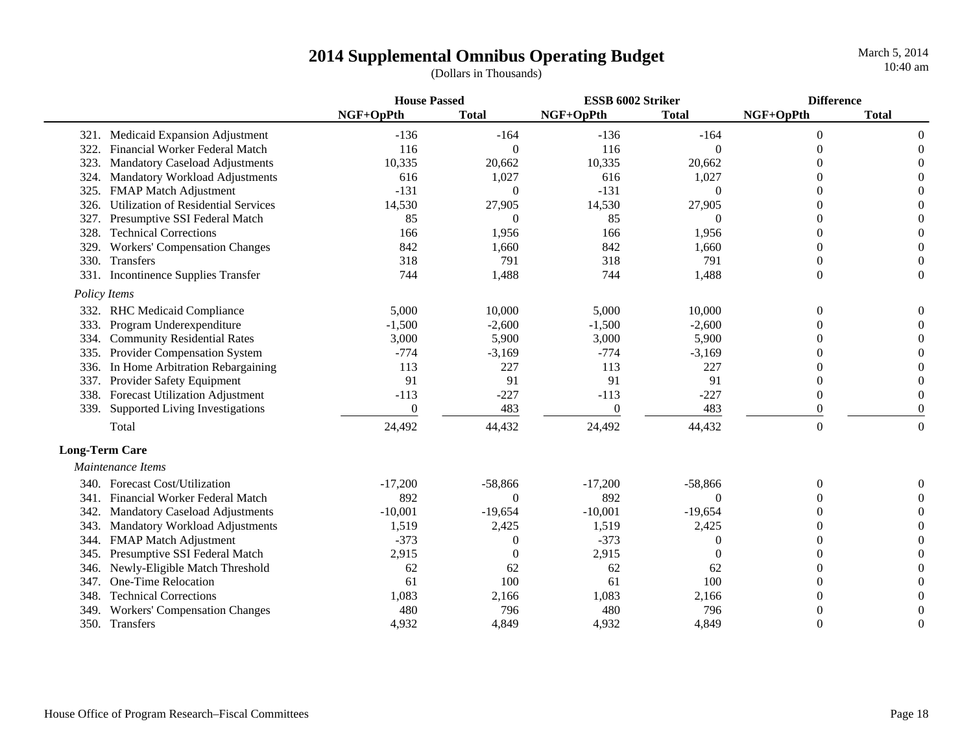|      |                                            | <b>House Passed</b> |              | ESSB 6002 Striker |              | <b>Difference</b> |              |
|------|--------------------------------------------|---------------------|--------------|-------------------|--------------|-------------------|--------------|
|      |                                            | NGF+OpPth           | <b>Total</b> | NGF+OpPth         | <b>Total</b> | NGF+OpPth         | <b>Total</b> |
|      | 321. Medicaid Expansion Adjustment         | $-136$              | $-164$       | $-136$            | $-164$       | $\overline{0}$    | $\Omega$     |
| 322. | Financial Worker Federal Match             | 116                 | $\Omega$     | 116               | 0            | $\theta$          | $\Omega$     |
| 323. | <b>Mandatory Caseload Adjustments</b>      | 10,335              | 20,662       | 10,335            | 20,662       | $\Omega$          | $\Omega$     |
| 324. | Mandatory Workload Adjustments             | 616                 | 1,027        | 616               | 1,027        | $\Omega$          | $\Omega$     |
| 325. | <b>FMAP Match Adjustment</b>               | $-131$              | $\Omega$     | $-131$            | 0            | $\Omega$          | $\Omega$     |
| 326. | <b>Utilization of Residential Services</b> | 14,530              | 27,905       | 14,530            | 27,905       | 0                 | $\Omega$     |
| 327. | Presumptive SSI Federal Match              | 85                  | $\Omega$     | 85                | 0            | $\Omega$          | $\Omega$     |
| 328. | <b>Technical Corrections</b>               | 166                 | 1,956        | 166               | 1,956        | $\Omega$          | $\Omega$     |
| 329. | <b>Workers' Compensation Changes</b>       | 842                 | 1,660        | 842               | 1,660        | $\Omega$          | $\Omega$     |
| 330. | Transfers                                  | 318                 | 791          | 318               | 791          | $\overline{0}$    | $\theta$     |
| 331. | <b>Incontinence Supplies Transfer</b>      | 744                 | 1,488        | 744               | 1,488        | $\theta$          | $\theta$     |
|      | Policy Items                               |                     |              |                   |              |                   |              |
|      | 332. RHC Medicaid Compliance               | 5,000               | 10,000       | 5,000             | 10,000       | $\Omega$          |              |
| 333. | Program Underexpenditure                   | $-1,500$            | $-2,600$     | $-1,500$          | $-2,600$     | $\Omega$          |              |
| 334. | <b>Community Residential Rates</b>         | 3,000               | 5,900        | 3,000             | 5,900        | $\Omega$          | $\Omega$     |
| 335. | Provider Compensation System               | $-774$              | $-3,169$     | $-774$            | $-3,169$     | $\Omega$          | $\Omega$     |
| 336. | In Home Arbitration Rebargaining           | 113                 | 227          | 113               | 227          | $\theta$          |              |
| 337. | Provider Safety Equipment                  | 91                  | 91           | 91                | 91           | $\Omega$          | $\Omega$     |
|      | 338. Forecast Utilization Adjustment       | $-113$              | $-227$       | $-113$            | $-227$       | $\overline{0}$    | $\Omega$     |
| 339. | Supported Living Investigations            | $\theta$            | 483          | $\boldsymbol{0}$  | 483          | $\theta$          | $\Omega$     |
|      | Total                                      | 24,492              | 44,432       | 24,492            | 44,432       | $\Omega$          | $\theta$     |
|      | <b>Long-Term Care</b>                      |                     |              |                   |              |                   |              |
|      | Maintenance Items                          |                     |              |                   |              |                   |              |
|      | 340. Forecast Cost/Utilization             | $-17,200$           | $-58,866$    | $-17,200$         | $-58,866$    | $\Omega$          | $\Omega$     |
| 341. | Financial Worker Federal Match             | 892                 | $\Omega$     | 892               | 0            | $\Omega$          | $\theta$     |
| 342. | <b>Mandatory Caseload Adjustments</b>      | $-10,001$           | $-19,654$    | $-10,001$         | $-19,654$    | $\Omega$          | $\Omega$     |
| 343. | Mandatory Workload Adjustments             | 1,519               | 2,425        | 1,519             | 2,425        | $\Omega$          | $\Omega$     |
| 344. | <b>FMAP Match Adjustment</b>               | $-373$              | $\theta$     | $-373$            | 0            | $\Omega$          | $\Omega$     |
| 345. | Presumptive SSI Federal Match              | 2,915               | $\theta$     | 2,915             | 0            | 0                 |              |
| 346. | Newly-Eligible Match Threshold             | 62                  | 62           | 62                | 62           | $\Omega$          |              |
| 347. | One-Time Relocation                        | 61                  | 100          | 61                | 100          | 0                 |              |
| 348. | <b>Technical Corrections</b>               | 1,083               | 2,166        | 1,083             | 2,166        | $\Omega$          |              |
| 349. | <b>Workers' Compensation Changes</b>       | 480                 | 796          | 480               | 796          | $\Omega$          | $\Omega$     |
| 350. | Transfers                                  | 4,932               | 4,849        | 4,932             | 4,849        | $\Omega$          | $\Omega$     |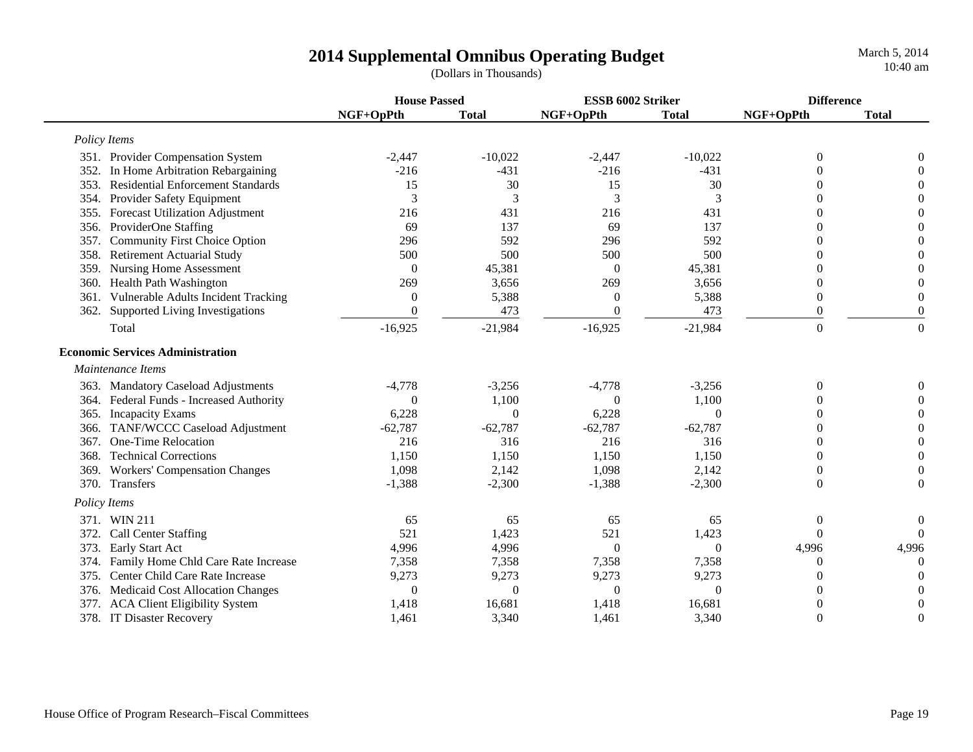|              |                                          | <b>House Passed</b> |              | ESSB 6002 Striker |                | <b>Difference</b> |                  |  |
|--------------|------------------------------------------|---------------------|--------------|-------------------|----------------|-------------------|------------------|--|
|              |                                          | NGF+OpPth           | <b>Total</b> | NGF+OpPth         | <b>Total</b>   | NGF+OpPth         | <b>Total</b>     |  |
| Policy Items |                                          |                     |              |                   |                |                   |                  |  |
|              | 351. Provider Compensation System        | $-2,447$            | $-10,022$    | $-2,447$          | $-10,022$      | 0                 | $\overline{0}$   |  |
|              | 352. In Home Arbitration Rebargaining    | $-216$              | $-431$       | $-216$            | $-431$         | 0                 | $\theta$         |  |
| 353.         | <b>Residential Enforcement Standards</b> | 15                  | 30           | 15                | 30             | $\Omega$          | $\overline{0}$   |  |
| 354.         | Provider Safety Equipment                | 3                   | 3            | 3                 | 3              | $\Omega$          | $\theta$         |  |
| 355.         | <b>Forecast Utilization Adjustment</b>   | 216                 | 431          | 216               | 431            | $\theta$          | $\boldsymbol{0}$ |  |
| 356.         | ProviderOne Staffing                     | 69                  | 137          | 69                | 137            | $\theta$          | $\overline{0}$   |  |
| 357.         | <b>Community First Choice Option</b>     | 296                 | 592          | 296               | 592            | 0                 | $\theta$         |  |
| 358.         | <b>Retirement Actuarial Study</b>        | 500                 | 500          | 500               | 500            | 0                 | $\boldsymbol{0}$ |  |
| 359.         | <b>Nursing Home Assessment</b>           | $\Omega$            | 45,381       | $\Omega$          | 45,381         | 0                 | $\boldsymbol{0}$ |  |
| 360.         | Health Path Washington                   | 269                 | 3,656        | 269               | 3,656          | 0                 | $\boldsymbol{0}$ |  |
| 361.         | Vulnerable Adults Incident Tracking      | $\overline{0}$      | 5,388        | $\theta$          | 5,388          | $\overline{0}$    | $\boldsymbol{0}$ |  |
|              | 362. Supported Living Investigations     | $\overline{0}$      | 473          | $\overline{0}$    | 473            | $\boldsymbol{0}$  | $\boldsymbol{0}$ |  |
|              | Total                                    | $-16,925$           | $-21,984$    | $-16,925$         | $-21,984$      | $\Omega$          | $\mathbf{0}$     |  |
|              | <b>Economic Services Administration</b>  |                     |              |                   |                |                   |                  |  |
|              | Maintenance Items                        |                     |              |                   |                |                   |                  |  |
|              | 363. Mandatory Caseload Adjustments      | $-4,778$            | $-3,256$     | $-4,778$          | $-3,256$       | $\boldsymbol{0}$  | $\mathbf{0}$     |  |
|              | 364. Federal Funds - Increased Authority | $\Omega$            | 1,100        | $\Omega$          | 1,100          | 0                 | $\Omega$         |  |
|              | 365. Incapacity Exams                    | 6,228               | $\Omega$     | 6,228             | $\Omega$       | 0                 | $\theta$         |  |
| 366.         | TANF/WCCC Caseload Adjustment            | $-62,787$           | $-62,787$    | $-62,787$         | $-62,787$      | $\theta$          | $\boldsymbol{0}$ |  |
| 367.         | One-Time Relocation                      | 216                 | 316          | 216               | 316            | $\theta$          | $\boldsymbol{0}$ |  |
| 368.         | <b>Technical Corrections</b>             | 1,150               | 1,150        | 1,150             | 1,150          | $\theta$          | $\boldsymbol{0}$ |  |
| 369.         | <b>Workers' Compensation Changes</b>     | 1,098               | 2,142        | 1,098             | 2,142          | $\boldsymbol{0}$  | $\boldsymbol{0}$ |  |
| 370.         | Transfers                                | $-1,388$            | $-2,300$     | $-1,388$          | $-2,300$       | $\boldsymbol{0}$  | $\boldsymbol{0}$ |  |
| Policy Items |                                          |                     |              |                   |                |                   |                  |  |
|              | 371. WIN 211                             | 65                  | 65           | 65                | 65             | $\boldsymbol{0}$  | $\boldsymbol{0}$ |  |
| 372.         | Call Center Staffing                     | 521                 | 1,423        | 521               | 1,423          | $\Omega$          | $\overline{0}$   |  |
|              | 373. Early Start Act                     | 4,996               | 4,996        | $\theta$          | $\theta$       | 4,996             | 4,996            |  |
| 374.         | Family Home Chld Care Rate Increase      | 7,358               | 7,358        | 7,358             | 7,358          | 0                 | $\overline{0}$   |  |
| 375.         | Center Child Care Rate Increase          | 9,273               | 9,273        | 9,273             | 9,273          | $\Omega$          | $\overline{0}$   |  |
| 376.         | Medicaid Cost Allocation Changes         | $\overline{0}$      | $\theta$     | $\overline{0}$    | $\overline{0}$ | $\Omega$          | $\mathbf{0}$     |  |
| 377.         | <b>ACA Client Eligibility System</b>     | 1,418               | 16,681       | 1,418             | 16,681         | $\theta$          | $\boldsymbol{0}$ |  |
| 378.         | IT Disaster Recovery                     | 1,461               | 3,340        | 1,461             | 3,340          | $\Omega$          | $\overline{0}$   |  |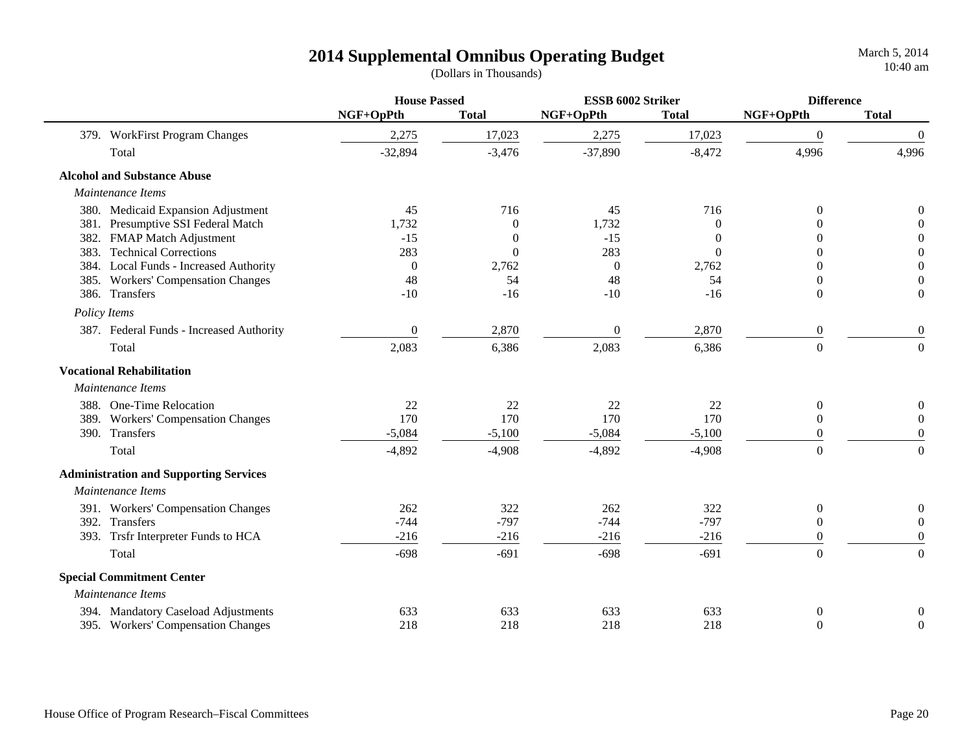|                                  |                                               | <b>House Passed</b> |              | ESSB 6002 Striker |              | <b>Difference</b> |                  |
|----------------------------------|-----------------------------------------------|---------------------|--------------|-------------------|--------------|-------------------|------------------|
|                                  |                                               | NGF+OpPth           | <b>Total</b> | NGF+OpPth         | <b>Total</b> | NGF+OpPth         | <b>Total</b>     |
|                                  | 379. WorkFirst Program Changes                | 2,275               | 17,023       | 2,275             | 17,023       | $\boldsymbol{0}$  | $\boldsymbol{0}$ |
| Total                            |                                               | $-32,894$           | $-3,476$     | $-37,890$         | $-8,472$     | 4,996             | 4,996            |
|                                  | <b>Alcohol and Substance Abuse</b>            |                     |              |                   |              |                   |                  |
| Maintenance Items                |                                               |                     |              |                   |              |                   |                  |
|                                  | 380. Medicaid Expansion Adjustment            | 45                  | 716          | 45                | 716          | $\Omega$          | 0                |
|                                  | 381. Presumptive SSI Federal Match            | 1,732               | $\Omega$     | 1,732             | $\Omega$     | 0                 | $\theta$         |
|                                  | 382. FMAP Match Adjustment                    | $-15$               | $\Omega$     | $-15$             | $\Omega$     | 0                 | $\overline{0}$   |
| 383.                             | <b>Technical Corrections</b>                  | 283                 | $\theta$     | 283               | $\Omega$     | 0                 | $\boldsymbol{0}$ |
|                                  | 384. Local Funds - Increased Authority        | $\mathbf{0}$        | 2,762        | $\boldsymbol{0}$  | 2,762        | 0                 | $\boldsymbol{0}$ |
|                                  | 385. Workers' Compensation Changes            | 48                  | 54           | 48                | 54           | $\theta$          | $\boldsymbol{0}$ |
| 386. Transfers                   |                                               | $-10$               | $-16$        | $-10$             | $-16$        | $\overline{0}$    | $\boldsymbol{0}$ |
| Policy Items                     |                                               |                     |              |                   |              |                   |                  |
|                                  | 387. Federal Funds - Increased Authority      | $\overline{0}$      | 2,870        | $\boldsymbol{0}$  | 2,870        | $\boldsymbol{0}$  | $\boldsymbol{0}$ |
| Total                            |                                               | 2,083               | 6,386        | 2,083             | 6,386        | $\boldsymbol{0}$  | $\overline{0}$   |
| <b>Vocational Rehabilitation</b> |                                               |                     |              |                   |              |                   |                  |
| Maintenance Items                |                                               |                     |              |                   |              |                   |                  |
|                                  | 388. One-Time Relocation                      | 22                  | 22           | 22                | 22           | $\overline{0}$    | $\boldsymbol{0}$ |
|                                  | 389. Workers' Compensation Changes            | 170                 | 170          | 170               | 170          | $\overline{0}$    | $\boldsymbol{0}$ |
| 390. Transfers                   |                                               | $-5,084$            | $-5,100$     | $-5,084$          | $-5,100$     | $\Omega$          | $\theta$         |
| Total                            |                                               | $-4,892$            | $-4,908$     | $-4,892$          | $-4,908$     | $\overline{0}$    | $\boldsymbol{0}$ |
|                                  | <b>Administration and Supporting Services</b> |                     |              |                   |              |                   |                  |
| Maintenance Items                |                                               |                     |              |                   |              |                   |                  |
|                                  | 391. Workers' Compensation Changes            | 262                 | 322          | 262               | 322          | $\overline{0}$    | $\boldsymbol{0}$ |
| 392. Transfers                   |                                               | $-744$              | $-797$       | $-744$            | $-797$       | $\theta$          | $\boldsymbol{0}$ |
|                                  | 393. Trsfr Interpreter Funds to HCA           | $-216$              | $-216$       | $-216$            | $-216$       | $\theta$          | $\overline{0}$   |
| Total                            |                                               | $-698$              | $-691$       | $-698$            | $-691$       | $\boldsymbol{0}$  | $\boldsymbol{0}$ |
|                                  | <b>Special Commitment Center</b>              |                     |              |                   |              |                   |                  |
| Maintenance Items                |                                               |                     |              |                   |              |                   |                  |
|                                  | 394. Mandatory Caseload Adjustments           | 633                 | 633          | 633               | 633          | $\boldsymbol{0}$  | $\boldsymbol{0}$ |
|                                  | 395. Workers' Compensation Changes            | 218                 | 218          | 218               | 218          | $\overline{0}$    | $\overline{0}$   |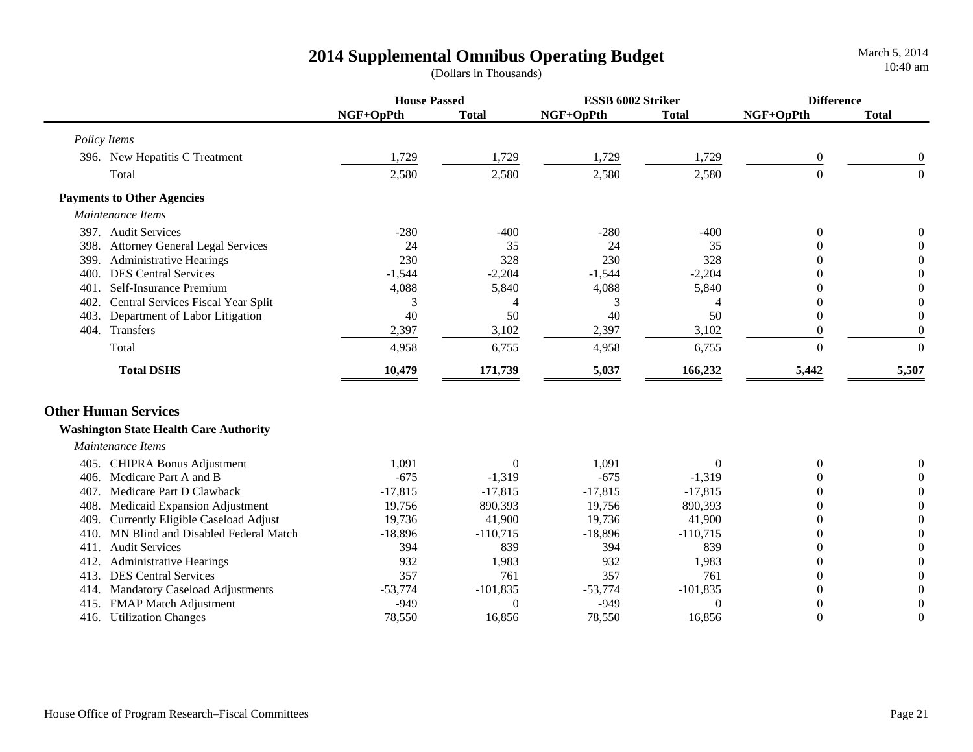**House Passed ESSB 6002 Striker DifferenceNGF+OpPth Total NGF+OpPth Total NGF+OpPth Total**  *Policy Items* 396. New Hepatitis C Treatment 1,729 1,729 1,729 1,729 0 0  $\rm Total$  2,580 2,580 2,580 2,580 2,580  $\rm 2.580$   $\rm 2.580$   $\rm 0$   $\rm 0$  **Payments to Other Agencies**  *Maintenance Items* 397. Audit Services -280 -400 -280 -400 0 0398. Attorney General Legal Services 24 35 24 35 0 0 399. Administrative Hearings 230 230 328 230 328 0 0 400. DES Central Services -1,544 -2,204 -1,544 -2,204 0 0 401. Self-Insurance Premium 4,088 5,840 4,088 5,840 0 0 402. Central Services Fiscal Year Split 343400 403. Department of Labor Litigation  $40$  50  $40$  50  $50$  0 0 404. Transfers 2,397 3,102 2,397 3,102 0 0  $\rm Total$  6,755 6,755 6,755 6,755 6,755 0 0  **Total DSHS 10,479 171,739 5,037 166,232 5,442 5,507 Other Human Services Washington State Health Care Authority**  *Maintenance Items*405. CHIPRA Bonus Adjustment 1,091 0 1,091 0 0 0 406. Medicare Part A and B  $-675$  -1,319  $-675$  -1,319 0 0 407. Medicare Part D Clawback **-17,815** -17,815 -17,815 -17,815 0 0 0 0 408. Medicaid Expansion Adjustment 19,756 890,393 19,756 890,393 0 0 409. Currently Eligible Caseload Adjust 19,736 41,900 19,736 41,900 0 0 410. MN Blind and Disabled Federal Match  $-18,896$   $-110,715$   $-18,896$   $-110,715$  0 0 411. Audit Services 394 839 394 839 0 0412. Administrative Hearings 932 1,983 932 1,983 0 0 413. DES Central Services 6 257 357 357 357 357 361 357 361 361 362 362 362 363 364 362 363 363 364 365 367 368 369 362 363 362 363 364 362 363 363 364 365 366 367 368 368 369 362 363 364 368 369 362 364 365 366 367 368 36 414. Mandatory Caseload Adjustments  $-53,774$   $-101,835$   $-53,774$   $-101,835$  0 0 415. FMAP Match Adjustment -949 0 -949 0 0 0 416. Utilization Changes 78,550 16,856 78,550 16,856 0 0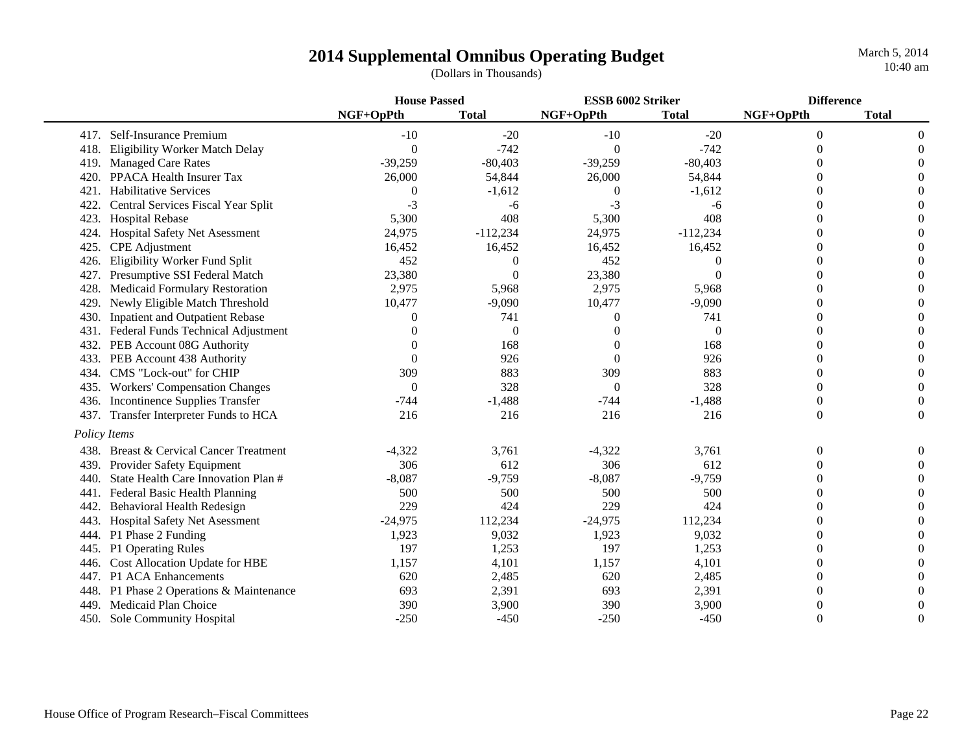|      |                                        | <b>House Passed</b> |              | ESSB 6002 Striker |              | <b>Difference</b> |              |
|------|----------------------------------------|---------------------|--------------|-------------------|--------------|-------------------|--------------|
|      |                                        | NGF+OpPth           | <b>Total</b> | NGF+OpPth         | <b>Total</b> | NGF+OpPth         | <b>Total</b> |
|      | 417. Self-Insurance Premium            | $-10$               | $-20$        | $-10$             | $-20$        | $\theta$          |              |
| 418. | <b>Eligibility Worker Match Delay</b>  | $\theta$            | $-742$       | $\Omega$          | $-742$       | $\theta$          |              |
|      | 419. Managed Care Rates                | $-39,259$           | $-80,403$    | $-39,259$         | $-80,403$    |                   |              |
| 420. | <b>PPACA Health Insurer Tax</b>        | 26,000              | 54,844       | 26,000            | 54,844       |                   |              |
| 421. | <b>Habilitative Services</b>           | 0                   | $-1,612$     | $\boldsymbol{0}$  | $-1,612$     |                   |              |
| 422. | Central Services Fiscal Year Split     | $-3$                | -6           | $-3$              | -6           |                   |              |
| 423. | <b>Hospital Rebase</b>                 | 5,300               | 408          | 5,300             | 408          |                   |              |
| 424. | Hospital Safety Net Asessment          | 24,975              | $-112,234$   | 24,975            | $-112,234$   |                   |              |
| 425. | <b>CPE</b> Adjustment                  | 16,452              | 16,452       | 16,452            | 16,452       | $\Omega$          |              |
| 426. | Eligibility Worker Fund Split          | 452                 | $\Omega$     | 452               | 0            | 0                 |              |
| 427. | Presumptive SSI Federal Match          | 23,380              | $\Omega$     | 23,380            | $\Omega$     |                   |              |
| 428. | <b>Medicaid Formulary Restoration</b>  | 2,975               | 5,968        | 2,975             | 5,968        |                   |              |
| 429. | Newly Eligible Match Threshold         | 10,477              | $-9,090$     | 10,477            | $-9,090$     | $\Omega$          |              |
| 430. | <b>Inpatient and Outpatient Rebase</b> | 0                   | 741          | $\theta$          | 741          |                   |              |
| 431. | Federal Funds Technical Adjustment     | 0                   | $\Omega$     | $\Omega$          | $\theta$     |                   |              |
| 432. | PEB Account 08G Authority              |                     | 168          | $\Omega$          | 168          | $\Omega$          |              |
| 433. | PEB Account 438 Authority              | $\Omega$            | 926          | $\Omega$          | 926          | $\theta$          |              |
| 434. | CMS "Lock-out" for CHIP                | 309                 | 883          | 309               | 883          | $\theta$          |              |
| 435. | <b>Workers' Compensation Changes</b>   | $\Omega$            | 328          | $\overline{0}$    | 328          | $\theta$          |              |
| 436. | Incontinence Supplies Transfer         | $-744$              | $-1,488$     | $-744$            | $-1,488$     | $\theta$          |              |
| 437. | Transfer Interpreter Funds to HCA      | 216                 | 216          | 216               | 216          | $\theta$          | 0            |
|      | Policy Items                           |                     |              |                   |              |                   |              |
| 438. | Breast & Cervical Cancer Treatment     | $-4,322$            | 3,761        | $-4,322$          | 3,761        | $\theta$          |              |
| 439. | Provider Safety Equipment              | 306                 | 612          | 306               | 612          | $\theta$          |              |
| 440. | State Health Care Innovation Plan #    | $-8,087$            | $-9,759$     | $-8,087$          | $-9,759$     | $\Omega$          |              |
| 441. | Federal Basic Health Planning          | 500                 | 500          | 500               | 500          | $\Omega$          |              |
| 442. | Behavioral Health Redesign             | 229                 | 424          | 229               | 424          | $\theta$          |              |
| 443. | Hospital Safety Net Asessment          | $-24,975$           | 112,234      | $-24,975$         | 112,234      | $\theta$          |              |
| 444. | P1 Phase 2 Funding                     | 1,923               | 9,032        | 1,923             | 9,032        | $\Omega$          |              |
|      | 445. P1 Operating Rules                | 197                 | 1,253        | 197               | 1,253        | $\Omega$          |              |
| 446. | Cost Allocation Update for HBE         | 1,157               | 4,101        | 1,157             | 4,101        | $\Omega$          |              |
| 447. | P1 ACA Enhancements                    | 620                 | 2,485        | 620               | 2,485        | $\Omega$          |              |
| 448. | P1 Phase 2 Operations & Maintenance    | 693                 | 2,391        | 693               | 2,391        | $\Omega$          |              |
| 449  | Medicaid Plan Choice                   | 390                 | 3,900        | 390               | 3,900        | $\Omega$          |              |
|      | 450. Sole Community Hospital           | $-250$              | $-450$       | $-250$            | $-450$       | $\theta$          |              |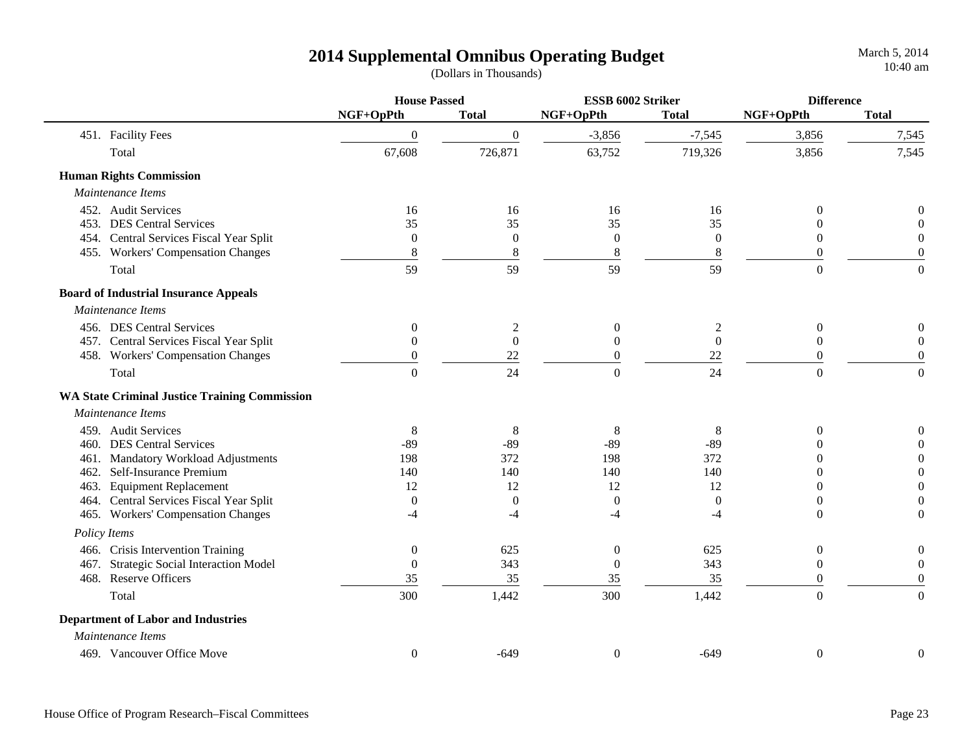|                                           |                                                      | <b>House Passed</b> |                  | ESSB 6002 Striker |                  | <b>Difference</b> |                  |
|-------------------------------------------|------------------------------------------------------|---------------------|------------------|-------------------|------------------|-------------------|------------------|
|                                           |                                                      | NGF+OpPth           | <b>Total</b>     | NGF+OpPth         | <b>Total</b>     | NGF+OpPth         | <b>Total</b>     |
| 451. Facility Fees                        |                                                      | $\theta$            | $\overline{0}$   | $-3,856$          | $-7,545$         | 3,856             | 7,545            |
| Total                                     |                                                      | 67,608              | 726,871          | 63,752            | 719,326          | 3,856             | 7,545            |
| <b>Human Rights Commission</b>            |                                                      |                     |                  |                   |                  |                   |                  |
| Maintenance Items                         |                                                      |                     |                  |                   |                  |                   |                  |
| 452. Audit Services                       |                                                      | 16                  | 16               | 16                | 16               | $\theta$          | 0                |
| 453. DES Central Services                 |                                                      | 35                  | 35               | 35                | 35               | 0                 |                  |
|                                           | 454. Central Services Fiscal Year Split              | $\overline{0}$      | $\boldsymbol{0}$ | $\boldsymbol{0}$  | $\boldsymbol{0}$ | $\theta$          | $\boldsymbol{0}$ |
|                                           | 455. Workers' Compensation Changes                   | $\,8\,$             | $\,8\,$          | $\,8\,$           | $\,8\,$          | $\boldsymbol{0}$  | $\boldsymbol{0}$ |
| Total                                     |                                                      | 59                  | 59               | 59                | 59               | $\overline{0}$    | $\overline{0}$   |
|                                           | <b>Board of Industrial Insurance Appeals</b>         |                     |                  |                   |                  |                   |                  |
| Maintenance Items                         |                                                      |                     |                  |                   |                  |                   |                  |
| 456. DES Central Services                 |                                                      | $\boldsymbol{0}$    | $\overline{c}$   | $\boldsymbol{0}$  | $\overline{c}$   | $\boldsymbol{0}$  | $\boldsymbol{0}$ |
|                                           | 457. Central Services Fiscal Year Split              | $\boldsymbol{0}$    | $\boldsymbol{0}$ | $\boldsymbol{0}$  | $\boldsymbol{0}$ | $\boldsymbol{0}$  | $\boldsymbol{0}$ |
|                                           | 458. Workers' Compensation Changes                   | $\boldsymbol{0}$    | $22\,$           | $\boldsymbol{0}$  | $22\,$           | 0                 | $\boldsymbol{0}$ |
| Total                                     |                                                      | $\overline{0}$      | 24               | $\boldsymbol{0}$  | 24               | $\boldsymbol{0}$  | $\boldsymbol{0}$ |
|                                           | <b>WA State Criminal Justice Training Commission</b> |                     |                  |                   |                  |                   |                  |
| Maintenance Items                         |                                                      |                     |                  |                   |                  |                   |                  |
| 459. Audit Services                       |                                                      | 8                   | 8                | $8\,$             | $8\phantom{1}$   | $\theta$          | $\boldsymbol{0}$ |
| 460. DES Central Services                 |                                                      | $-89$               | $-89$            | $-89$             | $-89$            | 0                 | $\boldsymbol{0}$ |
| 461.                                      | Mandatory Workload Adjustments                       | 198                 | 372              | 198               | 372              | 0                 | $\overline{0}$   |
| 462. Self-Insurance Premium               |                                                      | 140                 | 140              | 140               | 140              | 0                 | $\boldsymbol{0}$ |
| 463. Equipment Replacement                |                                                      | 12                  | 12               | 12                | 12               | $\overline{0}$    | $\boldsymbol{0}$ |
|                                           | 464. Central Services Fiscal Year Split              | $\boldsymbol{0}$    | $\boldsymbol{0}$ | $\boldsymbol{0}$  | $\boldsymbol{0}$ | $\overline{0}$    | $\boldsymbol{0}$ |
|                                           | 465. Workers' Compensation Changes                   | -4                  | -4               | $-4$              | -4               | $\overline{0}$    | $\boldsymbol{0}$ |
| Policy Items                              |                                                      |                     |                  |                   |                  |                   |                  |
|                                           | 466. Crisis Intervention Training                    | $\boldsymbol{0}$    | 625              | $\boldsymbol{0}$  | 625              | $\overline{0}$    | $\boldsymbol{0}$ |
| 467.                                      | <b>Strategic Social Interaction Model</b>            | $\mathbf{0}$        | 343              | $\boldsymbol{0}$  | 343              | $\mathbf{0}$      | $\mathbf{0}$     |
| 468. Reserve Officers                     |                                                      | 35                  | 35               | 35                | 35               | 0                 | $\boldsymbol{0}$ |
| Total                                     |                                                      | 300                 | 1,442            | 300               | 1,442            | $\overline{0}$    | $\Omega$         |
| <b>Department of Labor and Industries</b> |                                                      |                     |                  |                   |                  |                   |                  |
| Maintenance Items                         |                                                      |                     |                  |                   |                  |                   |                  |
| 469. Vancouver Office Move                |                                                      | $\theta$            | $-649$           | $\boldsymbol{0}$  | $-649$           | $\boldsymbol{0}$  | $\boldsymbol{0}$ |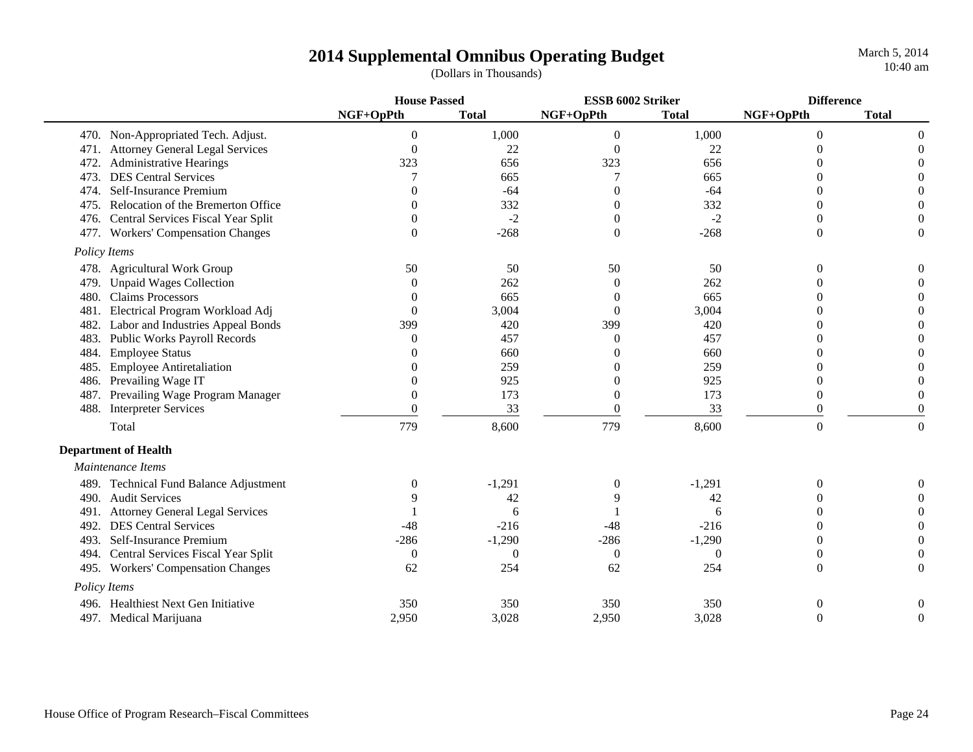|                                            | <b>House Passed</b> |              | ESSB 6002 Striker |              | <b>Difference</b> |                  |
|--------------------------------------------|---------------------|--------------|-------------------|--------------|-------------------|------------------|
|                                            | NGF+OpPth           | <b>Total</b> | NGF+OpPth         | <b>Total</b> | NGF+OpPth         | <b>Total</b>     |
| 470. Non-Appropriated Tech. Adjust.        | $\theta$            | 1,000        | $\theta$          | 1,000        | $\theta$          | $\Omega$         |
| 471. Attorney General Legal Services       | $\theta$            | 22           | $\Omega$          | 22           |                   |                  |
| <b>Administrative Hearings</b><br>472.     | 323                 | 656          | 323               | 656          |                   |                  |
| <b>DES Central Services</b><br>473.        |                     | 665          |                   | 665          |                   |                  |
| Self-Insurance Premium<br>474.             | ∩                   | $-64$        | 0                 | $-64$        |                   | 0                |
| Relocation of the Bremerton Office<br>475. | 0                   | 332          | 0                 | 332          | $\Omega$          | $\Omega$         |
| Central Services Fiscal Year Split<br>476. | $\Omega$            | $-2$         | 0                 | $-2$         | 0                 | $\Omega$         |
| 477. Workers' Compensation Changes         | $\Omega$            | $-268$       | $\theta$          | $-268$       | $\theta$          | $\overline{0}$   |
| Policy Items                               |                     |              |                   |              |                   |                  |
| 478. Agricultural Work Group               | 50                  | 50           | 50                | 50           | 0                 | 0                |
| <b>Unpaid Wages Collection</b><br>479.     | $\Omega$            | 262          | $\Omega$          | 262          |                   |                  |
| <b>Claims Processors</b><br>480.           | $\left( \right)$    | 665          | $\Omega$          | 665          |                   | 0                |
| Electrical Program Workload Adj<br>481.    | $\Omega$            | 3,004        | $\theta$          | 3,004        |                   | $\Omega$         |
| Labor and Industries Appeal Bonds<br>482.  | 399                 | 420          | 399               | 420          |                   | 0                |
| Public Works Payroll Records<br>483.       | $\Omega$            | 457          | $\Omega$          | 457          |                   | 0                |
| <b>Employee Status</b><br>484.             | 0                   | 660          |                   | 660          |                   |                  |
| <b>Employee Antiretaliation</b><br>485.    |                     | 259          |                   | 259          |                   |                  |
| Prevailing Wage IT<br>486.                 | $\Omega$            | 925          |                   | 925          | 0                 |                  |
| Prevailing Wage Program Manager<br>487.    | $\Omega$            | 173          | 0                 | 173          | $\Omega$          |                  |
| <b>Interpreter Services</b><br>488.        | $\Omega$            | 33           | $\theta$          | 33           | $\theta$          | 0                |
| Total                                      | 779                 | 8,600        | 779               | 8,600        | $\overline{0}$    | $\boldsymbol{0}$ |
| <b>Department of Health</b>                |                     |              |                   |              |                   |                  |
| Maintenance Items                          |                     |              |                   |              |                   |                  |
| 489. Technical Fund Balance Adjustment     | $\theta$            | $-1,291$     | $\theta$          | $-1,291$     | $\overline{0}$    |                  |
| 490. Audit Services                        | 9                   | 42           |                   | 42           |                   |                  |
| 491. Attorney General Legal Services       |                     | 6            |                   | 6            |                   |                  |
| <b>DES Central Services</b><br>492.        | $-48$               | $-216$       | $-48$             | $-216$       | 0                 |                  |
| Self-Insurance Premium<br>493.             | $-286$              | $-1,290$     | $-286$            | $-1,290$     | $\Omega$          |                  |
| 494. Central Services Fiscal Year Split    | $\overline{0}$      | $\theta$     | $\boldsymbol{0}$  | $\theta$     | $\Omega$          |                  |
| 495. Workers' Compensation Changes         | 62                  | 254          | 62                | 254          | $\Omega$          | $\Omega$         |
| Policy Items                               |                     |              |                   |              |                   |                  |
| Healthiest Next Gen Initiative<br>496.     | 350                 | 350          | 350               | 350          | 0                 | 0                |
| 497. Medical Marijuana                     | 2,950               | 3,028        | 2,950             | 3,028        | $\theta$          | $\Omega$         |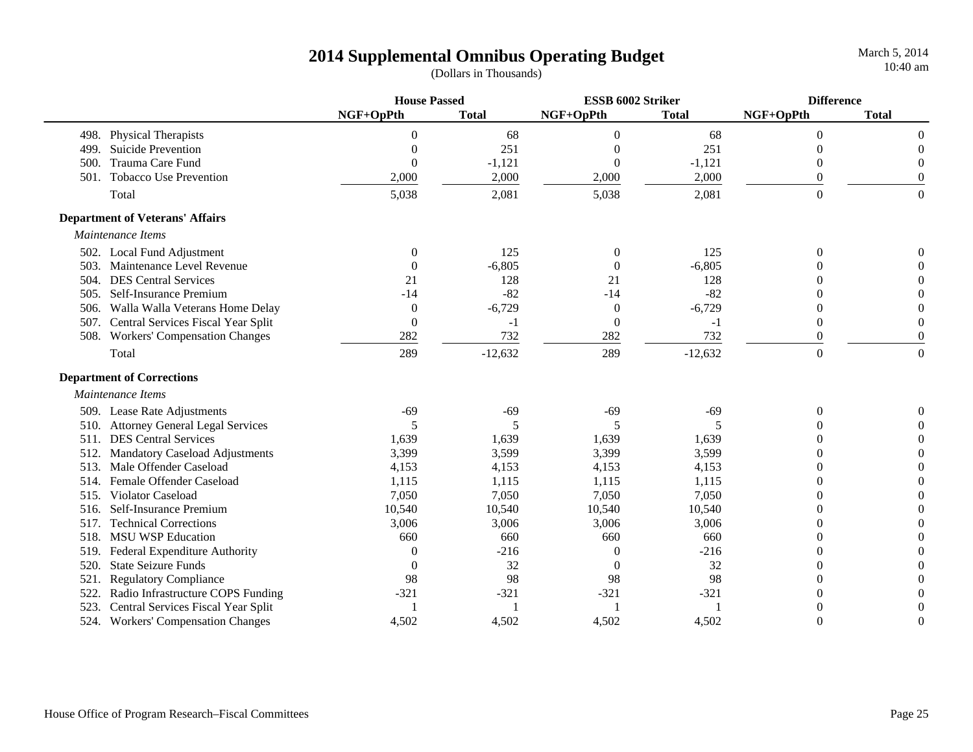|      |                                         | <b>House Passed</b> |              | ESSB 6002 Striker |              | <b>Difference</b> |              |
|------|-----------------------------------------|---------------------|--------------|-------------------|--------------|-------------------|--------------|
|      |                                         | NGF+OpPth           | <b>Total</b> | NGF+OpPth         | <b>Total</b> | NGF+OpPth         | <b>Total</b> |
|      | 498. Physical Therapists                | 0                   | 68           | $\Omega$          | 68           | $\Omega$          | $\Omega$     |
| 499. | <b>Suicide Prevention</b>               | 0                   | 251          | 0                 | 251          | 0                 | $\Omega$     |
| 500. | Trauma Care Fund                        | $\Omega$            | $-1,121$     | $\theta$          | $-1,121$     | 0                 | 0            |
| 501. | <b>Tobacco Use Prevention</b>           | 2,000               | 2,000        | 2,000             | 2,000        | $\overline{0}$    | $\Omega$     |
|      | Total                                   | 5,038               | 2,081        | 5,038             | 2,081        | $\overline{0}$    | $\theta$     |
|      | <b>Department of Veterans' Affairs</b>  |                     |              |                   |              |                   |              |
|      | Maintenance Items                       |                     |              |                   |              |                   |              |
|      | 502. Local Fund Adjustment              | $\overline{0}$      | 125          | $\overline{0}$    | 125          | $\theta$          |              |
| 503. | Maintenance Level Revenue               | $\Omega$            | $-6,805$     | $\boldsymbol{0}$  | $-6,805$     | 0                 |              |
|      | 504. DES Central Services               | 21                  | 128          | 21                | 128          |                   |              |
|      | 505. Self-Insurance Premium             | $-14$               | $-82$        | $-14$             | $-82$        |                   |              |
| 506. | Walla Walla Veterans Home Delay         | $\boldsymbol{0}$    | $-6,729$     | $\overline{0}$    | $-6,729$     | $\overline{0}$    |              |
|      | 507. Central Services Fiscal Year Split | $\boldsymbol{0}$    | -1           | $\boldsymbol{0}$  | $-1$         | $\boldsymbol{0}$  |              |
|      | 508. Workers' Compensation Changes      | 282                 | 732          | 282               | 732          | $\theta$          | $\Omega$     |
|      | Total                                   | 289                 | $-12,632$    | 289               | $-12,632$    | $\overline{0}$    | $\theta$     |
|      | <b>Department of Corrections</b>        |                     |              |                   |              |                   |              |
|      | Maintenance Items                       |                     |              |                   |              |                   |              |
|      | 509. Lease Rate Adjustments             | $-69$               | $-69$        | $-69$             | $-69$        | $\Omega$          |              |
|      | 510. Attorney General Legal Services    | 5                   |              | 5                 | 5            |                   |              |
|      | 511. DES Central Services               | 1,639               | 1,639        | 1,639             | 1,639        |                   |              |
| 512. | <b>Mandatory Caseload Adjustments</b>   | 3,399               | 3,599        | 3,399             | 3,599        | 0                 |              |
| 513. | Male Offender Caseload                  | 4,153               | 4,153        | 4,153             | 4,153        | $\Omega$          |              |
| 514. | Female Offender Caseload                | 1,115               | 1,115        | 1,115             | 1,115        | $\Omega$          |              |
| 515. | Violator Caseload                       | 7,050               | 7,050        | 7,050             | 7,050        | $\Omega$          |              |
| 516. | Self-Insurance Premium                  | 10,540              | 10,540       | 10,540            | 10,540       | $\Omega$          |              |
| 517. | <b>Technical Corrections</b>            | 3,006               | 3,006        | 3,006             | 3,006        | $\Omega$          |              |
| 518. | <b>MSU WSP Education</b>                | 660                 | 660          | 660               | 660          | 0                 |              |
| 519. | Federal Expenditure Authority           | $\theta$            | $-216$       | $\boldsymbol{0}$  | $-216$       | $\Omega$          |              |
| 520. | <b>State Seizure Funds</b>              | $\theta$            | 32           | $\overline{0}$    | 32           | 0                 |              |
| 521. | <b>Regulatory Compliance</b>            | 98                  | 98           | 98                | 98           |                   |              |
| 522. | Radio Infrastructure COPS Funding       | $-321$              | $-321$       | $-321$            | $-321$       |                   |              |
| 523. | Central Services Fiscal Year Split      |                     |              |                   |              |                   |              |
|      | 524. Workers' Compensation Changes      | 4,502               | 4,502        | 4,502             | 4,502        | $\Omega$          |              |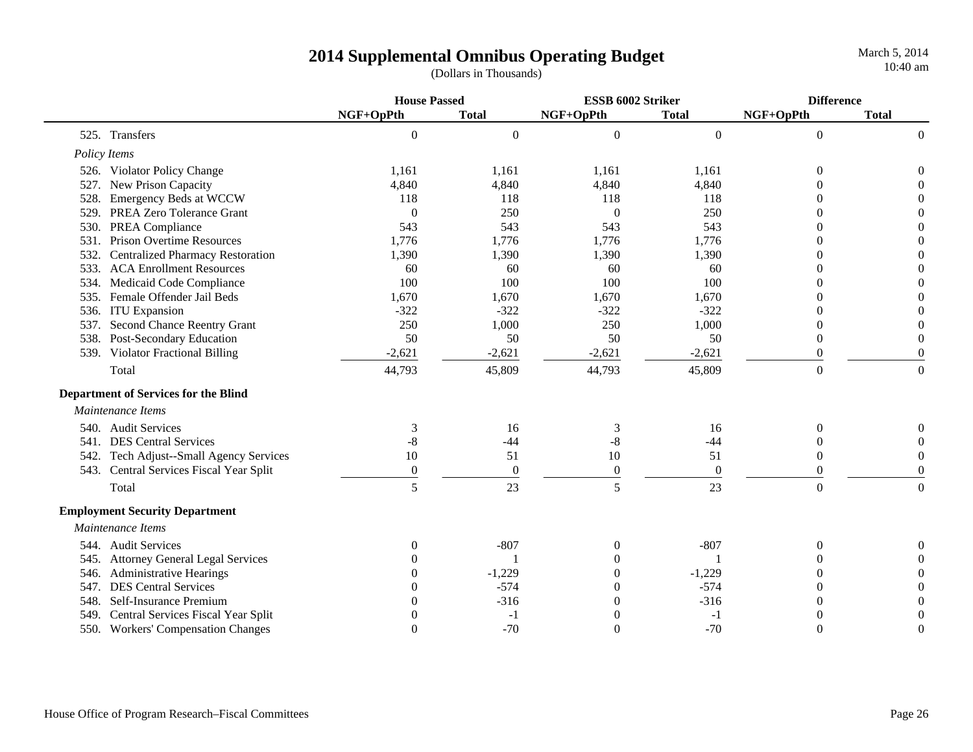|      |                                             | <b>House Passed</b> |                  | ESSB 6002 Striker |                | <b>Difference</b> |                  |
|------|---------------------------------------------|---------------------|------------------|-------------------|----------------|-------------------|------------------|
|      |                                             | NGF+OpPth           | <b>Total</b>     | NGF+OpPth         | <b>Total</b>   | NGF+OpPth         | <b>Total</b>     |
|      | 525. Transfers                              | $\overline{0}$      | $\boldsymbol{0}$ | $\boldsymbol{0}$  | $\overline{0}$ | $\boldsymbol{0}$  | $\overline{0}$   |
|      | Policy Items                                |                     |                  |                   |                |                   |                  |
|      | 526. Violator Policy Change                 | 1,161               | 1,161            | 1,161             | 1,161          | $\theta$          | $\boldsymbol{0}$ |
| 527. | New Prison Capacity                         | 4,840               | 4,840            | 4,840             | 4,840          | 0                 | $\Omega$         |
| 528. | Emergency Beds at WCCW                      | 118                 | 118              | 118               | 118            |                   | $\theta$         |
| 529. | PREA Zero Tolerance Grant                   | $\overline{0}$      | 250              | $\theta$          | 250            |                   | $\overline{0}$   |
| 530. | <b>PREA Compliance</b>                      | 543                 | 543              | 543               | 543            | 0                 | $\overline{0}$   |
| 531. | <b>Prison Overtime Resources</b>            | 1,776               | 1,776            | 1,776             | 1,776          | 0                 | $\overline{0}$   |
| 532. | <b>Centralized Pharmacy Restoration</b>     | 1,390               | 1,390            | 1,390             | 1,390          | 0                 | $\overline{0}$   |
| 533. | <b>ACA Enrollment Resources</b>             | 60                  | 60               | 60                | 60             | $\Omega$          | $\boldsymbol{0}$ |
| 534. | Medicaid Code Compliance                    | 100                 | 100              | 100               | 100            |                   | $\overline{0}$   |
|      | 535. Female Offender Jail Beds              | 1,670               | 1,670            | 1,670             | 1,670          |                   | $\overline{0}$   |
| 536. | <b>ITU</b> Expansion                        | $-322$              | $-322$           | $-322$            | $-322$         |                   | $\overline{0}$   |
| 537. | <b>Second Chance Reentry Grant</b>          | 250                 | 1,000            | 250               | 1,000          | $\overline{0}$    | $\boldsymbol{0}$ |
| 538. | Post-Secondary Education                    | 50                  | 50               | 50                | 50             | $\overline{0}$    | $\boldsymbol{0}$ |
|      | 539. Violator Fractional Billing            | $-2,621$            | $-2,621$         | $-2,621$          | $-2,621$       | $\Omega$          | $\theta$         |
|      | Total                                       | 44,793              | 45,809           | 44,793            | 45,809         | $\boldsymbol{0}$  | $\boldsymbol{0}$ |
|      | <b>Department of Services for the Blind</b> |                     |                  |                   |                |                   |                  |
|      | Maintenance Items                           |                     |                  |                   |                |                   |                  |
|      | 540. Audit Services                         | 3                   | 16               | 3                 | 16             | $\mathbf{0}$      | $\Omega$         |
|      | 541. DES Central Services                   | $-8$                | $-44$            | $-8$              | $-44$          | $\mathbf{0}$      | $\overline{0}$   |
|      | 542. Tech Adjust--Small Agency Services     | 10                  | 51               | $10\,$            | 51             | $\theta$          | $\overline{0}$   |
|      | 543. Central Services Fiscal Year Split     | $\boldsymbol{0}$    | $\boldsymbol{0}$ | $\boldsymbol{0}$  | $\overline{0}$ | $\theta$          | $\overline{0}$   |
|      | Total                                       | 5                   | 23               | 5                 | 23             | $\overline{0}$    | $\boldsymbol{0}$ |
|      | <b>Employment Security Department</b>       |                     |                  |                   |                |                   |                  |
|      | Maintenance Items                           |                     |                  |                   |                |                   |                  |
|      | 544. Audit Services                         | 0                   | $-807$           | $\theta$          | $-807$         | $\theta$          | $\Omega$         |
|      | 545. Attorney General Legal Services        | $\Omega$            |                  | $\theta$          |                | $\Omega$          | $\Omega$         |
| 546. | <b>Administrative Hearings</b>              | $\Omega$            | $-1,229$         | $\theta$          | $-1,229$       | 0                 | $\Omega$         |
| 547. | <b>DES Central Services</b>                 | $\Omega$            | $-574$           | $\theta$          | $-574$         | 0                 | $\Omega$         |
| 548. | Self-Insurance Premium                      | 0                   | $-316$           | $\boldsymbol{0}$  | $-316$         | $\overline{0}$    | $\boldsymbol{0}$ |
| 549. | Central Services Fiscal Year Split          | 0                   | $-1$             | $\theta$          | $-1$           |                   | $\boldsymbol{0}$ |
|      | 550. Workers' Compensation Changes          | $\theta$            | $-70$            | $\boldsymbol{0}$  | $-70$          | $\theta$          | $\overline{0}$   |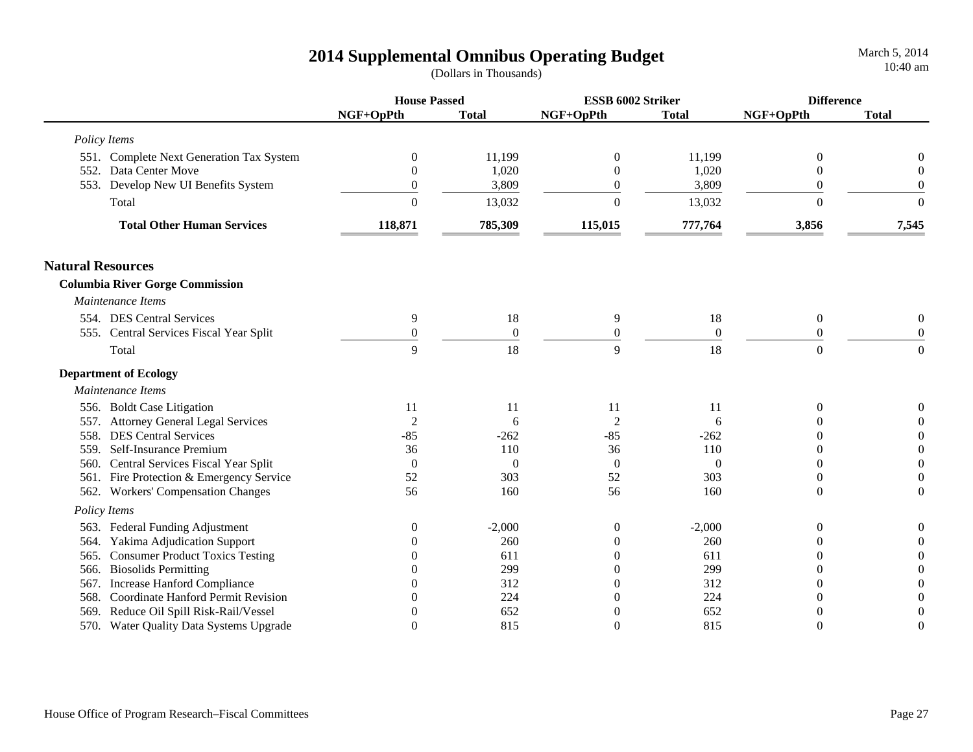|                          |                                          | <b>House Passed</b> |                | ESSB 6002 Striker |              | <b>Difference</b> |                  |
|--------------------------|------------------------------------------|---------------------|----------------|-------------------|--------------|-------------------|------------------|
|                          |                                          | NGF+OpPth           | <b>Total</b>   | NGF+OpPth         | <b>Total</b> | NGF+OpPth         | <b>Total</b>     |
|                          | Policy Items                             |                     |                |                   |              |                   |                  |
|                          | 551. Complete Next Generation Tax System | $\boldsymbol{0}$    | 11,199         | $\boldsymbol{0}$  | 11,199       | $\boldsymbol{0}$  | 0                |
|                          | 552. Data Center Move                    | $\overline{0}$      | 1,020          | $\theta$          | 1,020        | $\overline{0}$    | $\theta$         |
|                          | 553. Develop New UI Benefits System      | $\overline{0}$      | 3,809          | $\theta$          | 3,809        | $\boldsymbol{0}$  | $\boldsymbol{0}$ |
|                          | Total                                    | $\Omega$            | 13,032         | $\theta$          | 13,032       | $\Omega$          | $\Omega$         |
|                          | <b>Total Other Human Services</b>        | 118,871             | 785,309        | 115,015           | 777,764      | 3,856             | 7,545            |
| <b>Natural Resources</b> |                                          |                     |                |                   |              |                   |                  |
|                          | <b>Columbia River Gorge Commission</b>   |                     |                |                   |              |                   |                  |
|                          | Maintenance Items                        |                     |                |                   |              |                   |                  |
|                          | 554. DES Central Services                | 9                   | 18             | 9                 | 18           | $\overline{0}$    | $\boldsymbol{0}$ |
|                          | 555. Central Services Fiscal Year Split  | $\theta$            | $\mathbf{0}$   | $\overline{0}$    | $\theta$     | $\theta$          | $\overline{0}$   |
|                          | Total                                    | 9                   | 18             | 9                 | 18           | $\overline{0}$    | $\overline{0}$   |
|                          | <b>Department of Ecology</b>             |                     |                |                   |              |                   |                  |
|                          | Maintenance Items                        |                     |                |                   |              |                   |                  |
|                          | 556. Boldt Case Litigation               | 11                  | 11             | 11                | 11           | $\theta$          | $\boldsymbol{0}$ |
|                          | 557. Attorney General Legal Services     | $\overline{2}$      | 6              | $\overline{c}$    | 6            | 0                 | $\boldsymbol{0}$ |
|                          | 558. DES Central Services                | -85                 | $-262$         | $-85$             | $-262$       | 0                 | $\boldsymbol{0}$ |
|                          | 559. Self-Insurance Premium              | 36                  | 110            | 36                | 110          | 0                 | $\boldsymbol{0}$ |
| 560.                     | Central Services Fiscal Year Split       | $\overline{0}$      | $\overline{0}$ | $\overline{0}$    | $\Omega$     | 0                 | $\boldsymbol{0}$ |
|                          | 561. Fire Protection & Emergency Service | 52                  | 303            | 52                | 303          | $\Omega$          | $\boldsymbol{0}$ |
|                          | 562. Workers' Compensation Changes       | 56                  | 160            | 56                | 160          | $\Omega$          | $\Omega$         |
|                          | Policy Items                             |                     |                |                   |              |                   |                  |
|                          | 563. Federal Funding Adjustment          | $\boldsymbol{0}$    | $-2,000$       | $\boldsymbol{0}$  | $-2,000$     | $\boldsymbol{0}$  | $\boldsymbol{0}$ |
| 564.                     | Yakima Adjudication Support              | 0                   | 260            | $\overline{0}$    | 260          | $\theta$          | $\boldsymbol{0}$ |
| 565.                     | <b>Consumer Product Toxics Testing</b>   | 0                   | 611            | $\Omega$          | 611          | $\Omega$          | $\theta$         |
| 566.                     | <b>Biosolids Permitting</b>              | 0                   | 299            | $\Omega$          | 299          | $\Omega$          | $\theta$         |
| 567.                     | Increase Hanford Compliance              | 0                   | 312            | $\overline{0}$    | 312          | $\Omega$          | $\boldsymbol{0}$ |
| 568.                     | Coordinate Hanford Permit Revision       | 0                   | 224            | $\overline{0}$    | 224          | 0                 | $\boldsymbol{0}$ |
| 569.                     | Reduce Oil Spill Risk-Rail/Vessel        | 0                   | 652            | 0                 | 652          | $\theta$          | $\boldsymbol{0}$ |
|                          | 570. Water Quality Data Systems Upgrade  | $\Omega$            | 815            | $\theta$          | 815          | $\Omega$          | $\boldsymbol{0}$ |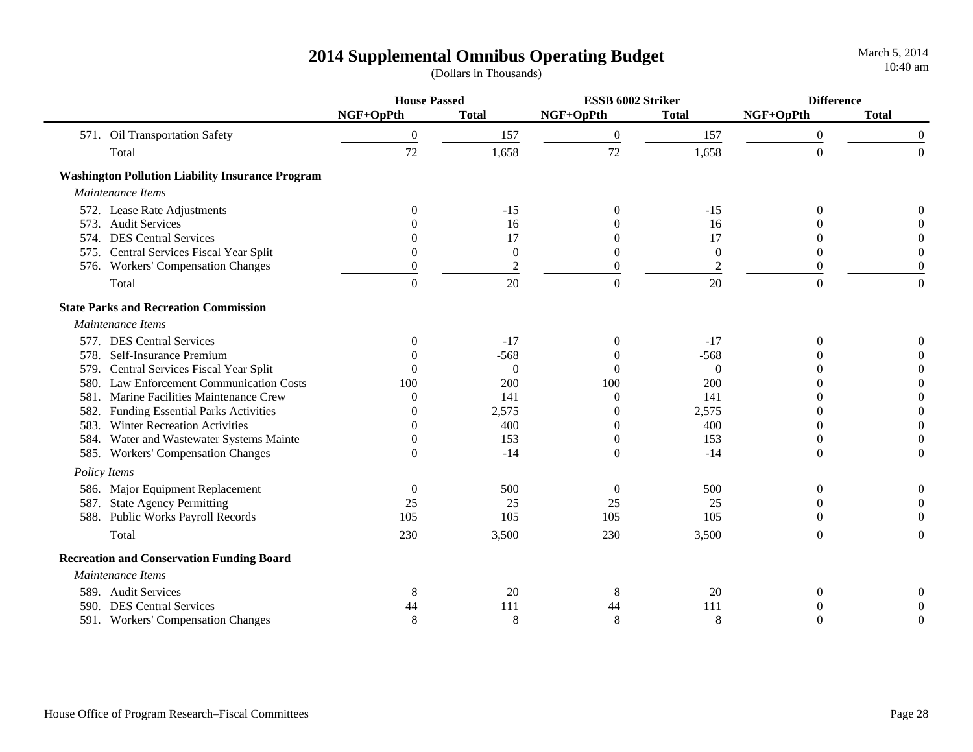|      |                                                         | <b>House Passed</b> |                | ESSB 6002 Striker |              | <b>Difference</b> |                  |
|------|---------------------------------------------------------|---------------------|----------------|-------------------|--------------|-------------------|------------------|
|      |                                                         | NGF+OpPth           | <b>Total</b>   | NGF+OpPth         | <b>Total</b> | NGF+OpPth         | <b>Total</b>     |
|      | 571. Oil Transportation Safety                          | $\boldsymbol{0}$    | 157            | $\boldsymbol{0}$  | 157          | $\boldsymbol{0}$  | 0                |
|      | Total                                                   | 72                  | 1,658          | 72                | 1,658        | $\boldsymbol{0}$  | $\mathbf{0}$     |
|      | <b>Washington Pollution Liability Insurance Program</b> |                     |                |                   |              |                   |                  |
|      | Maintenance Items                                       |                     |                |                   |              |                   |                  |
|      | 572. Lease Rate Adjustments                             | $\Omega$            | $-15$          | $\theta$          | $-15$        | $\Omega$          | $\theta$         |
| 573. | <b>Audit Services</b>                                   | $\Omega$            | 16             | $\Omega$          | 16           |                   | 0                |
| 574. | <b>DES Central Services</b>                             | $\Omega$            | 17             | $\Omega$          | 17           | 0                 | 0                |
|      | 575. Central Services Fiscal Year Split                 | $\theta$            | $\overline{0}$ | $\boldsymbol{0}$  | $\theta$     | 0                 | 0                |
|      | 576. Workers' Compensation Changes                      | $\boldsymbol{0}$    | $\overline{c}$ | $\boldsymbol{0}$  | 2            | $\boldsymbol{0}$  | $\overline{0}$   |
|      | Total                                                   | $\Omega$            | 20             | $\boldsymbol{0}$  | 20           | $\Omega$          | $\Omega$         |
|      | <b>State Parks and Recreation Commission</b>            |                     |                |                   |              |                   |                  |
|      | Maintenance Items                                       |                     |                |                   |              |                   |                  |
|      | 577. DES Central Services                               | $\Omega$            | $-17$          | $\Omega$          | $-17$        | $\Omega$          | 0                |
| 578. | Self-Insurance Premium                                  | $\Omega$            | $-568$         | $\Omega$          | $-568$       |                   | 0                |
| 579. | Central Services Fiscal Year Split                      | $\Omega$            | $\theta$       | $\Omega$          | $\Omega$     |                   | 0                |
| 580. | <b>Law Enforcement Communication Costs</b>              | 100                 | 200            | 100               | 200          |                   | $\boldsymbol{0}$ |
| 581. | Marine Facilities Maintenance Crew                      | $\Omega$            | 141            | $\theta$          | 141          | 0                 | $\boldsymbol{0}$ |
| 582. | <b>Funding Essential Parks Activities</b>               | 0                   | 2,575          | $\Omega$          | 2,575        |                   | $\boldsymbol{0}$ |
|      | 583. Winter Recreation Activities                       | $\Omega$            | 400            | $\theta$          | 400          | 0                 | $\boldsymbol{0}$ |
|      | 584. Water and Wastewater Systems Mainte                | $\Omega$            | 153            | $\boldsymbol{0}$  | 153          | 0                 | $\boldsymbol{0}$ |
|      | 585. Workers' Compensation Changes                      | $\Omega$            | $-14$          | $\theta$          | $-14$        | $\theta$          | $\theta$         |
|      | Policy Items                                            |                     |                |                   |              |                   |                  |
| 586. | Major Equipment Replacement                             | $\boldsymbol{0}$    | 500            | $\boldsymbol{0}$  | 500          | $\boldsymbol{0}$  | $\mathbf{0}$     |
| 587. | <b>State Agency Permitting</b>                          | 25                  | 25             | 25                | 25           | $\theta$          | $\theta$         |
| 588. | <b>Public Works Payroll Records</b>                     | 105                 | 105            | 105               | 105          | 0                 | $\Omega$         |
|      | Total                                                   | 230                 | 3,500          | 230               | 3,500        | $\overline{0}$    | $\mathbf{0}$     |
|      | <b>Recreation and Conservation Funding Board</b>        |                     |                |                   |              |                   |                  |
|      | Maintenance Items                                       |                     |                |                   |              |                   |                  |
|      | 589. Audit Services                                     | 8                   | 20             | 8                 | 20           | $\boldsymbol{0}$  | 0                |
| 590. | <b>DES Central Services</b>                             | 44                  | 111            | 44                | 111          |                   | $\theta$         |
|      | 591. Workers' Compensation Changes                      | 8                   | 8              | 8                 | 8            | $\Omega$          | $\Omega$         |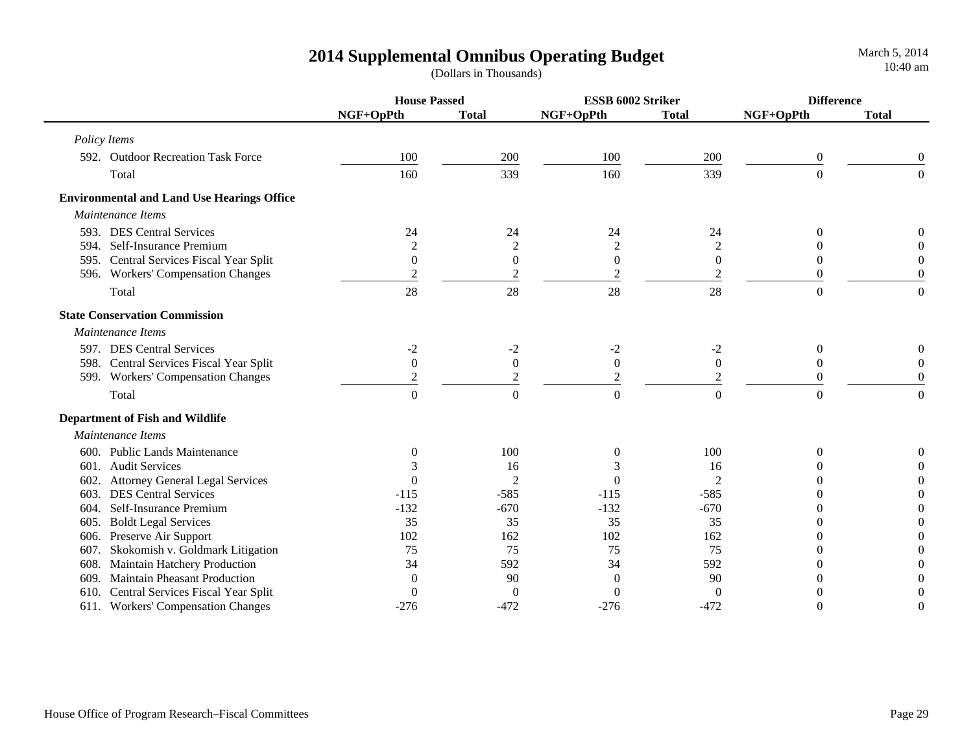|      |                                                   | <b>House Passed</b> |                  | ESSB 6002 Striker |                  | <b>Difference</b> |                  |
|------|---------------------------------------------------|---------------------|------------------|-------------------|------------------|-------------------|------------------|
|      |                                                   | NGF+OpPth           | <b>Total</b>     | NGF+OpPth         | <b>Total</b>     | NGF+OpPth         | <b>Total</b>     |
|      | Policy Items                                      |                     |                  |                   |                  |                   |                  |
|      | 592. Outdoor Recreation Task Force                | 100                 | 200              | 100               | 200              | $\boldsymbol{0}$  | $\overline{0}$   |
|      | Total                                             | 160                 | 339              | 160               | 339              | $\boldsymbol{0}$  | $\Omega$         |
|      | <b>Environmental and Land Use Hearings Office</b> |                     |                  |                   |                  |                   |                  |
|      | Maintenance Items                                 |                     |                  |                   |                  |                   |                  |
|      | 593. DES Central Services                         | 24                  | 24               | 24                | 24               | $\Omega$          | $\Omega$         |
|      | 594. Self-Insurance Premium                       | 2                   | $\overline{c}$   | 2                 | $\overline{c}$   | $\overline{0}$    |                  |
|      | 595. Central Services Fiscal Year Split           | $\overline{0}$      | $\boldsymbol{0}$ | $\boldsymbol{0}$  | $\overline{0}$   | $\overline{0}$    | 0                |
|      | 596. Workers' Compensation Changes                |                     | $\overline{c}$   | $\overline{c}$    | 2                | $\theta$          | $\boldsymbol{0}$ |
|      | Total                                             | 28                  | 28               | 28                | 28               | $\overline{0}$    | $\overline{0}$   |
|      | <b>State Conservation Commission</b>              |                     |                  |                   |                  |                   |                  |
|      | Maintenance Items                                 |                     |                  |                   |                  |                   |                  |
|      | 597. DES Central Services                         | $-2$                | $-2$             | $-2$              | $-2$             | $\boldsymbol{0}$  | 0                |
|      | 598. Central Services Fiscal Year Split           | $\boldsymbol{0}$    | $\boldsymbol{0}$ | $\boldsymbol{0}$  | $\boldsymbol{0}$ | $\theta$          | $\overline{0}$   |
|      | 599. Workers' Compensation Changes                | $\overline{2}$      | $\overline{2}$   | $\overline{2}$    | $\overline{2}$   | $\overline{0}$    | $\boldsymbol{0}$ |
|      | Total                                             | $\theta$            | $\overline{0}$   | $\boldsymbol{0}$  | $\Omega$         | $\overline{0}$    | $\boldsymbol{0}$ |
|      | <b>Department of Fish and Wildlife</b>            |                     |                  |                   |                  |                   |                  |
|      | Maintenance Items                                 |                     |                  |                   |                  |                   |                  |
|      | 600. Public Lands Maintenance                     | $\Omega$            | 100              | $\theta$          | 100              | 0                 | 0                |
|      | 601. Audit Services                               |                     | 16               | 3                 | 16               | 0                 | $\Omega$         |
|      | 602. Attorney General Legal Services              | 0                   | $\overline{2}$   | $\theta$          | $\overline{c}$   | 0                 | $\Omega$         |
|      | 603. DES Central Services                         | $-115$              | $-585$           | $-115$            | $-585$           | 0                 | $\Omega$         |
| 604. | Self-Insurance Premium                            | $-132$              | $-670$           | $-132$            | $-670$           | 0                 | $\Omega$         |
|      | 605. Boldt Legal Services                         | 35                  | 35               | 35                | 35               | $\Omega$          | $\Omega$         |
|      | 606. Preserve Air Support                         | 102                 | 162              | 102               | 162              | $\Omega$          | $\Omega$         |
| 607. | Skokomish v. Goldmark Litigation                  | 75                  | 75               | 75                | 75               | $\Omega$          |                  |
| 608. | Maintain Hatchery Production                      | 34                  | 592              | 34                | 592              | $\theta$          | $\Omega$         |
| 609. | <b>Maintain Pheasant Production</b>               |                     | 90               | $\boldsymbol{0}$  | 90               | $\Omega$          |                  |
| 610. | Central Services Fiscal Year Split                |                     | $\overline{0}$   | $\boldsymbol{0}$  | $\theta$         | $\Omega$          | $\theta$         |
|      | 611. Workers' Compensation Changes                | $-276$              | $-472$           | $-276$            | $-472$           | $\theta$          | $\overline{0}$   |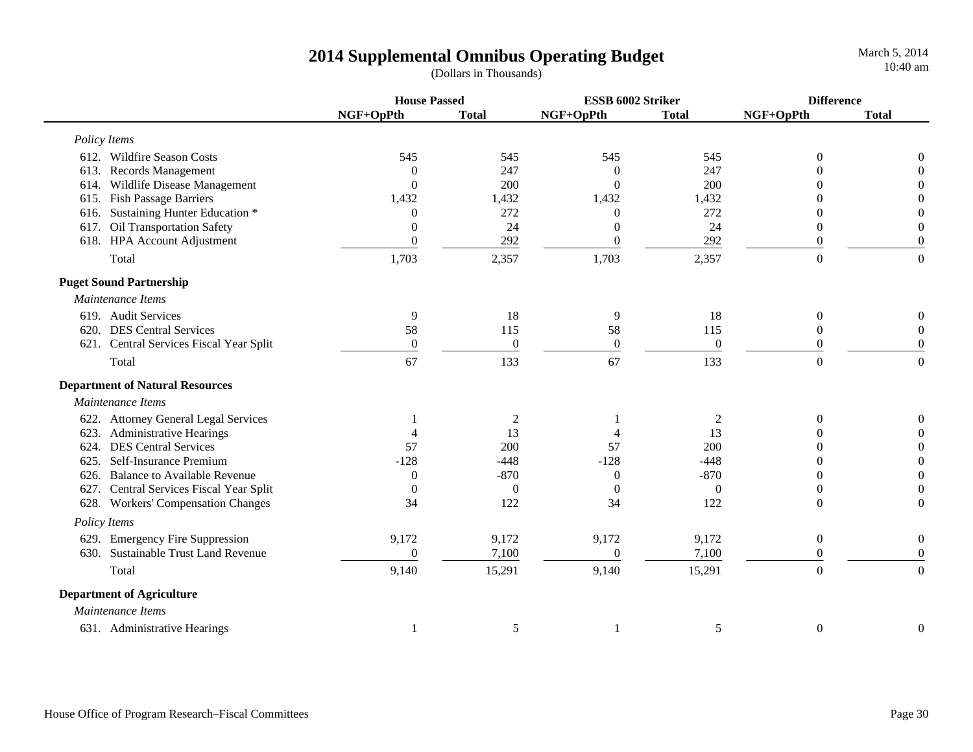March 5, 2014 10:40 am

|                                               | <b>House Passed</b> |                  | ESSB 6002 Striker |                  | <b>Difference</b> |                  |
|-----------------------------------------------|---------------------|------------------|-------------------|------------------|-------------------|------------------|
|                                               | NGF+OpPth           | <b>Total</b>     | NGF+OpPth         | <b>Total</b>     | NGF+OpPth         | <b>Total</b>     |
| Policy Items                                  |                     |                  |                   |                  |                   |                  |
| 612. Wildfire Season Costs                    | 545                 | 545              | 545               | 545              | $\theta$          | $\boldsymbol{0}$ |
| 613. Records Management                       | $\Omega$            | 247              | $\Omega$          | 247              |                   | $\boldsymbol{0}$ |
| Wildlife Disease Management<br>614.           | $\Omega$            | 200              | $\Omega$          | 200              |                   | $\boldsymbol{0}$ |
| 615. Fish Passage Barriers                    | 1,432               | 1,432            | 1,432             | 1,432            |                   | $\boldsymbol{0}$ |
| Sustaining Hunter Education *<br>616.         | $\Omega$            | 272              | $\Omega$          | 272              |                   | $\theta$         |
| 617. Oil Transportation Safety                | $\theta$            | 24               | $\theta$          | 24               | 0                 | $\boldsymbol{0}$ |
| 618. HPA Account Adjustment                   | $\theta$            | 292              | $\boldsymbol{0}$  | 292              | $\Omega$          | $\boldsymbol{0}$ |
| Total                                         | 1,703               | 2,357            | 1,703             | 2,357            | $\overline{0}$    | $\theta$         |
| <b>Puget Sound Partnership</b>                |                     |                  |                   |                  |                   |                  |
| Maintenance Items                             |                     |                  |                   |                  |                   |                  |
| 619. Audit Services                           | 9                   | 18               | 9                 | 18               | $\boldsymbol{0}$  | $\boldsymbol{0}$ |
| 620. DES Central Services                     | 58                  | 115              | 58                | 115              | $\theta$          | $\overline{0}$   |
| 621. Central Services Fiscal Year Split       | $\boldsymbol{0}$    | $\boldsymbol{0}$ | $\boldsymbol{0}$  | $\boldsymbol{0}$ | $\boldsymbol{0}$  | $\boldsymbol{0}$ |
| Total                                         | 67                  | 133              | 67                | 133              | $\overline{0}$    | $\mathbf{0}$     |
| <b>Department of Natural Resources</b>        |                     |                  |                   |                  |                   |                  |
| Maintenance Items                             |                     |                  |                   |                  |                   |                  |
| 622. Attorney General Legal Services          |                     | $\overline{c}$   |                   | $\overline{2}$   | $\theta$          | $\boldsymbol{0}$ |
| 623. Administrative Hearings                  |                     | 13               |                   | 13               |                   | $\overline{0}$   |
| 624. DES Central Services                     | 57                  | 200              | 57                | 200              |                   | $\boldsymbol{0}$ |
| 625. Self-Insurance Premium                   | $-128$              | $-448$           | $-128$            | $-448$           |                   | $\boldsymbol{0}$ |
| 626. Balance to Available Revenue             | $\overline{0}$      | $-870$           | $\theta$          | $-870$           | 0                 | $\boldsymbol{0}$ |
| 627. Central Services Fiscal Year Split       | $\theta$            | $\overline{0}$   | $\overline{0}$    | $\theta$         | $\overline{0}$    | $\overline{0}$   |
| 628. Workers' Compensation Changes            | 34                  | 122              | 34                | 122              | $\Omega$          | $\boldsymbol{0}$ |
| Policy Items                                  |                     |                  |                   |                  |                   |                  |
| 629. Emergency Fire Suppression               | 9,172               | 9,172            | 9,172             | 9,172            | $\overline{0}$    | $\boldsymbol{0}$ |
| <b>Sustainable Trust Land Revenue</b><br>630. | $\overline{0}$      | 7,100            | $\boldsymbol{0}$  | 7,100            | $\theta$          | $\overline{0}$   |
| Total                                         | 9,140               | 15,291           | 9,140             | 15,291           | $\boldsymbol{0}$  | $\overline{0}$   |
| <b>Department of Agriculture</b>              |                     |                  |                   |                  |                   |                  |
| Maintenance Items                             |                     |                  |                   |                  |                   |                  |
| 631. Administrative Hearings                  |                     | 5                | -1                | 5                | $\boldsymbol{0}$  | $\overline{0}$   |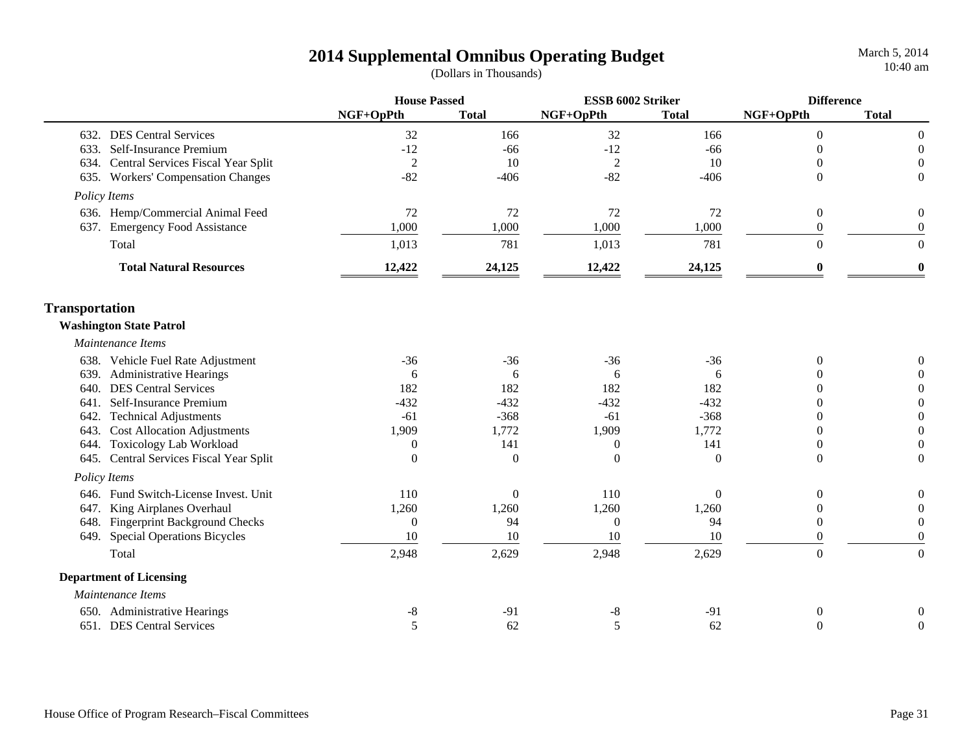|                                |                                       |                  | <b>House Passed</b> |                  | ESSB 6002 Striker |                  | <b>Difference</b> |  |
|--------------------------------|---------------------------------------|------------------|---------------------|------------------|-------------------|------------------|-------------------|--|
|                                |                                       | NGF+OpPth        | <b>Total</b>        | NGF+OpPth        | <b>Total</b>      | NGF+OpPth        | <b>Total</b>      |  |
|                                | 632. DES Central Services             | 32               | 166                 | 32               | 166               | $\Omega$         | $\boldsymbol{0}$  |  |
| 633.                           | Self-Insurance Premium                | $-12$            | $-66$               | $-12$            | $-66$             | $\Omega$         | $\boldsymbol{0}$  |  |
| 634.                           | Central Services Fiscal Year Split    | $\overline{2}$   | 10                  | $\overline{2}$   | 10                | $\Omega$         | $\theta$          |  |
|                                | 635. Workers' Compensation Changes    | $-82$            | $-406$              | $-82$            | $-406$            | $\Omega$         | $\theta$          |  |
| Policy Items                   |                                       |                  |                     |                  |                   |                  |                   |  |
|                                | 636. Hemp/Commercial Animal Feed      | 72               | 72                  | 72               | 72                | $\overline{0}$   | $\theta$          |  |
|                                | 637. Emergency Food Assistance        | 1,000            | 1,000               | 1,000            | 1,000             | $\overline{0}$   | $\boldsymbol{0}$  |  |
| Total                          |                                       | 1,013            | 781                 | 1,013            | 781               | $\overline{0}$   | $\overline{0}$    |  |
|                                | <b>Total Natural Resources</b>        | 12,422           | 24,125              | 12,422           | 24,125            | $\bf{0}$         | $\bf{0}$          |  |
| <b>Transportation</b>          |                                       |                  |                     |                  |                   |                  |                   |  |
| <b>Washington State Patrol</b> |                                       |                  |                     |                  |                   |                  |                   |  |
| Maintenance Items              |                                       |                  |                     |                  |                   |                  |                   |  |
|                                | 638. Vehicle Fuel Rate Adjustment     | $-36$            | $-36$               | $-36$            | $-36$             | $\theta$         |                   |  |
|                                | 639. Administrative Hearings          | 6                | 6                   | 6                | 6                 |                  | $\Omega$          |  |
| 640.                           | <b>DES Central Services</b>           | 182              | 182                 | 182              | 182               | $\Omega$         | $\theta$          |  |
| 641.                           | Self-Insurance Premium                | $-432$           | $-432$              | $-432$           | $-432$            | $\Omega$         | $\boldsymbol{0}$  |  |
| 642.                           | <b>Technical Adjustments</b>          | $-61$            | $-368$              | $-61$            | $-368$            | $\theta$         | $\boldsymbol{0}$  |  |
| 643.                           | <b>Cost Allocation Adjustments</b>    | 1,909            | 1,772               | 1,909            | 1,772             | $\theta$         | $\boldsymbol{0}$  |  |
| 644.                           | <b>Toxicology Lab Workload</b>        | $\theta$         | 141                 | $\boldsymbol{0}$ | 141               | $\overline{0}$   | $\theta$          |  |
| 645.                           | Central Services Fiscal Year Split    | $\Omega$         | $\theta$            | $\Omega$         | $\overline{0}$    | $\theta$         | $\theta$          |  |
| Policy Items                   |                                       |                  |                     |                  |                   |                  |                   |  |
|                                | 646. Fund Switch-License Invest. Unit | 110              | $\Omega$            | 110              | $\theta$          | $\Omega$         | $\theta$          |  |
| 647.                           | King Airplanes Overhaul               | 1,260            | 1,260               | 1,260            | 1,260             | $\overline{0}$   | $\boldsymbol{0}$  |  |
|                                | 648. Fingerprint Background Checks    | $\boldsymbol{0}$ | 94                  | $\overline{0}$   | 94                | $\overline{0}$   | $\boldsymbol{0}$  |  |
|                                | 649. Special Operations Bicycles      | 10               | 10                  | 10               | 10                | $\Omega$         | $\boldsymbol{0}$  |  |
| Total                          |                                       | 2,948            | 2,629               | 2,948            | 2,629             | $\boldsymbol{0}$ | $\boldsymbol{0}$  |  |
| <b>Department of Licensing</b> |                                       |                  |                     |                  |                   |                  |                   |  |
| Maintenance Items              |                                       |                  |                     |                  |                   |                  |                   |  |
|                                | 650. Administrative Hearings          | $-8$             | $-91$               | $\text{-}8$      | $-91$             | $\theta$         | 0                 |  |
|                                | 651. DES Central Services             | 5                | 62                  | 5                | 62                | $\theta$         | $\theta$          |  |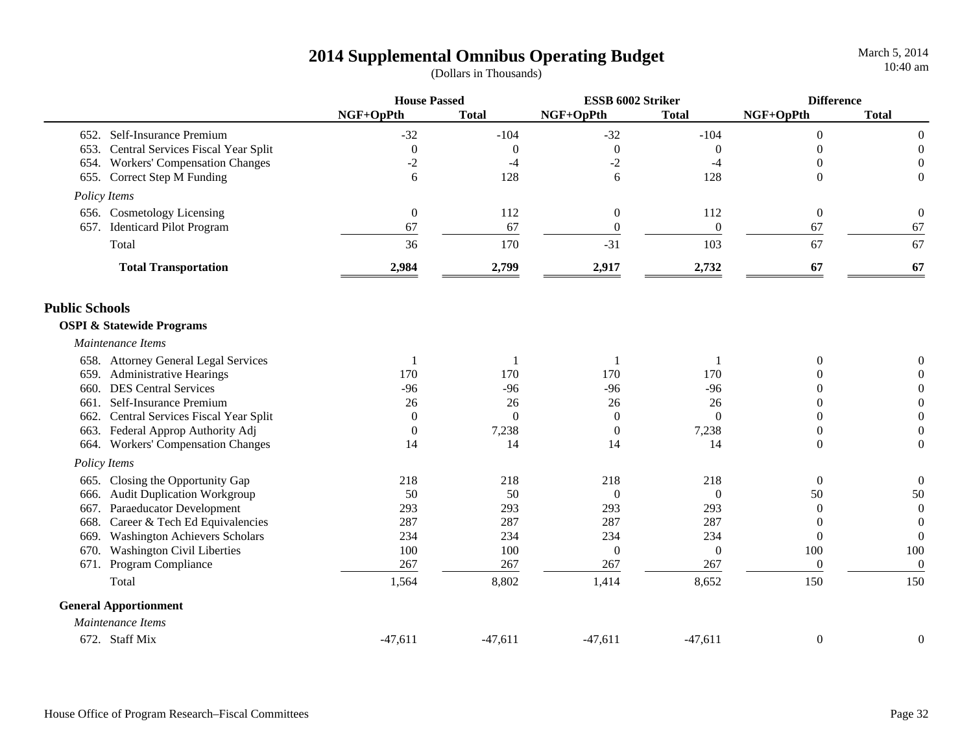|                                              | <b>House Passed</b> |              | ESSB 6002 Striker |                | <b>Difference</b> |                  |
|----------------------------------------------|---------------------|--------------|-------------------|----------------|-------------------|------------------|
|                                              | NGF+OpPth           | <b>Total</b> | NGF+OpPth         | <b>Total</b>   | NGF+OpPth         | <b>Total</b>     |
| 652. Self-Insurance Premium                  | $-32$               | $-104$       | $-32$             | $-104$         | $\overline{0}$    | $\boldsymbol{0}$ |
| Central Services Fiscal Year Split<br>653.   | $\boldsymbol{0}$    | $\theta$     | $\boldsymbol{0}$  | $\theta$       | $\Omega$          | $\boldsymbol{0}$ |
| 654. Workers' Compensation Changes           | $-2$                | $-4$         | $-2$              | $-4$           | $\theta$          | $\boldsymbol{0}$ |
| 655. Correct Step M Funding                  | 6                   | 128          | 6                 | 128            | $\Omega$          | $\theta$         |
| Policy Items                                 |                     |              |                   |                |                   |                  |
| 656. Cosmetology Licensing                   | $\boldsymbol{0}$    | 112          | $\boldsymbol{0}$  | 112            | $\boldsymbol{0}$  | $\boldsymbol{0}$ |
| 657. Identicard Pilot Program                | 67                  | 67           | $\theta$          | $\theta$       | 67                | 67               |
| Total                                        | 36                  | 170          | $-31$             | 103            | 67                | 67               |
| <b>Total Transportation</b>                  | 2,984               | 2,799        | 2,917             | 2,732          | 67                | 67               |
| <b>Public Schools</b>                        |                     |              |                   |                |                   |                  |
| <b>OSPI &amp; Statewide Programs</b>         |                     |              |                   |                |                   |                  |
| Maintenance Items                            |                     |              |                   |                |                   |                  |
| 658. Attorney General Legal Services         |                     |              | 1                 |                | $\overline{0}$    | $\Omega$         |
| 659. Administrative Hearings                 | 170                 | 170          | 170               | 170            | $\theta$          | $\overline{0}$   |
| <b>DES Central Services</b><br>660.          | $-96$               | $-96$        | $-96$             | $-96$          | $\overline{0}$    | $\boldsymbol{0}$ |
| Self-Insurance Premium<br>661.               | 26                  | 26           | 26                | 26             | $\theta$          | $\boldsymbol{0}$ |
| Central Services Fiscal Year Split<br>662.   | $\boldsymbol{0}$    | $\Omega$     | $\overline{0}$    | $\theta$       | $\overline{0}$    | $\boldsymbol{0}$ |
| 663. Federal Approp Authority Adj            | $\boldsymbol{0}$    | 7,238        | $\boldsymbol{0}$  | 7,238          | $\boldsymbol{0}$  | $\boldsymbol{0}$ |
| 664. Workers' Compensation Changes           | 14                  | 14           | 14                | 14             | $\boldsymbol{0}$  | $\boldsymbol{0}$ |
| Policy Items                                 |                     |              |                   |                |                   |                  |
| Closing the Opportunity Gap<br>665.          | 218                 | 218          | 218               | 218            | $\theta$          | $\boldsymbol{0}$ |
| <b>Audit Duplication Workgroup</b><br>666.   | 50                  | 50           | $\theta$          | $\overline{0}$ | 50                | 50               |
| 667. Paraeducator Development                | 293                 | 293          | 293               | 293            | $\overline{0}$    | $\boldsymbol{0}$ |
| Career & Tech Ed Equivalencies<br>668.       | 287                 | 287          | 287               | 287            | $\overline{0}$    | $\boldsymbol{0}$ |
| <b>Washington Achievers Scholars</b><br>669. | 234                 | 234          | 234               | 234            | $\overline{0}$    | $\boldsymbol{0}$ |
| <b>Washington Civil Liberties</b><br>670.    | 100                 | 100          | $\boldsymbol{0}$  | $\overline{0}$ | 100               | 100              |
| Program Compliance<br>671.                   | 267                 | 267          | 267               | 267            | $\overline{0}$    | $\boldsymbol{0}$ |
| Total                                        | 1,564               | 8,802        | 1,414             | 8,652          | 150               | 150              |
| <b>General Apportionment</b>                 |                     |              |                   |                |                   |                  |
| Maintenance Items                            |                     |              |                   |                |                   |                  |
| 672. Staff Mix                               | $-47,611$           | $-47,611$    | $-47,611$         | $-47,611$      | $\mathbf{0}$      | $\boldsymbol{0}$ |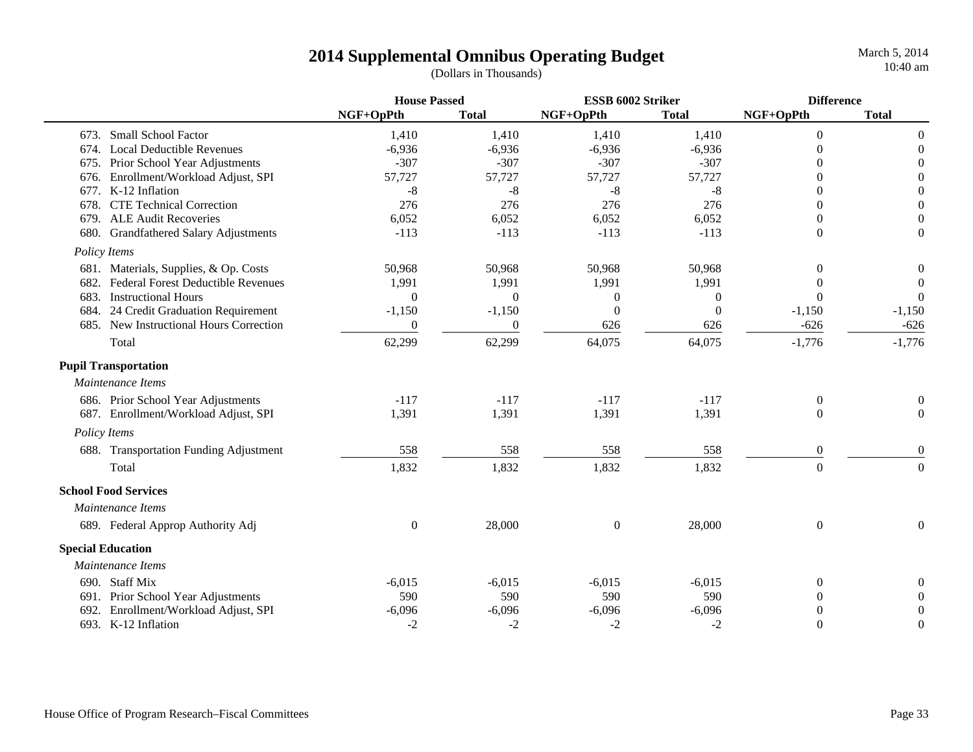|                                                   | <b>House Passed</b> |              | ESSB 6002 Striker |              | <b>Difference</b> |                  |
|---------------------------------------------------|---------------------|--------------|-------------------|--------------|-------------------|------------------|
|                                                   | NGF+OpPth           | <b>Total</b> | NGF+OpPth         | <b>Total</b> | NGF+OpPth         | <b>Total</b>     |
| 673. Small School Factor                          | 1,410               | 1,410        | 1,410             | 1,410        | $\overline{0}$    | $\boldsymbol{0}$ |
| 674. Local Deductible Revenues                    | $-6,936$            | $-6,936$     | $-6,936$          | $-6,936$     | $\Omega$          | $\boldsymbol{0}$ |
| 675. Prior School Year Adjustments                | $-307$              | $-307$       | $-307$            | $-307$       | 0                 | $\overline{0}$   |
| Enrollment/Workload Adjust, SPI<br>676.           | 57,727              | 57,727       | 57,727            | 57,727       | 0                 | $\boldsymbol{0}$ |
| K-12 Inflation<br>677.                            | $-8$                | $-8$         | $-8$              | $-8$         | 0                 | $\boldsymbol{0}$ |
| <b>CTE Technical Correction</b><br>678.           | 276                 | 276          | 276               | 276          | 0                 | $\overline{0}$   |
| <b>ALE Audit Recoveries</b><br>679.               | 6,052               | 6,052        | 6,052             | 6,052        | $\Omega$          | $\overline{0}$   |
| 680. Grandfathered Salary Adjustments             | $-113$              | $-113$       | $-113$            | $-113$       | $\theta$          | $\boldsymbol{0}$ |
| Policy Items                                      |                     |              |                   |              |                   |                  |
| 681. Materials, Supplies, & Op. Costs             | 50,968              | 50,968       | 50,968            | 50,968       | $\Omega$          | $\boldsymbol{0}$ |
| <b>Federal Forest Deductible Revenues</b><br>682. | 1,991               | 1,991        | 1,991             | 1,991        | $\Omega$          | $\theta$         |
| 683.<br><b>Instructional Hours</b>                | $\theta$            | $\Omega$     | $\overline{0}$    | $\Omega$     | $\Omega$          | $\Omega$         |
| 24 Credit Graduation Requirement<br>684.          | $-1,150$            | $-1,150$     | $\theta$          | $\Omega$     | $-1,150$          | $-1,150$         |
| 685. New Instructional Hours Correction           | $\theta$            | $\theta$     | 626               | 626          | $-626$            | $-626$           |
| Total                                             | 62,299              | 62,299       | 64,075            | 64,075       | $-1,776$          | $-1,776$         |
| <b>Pupil Transportation</b>                       |                     |              |                   |              |                   |                  |
| Maintenance Items                                 |                     |              |                   |              |                   |                  |
| 686. Prior School Year Adjustments                | $-117$              | $-117$       | $-117$            | $-117$       | $\overline{0}$    | $\boldsymbol{0}$ |
| 687. Enrollment/Workload Adjust, SPI              | 1,391               | 1,391        | 1,391             | 1,391        | $\Omega$          | $\boldsymbol{0}$ |
| Policy Items                                      |                     |              |                   |              |                   |                  |
| 688. Transportation Funding Adjustment            | 558                 | 558          | 558               | 558          | $\overline{0}$    | $\boldsymbol{0}$ |
| Total                                             | 1,832               | 1,832        | 1,832             | 1,832        | $\mathbf{0}$      | $\boldsymbol{0}$ |
| <b>School Food Services</b>                       |                     |              |                   |              |                   |                  |
| Maintenance Items                                 |                     |              |                   |              |                   |                  |
| 689. Federal Approp Authority Adj                 | $\boldsymbol{0}$    | 28,000       | $\boldsymbol{0}$  | 28,000       | $\boldsymbol{0}$  | $\boldsymbol{0}$ |
| <b>Special Education</b>                          |                     |              |                   |              |                   |                  |
| Maintenance Items                                 |                     |              |                   |              |                   |                  |
| 690. Staff Mix                                    | $-6,015$            | $-6,015$     | $-6,015$          | $-6,015$     | $\overline{0}$    | $\overline{0}$   |
| 691. Prior School Year Adjustments                | 590                 | 590          | 590               | 590          | $\Omega$          | $\Omega$         |
| Enrollment/Workload Adjust, SPI<br>692.           | $-6,096$            | $-6,096$     | $-6,096$          | $-6,096$     | 0                 | $\overline{0}$   |
| 693. K-12 Inflation                               | $-2$                | $-2$         | $-2$              | $-2$         | $\boldsymbol{0}$  | $\overline{0}$   |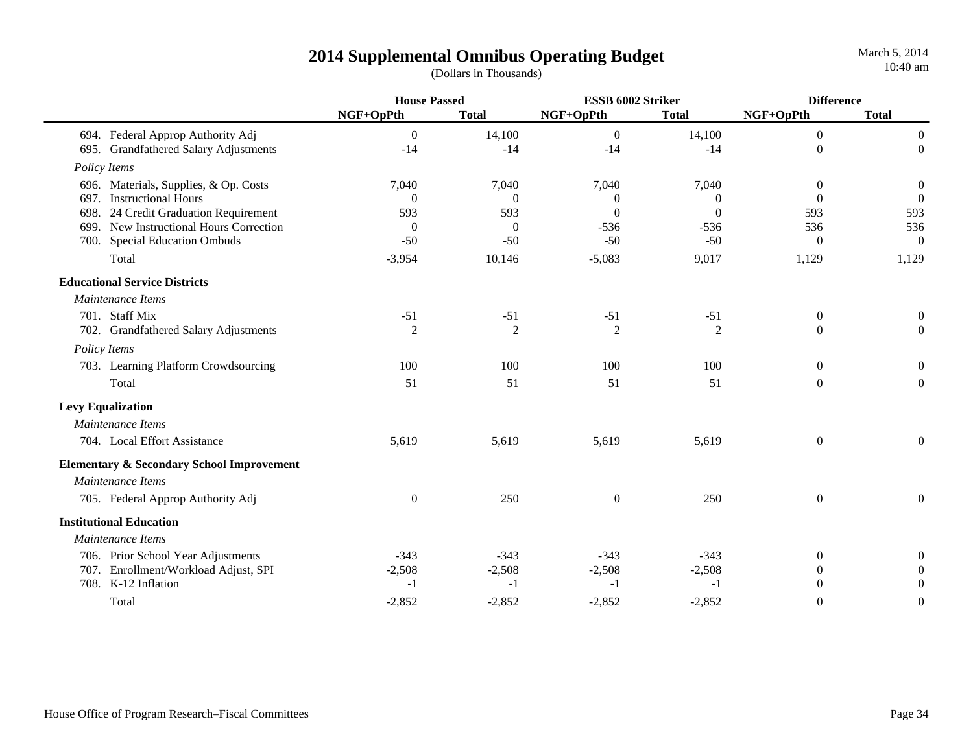March 5, 2014 10:40 am

|                                                      | <b>House Passed</b> |                | ESSB 6002 Striker |                | <b>Difference</b> |                  |
|------------------------------------------------------|---------------------|----------------|-------------------|----------------|-------------------|------------------|
|                                                      | NGF+OpPth           | <b>Total</b>   | NGF+OpPth         | <b>Total</b>   | NGF+OpPth         | <b>Total</b>     |
| 694. Federal Approp Authority Adj                    | $\boldsymbol{0}$    | 14,100         | $\mathbf{0}$      | 14,100         | $\boldsymbol{0}$  | $\boldsymbol{0}$ |
| 695. Grandfathered Salary Adjustments                | $-14$               | $-14$          | $-14$             | $-14$          | $\overline{0}$    | $\boldsymbol{0}$ |
| Policy Items                                         |                     |                |                   |                |                   |                  |
| 696. Materials, Supplies, & Op. Costs                | 7,040               | 7,040          | 7,040             | 7,040          | $\theta$          | $\boldsymbol{0}$ |
| <b>Instructional Hours</b><br>697.                   | $\Omega$            | $\Omega$       | $\Omega$          | $\Omega$       | $\Omega$          | $\theta$         |
| 24 Credit Graduation Requirement<br>698.             | 593                 | 593            | $\Omega$          | $\Omega$       | 593               | 593              |
| New Instructional Hours Correction<br>699.           | $\Omega$            | $\Omega$       | $-536$            | $-536$         | 536               | 536              |
| <b>Special Education Ombuds</b><br>700.              | $-50$               | $-50$          | $-50$             | $-50$          | $\overline{0}$    | $\overline{0}$   |
| Total                                                | $-3,954$            | 10,146         | $-5,083$          | 9,017          | 1,129             | 1,129            |
| <b>Educational Service Districts</b>                 |                     |                |                   |                |                   |                  |
| Maintenance Items                                    |                     |                |                   |                |                   |                  |
| 701. Staff Mix                                       | $-51$               | $-51$          | $-51$             | $-51$          | $\boldsymbol{0}$  | $\boldsymbol{0}$ |
| 702. Grandfathered Salary Adjustments                | $\overline{2}$      | $\overline{2}$ | $\overline{2}$    | $\overline{2}$ | $\Omega$          | $\boldsymbol{0}$ |
| Policy Items                                         |                     |                |                   |                |                   |                  |
| 703. Learning Platform Crowdsourcing                 | 100                 | 100            | 100               | 100            | $\boldsymbol{0}$  | $\boldsymbol{0}$ |
| Total                                                | 51                  | 51             | 51                | 51             | $\boldsymbol{0}$  | $\boldsymbol{0}$ |
| <b>Levy Equalization</b>                             |                     |                |                   |                |                   |                  |
| Maintenance Items                                    |                     |                |                   |                |                   |                  |
| 704. Local Effort Assistance                         | 5,619               | 5,619          | 5,619             | 5,619          | $\boldsymbol{0}$  | $\overline{0}$   |
| <b>Elementary &amp; Secondary School Improvement</b> |                     |                |                   |                |                   |                  |
| Maintenance Items                                    |                     |                |                   |                |                   |                  |
| 705. Federal Approp Authority Adj                    | $\boldsymbol{0}$    | 250            | $\boldsymbol{0}$  | 250            | $\overline{0}$    | $\overline{0}$   |
| <b>Institutional Education</b>                       |                     |                |                   |                |                   |                  |
| Maintenance Items                                    |                     |                |                   |                |                   |                  |
| 706. Prior School Year Adjustments                   | $-343$              | $-343$         | $-343$            | $-343$         | 0                 | $\overline{0}$   |
| 707. Enrollment/Workload Adjust, SPI                 | $-2,508$            | $-2,508$       | $-2,508$          | $-2,508$       | $\overline{0}$    | $\overline{0}$   |
| 708. K-12 Inflation                                  | $-1$                | $-1$           | $-1$              | $-1$           | $\Omega$          | $\mathbf{0}$     |
| Total                                                | $-2,852$            | $-2,852$       | $-2,852$          | $-2,852$       | $\overline{0}$    | $\boldsymbol{0}$ |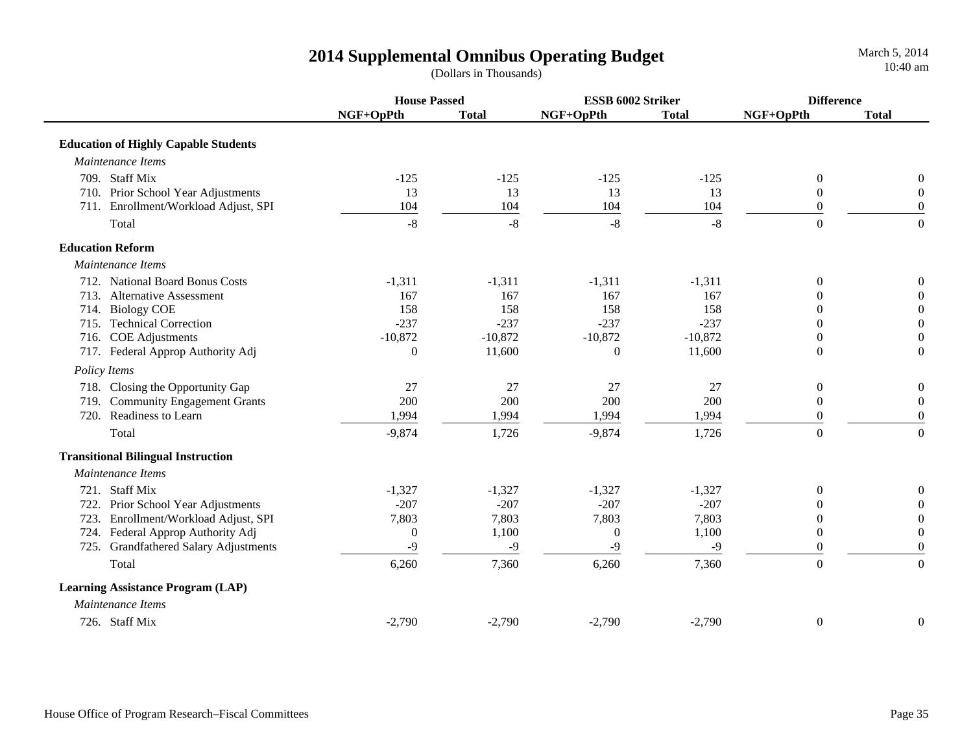|                                                 | <b>House Passed</b> |              | ESSB 6002 Striker |              | <b>Difference</b> |                  |
|-------------------------------------------------|---------------------|--------------|-------------------|--------------|-------------------|------------------|
|                                                 | NGF+OpPth           | <b>Total</b> | NGF+OpPth         | <b>Total</b> | NGF+OpPth         | <b>Total</b>     |
| <b>Education of Highly Capable Students</b>     |                     |              |                   |              |                   |                  |
| Maintenance Items                               |                     |              |                   |              |                   |                  |
| 709. Staff Mix                                  | $-125$              | $-125$       | $-125$            | $-125$       | $\mathbf{0}$      | $\overline{0}$   |
| 710. Prior School Year Adjustments              | 13                  | 13           | 13                | 13           | $\theta$          | $\boldsymbol{0}$ |
| 711. Enrollment/Workload Adjust, SPI            | 104                 | 104          | 104               | 104          | $\theta$          | $\overline{0}$   |
| Total                                           | $-8$                | $-8$         | $-8$              | $-8$         | $\Omega$          | $\overline{0}$   |
| <b>Education Reform</b>                         |                     |              |                   |              |                   |                  |
| Maintenance Items                               |                     |              |                   |              |                   |                  |
| 712. National Board Bonus Costs                 | $-1,311$            | $-1,311$     | $-1,311$          | $-1,311$     | $\theta$          | $\overline{0}$   |
| 713. Alternative Assessment                     | 167                 | 167          | 167               | 167          | $\theta$          | $\theta$         |
| 714. Biology COE                                | 158                 | 158          | 158               | 158          | $\Omega$          | $\boldsymbol{0}$ |
| 715. Technical Correction                       | $-237$              | $-237$       | $-237$            | $-237$       | $\Omega$          | $\boldsymbol{0}$ |
| 716. COE Adjustments                            | $-10,872$           | $-10,872$    | $-10,872$         | $-10,872$    | $\theta$          | $\boldsymbol{0}$ |
| 717. Federal Approp Authority Adj               | $\theta$            | 11,600       | $\overline{0}$    | 11,600       | $\Omega$          | $\Omega$         |
| Policy Items                                    |                     |              |                   |              |                   |                  |
| 718. Closing the Opportunity Gap                | 27                  | 27           | 27                | 27           | $\overline{0}$    | $\boldsymbol{0}$ |
| 719. Community Engagement Grants                | 200                 | 200          | 200               | 200          | $\theta$          | $\theta$         |
| 720. Readiness to Learn                         | 1,994               | 1,994        | 1,994             | 1,994        | $\theta$          | $\overline{0}$   |
| Total                                           | $-9,874$            | 1,726        | $-9,874$          | 1,726        | $\overline{0}$    | $\boldsymbol{0}$ |
| <b>Transitional Bilingual Instruction</b>       |                     |              |                   |              |                   |                  |
| Maintenance Items                               |                     |              |                   |              |                   |                  |
| 721. Staff Mix                                  | $-1,327$            | $-1,327$     | $-1,327$          | $-1,327$     | $\Omega$          | $\boldsymbol{0}$ |
| 722. Prior School Year Adjustments              | $-207$              | $-207$       | $-207$            | $-207$       | 0                 | $\theta$         |
| Enrollment/Workload Adjust, SPI<br>723.         | 7,803               | 7,803        | 7,803             | 7,803        | 0                 | $\boldsymbol{0}$ |
| 724. Federal Approp Authority Adj               | $\boldsymbol{0}$    | 1,100        | $\boldsymbol{0}$  | 1,100        | $\theta$          | $\boldsymbol{0}$ |
| <b>Grandfathered Salary Adjustments</b><br>725. | $-9$                | $-9$         | $-9$              | $-9$         | $\theta$          | $\boldsymbol{0}$ |
| Total                                           | 6,260               | 7,360        | 6,260             | 7,360        | $\overline{0}$    | $\overline{0}$   |
| <b>Learning Assistance Program (LAP)</b>        |                     |              |                   |              |                   |                  |
| Maintenance Items                               |                     |              |                   |              |                   |                  |
| 726. Staff Mix                                  | $-2,790$            | $-2,790$     | $-2,790$          | $-2,790$     | $\boldsymbol{0}$  | $\boldsymbol{0}$ |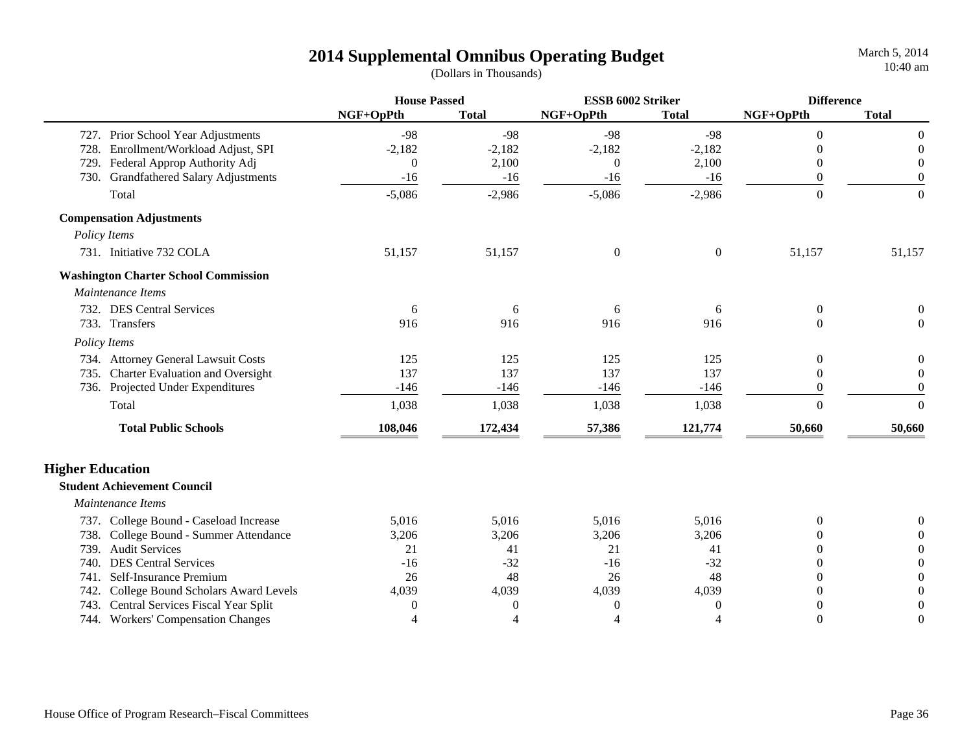|                         |                                             | <b>House Passed</b>      |                  | ESSB 6002 Striker |                  | <b>Difference</b> |                  |
|-------------------------|---------------------------------------------|--------------------------|------------------|-------------------|------------------|-------------------|------------------|
|                         |                                             | NGF+OpPth                | <b>Total</b>     | NGF+OpPth         | <b>Total</b>     | NGF+OpPth         | <b>Total</b>     |
| 727.                    | Prior School Year Adjustments               | $-98$                    | $-98$            | $-98$             | $-98$            | $\Omega$          | $\theta$         |
| 728.                    | Enrollment/Workload Adjust, SPI             | $-2,182$                 | $-2,182$         | $-2,182$          | $-2,182$         | $\Omega$          | $\theta$         |
| 729.                    | Federal Approp Authority Adj                | $\overline{0}$           | 2,100            | $\theta$          | 2,100            | $\Omega$          | $\theta$         |
| 730.                    | <b>Grandfathered Salary Adjustments</b>     | $-16$                    | $-16$            | $-16$             | $-16$            | $\Omega$          | $\theta$         |
|                         | Total                                       | $-5,086$                 | $-2,986$         | $-5,086$          | $-2,986$         | $\Omega$          | $\overline{0}$   |
|                         | <b>Compensation Adjustments</b>             |                          |                  |                   |                  |                   |                  |
|                         | Policy Items                                |                          |                  |                   |                  |                   |                  |
|                         | 731. Initiative 732 COLA                    | 51,157                   | 51,157           | $\boldsymbol{0}$  | $\boldsymbol{0}$ | 51,157            | 51,157           |
|                         | <b>Washington Charter School Commission</b> |                          |                  |                   |                  |                   |                  |
|                         | Maintenance Items                           |                          |                  |                   |                  |                   |                  |
|                         | 732. DES Central Services                   | 6                        | 6                | 6                 | 6                | $\theta$          |                  |
|                         | 733. Transfers                              | 916                      | 916              | 916               | 916              | $\Omega$          | $\Omega$         |
|                         | Policy Items                                |                          |                  |                   |                  |                   |                  |
|                         | 734. Attorney General Lawsuit Costs         | 125                      | 125              | 125               | 125              | $\Omega$          | $\theta$         |
|                         | 735. Charter Evaluation and Oversight       | 137                      | 137              | 137               | 137              | $\Omega$          | $\Omega$         |
|                         | 736. Projected Under Expenditures           | $-146$                   | $-146$           | $-146$            | $-146$           | $\Omega$          | $\Omega$         |
|                         | Total                                       | 1,038                    | 1,038            | 1,038             | 1,038            | $\theta$          | $\boldsymbol{0}$ |
|                         | <b>Total Public Schools</b>                 | 108,046                  | 172,434          | 57,386            | 121,774          | 50,660            | 50,660           |
| <b>Higher Education</b> |                                             |                          |                  |                   |                  |                   |                  |
|                         | <b>Student Achievement Council</b>          |                          |                  |                   |                  |                   |                  |
|                         | Maintenance Items                           |                          |                  |                   |                  |                   |                  |
|                         | 737. College Bound - Caseload Increase      | 5,016                    | 5,016            | 5,016             | 5,016            | $\Omega$          |                  |
| 738.                    | College Bound - Summer Attendance           | 3,206                    | 3,206            | 3,206             | 3,206            |                   |                  |
| 739.                    | <b>Audit Services</b>                       | 21                       | 41               | 21                | 41               | 0                 | $\Omega$         |
| 740.                    | <b>DES Central Services</b>                 | $-16$                    | $-32$            | $-16$             | $-32$            |                   | $\Omega$         |
| 741.                    | Self-Insurance Premium                      | 26                       | 48               | 26                | 48               | $\Omega$          | $\Omega$         |
| 742.                    | College Bound Scholars Award Levels         | 4,039                    | 4,039            | 4,039             | 4,039            | $\Omega$          | $\Omega$         |
| 743.                    | Central Services Fiscal Year Split          | $\theta$                 | $\boldsymbol{0}$ | 0                 | 0                |                   | $\Omega$         |
|                         | 744. Workers' Compensation Changes          | $\overline{\mathcal{A}}$ | 4                | $\overline{4}$    | $\overline{A}$   | $\theta$          | $\theta$         |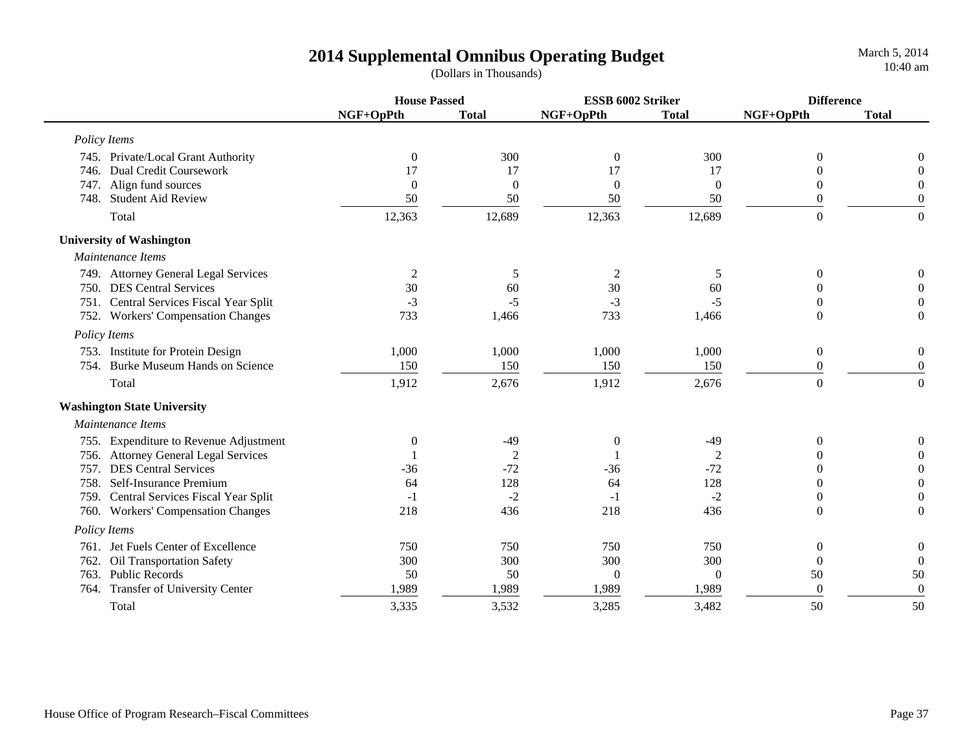March 5, 2014 10:40 am

|                                    |                                         | <b>House Passed</b> |                | ESSB 6002 Striker |                | <b>Difference</b> |                  |
|------------------------------------|-----------------------------------------|---------------------|----------------|-------------------|----------------|-------------------|------------------|
|                                    |                                         | NGF+OpPth           | <b>Total</b>   | NGF+OpPth         | <b>Total</b>   | NGF+OpPth         | <b>Total</b>     |
| Policy Items                       |                                         |                     |                |                   |                |                   |                  |
|                                    | 745. Private/Local Grant Authority      | $\overline{0}$      | 300            | $\boldsymbol{0}$  | 300            | $\theta$          | $\Omega$         |
|                                    | 746. Dual Credit Coursework             | 17                  | 17             | 17                | 17             |                   | $\Omega$         |
|                                    | 747. Align fund sources                 | $\Omega$            | $\overline{0}$ | $\overline{0}$    | $\overline{0}$ | $\Omega$          | $\Omega$         |
|                                    | 748. Student Aid Review                 | 50                  | 50             | 50                | 50             | $\Omega$          | $\overline{0}$   |
| Total                              |                                         | 12,363              | 12,689         | 12,363            | 12,689         | $\overline{0}$    | $\mathbf{0}$     |
| <b>University of Washington</b>    |                                         |                     |                |                   |                |                   |                  |
| Maintenance Items                  |                                         |                     |                |                   |                |                   |                  |
|                                    | 749. Attorney General Legal Services    | 2                   | 5              | $\overline{c}$    | 5              | $\mathbf{0}$      | $\theta$         |
|                                    | 750. DES Central Services               | 30                  | 60             | 30                | 60             |                   | $\Omega$         |
|                                    | 751. Central Services Fiscal Year Split | $-3$                | $-5$           | $-3$              | $-5$           |                   | $\Omega$         |
|                                    | 752. Workers' Compensation Changes      | 733                 | 1,466          | 733               | 1,466          | $\Omega$          | $\Omega$         |
| Policy Items                       |                                         |                     |                |                   |                |                   |                  |
|                                    | 753. Institute for Protein Design       | 1,000               | 1,000          | 1,000             | 1,000          | $\boldsymbol{0}$  | $\mathbf{0}$     |
| 754.                               | <b>Burke Museum Hands on Science</b>    | 150                 | 150            | 150               | 150            | $\boldsymbol{0}$  | $\overline{0}$   |
| Total                              |                                         | 1,912               | 2,676          | 1,912             | 2,676          | $\boldsymbol{0}$  | $\boldsymbol{0}$ |
| <b>Washington State University</b> |                                         |                     |                |                   |                |                   |                  |
| Maintenance Items                  |                                         |                     |                |                   |                |                   |                  |
|                                    | 755. Expenditure to Revenue Adjustment  | $\theta$            | $-49$          | $\boldsymbol{0}$  | $-49$          | $\theta$          | $\theta$         |
|                                    | 756. Attorney General Legal Services    |                     | $\overline{2}$ |                   | 2              |                   | $\Omega$         |
|                                    | 757. DES Central Services               | $-36$               | $-72$          | $-36$             | $-72$          |                   | $\overline{0}$   |
| 758.                               | Self-Insurance Premium                  | 64                  | 128            | 64                | 128            |                   | $\mathbf{0}$     |
|                                    | 759. Central Services Fiscal Year Split | $-1$                | $-2$           | $-1$              | $-2$           | 0                 | $\overline{0}$   |
|                                    | 760. Workers' Compensation Changes      | 218                 | 436            | 218               | 436            | $\Omega$          | $\overline{0}$   |
| Policy Items                       |                                         |                     |                |                   |                |                   |                  |
|                                    | 761. Jet Fuels Center of Excellence     | 750                 | 750            | 750               | 750            | 0                 | $\mathbf{0}$     |
| 762.                               | <b>Oil Transportation Safety</b>        | 300                 | 300            | 300               | 300            | $\theta$          | $\boldsymbol{0}$ |
| 763. Public Records                |                                         | 50                  | 50             | $\overline{0}$    | $\overline{0}$ | 50                | 50               |
| 764.                               | Transfer of University Center           | 1,989               | 1,989          | 1,989             | 1,989          | $\theta$          | $\boldsymbol{0}$ |
| Total                              |                                         | 3,335               | 3,532          | 3,285             | 3,482          | 50                | 50               |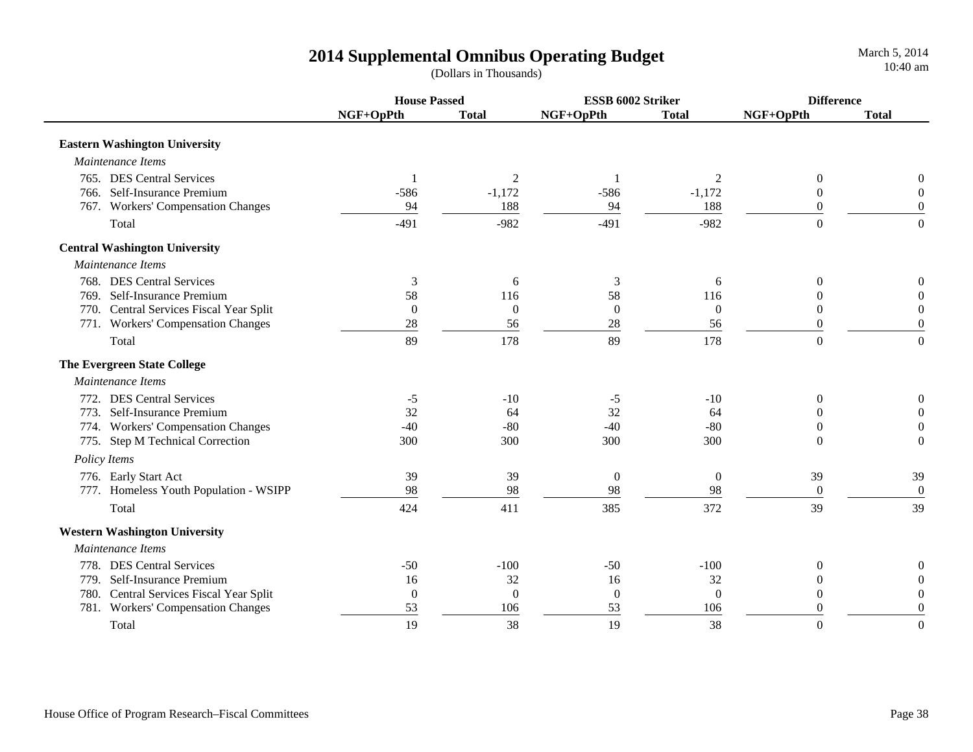|                                         |                | <b>House Passed</b> |                  | ESSB 6002 Striker |                  | <b>Difference</b> |  |
|-----------------------------------------|----------------|---------------------|------------------|-------------------|------------------|-------------------|--|
|                                         | NGF+OpPth      | <b>Total</b>        | NGF+OpPth        | <b>Total</b>      | NGF+OpPth        | <b>Total</b>      |  |
| <b>Eastern Washington University</b>    |                |                     |                  |                   |                  |                   |  |
| Maintenance Items                       |                |                     |                  |                   |                  |                   |  |
| 765. DES Central Services               |                | 2                   |                  | 2                 | $\boldsymbol{0}$ | 0                 |  |
| 766. Self-Insurance Premium             | $-586$         | $-1,172$            | $-586$           | $-1,172$          | $\boldsymbol{0}$ | $\Omega$          |  |
| 767. Workers' Compensation Changes      | 94             | 188                 | 94               | 188               | $\Omega$         | $\Omega$          |  |
| Total                                   | $-491$         | $-982$              | $-491$           | $-982$            | $\Omega$         | $\overline{0}$    |  |
| <b>Central Washington University</b>    |                |                     |                  |                   |                  |                   |  |
| Maintenance Items                       |                |                     |                  |                   |                  |                   |  |
| 768. DES Central Services               | 3              | 6                   | 3                | 6                 | $\Omega$         | $\Omega$          |  |
| 769. Self-Insurance Premium             | 58             | 116                 | 58               | 116               | 0                | $\Omega$          |  |
| 770. Central Services Fiscal Year Split | $\overline{0}$ | $\mathbf{0}$        | $\boldsymbol{0}$ | $\overline{0}$    | $\Omega$         | $\Omega$          |  |
| 771. Workers' Compensation Changes      | 28             | 56                  | 28               | 56                | $\Omega$         | $\Omega$          |  |
| Total                                   | 89             | 178                 | 89               | 178               | $\Omega$         | $\Omega$          |  |
| <b>The Evergreen State College</b>      |                |                     |                  |                   |                  |                   |  |
| Maintenance Items                       |                |                     |                  |                   |                  |                   |  |
| 772. DES Central Services               | -5             | $-10$               | $-5$             | $-10$             | $\Omega$         | 0                 |  |
| 773. Self-Insurance Premium             | 32             | 64                  | 32               | 64                | $\Omega$         | $\theta$          |  |
| 774. Workers' Compensation Changes      | $-40$          | $-80$               | $-40$            | $-80$             | $\theta$         | $\boldsymbol{0}$  |  |
| 775. Step M Technical Correction        | 300            | 300                 | 300              | 300               | $\Omega$         | $\Omega$          |  |
| Policy Items                            |                |                     |                  |                   |                  |                   |  |
| 776. Early Start Act                    | 39             | 39                  | $\boldsymbol{0}$ | $\overline{0}$    | 39               | 39                |  |
| 777. Homeless Youth Population - WSIPP  | 98             | 98                  | 98               | 98                | $\overline{0}$   | $\boldsymbol{0}$  |  |
| Total                                   | 424            | 411                 | 385              | 372               | 39               | 39                |  |
| <b>Western Washington University</b>    |                |                     |                  |                   |                  |                   |  |
| Maintenance Items                       |                |                     |                  |                   |                  |                   |  |
| 778. DES Central Services               | $-50$          | $-100$              | $-50$            | $-100$            | $\theta$         | $\boldsymbol{0}$  |  |
| 779. Self-Insurance Premium             | 16             | 32                  | 16               | 32                | $\overline{0}$   | $\overline{0}$    |  |
| 780. Central Services Fiscal Year Split | $\overline{0}$ | $\overline{0}$      | $\boldsymbol{0}$ | $\overline{0}$    | $\Omega$         | $\Omega$          |  |
| 781. Workers' Compensation Changes      | 53             | 106                 | 53               | 106               | $\theta$         | $\Omega$          |  |
| Total                                   | 19             | 38                  | 19               | 38                | $\Omega$         | $\Omega$          |  |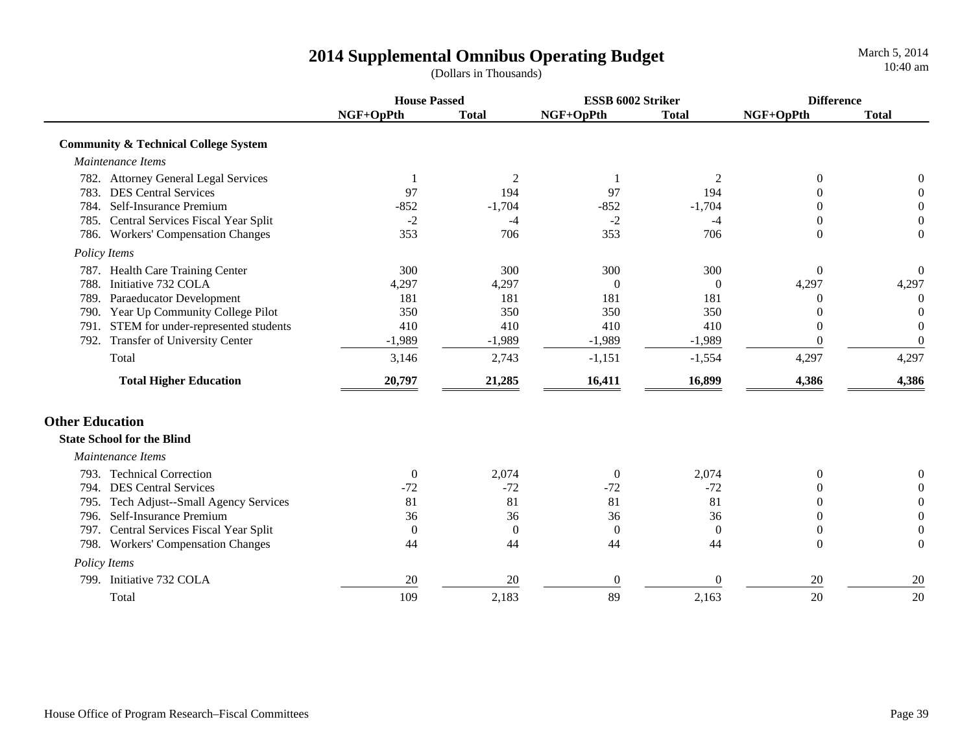**House Passed ESSB 6002 Striker DifferenceNGF+OpPth Total NGF+OpPth Total NGF+OpPth Total Community & Technical College System**  *Maintenance Items*782. Attorney General Legal Services 121200 783. DES Central Services 97 194 97 194 0 0784. Self-Insurance Premium -852 -1,704 -852 -1,704 0 0 785. Central Services Fiscal Year Split  $\overline{a}$   $\overline{a}$   $\overline{a}$   $\overline{a}$   $\overline{a}$   $\overline{a}$   $\overline{a}$   $\overline{a}$   $\overline{a}$   $\overline{a}$   $\overline{a}$   $\overline{a}$   $\overline{a}$   $\overline{a}$   $\overline{a}$   $\overline{a}$   $\overline{a}$   $\overline{a}$   $\overline{a}$   $\overline{a}$   $\$ 786. Workers' Compensation Changes 353 706 353 706 0 0  *Policy Items* 787. Health Care Training Center 300 300 300 300 0 0 788. Initiative 732 COLA 2,297 4,297 4,297 4,297 4,297 4,297 4,297 4,297 4,297 4,297 789. Paraeducator Development 181 181 181 181 181 181 0 0 790. Year Up Community College Pilot 350 350 350 350 0 0 791. STEM for under-represented students 410 410 410 410 0 0 792. Transfer of University Center -1,989 -1,989 -1,989 -1,989 0 0 Total 3,146 2,743 -1,151 -1,554 4,297 4,297  **Total Higher Education 20,797 21,285 16,411 16,899 4,386 4,386 Other Education State School for the Blind** *Maintenance Items*793. Technical Correction 0 2,074 0 2,074 0 0 794. DES Central Services  $\frac{-72}{2}$   $\frac{-72}{2}$   $\frac{-72}{2}$   $\frac{-72}{2}$   $\frac{-72}{2}$  0 0 795. Tech Adjust--Small Agency Services 81 81 81 81 81 81 0 0 796. Self-Insurance Premium 36 36 36 36 0 0797. Central Services Fiscal Year Split 000000 798. Workers' Compensation Changes 44 44 44 44 0 0  *Policy Items* 799. Initiative 732 COLA 20 20 0 0 20 2020

Total 109 2,183 89 2,163 20 20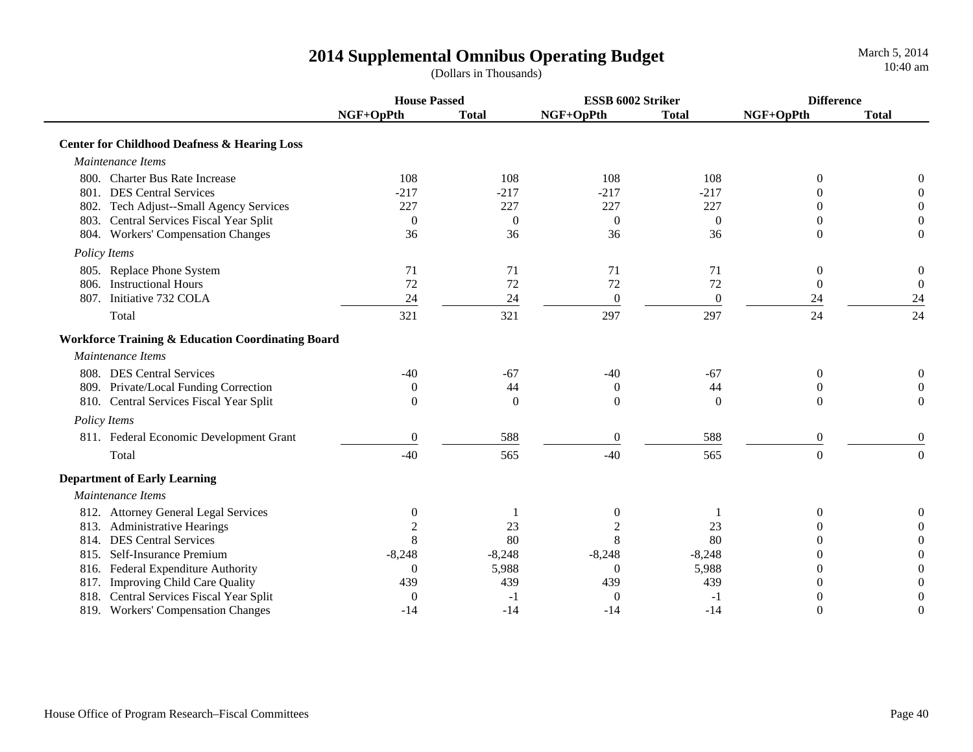|                                                              |                  | <b>House Passed</b><br>ESSB 6002 Striker |                  |                  | <b>Difference</b> |                  |
|--------------------------------------------------------------|------------------|------------------------------------------|------------------|------------------|-------------------|------------------|
|                                                              | NGF+OpPth        | <b>Total</b>                             | NGF+OpPth        | <b>Total</b>     | NGF+OpPth         | <b>Total</b>     |
| <b>Center for Childhood Deafness &amp; Hearing Loss</b>      |                  |                                          |                  |                  |                   |                  |
| Maintenance Items                                            |                  |                                          |                  |                  |                   |                  |
| 800. Charter Bus Rate Increase                               | 108              | 108                                      | 108              | 108              | $\theta$          | 0                |
| 801. DES Central Services                                    | $-217$           | $-217$                                   | $-217$           | $-217$           | $\Omega$          | 0                |
| 802. Tech Adjust--Small Agency Services                      | 227              | 227                                      | 227              | 227              | $\Omega$          | $\Omega$         |
| 803. Central Services Fiscal Year Split                      | $\mathbf{0}$     | $\overline{0}$                           | $\overline{0}$   | $\theta$         | $\Omega$          | 0                |
| 804. Workers' Compensation Changes                           | 36               | 36                                       | 36               | 36               | $\Omega$          | $\overline{0}$   |
| Policy Items                                                 |                  |                                          |                  |                  |                   |                  |
| 805. Replace Phone System                                    | 71               | 71                                       | 71               | 71               | $\boldsymbol{0}$  | $\overline{0}$   |
| 806. Instructional Hours                                     | 72               | 72                                       | 72               | 72               | $\boldsymbol{0}$  | $\boldsymbol{0}$ |
| 807. Initiative 732 COLA                                     | 24               | 24                                       | $\boldsymbol{0}$ | $\boldsymbol{0}$ | 24                | 24               |
| Total                                                        | 321              | 321                                      | 297              | 297              | 24                | 24               |
| <b>Workforce Training &amp; Education Coordinating Board</b> |                  |                                          |                  |                  |                   |                  |
| Maintenance Items                                            |                  |                                          |                  |                  |                   |                  |
| 808. DES Central Services                                    | $-40$            | $-67$                                    | $-40$            | $-67$            | $\boldsymbol{0}$  | 0                |
| 809. Private/Local Funding Correction                        | $\overline{0}$   | 44                                       | $\overline{0}$   | 44               | $\Omega$          | $\Omega$         |
| 810. Central Services Fiscal Year Split                      | $\Omega$         | $\Omega$                                 | $\overline{0}$   | $\theta$         | $\Omega$          | $\Omega$         |
| Policy Items                                                 |                  |                                          |                  |                  |                   |                  |
| 811. Federal Economic Development Grant                      | $\boldsymbol{0}$ | 588                                      | $\boldsymbol{0}$ | 588              | $\boldsymbol{0}$  | $\mathbf{0}$     |
| Total                                                        | $-40$            | 565                                      | $-40$            | 565              | $\mathbf{0}$      | $\boldsymbol{0}$ |
| <b>Department of Early Learning</b>                          |                  |                                          |                  |                  |                   |                  |
| Maintenance Items                                            |                  |                                          |                  |                  |                   |                  |
| 812. Attorney General Legal Services                         | $\boldsymbol{0}$ |                                          | $\boldsymbol{0}$ |                  | $\boldsymbol{0}$  | $\boldsymbol{0}$ |
| 813. Administrative Hearings                                 |                  | 23                                       | $\overline{c}$   | 23               | $\theta$          | $\Omega$         |
| 814. DES Central Services                                    | 8                | 80                                       | 8                | 80               | $\Omega$          | $\theta$         |
| 815. Self-Insurance Premium                                  | $-8,248$         | $-8,248$                                 | $-8,248$         | $-8,248$         | 0                 | $\overline{0}$   |
| 816. Federal Expenditure Authority                           | $\theta$         | 5,988                                    | $\theta$         | 5,988            | $\theta$          | $\overline{0}$   |
| 817. Improving Child Care Quality                            | 439              | 439                                      | 439              | 439              | 0                 | $\boldsymbol{0}$ |
| 818. Central Services Fiscal Year Split                      | $\boldsymbol{0}$ | $-1$                                     | $\theta$         | -1               | 0                 | $\overline{0}$   |
| 819. Workers' Compensation Changes                           | $-14$            | $-14$                                    | $-14$            | $-14$            | $\overline{0}$    | $\theta$         |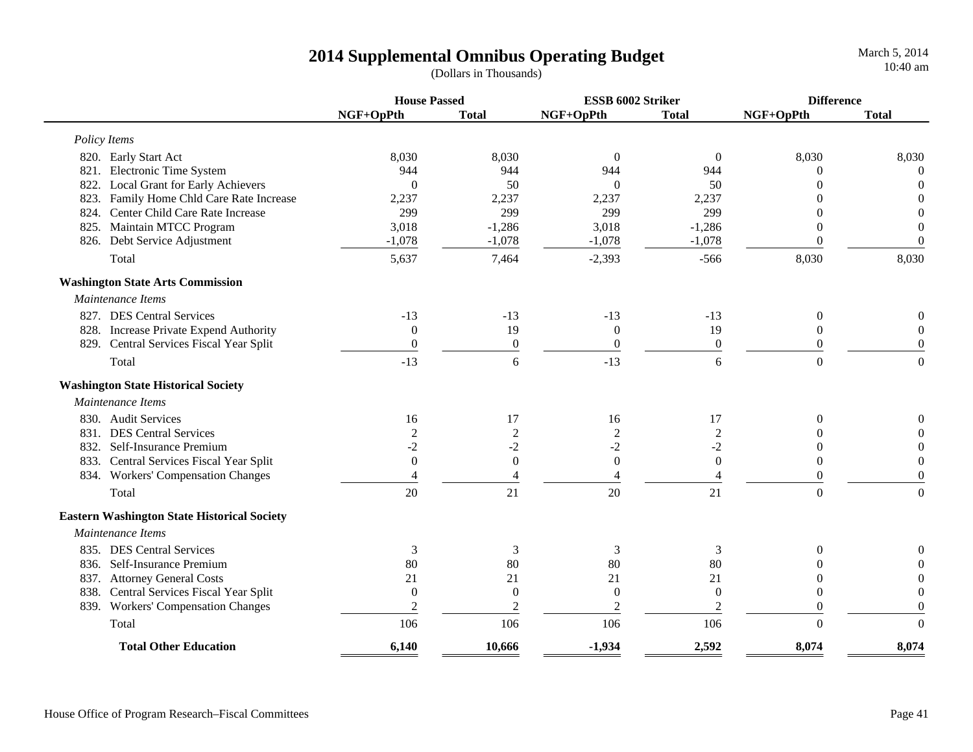|              |                                                    | <b>House Passed</b> |                  | ESSB 6002 Striker |                  | <b>Difference</b> |                  |
|--------------|----------------------------------------------------|---------------------|------------------|-------------------|------------------|-------------------|------------------|
|              |                                                    | NGF+OpPth           | <b>Total</b>     | NGF+OpPth         | <b>Total</b>     | NGF+OpPth         | <b>Total</b>     |
| Policy Items |                                                    |                     |                  |                   |                  |                   |                  |
|              | 820. Early Start Act                               | 8,030               | 8,030            | $\boldsymbol{0}$  | $\overline{0}$   | 8,030             | 8,030            |
|              | 821. Electronic Time System                        | 944                 | 944              | 944               | 944              | $\Omega$          | $\theta$         |
|              | 822. Local Grant for Early Achievers               | $\theta$            | 50               | $\overline{0}$    | 50               | $\Omega$          | $\mathbf{0}$     |
|              | 823. Family Home Chld Care Rate Increase           | 2,237               | 2,237            | 2,237             | 2,237            |                   | $\theta$         |
|              | 824. Center Child Care Rate Increase               | 299                 | 299              | 299               | 299              |                   | $\boldsymbol{0}$ |
|              | 825. Maintain MTCC Program                         | 3,018               | $-1,286$         | 3,018             | $-1,286$         | $\theta$          | $\theta$         |
|              | 826. Debt Service Adjustment                       | $-1,078$            | $-1,078$         | $-1,078$          | $-1,078$         | $\theta$          | $\boldsymbol{0}$ |
|              | Total                                              | 5,637               | 7,464            | $-2,393$          | $-566$           | 8,030             | 8,030            |
|              | <b>Washington State Arts Commission</b>            |                     |                  |                   |                  |                   |                  |
|              | Maintenance Items                                  |                     |                  |                   |                  |                   |                  |
|              | 827. DES Central Services                          | $-13$               | $-13$            | $-13$             | $-13$            | $\boldsymbol{0}$  | 0                |
|              | 828. Increase Private Expend Authority             | $\boldsymbol{0}$    | 19               | $\boldsymbol{0}$  | 19               | $\theta$          | $\boldsymbol{0}$ |
|              | 829. Central Services Fiscal Year Split            | $\boldsymbol{0}$    | $\boldsymbol{0}$ | $\boldsymbol{0}$  | $\boldsymbol{0}$ | $\theta$          | $\boldsymbol{0}$ |
|              | Total                                              | $-13$               | 6                | $-13$             | 6                | $\overline{0}$    | $\overline{0}$   |
|              | <b>Washington State Historical Society</b>         |                     |                  |                   |                  |                   |                  |
|              | Maintenance Items                                  |                     |                  |                   |                  |                   |                  |
|              | 830. Audit Services                                | 16                  | 17               | 16                | 17               | $\overline{0}$    | $\boldsymbol{0}$ |
|              | 831. DES Central Services                          | $\boldsymbol{2}$    | $\boldsymbol{2}$ | $\sqrt{2}$        | $\boldsymbol{2}$ | 0                 | $\Omega$         |
|              | 832. Self-Insurance Premium                        | $-2$                | $-2$             | $-2$              | $-2$             | $\theta$          | $\boldsymbol{0}$ |
|              | 833. Central Services Fiscal Year Split            | $\theta$            | $\boldsymbol{0}$ | $\boldsymbol{0}$  | $\mathbf{0}$     | $\theta$          | $\boldsymbol{0}$ |
|              | 834. Workers' Compensation Changes                 | 4                   | $\overline{4}$   | $\overline{4}$    | $\overline{4}$   | $\boldsymbol{0}$  | $\boldsymbol{0}$ |
|              | Total                                              | 20                  | 21               | 20                | 21               | $\Omega$          | $\overline{0}$   |
|              | <b>Eastern Washington State Historical Society</b> |                     |                  |                   |                  |                   |                  |
|              | Maintenance Items                                  |                     |                  |                   |                  |                   |                  |
|              | 835. DES Central Services                          | 3                   | 3                | $\mathfrak{Z}$    | 3                | $\theta$          | $\boldsymbol{0}$ |
|              | 836. Self-Insurance Premium                        | 80                  | 80               | 80                | 80               | $\Omega$          | $\boldsymbol{0}$ |
|              | 837. Attorney General Costs                        | 21                  | 21               | 21                | 21               | $\overline{0}$    | $\boldsymbol{0}$ |
|              | 838. Central Services Fiscal Year Split            | $\theta$            | $\boldsymbol{0}$ | $\boldsymbol{0}$  | $\mathbf{0}$     | $\theta$          | $\boldsymbol{0}$ |
|              | 839. Workers' Compensation Changes                 | $\overline{c}$      | $\mathfrak{2}$   | $\overline{c}$    | $\overline{c}$   | $\Omega$          | $\theta$         |
|              | Total                                              | 106                 | 106              | 106               | 106              | $\theta$          | $\Omega$         |
|              | <b>Total Other Education</b>                       | 6,140               | 10,666           | $-1,934$          | 2,592            | 8,074             | 8,074            |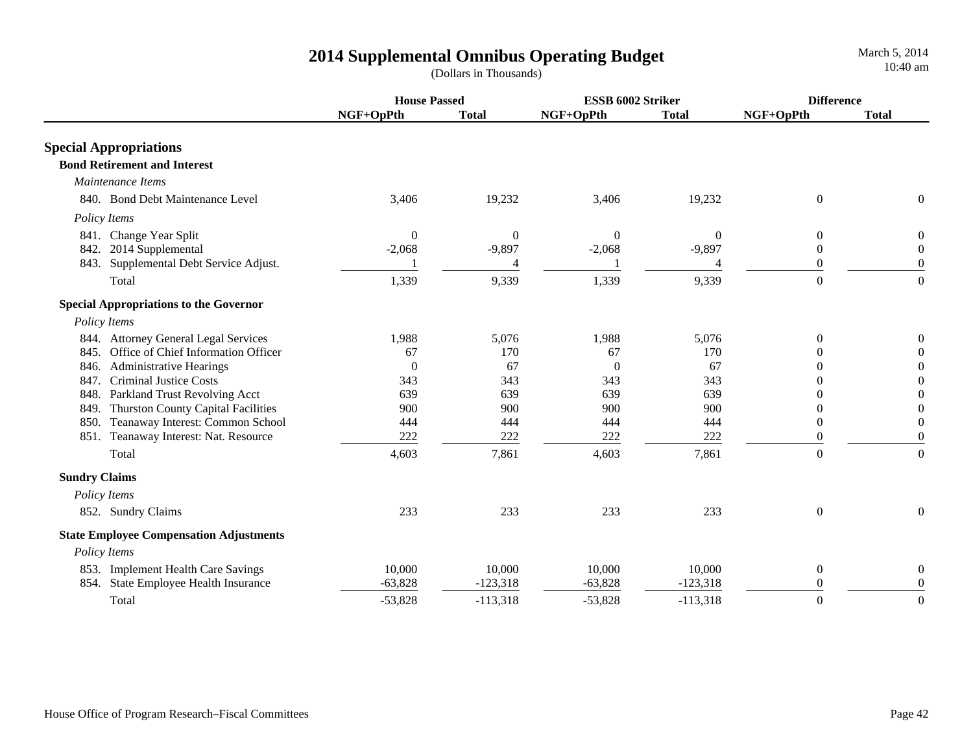|                                                                                            | <b>House Passed</b>          |                              | ESSB 6002 Striker            |                              | <b>Difference</b>                              |                                                |
|--------------------------------------------------------------------------------------------|------------------------------|------------------------------|------------------------------|------------------------------|------------------------------------------------|------------------------------------------------|
|                                                                                            | NGF+OpPth                    | <b>Total</b>                 | NGF+OpPth                    | <b>Total</b>                 | NGF+OpPth                                      | <b>Total</b>                                   |
| <b>Special Appropriations</b>                                                              |                              |                              |                              |                              |                                                |                                                |
| <b>Bond Retirement and Interest</b>                                                        |                              |                              |                              |                              |                                                |                                                |
| Maintenance Items                                                                          |                              |                              |                              |                              |                                                |                                                |
| 840. Bond Debt Maintenance Level                                                           | 3,406                        | 19,232                       | 3,406                        | 19,232                       | $\overline{0}$                                 | $\overline{0}$                                 |
| Policy Items                                                                               |                              |                              |                              |                              |                                                |                                                |
| 841. Change Year Split<br>842. 2014 Supplemental<br>843. Supplemental Debt Service Adjust. | $\boldsymbol{0}$<br>$-2,068$ | $\boldsymbol{0}$<br>$-9,897$ | $\boldsymbol{0}$<br>$-2,068$ | $\boldsymbol{0}$<br>$-9,897$ | $\boldsymbol{0}$<br>$\overline{0}$<br>$\theta$ | $\boldsymbol{0}$<br>$\overline{0}$<br>$\theta$ |
| Total                                                                                      | 1,339                        | 9,339                        | 1,339                        | 9,339                        | $\overline{0}$                                 | $\boldsymbol{0}$                               |
| <b>Special Appropriations to the Governor</b>                                              |                              |                              |                              |                              |                                                |                                                |
| Policy Items                                                                               |                              |                              |                              |                              |                                                |                                                |
| 844. Attorney General Legal Services<br>845. Office of Chief Information Officer           | 1,988<br>67                  | 5,076<br>170                 | 1,988<br>67                  | 5,076<br>170                 | $\theta$<br>$\theta$                           | $\theta$<br>0                                  |
| 846. Administrative Hearings                                                               | $\boldsymbol{0}$             | 67                           | $\overline{0}$               | 67                           | $\Omega$                                       | $\Omega$                                       |
| 847. Criminal Justice Costs                                                                | 343                          | 343                          | 343                          | 343                          | $\Omega$                                       | $\Omega$                                       |
| 848. Parkland Trust Revolving Acct                                                         | 639                          | 639                          | 639                          | 639                          | $\Omega$                                       | $\Omega$                                       |
| 849. Thurston County Capital Facilities                                                    | 900                          | 900                          | 900                          | 900                          | $\Omega$                                       | $\Omega$                                       |
| 850. Teanaway Interest: Common School                                                      | 444                          | 444                          | 444                          | 444                          | $\theta$                                       | $\Omega$                                       |
| 851. Teanaway Interest: Nat. Resource                                                      | 222                          | 222                          | 222                          | 222                          | $\overline{0}$                                 | $\overline{0}$                                 |
| Total                                                                                      | 4,603                        | 7,861                        | 4,603                        | 7,861                        | $\Omega$                                       | $\Omega$                                       |
| <b>Sundry Claims</b>                                                                       |                              |                              |                              |                              |                                                |                                                |
| Policy Items                                                                               |                              |                              |                              |                              |                                                |                                                |
| 852. Sundry Claims                                                                         | 233                          | 233                          | 233                          | 233                          | $\overline{0}$                                 | $\theta$                                       |
| <b>State Employee Compensation Adjustments</b>                                             |                              |                              |                              |                              |                                                |                                                |
| Policy Items                                                                               |                              |                              |                              |                              |                                                |                                                |
| 853. Implement Health Care Savings                                                         | 10,000                       | 10,000                       | 10,000                       | 10,000                       | $\overline{0}$                                 | 0                                              |
| 854. State Employee Health Insurance                                                       | $-63,828$                    | $-123,318$                   | $-63,828$                    | $-123,318$                   | $\Omega$                                       | $\overline{0}$                                 |
| Total                                                                                      | $-53,828$                    | $-113,318$                   | $-53,828$                    | $-113,318$                   | $\theta$                                       | $\theta$                                       |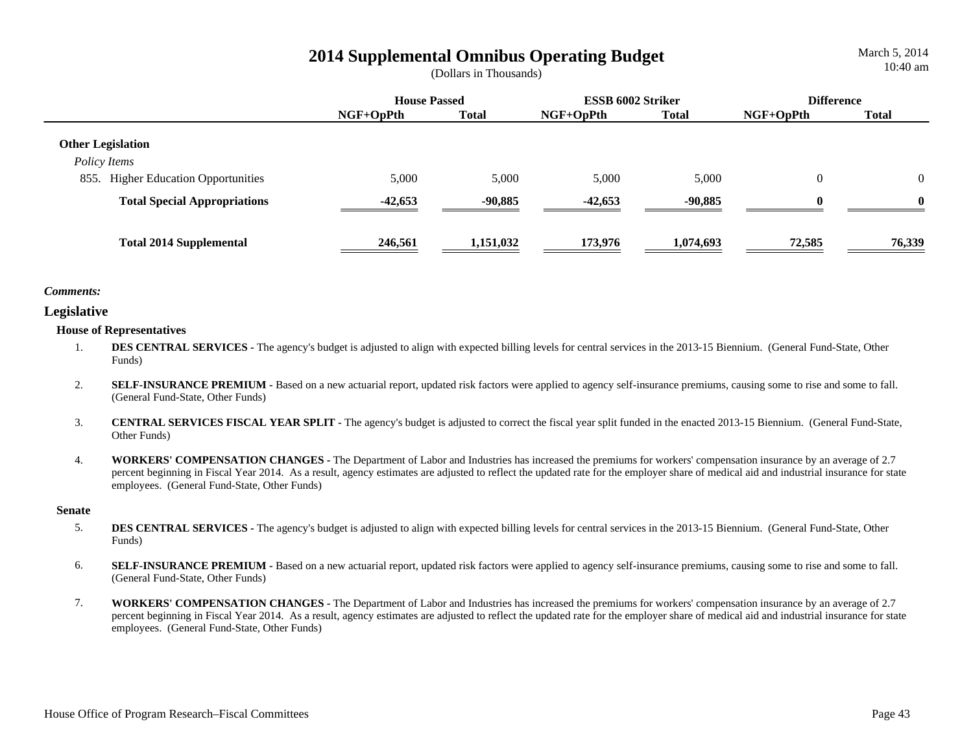March 5, 2014 10:40 am

|                                                               | <b>House Passed</b> |              | <b>ESSB 6002 Striker</b> |              | <b>Difference</b> |              |
|---------------------------------------------------------------|---------------------|--------------|--------------------------|--------------|-------------------|--------------|
|                                                               | $NGF+OpPth$         | <b>Total</b> | $NGF+OpPth$              | <b>Total</b> | $NGF+OpPth$       | Total        |
| <b>Other Legislation</b>                                      |                     |              |                          |              |                   |              |
| Policy Items<br><b>Higher Education Opportunities</b><br>855. | 5,000               | 5,000        | 5,000                    | 5,000        | $\overline{0}$    | $\Omega$     |
| <b>Total Special Appropriations</b>                           | $-42,653$           | $-90,885$    | $-42,653$                | $-90.885$    | $\mathbf{0}$      | $\mathbf{0}$ |
| <b>Total 2014 Supplemental</b>                                | 246,561             | 1,151,032    | 173,976                  | 1,074,693    | 72,585            | 76,339       |

## *Comments:*

## **Legislative**

## **House of Representatives**

- 1.**DES CENTRAL SERVICES** - The agency's budget is adjusted to align with expected billing levels for central services in the 2013-15 Biennium. (General Fund-State, Other Funds)
- 2.**SELF-INSURANCE PREMIUM -** Based on a new actuarial report, updated risk factors were applied to agency self-insurance premiums, causing some to rise and some to fall. (General Fund-State, Other Funds)
- 3. **CENTRAL SERVICES FISCAL YEAR SPLIT -** The agency's budget is adjusted to correct the fiscal year split funded in the enacted 2013-15 Biennium. (General Fund-State, Other Funds)
- 4. **WORKERS' COMPENSATION CHANGES -** The Department of Labor and Industries has increased the premiums for workers' compensation insurance by an average of 2.7 percent beginning in Fiscal Year 2014. As a result, agency estimates are adjusted to reflect the updated rate for the employer share of medical aid and industrial insurance for state employees. (General Fund-State, Other Funds)

#### **Senate**

- 5.**DES CENTRAL SERVICES** - The agency's budget is adjusted to align with expected billing levels for central services in the 2013-15 Biennium. (General Fund-State, Other Funds)
- 6.**SELF-INSURANCE PREMIUM -** Based on a new actuarial report, updated risk factors were applied to agency self-insurance premiums, causing some to rise and some to fall. (General Fund-State, Other Funds)
- 7. **WORKERS' COMPENSATION CHANGES -** The Department of Labor and Industries has increased the premiums for workers' compensation insurance by an average of 2.7 percent beginning in Fiscal Year 2014. As a result, agency estimates are adjusted to reflect the updated rate for the employer share of medical aid and industrial insurance for state employees. (General Fund-State, Other Funds)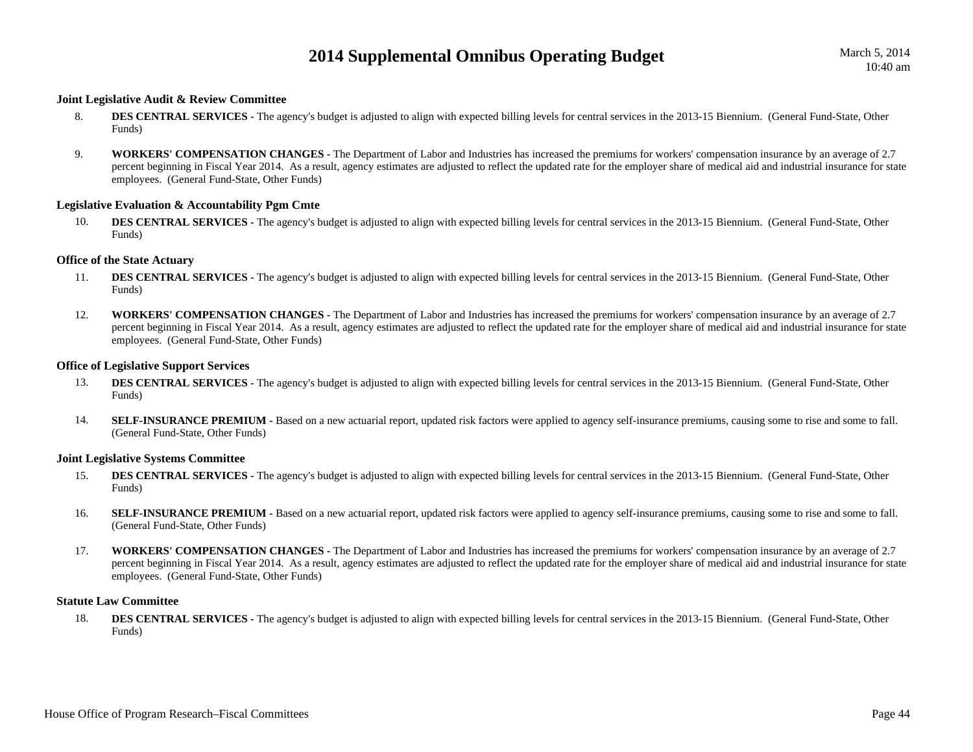#### **Joint Legislative Audit & Review Committee**

- 8.**DES CENTRAL SERVICES -** The agency's budget is adjusted to align with expected billing levels for central services in the 2013-15 Biennium. (General Fund-State, Other Funds)
- 9. **WORKERS' COMPENSATION CHANGES -** The Department of Labor and Industries has increased the premiums for workers' compensation insurance by an average of 2.7 percent beginning in Fiscal Year 2014. As a result, agency estimates are adjusted to reflect the updated rate for the employer share of medical aid and industrial insurance for state employees. (General Fund-State, Other Funds)

#### **Legislative Evaluation & Accountability Pgm Cmte**

10.**DES CENTRAL SERVICES -** The agency's budget is adjusted to align with expected billing levels for central services in the 2013-15 Biennium. (General Fund-State, Other Funds)

#### **Office of the State Actuary**

- 11.**DES CENTRAL SERVICES** - The agency's budget is adjusted to align with expected billing levels for central services in the 2013-15 Biennium. (General Fund-State, Other Funds)
- 12. **WORKERS' COMPENSATION CHANGES -** The Department of Labor and Industries has increased the premiums for workers' compensation insurance by an average of 2.7 percent beginning in Fiscal Year 2014. As a result, agency estimates are adjusted to reflect the updated rate for the employer share of medical aid and industrial insurance for state employees. (General Fund-State, Other Funds)

#### **Office of Legislative Support Services**

- 13.**DES CENTRAL SERVICES -** The agency's budget is adjusted to align with expected billing levels for central services in the 2013-15 Biennium. (General Fund-State, Other Funds)
- 14.SELF-INSURANCE PREMIUM - Based on a new actuarial report, updated risk factors were applied to agency self-insurance premiums, causing some to rise and some to fall. (General Fund-State, Other Funds)

#### **Joint Legislative Systems Committee**

- 15.**DES CENTRAL SERVICES -** The agency's budget is adjusted to align with expected billing levels for central services in the 2013-15 Biennium. (General Fund-State, Other Funds)
- 16.SELF-INSURANCE PREMIUM - Based on a new actuarial report, updated risk factors were applied to agency self-insurance premiums, causing some to rise and some to fall. (General Fund-State, Other Funds)
- 17. **WORKERS' COMPENSATION CHANGES -** The Department of Labor and Industries has increased the premiums for workers' compensation insurance by an average of 2.7 percent beginning in Fiscal Year 2014. As a result, agency estimates are adjusted to reflect the updated rate for the employer share of medical aid and industrial insurance for state employees. (General Fund-State, Other Funds)

#### **Statute Law Committee**

18.**DES CENTRAL SERVICES -** The agency's budget is adjusted to align with expected billing levels for central services in the 2013-15 Biennium. (General Fund-State, Other Funds)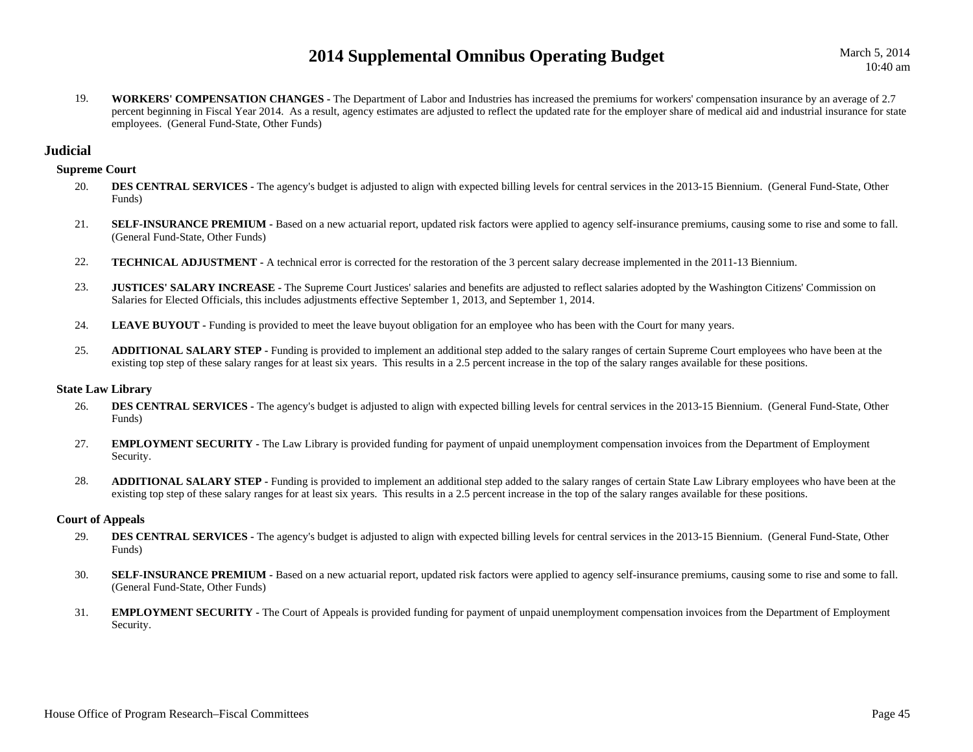March 5, 2014 10:40 am

19. **WORKERS' COMPENSATION CHANGES -** The Department of Labor and Industries has increased the premiums for workers' compensation insurance by an average of 2.7 percent beginning in Fiscal Year 2014. As a result, agency estimates are adjusted to reflect the updated rate for the employer share of medical aid and industrial insurance for state employees. (General Fund-State, Other Funds)

## **Judicial**

#### **Supreme Court**

- 20.**DES CENTRAL SERVICES -** The agency's budget is adjusted to align with expected billing levels for central services in the 2013-15 Biennium. (General Fund-State, Other Funds)
- 21.SELF-INSURANCE PREMIUM - Based on a new actuarial report, updated risk factors were applied to agency self-insurance premiums, causing some to rise and some to fall. (General Fund-State, Other Funds)
- 22.**TECHNICAL ADJUSTMENT -** A technical error is corrected for the restoration of the 3 percent salary decrease implemented in the 2011-13 Biennium.
- 23.**JUSTICES' SALARY INCREASE -** The Supreme Court Justices' salaries and benefits are adjusted to reflect salaries adopted by the Washington Citizens' Commission on Salaries for Elected Officials, this includes adjustments effective September 1, 2013, and September 1, 2014.
- 24.LEAVE BUYOUT - Funding is provided to meet the leave buyout obligation for an employee who has been with the Court for many years.
- 25. **ADDITIONAL SALARY STEP -** Funding is provided to implement an additional step added to the salary ranges of certain Supreme Court employees who have been at the existing top step of these salary ranges for at least six years. This results in a 2.5 percent increase in the top of the salary ranges available for these positions.

#### **State Law Library**

- 26.**DES CENTRAL SERVICES -** The agency's budget is adjusted to align with expected billing levels for central services in the 2013-15 Biennium. (General Fund-State, Other Funds)
- 27. **EMPLOYMENT SECURITY -** The Law Library is provided funding for payment of unpaid unemployment compensation invoices from the Department of Employment Security.
- 28. **ADDITIONAL SALARY STEP -** Funding is provided to implement an additional step added to the salary ranges of certain State Law Library employees who have been at the existing top step of these salary ranges for at least six years. This results in a 2.5 percent increase in the top of the salary ranges available for these positions.

#### **Court of Appeals**

- 29.**DES CENTRAL SERVICES -** The agency's budget is adjusted to align with expected billing levels for central services in the 2013-15 Biennium. (General Fund-State, Other Funds)
- 30.**SELF-INSURANCE PREMIUM -** Based on a new actuarial report, updated risk factors were applied to agency self-insurance premiums, causing some to rise and some to fall. (General Fund-State, Other Funds)
- 31. **EMPLOYMENT SECURITY -** The Court of Appeals is provided funding for payment of unpaid unemployment compensation invoices from the Department of Employment Security.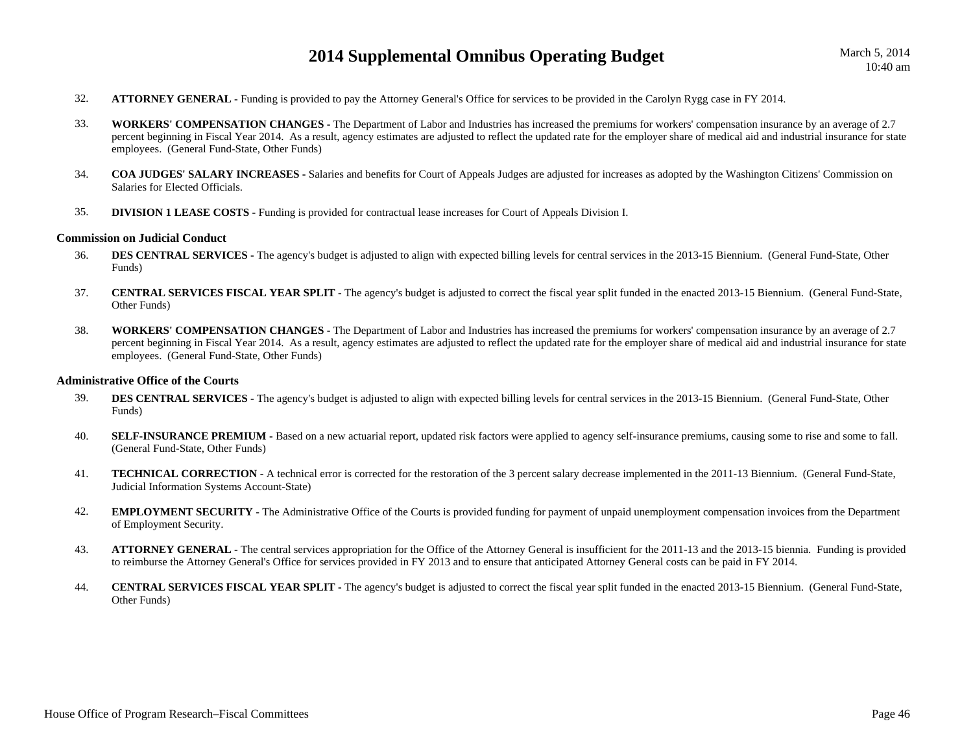- 32.**ATTORNEY GENERAL -** Funding is provided to pay the Attorney General's Office for services to be provided in the Carolyn Rygg case in FY 2014.
- 33. **WORKERS' COMPENSATION CHANGES -** The Department of Labor and Industries has increased the premiums for workers' compensation insurance by an average of 2.7 percent beginning in Fiscal Year 2014. As a result, agency estimates are adjusted to reflect the updated rate for the employer share of medical aid and industrial insurance for state employees. (General Fund-State, Other Funds)
- 34. **COA JUDGES' SALARY INCREASES -** Salaries and benefits for Court of Appeals Judges are adjusted for increases as adopted by the Washington Citizens' Commission on Salaries for Elected Officials.
- 35.**DIVISION 1 LEASE COSTS -** Funding is provided for contractual lease increases for Court of Appeals Division I.

#### **Commission on Judicial Conduct**

- 36.**DES CENTRAL SERVICES** - The agency's budget is adjusted to align with expected billing levels for central services in the 2013-15 Biennium. (General Fund-State, Other Funds)
- 37. **CENTRAL SERVICES FISCAL YEAR SPLIT -** The agency's budget is adjusted to correct the fiscal year split funded in the enacted 2013-15 Biennium. (General Fund-State, Other Funds)
- 38. **WORKERS' COMPENSATION CHANGES -** The Department of Labor and Industries has increased the premiums for workers' compensation insurance by an average of 2.7 percent beginning in Fiscal Year 2014. As a result, agency estimates are adjusted to reflect the updated rate for the employer share of medical aid and industrial insurance for state employees. (General Fund-State, Other Funds)

#### **Administrative Office of the Courts**

- 39.**DES CENTRAL SERVICES -** The agency's budget is adjusted to align with expected billing levels for central services in the 2013-15 Biennium. (General Fund-State, Other Funds)
- 40.**SELF-INSURANCE PREMIUM -** Based on a new actuarial report, updated risk factors were applied to agency self-insurance premiums, causing some to rise and some to fall. (General Fund-State, Other Funds)
- 41. **TECHNICAL CORRECTION -** A technical error is corrected for the restoration of the 3 percent salary decrease implemented in the 2011-13 Biennium. (General Fund-State, Judicial Information Systems Account-State)
- 42. **EMPLOYMENT SECURITY -** The Administrative Office of the Courts is provided funding for payment of unpaid unemployment compensation invoices from the Department of Employment Security.
- 43. **ATTORNEY GENERAL -** The central services appropriation for the Office of the Attorney General is insufficient for the 2011-13 and the 2013-15 biennia. Funding is provided to reimburse the Attorney General's Office for services provided in FY 2013 and to ensure that anticipated Attorney General costs can be paid in FY 2014.
- 44. **CENTRAL SERVICES FISCAL YEAR SPLIT -** The agency's budget is adjusted to correct the fiscal year split funded in the enacted 2013-15 Biennium. (General Fund-State, Other Funds)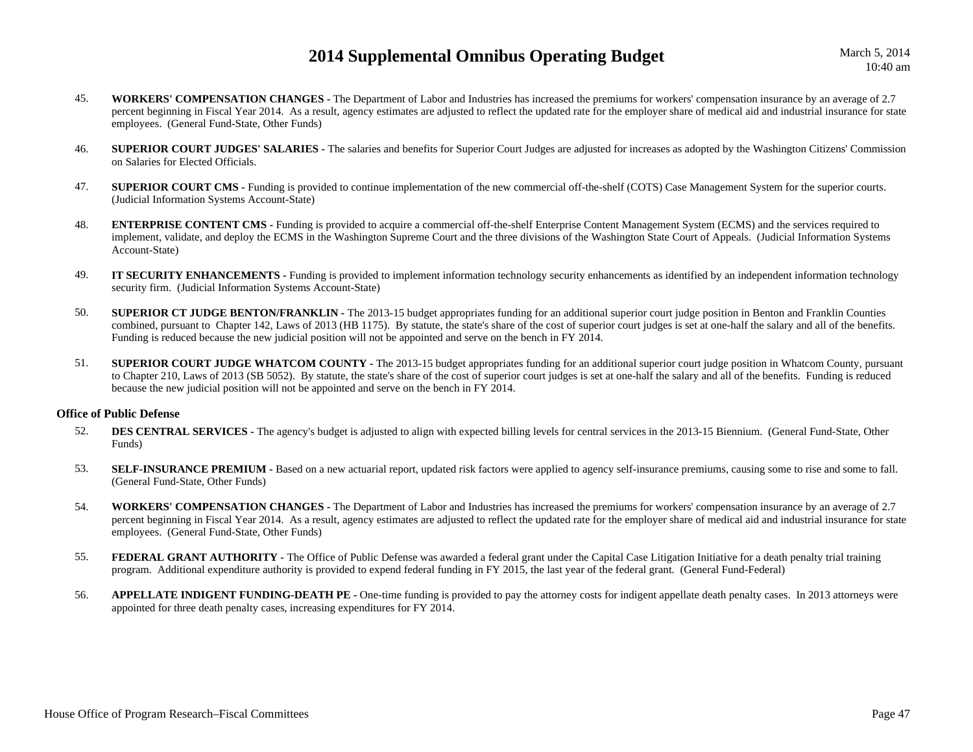March 5, 2014 10:40 am

- 45. **WORKERS' COMPENSATION CHANGES -** The Department of Labor and Industries has increased the premiums for workers' compensation insurance by an average of 2.7 percent beginning in Fiscal Year 2014. As a result, agency estimates are adjusted to reflect the updated rate for the employer share of medical aid and industrial insurance for state employees. (General Fund-State, Other Funds)
- 46. **SUPERIOR COURT JUDGES' SALARIES -** The salaries and benefits for Superior Court Judges are adjusted for increases as adopted by the Washington Citizens' Commission on Salaries for Elected Officials.
- 47.**SUPERIOR COURT CMS** - Funding is provided to continue implementation of the new commercial off-the-shelf (COTS) Case Management System for the superior courts. (Judicial Information Systems Account-State)
- 48. **ENTERPRISE CONTENT CMS -** Funding is provided to acquire a commercial off-the-shelf Enterprise Content Management System (ECMS) and the services required to implement, validate, and deploy the ECMS in the Washington Supreme Court and the three divisions of the Washington State Court of Appeals. (Judicial Information Systems Account-State)
- 49. **IT SECURITY ENHANCEMENTS -** Funding is provided to implement information technology security enhancements as identified by an independent information technology security firm. (Judicial Information Systems Account-State)
- 50. **SUPERIOR CT JUDGE BENTON/FRANKLIN -** The 2013-15 budget appropriates funding for an additional superior court judge position in Benton and Franklin Counties combined, pursuant to Chapter 142, Laws of 2013 (HB 1175). By statute, the state's share of the cost of superior court judges is set at one-half the salary and all of the benefits. Funding is reduced because the new judicial position will not be appointed and serve on the bench in FY 2014.
- 51. **SUPERIOR COURT JUDGE WHATCOM COUNTY -** The 2013-15 budget appropriates funding for an additional superior court judge position in Whatcom County, pursuant to Chapter 210, Laws of 2013 (SB 5052). By statute, the state's share of the cost of superior court judges is set at one-half the salary and all of the benefits. Funding is reduced because the new judicial position will not be appointed and serve on the bench in FY 2014.

#### **Office of Public Defense**

- 52.**DES CENTRAL SERVICES** - The agency's budget is adjusted to align with expected billing levels for central services in the 2013-15 Biennium. (General Fund-State, Other Funds)
- 53.**SELF-INSURANCE PREMIUM** - Based on a new actuarial report, updated risk factors were applied to agency self-insurance premiums, causing some to rise and some to fall. (General Fund-State, Other Funds)
- 54. **WORKERS' COMPENSATION CHANGES -** The Department of Labor and Industries has increased the premiums for workers' compensation insurance by an average of 2.7 percent beginning in Fiscal Year 2014. As a result, agency estimates are adjusted to reflect the updated rate for the employer share of medical aid and industrial insurance for state employees. (General Fund-State, Other Funds)
- 55.**FEDERAL GRANT AUTHORITY** - The Office of Public Defense was awarded a federal grant under the Capital Case Litigation Initiative for a death penalty trial training program. Additional expenditure authority is provided to expend federal funding in FY 2015, the last year of the federal grant. (General Fund-Federal)
- 56.**APPELLATE INDIGENT FUNDING-DEATH PE -** One-time funding is provided to pay the attorney costs for indigent appellate death penalty cases. In 2013 attorneys were appointed for three death penalty cases, increasing expenditures for FY 2014.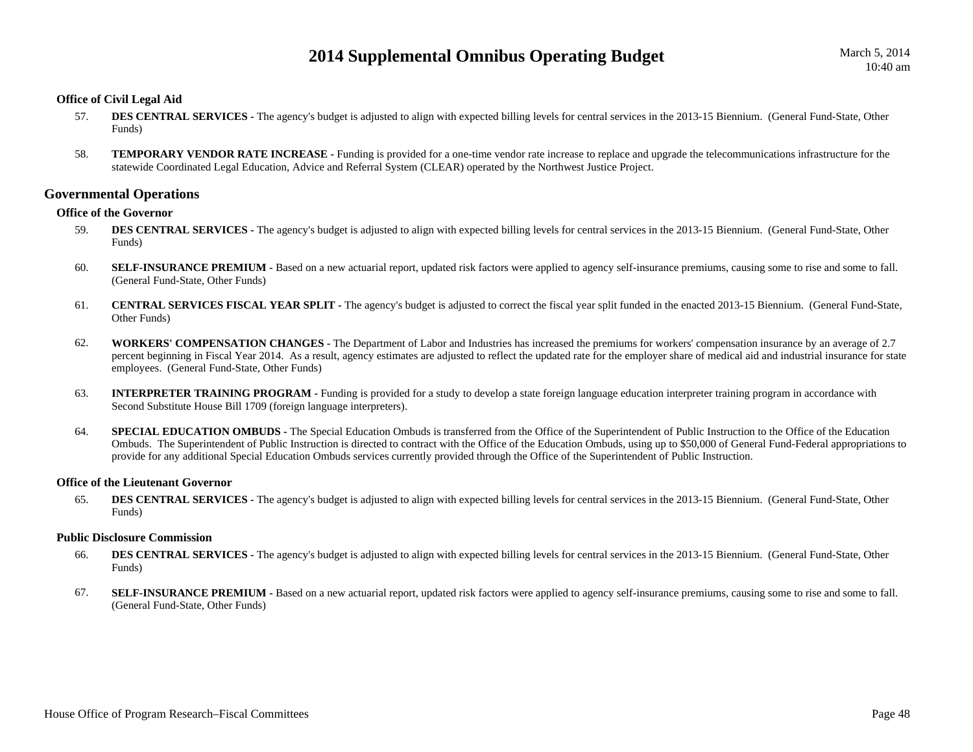## **Office of Civil Legal Aid**

- 57.**DES CENTRAL SERVICES -** The agency's budget is adjusted to align with expected billing levels for central services in the 2013-15 Biennium. (General Fund-State, Other Funds)
- 58. **TEMPORARY VENDOR RATE INCREASE -** Funding is provided for a one-time vendor rate increase to replace and upgrade the telecommunications infrastructure for the statewide Coordinated Legal Education, Advice and Referral System (CLEAR) operated by the Northwest Justice Project.

## **Governmental Operations**

## **Office of the Governor**

- 59.**DES CENTRAL SERVICES -** The agency's budget is adjusted to align with expected billing levels for central services in the 2013-15 Biennium. (General Fund-State, Other Funds)
- 60.**SELF-INSURANCE PREMIUM -** Based on a new actuarial report, updated risk factors were applied to agency self-insurance premiums, causing some to rise and some to fall. (General Fund-State, Other Funds)
- 61. **CENTRAL SERVICES FISCAL YEAR SPLIT -** The agency's budget is adjusted to correct the fiscal year split funded in the enacted 2013-15 Biennium. (General Fund-State, Other Funds)
- 62. **WORKERS' COMPENSATION CHANGES -** The Department of Labor and Industries has increased the premiums for workers' compensation insurance by an average of 2.7 percent beginning in Fiscal Year 2014. As a result, agency estimates are adjusted to reflect the updated rate for the employer share of medical aid and industrial insurance for state employees. (General Fund-State, Other Funds)
- 63. **INTERPRETER TRAINING PROGRAM -** Funding is provided for a study to develop a state foreign language education interpreter training program in accordance with Second Substitute House Bill 1709 (foreign language interpreters).
- 64.**SPECIAL EDUCATION OMBUDS** - The Special Education Ombuds is transferred from the Office of the Superintendent of Public Instruction to the Office of the Education Ombuds. The Superintendent of Public Instruction is directed to contract with the Office of the Education Ombuds, using up to \$50,000 of General Fund-Federal appropriations to provide for any additional Special Education Ombuds services currently provided through the Office of the Superintendent of Public Instruction.

#### **Office of the Lieutenant Governor**

65.**DES CENTRAL SERVICES -** The agency's budget is adjusted to align with expected billing levels for central services in the 2013-15 Biennium. (General Fund-State, Other Funds)

## **Public Disclosure Commission**

- 66.**DES CENTRAL SERVICES -** The agency's budget is adjusted to align with expected billing levels for central services in the 2013-15 Biennium. (General Fund-State, Other Funds)
- 67.**SELF-INSURANCE PREMIUM -** Based on a new actuarial report, updated risk factors were applied to agency self-insurance premiums, causing some to rise and some to fall. (General Fund-State, Other Funds)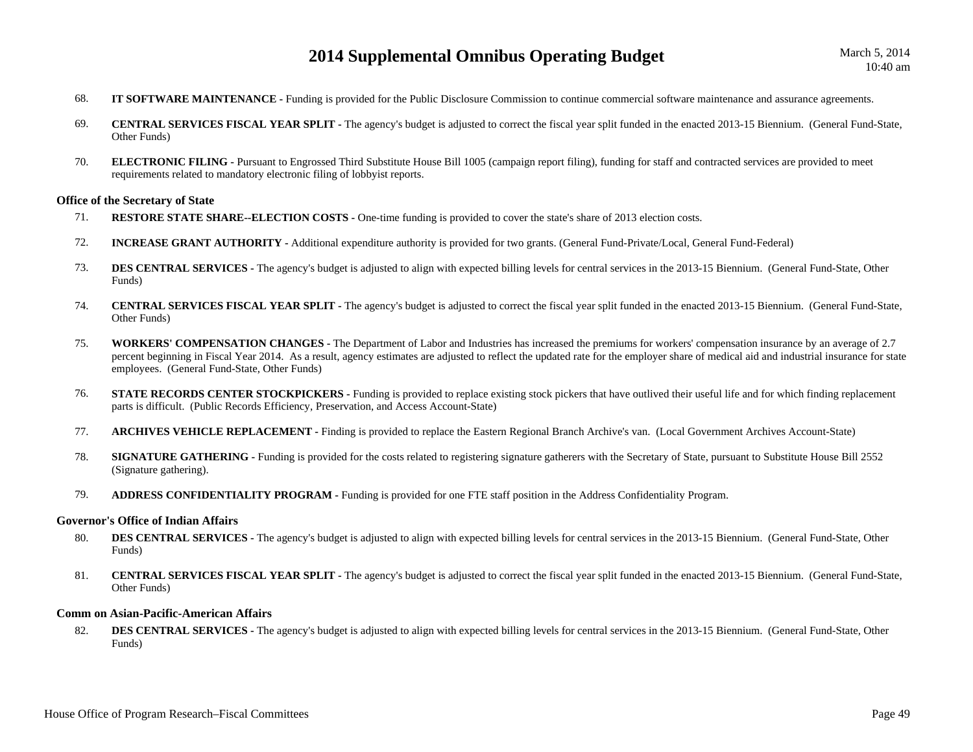- 68.**IT SOFTWARE MAINTENANCE -** Funding is provided for the Public Disclosure Commission to continue commercial software maintenance and assurance agreements.
- 69. **CENTRAL SERVICES FISCAL YEAR SPLIT -** The agency's budget is adjusted to correct the fiscal year split funded in the enacted 2013-15 Biennium. (General Fund-State, Other Funds)
- 70. **ELECTRONIC FILING -** Pursuant to Engrossed Third Substitute House Bill 1005 (campaign report filing), funding for staff and contracted services are provided to meet requirements related to mandatory electronic filing of lobbyist reports.

#### **Office of the Secretary of State**

- 71.**RESTORE STATE SHARE--ELECTION COSTS -** One-time funding is provided to cover the state's share of 2013 election costs.
- 72.**INCREASE GRANT AUTHORITY -** Additional expenditure authority is provided for two grants. (General Fund-Private/Local, General Fund-Federal)
- 73.**DES CENTRAL SERVICES -** The agency's budget is adjusted to align with expected billing levels for central services in the 2013-15 Biennium. (General Fund-State, Other Funds)
- 74. **CENTRAL SERVICES FISCAL YEAR SPLIT -** The agency's budget is adjusted to correct the fiscal year split funded in the enacted 2013-15 Biennium. (General Fund-State, Other Funds)
- 75. **WORKERS' COMPENSATION CHANGES -** The Department of Labor and Industries has increased the premiums for workers' compensation insurance by an average of 2.7 percent beginning in Fiscal Year 2014. As a result, agency estimates are adjusted to reflect the updated rate for the employer share of medical aid and industrial insurance for state employees. (General Fund-State, Other Funds)
- 76.**STATE RECORDS CENTER STOCKPICKERS** - Funding is provided to replace existing stock pickers that have outlived their useful life and for which finding replacement parts is difficult. (Public Records Efficiency, Preservation, and Access Account-State)
- 77.**ARCHIVES VEHICLE REPLACEMENT -** Finding is provided to replace the Eastern Regional Branch Archive's van. (Local Government Archives Account-State)
- 78.**SIGNATURE GATHERING** - Funding is provided for the costs related to registering signature gatherers with the Secretary of State, pursuant to Substitute House Bill 2552 (Signature gathering).
- 79.**ADDRESS CONFIDENTIALITY PROGRAM -** Funding is provided for one FTE staff position in the Address Confidentiality Program.

#### **Governor's Office of Indian Affairs**

- 80. **DES CENTRAL SERVICES -** The agency's budget is adjusted to align with expected billing levels for central services in the 2013-15 Biennium. (General Fund-State, Other Funds)
- 81. **CENTRAL SERVICES FISCAL YEAR SPLIT -** The agency's budget is adjusted to correct the fiscal year split funded in the enacted 2013-15 Biennium. (General Fund-State, Other Funds)

#### **Comm on Asian-Pacific-American Affairs**

82.**DES CENTRAL SERVICES -** The agency's budget is adjusted to align with expected billing levels for central services in the 2013-15 Biennium. (General Fund-State, Other Funds)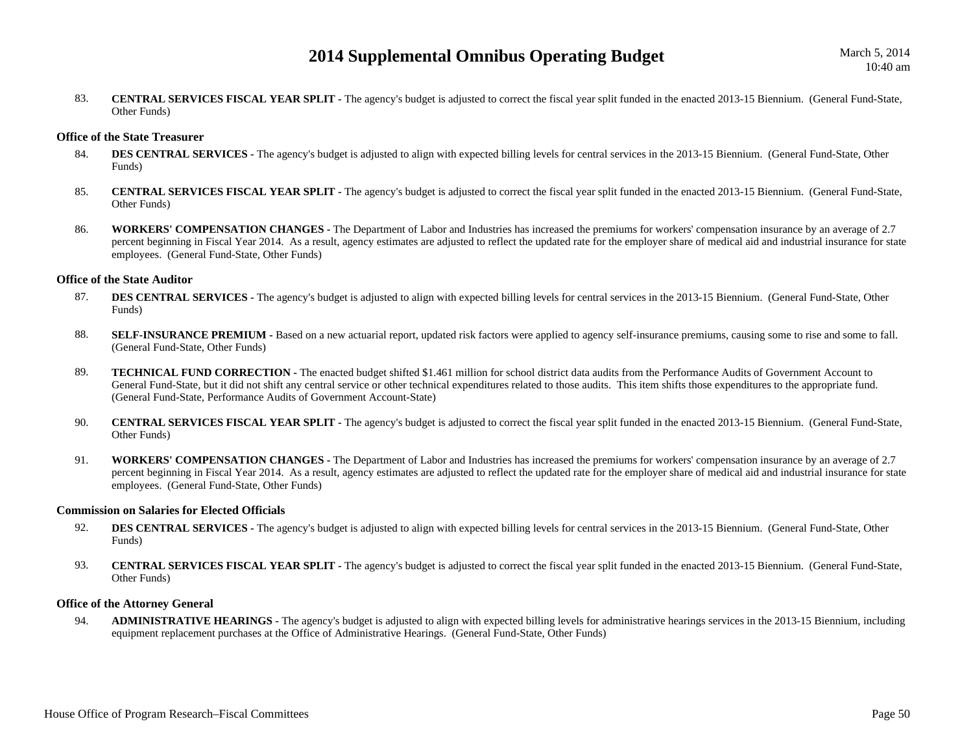83. **CENTRAL SERVICES FISCAL YEAR SPLIT -** The agency's budget is adjusted to correct the fiscal year split funded in the enacted 2013-15 Biennium. (General Fund-State, Other Funds)

## **Office of the State Treasurer**

- 84.**DES CENTRAL SERVICES** - The agency's budget is adjusted to align with expected billing levels for central services in the 2013-15 Biennium. (General Fund-State, Other Funds)
- 85. **CENTRAL SERVICES FISCAL YEAR SPLIT -** The agency's budget is adjusted to correct the fiscal year split funded in the enacted 2013-15 Biennium. (General Fund-State, Other Funds)
- 86. **WORKERS' COMPENSATION CHANGES -** The Department of Labor and Industries has increased the premiums for workers' compensation insurance by an average of 2.7 percent beginning in Fiscal Year 2014. As a result, agency estimates are adjusted to reflect the updated rate for the employer share of medical aid and industrial insurance for state employees. (General Fund-State, Other Funds)

#### **Office of the State Auditor**

- 87.**DES CENTRAL SERVICES -** The agency's budget is adjusted to align with expected billing levels for central services in the 2013-15 Biennium. (General Fund-State, Other Funds)
- 88.**SELF-INSURANCE PREMIUM -** Based on a new actuarial report, updated risk factors were applied to agency self-insurance premiums, causing some to rise and some to fall. (General Fund-State, Other Funds)
- 89. **TECHNICAL FUND CORRECTION -** The enacted budget shifted \$1.461 million for school district data audits from the Performance Audits of Government Account to General Fund-State, but it did not shift any central service or other technical expenditures related to those audits. This item shifts those expenditures to the appropriate fund. (General Fund-State, Performance Audits of Government Account-State)
- 90. **CENTRAL SERVICES FISCAL YEAR SPLIT -** The agency's budget is adjusted to correct the fiscal year split funded in the enacted 2013-15 Biennium. (General Fund-State, Other Funds)
- 91. **WORKERS' COMPENSATION CHANGES -** The Department of Labor and Industries has increased the premiums for workers' compensation insurance by an average of 2.7 percent beginning in Fiscal Year 2014. As a result, agency estimates are adjusted to reflect the updated rate for the employer share of medical aid and industrial insurance for state employees. (General Fund-State, Other Funds)

#### **Commission on Salaries for Elected Officials**

- 92.**DES CENTRAL SERVICES** - The agency's budget is adjusted to align with expected billing levels for central services in the 2013-15 Biennium. (General Fund-State, Other Funds)
- 93. **CENTRAL SERVICES FISCAL YEAR SPLIT -** The agency's budget is adjusted to correct the fiscal year split funded in the enacted 2013-15 Biennium. (General Fund-State, Other Funds)

## **Office of the Attorney General**

94. **ADMINISTRATIVE HEARINGS -** The agency's budget is adjusted to align with expected billing levels for administrative hearings services in the 2013-15 Biennium, including equipment replacement purchases at the Office of Administrative Hearings. (General Fund-State, Other Funds)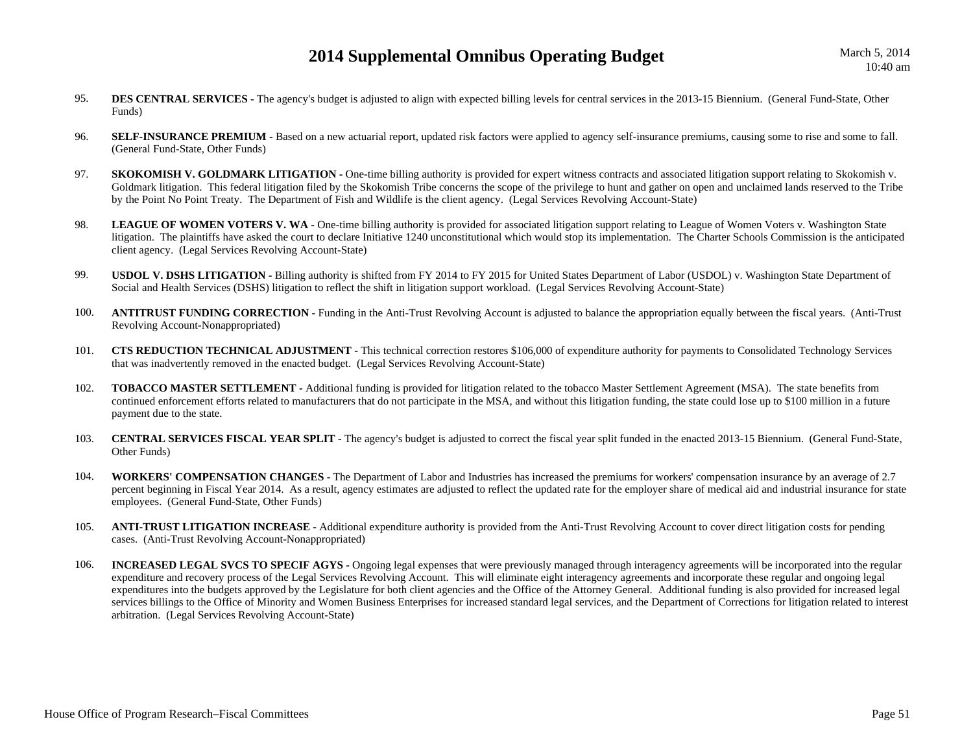- 95.**DES CENTRAL SERVICES** - The agency's budget is adjusted to align with expected billing levels for central services in the 2013-15 Biennium. (General Fund-State, Other Funds)
- 96.**SELF-INSURANCE PREMIUM** - Based on a new actuarial report, updated risk factors were applied to agency self-insurance premiums, causing some to rise and some to fall. (General Fund-State, Other Funds)
- 97.**SKOKOMISH V. GOLDMARK LITIGATION -** One-time billing authority is provided for expert witness contracts and associated litigation support relating to Skokomish v. Goldmark litigation. This federal litigation filed by the Skokomish Tribe concerns the scope of the privilege to hunt and gather on open and unclaimed lands reserved to the Tribe by the Point No Point Treaty. The Department of Fish and Wildlife is the client agency. (Legal Services Revolving Account-State)
- 98.LEAGUE OF WOMEN VOTERS V. WA - One-time billing authority is provided for associated litigation support relating to League of Women Voters v. Washington State litigation. The plaintiffs have asked the court to declare Initiative 1240 unconstitutional which would stop its implementation. The Charter Schools Commission is the anticipated client agency. (Legal Services Revolving Account-State)
- 99. **USDOL V. DSHS LITIGATION -** Billing authority is shifted from FY 2014 to FY 2015 for United States Department of Labor (USDOL) v. Washington State Department of Social and Health Services (DSHS) litigation to reflect the shift in litigation support workload. (Legal Services Revolving Account-State)
- 100. **ANTITRUST FUNDING CORRECTION -** Funding in the Anti-Trust Revolving Account is adjusted to balance the appropriation equally between the fiscal years. (Anti-Trust Revolving Account-Nonappropriated)
- 101. **CTS REDUCTION TECHNICAL ADJUSTMENT -** This technical correction restores \$106,000 of expenditure authority for payments to Consolidated Technology Services that was inadvertently removed in the enacted budget. (Legal Services Revolving Account-State)
- 102. **TOBACCO MASTER SETTLEMENT -** Additional funding is provided for litigation related to the tobacco Master Settlement Agreement (MSA). The state benefits from continued enforcement efforts related to manufacturers that do not participate in the MSA, and without this litigation funding, the state could lose up to \$100 million in a future payment due to the state.
- 103. **CENTRAL SERVICES FISCAL YEAR SPLIT -** The agency's budget is adjusted to correct the fiscal year split funded in the enacted 2013-15 Biennium. (General Fund-State, Other Funds)
- 104. **WORKERS' COMPENSATION CHANGES -** The Department of Labor and Industries has increased the premiums for workers' compensation insurance by an average of 2.7 percent beginning in Fiscal Year 2014. As a result, agency estimates are adjusted to reflect the updated rate for the employer share of medical aid and industrial insurance for state employees. (General Fund-State, Other Funds)
- 105. **ANTI-TRUST LITIGATION INCREASE -** Additional expenditure authority is provided from the Anti-Trust Revolving Account to cover direct litigation costs for pending cases. (Anti-Trust Revolving Account-Nonappropriated)
- 106. **INCREASED LEGAL SVCS TO SPECIF AGYS -** Ongoing legal expenses that were previously managed through interagency agreements will be incorporated into the regular expenditure and recovery process of the Legal Services Revolving Account. This will eliminate eight interagency agreements and incorporate these regular and ongoing legal expenditures into the budgets approved by the Legislature for both client agencies and the Office of the Attorney General. Additional funding is also provided for increased legal services billings to the Office of Minority and Women Business Enterprises for increased standard legal services, and the Department of Corrections for litigation related to interest arbitration. (Legal Services Revolving Account-State)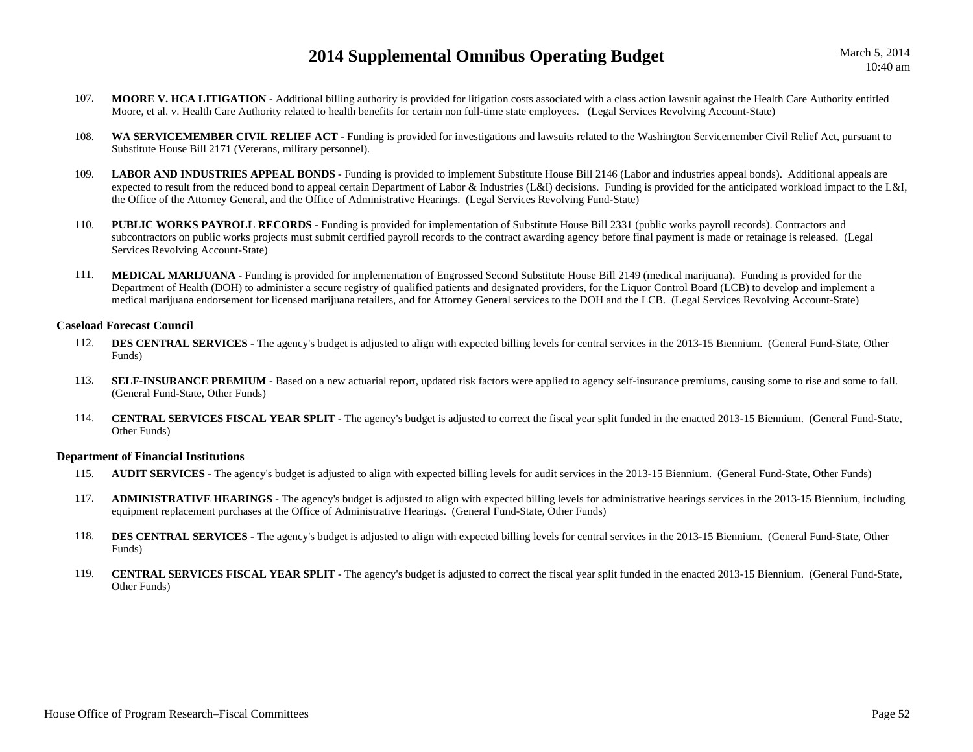- 107. **MOORE V. HCA LITIGATION -** Additional billing authority is provided for litigation costs associated with a class action lawsuit against the Health Care Authority entitled Moore, et al. v. Health Care Authority related to health benefits for certain non full-time state employees. (Legal Services Revolving Account-State)
- 108. **WA SERVICEMEMBER CIVIL RELIEF ACT -** Funding is provided for investigations and lawsuits related to the Washington Servicemember Civil Relief Act, pursuant to Substitute House Bill 2171 (Veterans, military personnel).
- 109.LABOR AND INDUSTRIES APPEAL BONDS - Funding is provided to implement Substitute House Bill 2146 (Labor and industries appeal bonds). Additional appeals are expected to result from the reduced bond to appeal certain Department of Labor & Industries (L&I) decisions. Funding is provided for the anticipated workload impact to the L&I, the Office of the Attorney General, and the Office of Administrative Hearings. (Legal Services Revolving Fund-State)
- 110. **PUBLIC WORKS PAYROLL RECORDS -** Funding is provided for implementation of Substitute House Bill 2331 (public works payroll records). Contractors and subcontractors on public works projects must submit certified payroll records to the contract awarding agency before final payment is made or retainage is released. (Legal Services Revolving Account-State)
- 111. **MEDICAL MARIJUANA -** Funding is provided for implementation of Engrossed Second Substitute House Bill 2149 (medical marijuana). Funding is provided for the Department of Health (DOH) to administer a secure registry of qualified patients and designated providers, for the Liquor Control Board (LCB) to develop and implement a medical marijuana endorsement for licensed marijuana retailers, and for Attorney General services to the DOH and the LCB. (Legal Services Revolving Account-State)

#### **Caseload Forecast Council**

- 112.**DES CENTRAL SERVICES** - The agency's budget is adjusted to align with expected billing levels for central services in the 2013-15 Biennium. (General Fund-State, Other Funds)
- 113.**SELF-INSURANCE PREMIUM -** Based on a new actuarial report, updated risk factors were applied to agency self-insurance premiums, causing some to rise and some to fall. (General Fund-State, Other Funds)
- 114. **CENTRAL SERVICES FISCAL YEAR SPLIT -** The agency's budget is adjusted to correct the fiscal year split funded in the enacted 2013-15 Biennium. (General Fund-State, Other Funds)

#### **Department of Financial Institutions**

- 115.**AUDIT SERVICES** - The agency's budget is adjusted to align with expected billing levels for audit services in the 2013-15 Biennium. (General Fund-State, Other Funds)
- 117. **ADMINISTRATIVE HEARINGS -** The agency's budget is adjusted to align with expected billing levels for administrative hearings services in the 2013-15 Biennium, including equipment replacement purchases at the Office of Administrative Hearings. (General Fund-State, Other Funds)
- 118.**DES CENTRAL SERVICES** - The agency's budget is adjusted to align with expected billing levels for central services in the 2013-15 Biennium. (General Fund-State, Other Funds)
- 119. **CENTRAL SERVICES FISCAL YEAR SPLIT -** The agency's budget is adjusted to correct the fiscal year split funded in the enacted 2013-15 Biennium. (General Fund-State, Other Funds)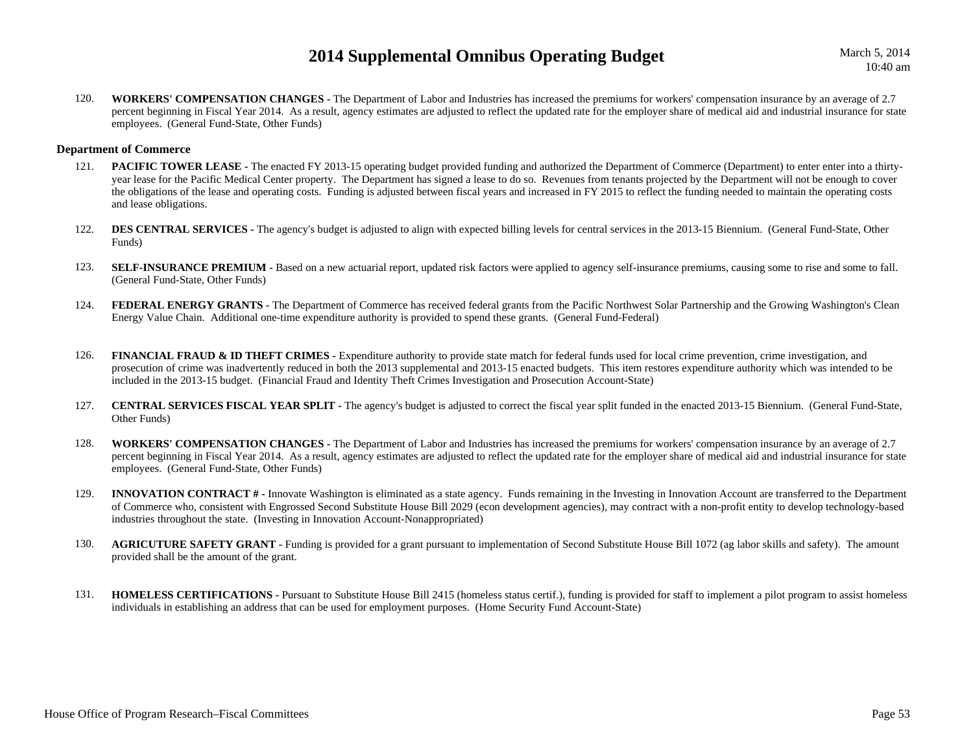March 5, 2014 10:40 am

120. **WORKERS' COMPENSATION CHANGES -** The Department of Labor and Industries has increased the premiums for workers' compensation insurance by an average of 2.7 percent beginning in Fiscal Year 2014. As a result, agency estimates are adjusted to reflect the updated rate for the employer share of medical aid and industrial insurance for state employees. (General Fund-State, Other Funds)

#### **Department of Commerce**

- 121.**PACIFIC TOWER LEASE -** The enacted FY 2013-15 operating budget provided funding and authorized the Department of Commerce (Department) to enter enter into a thirtyyear lease for the Pacific Medical Center property. The Department has signed a lease to do so. Revenues from tenants projected by the Department will not be enough to cover the obligations of the lease and operating costs. Funding is adjusted between fiscal years and increased in FY 2015 to reflect the funding needed to maintain the operating costs and lease obligations.
- 122. **DES CENTRAL SERVICES -** The agency's budget is adjusted to align with expected billing levels for central services in the 2013-15 Biennium. (General Fund-State, Other Funds)
- 123.**SELF-INSURANCE PREMIUM -** Based on a new actuarial report, updated risk factors were applied to agency self-insurance premiums, causing some to rise and some to fall. (General Fund-State, Other Funds)
- 124. **FEDERAL ENERGY GRANTS -** The Department of Commerce has received federal grants from the Pacific Northwest Solar Partnership and the Growing Washington's Clean Energy Value Chain. Additional one-time expenditure authority is provided to spend these grants. (General Fund-Federal)
- 126.**FINANCIAL FRAUD & ID THEFT CRIMES -** Expenditure authority to provide state match for federal funds used for local crime prevention, crime investigation, and prosecution of crime was inadvertently reduced in both the 2013 supplemental and 2013-15 enacted budgets. This item restores expenditure authority which was intended to be included in the 2013-15 budget. (Financial Fraud and Identity Theft Crimes Investigation and Prosecution Account-State)
- 127. **CENTRAL SERVICES FISCAL YEAR SPLIT -** The agency's budget is adjusted to correct the fiscal year split funded in the enacted 2013-15 Biennium. (General Fund-State, Other Funds)
- 128. **WORKERS' COMPENSATION CHANGES -** The Department of Labor and Industries has increased the premiums for workers' compensation insurance by an average of 2.7 percent beginning in Fiscal Year 2014. As a result, agency estimates are adjusted to reflect the updated rate for the employer share of medical aid and industrial insurance for state employees. (General Fund-State, Other Funds)
- 129.**INNOVATION CONTRACT** # - Innovate Washington is eliminated as a state agency. Funds remaining in the Investing in Innovation Account are transferred to the Department of Commerce who, consistent with Engrossed Second Substitute House Bill 2029 (econ development agencies), may contract with a non-profit entity to develop technology-based industries throughout the state. (Investing in Innovation Account-Nonappropriated)
- 130. **AGRICUTURE SAFETY GRANT -** Funding is provided for a grant pursuant to implementation of Second Substitute House Bill 1072 (ag labor skills and safety). The amount provided shall be the amount of the grant.
- 131. **HOMELESS CERTIFICATIONS -** Pursuant to Substitute House Bill 2415 (homeless status certif.), funding is provided for staff to implement a pilot program to assist homeless individuals in establishing an address that can be used for employment purposes. (Home Security Fund Account-State)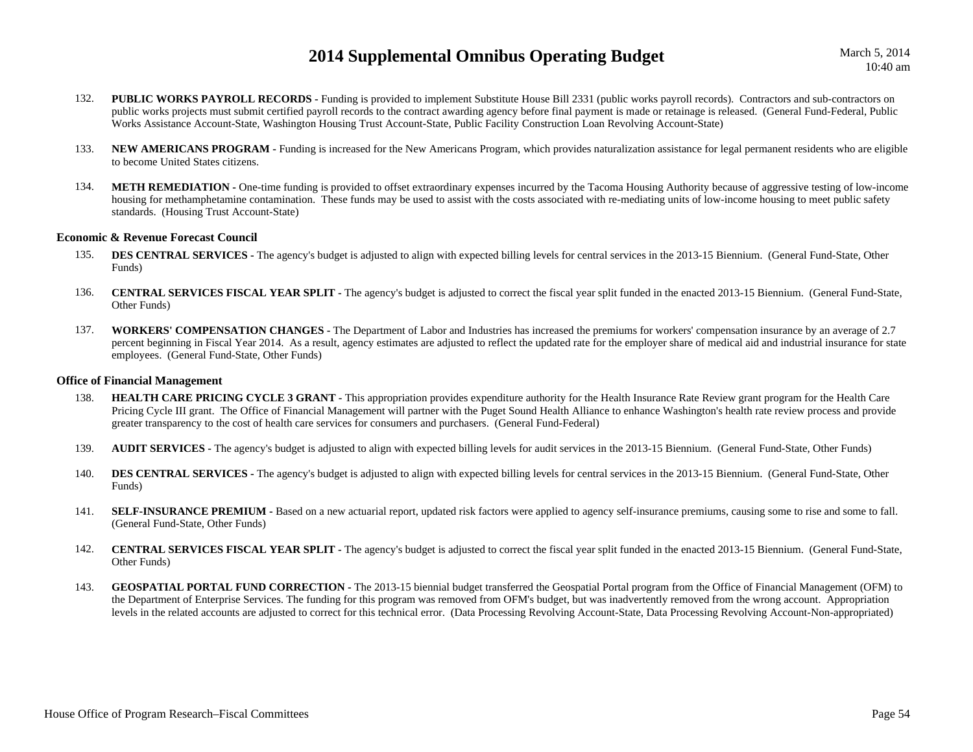March 5, 2014 10:40 am

- 132.**PUBLIC WORKS PAYROLL RECORDS -** Funding is provided to implement Substitute House Bill 2331 (public works payroll records). Contractors and sub-contractors on public works projects must submit certified payroll records to the contract awarding agency before final payment is made or retainage is released. (General Fund-Federal, Public Works Assistance Account-State, Washington Housing Trust Account-State, Public Facility Construction Loan Revolving Account-State)
- 133. **NEW AMERICANS PROGRAM -** Funding is increased for the New Americans Program, which provides naturalization assistance for legal permanent residents who are eligible to become United States citizens.
- 134.**METH REMEDIATION -** One-time funding is provided to offset extraordinary expenses incurred by the Tacoma Housing Authority because of aggressive testing of low-income housing for methamphetamine contamination. These funds may be used to assist with the costs associated with re-mediating units of low-income housing to meet public safety standards. (Housing Trust Account-State)

#### **Economic & Revenue Forecast Council**

- 135.**DES CENTRAL SERVICES -** The agency's budget is adjusted to align with expected billing levels for central services in the 2013-15 Biennium. (General Fund-State, Other Funds)
- 136. **CENTRAL SERVICES FISCAL YEAR SPLIT -** The agency's budget is adjusted to correct the fiscal year split funded in the enacted 2013-15 Biennium. (General Fund-State, Other Funds)
- 137. **WORKERS' COMPENSATION CHANGES -** The Department of Labor and Industries has increased the premiums for workers' compensation insurance by an average of 2.7 percent beginning in Fiscal Year 2014. As a result, agency estimates are adjusted to reflect the updated rate for the employer share of medical aid and industrial insurance for state employees. (General Fund-State, Other Funds)

#### **Office of Financial Management**

- 138.**HEALTH CARE PRICING CYCLE 3 GRANT - This appropriation provides expenditure authority for the Health Insurance Rate Review grant program for the Health Care** Pricing Cycle III grant. The Office of Financial Management will partner with the Puget Sound Health Alliance to enhance Washington's health rate review process and provide greater transparency to the cost of health care services for consumers and purchasers. (General Fund-Federal)
- 139.**AUDIT SERVICES** - The agency's budget is adjusted to align with expected billing levels for audit services in the 2013-15 Biennium. (General Fund-State, Other Funds)
- 140.**DES CENTRAL SERVICES -** The agency's budget is adjusted to align with expected billing levels for central services in the 2013-15 Biennium. (General Fund-State, Other Funds)
- 141.**SELF-INSURANCE PREMIUM -** Based on a new actuarial report, updated risk factors were applied to agency self-insurance premiums, causing some to rise and some to fall. (General Fund-State, Other Funds)
- 142. **CENTRAL SERVICES FISCAL YEAR SPLIT -** The agency's budget is adjusted to correct the fiscal year split funded in the enacted 2013-15 Biennium. (General Fund-State, Other Funds)
- 143.**GEOSPATIAL PORTAL FUND CORRECTION -** The 2013-15 biennial budget transferred the Geospatial Portal program from the Office of Financial Management (OFM) to the Department of Enterprise Services. The funding for this program was removed from OFM's budget, but was inadvertently removed from the wrong account. Appropriation levels in the related accounts are adjusted to correct for this technical error. (Data Processing Revolving Account-State, Data Processing Revolving Account-Non-appropriated)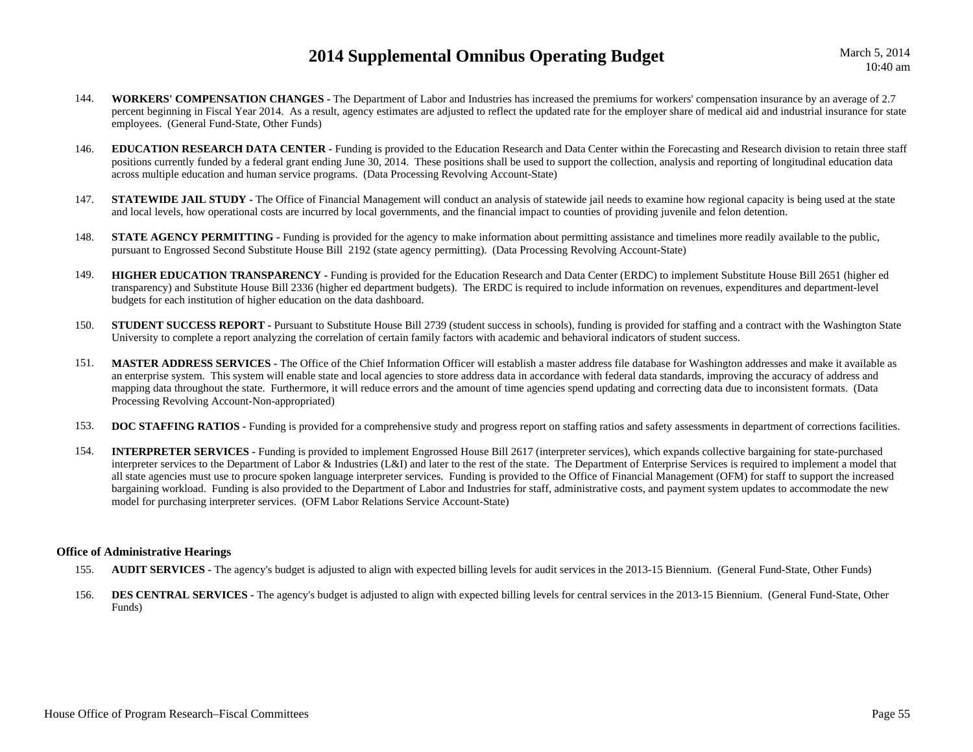March 5, 2014 10:40 am

- 144. **WORKERS' COMPENSATION CHANGES -** The Department of Labor and Industries has increased the premiums for workers' compensation insurance by an average of 2.7 percent beginning in Fiscal Year 2014. As a result, agency estimates are adjusted to reflect the updated rate for the employer share of medical aid and industrial insurance for state employees. (General Fund-State, Other Funds)
- 146. **EDUCATION RESEARCH DATA CENTER -** Funding is provided to the Education Research and Data Center within the Forecasting and Research division to retain three staff positions currently funded by a federal grant ending June 30, 2014. These positions shall be used to support the collection, analysis and reporting of longitudinal education data across multiple education and human service programs. (Data Processing Revolving Account-State)
- 147.**STATEWIDE JAIL STUDY** - The Office of Financial Management will conduct an analysis of statewide jail needs to examine how regional capacity is being used at the state and local levels, how operational costs are incurred by local governments, and the financial impact to counties of providing juvenile and felon detention.
- 148.**STATE AGENCY PERMITTING -** Funding is provided for the agency to make information about permitting assistance and timelines more readily available to the public, pursuant to Engrossed Second Substitute House Bill 2192 (state agency permitting). (Data Processing Revolving Account-State)
- 149. **HIGHER EDUCATION TRANSPARENCY -** Funding is provided for the Education Research and Data Center (ERDC) to implement Substitute House Bill 2651 (higher ed transparency) and Substitute House Bill 2336 (higher ed department budgets). The ERDC is required to include information on revenues, expenditures and department-level budgets for each institution of higher education on the data dashboard.
- 150.**STUDENT SUCCESS REPORT** - Pursuant to Substitute House Bill 2739 (student success in schools), funding is provided for staffing and a contract with the Washington State University to complete a report analyzing the correlation of certain family factors with academic and behavioral indicators of student success.
- 151. **MASTER ADDRESS SERVICES -** The Office of the Chief Information Officer will establish a master address file database for Washington addresses and make it available as an enterprise system. This system will enable state and local agencies to store address data in accordance with federal data standards, improving the accuracy of address and mapping data throughout the state. Furthermore, it will reduce errors and the amount of time agencies spend updating and correcting data due to inconsistent formats. (Data Processing Revolving Account-Non-appropriated)
- 153.**DOC STAFFING RATIOS** - Funding is provided for a comprehensive study and progress report on staffing ratios and safety assessments in department of corrections facilities.
- 154. **INTERPRETER SERVICES -** Funding is provided to implement Engrossed House Bill 2617 (interpreter services), which expands collective bargaining for state-purchased interpreter services to the Department of Labor & Industries (L&I) and later to the rest of the state. The Department of Enterprise Services is required to implement a model that all state agencies must use to procure spoken language interpreter services. Funding is provided to the Office of Financial Management (OFM) for staff to support the increased bargaining workload. Funding is also provided to the Department of Labor and Industries for staff, administrative costs, and payment system updates to accommodate the new model for purchasing interpreter services. (OFM Labor Relations Service Account-State)

#### **Office of Administrative Hearings**

- 155.**AUDIT SERVICES -** The agency's budget is adjusted to align with expected billing levels for audit services in the 2013-15 Biennium. (General Fund-State, Other Funds)
- 156.**DES CENTRAL SERVICES -** The agency's budget is adjusted to align with expected billing levels for central services in the 2013-15 Biennium. (General Fund-State, Other Funds)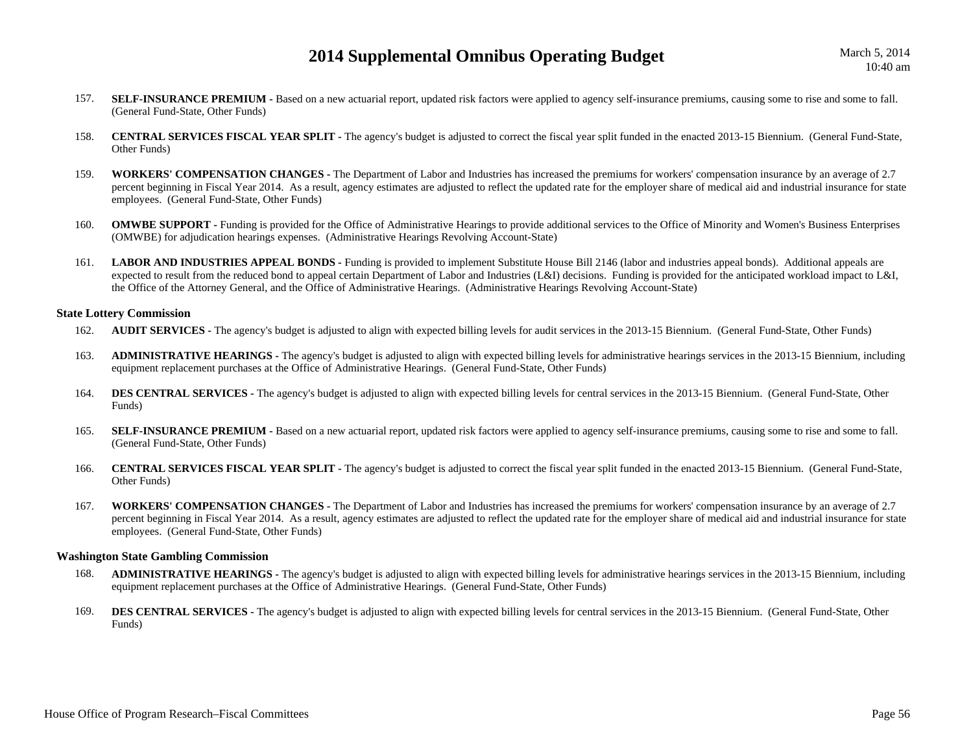- 157.**SELF-INSURANCE PREMIUM -** Based on a new actuarial report, updated risk factors were applied to agency self-insurance premiums, causing some to rise and some to fall. (General Fund-State, Other Funds)
- 158. **CENTRAL SERVICES FISCAL YEAR SPLIT -** The agency's budget is adjusted to correct the fiscal year split funded in the enacted 2013-15 Biennium. (General Fund-State, Other Funds)
- 159. **WORKERS' COMPENSATION CHANGES -** The Department of Labor and Industries has increased the premiums for workers' compensation insurance by an average of 2.7 percent beginning in Fiscal Year 2014. As a result, agency estimates are adjusted to reflect the updated rate for the employer share of medical aid and industrial insurance for state employees. (General Fund-State, Other Funds)
- 160.**OMWBE SUPPORT** - Funding is provided for the Office of Administrative Hearings to provide additional services to the Office of Minority and Women's Business Enterprises (OMWBE) for adjudication hearings expenses. (Administrative Hearings Revolving Account-State)
- 161.**LABOR AND INDUSTRIES APPEAL BONDS -** Funding is provided to implement Substitute House Bill 2146 (labor and industries appeal bonds). Additional appeals are expected to result from the reduced bond to appeal certain Department of Labor and Industries (L&I) decisions. Funding is provided for the anticipated workload impact to L&I, the Office of the Attorney General, and the Office of Administrative Hearings. (Administrative Hearings Revolving Account-State)

#### **State Lottery Commission**

- 162.**AUDIT SERVICES** - The agency's budget is adjusted to align with expected billing levels for audit services in the 2013-15 Biennium. (General Fund-State, Other Funds)
- 163. **ADMINISTRATIVE HEARINGS -** The agency's budget is adjusted to align with expected billing levels for administrative hearings services in the 2013-15 Biennium, including equipment replacement purchases at the Office of Administrative Hearings. (General Fund-State, Other Funds)
- 164.**DES CENTRAL SERVICES -** The agency's budget is adjusted to align with expected billing levels for central services in the 2013-15 Biennium. (General Fund-State, Other Funds)
- 165.**SELF-INSURANCE PREMIUM -** Based on a new actuarial report, updated risk factors were applied to agency self-insurance premiums, causing some to rise and some to fall. (General Fund-State, Other Funds)
- 166. **CENTRAL SERVICES FISCAL YEAR SPLIT -** The agency's budget is adjusted to correct the fiscal year split funded in the enacted 2013-15 Biennium. (General Fund-State, Other Funds)
- 167. **WORKERS' COMPENSATION CHANGES -** The Department of Labor and Industries has increased the premiums for workers' compensation insurance by an average of 2.7 percent beginning in Fiscal Year 2014. As a result, agency estimates are adjusted to reflect the updated rate for the employer share of medical aid and industrial insurance for state employees. (General Fund-State, Other Funds)

## **Washington State Gambling Commission**

- 168. **ADMINISTRATIVE HEARINGS -** The agency's budget is adjusted to align with expected billing levels for administrative hearings services in the 2013-15 Biennium, including equipment replacement purchases at the Office of Administrative Hearings. (General Fund-State, Other Funds)
- 169.**DES CENTRAL SERVICES** - The agency's budget is adjusted to align with expected billing levels for central services in the 2013-15 Biennium. (General Fund-State, Other Funds)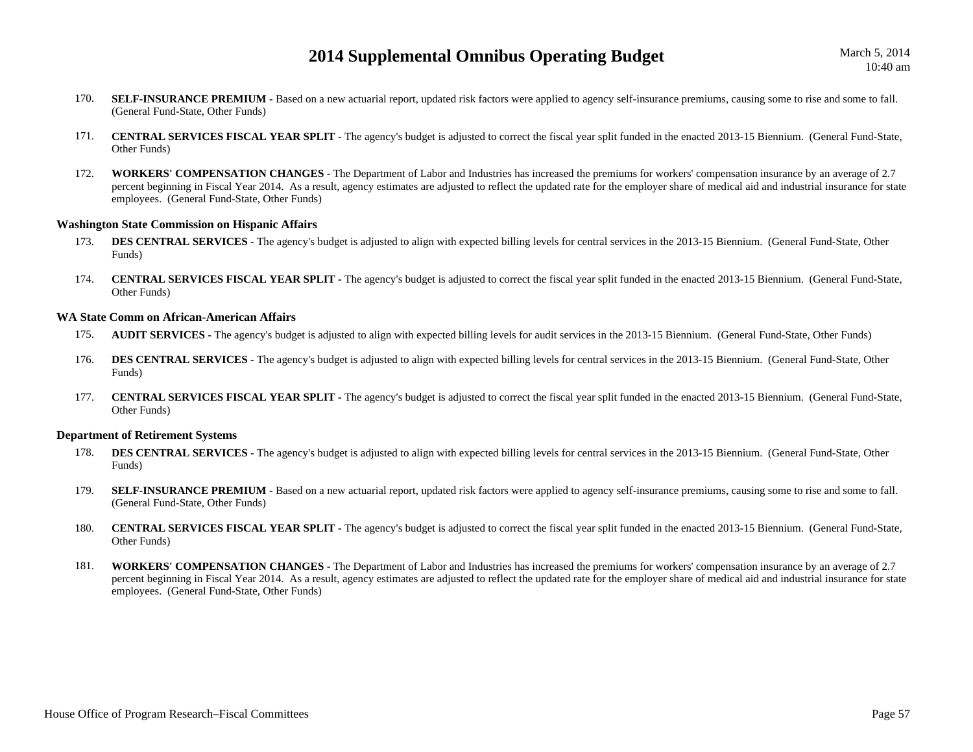- 170.**SELF-INSURANCE PREMIUM -** Based on a new actuarial report, updated risk factors were applied to agency self-insurance premiums, causing some to rise and some to fall. (General Fund-State, Other Funds)
- 171. **CENTRAL SERVICES FISCAL YEAR SPLIT -** The agency's budget is adjusted to correct the fiscal year split funded in the enacted 2013-15 Biennium. (General Fund-State, Other Funds)
- 172. **WORKERS' COMPENSATION CHANGES -** The Department of Labor and Industries has increased the premiums for workers' compensation insurance by an average of 2.7 percent beginning in Fiscal Year 2014. As a result, agency estimates are adjusted to reflect the updated rate for the employer share of medical aid and industrial insurance for state employees. (General Fund-State, Other Funds)

#### **Washington State Commission on Hispanic Affairs**

- 173.**DES CENTRAL SERVICES** - The agency's budget is adjusted to align with expected billing levels for central services in the 2013-15 Biennium. (General Fund-State, Other Funds)
- 174. **CENTRAL SERVICES FISCAL YEAR SPLIT -** The agency's budget is adjusted to correct the fiscal year split funded in the enacted 2013-15 Biennium. (General Fund-State, Other Funds)

#### **WA State Comm on African-American Affairs**

- 175.**AUDIT SERVICES** - The agency's budget is adjusted to align with expected billing levels for audit services in the 2013-15 Biennium. (General Fund-State, Other Funds)
- 176. **DES CENTRAL SERVICES -** The agency's budget is adjusted to align with expected billing levels for central services in the 2013-15 Biennium. (General Fund-State, Other Funds)
- 177. **CENTRAL SERVICES FISCAL YEAR SPLIT -** The agency's budget is adjusted to correct the fiscal year split funded in the enacted 2013-15 Biennium. (General Fund-State, Other Funds)

#### **Department of Retirement Systems**

- 178.**DES CENTRAL SERVICES -** The agency's budget is adjusted to align with expected billing levels for central services in the 2013-15 Biennium. (General Fund-State, Other Funds)
- 179.SELF-INSURANCE PREMIUM - Based on a new actuarial report, updated risk factors were applied to agency self-insurance premiums, causing some to rise and some to fall. (General Fund-State, Other Funds)
- 180. **CENTRAL SERVICES FISCAL YEAR SPLIT -** The agency's budget is adjusted to correct the fiscal year split funded in the enacted 2013-15 Biennium. (General Fund-State, Other Funds)
- 181. **WORKERS' COMPENSATION CHANGES -** The Department of Labor and Industries has increased the premiums for workers' compensation insurance by an average of 2.7 percent beginning in Fiscal Year 2014. As a result, agency estimates are adjusted to reflect the updated rate for the employer share of medical aid and industrial insurance for state employees. (General Fund-State, Other Funds)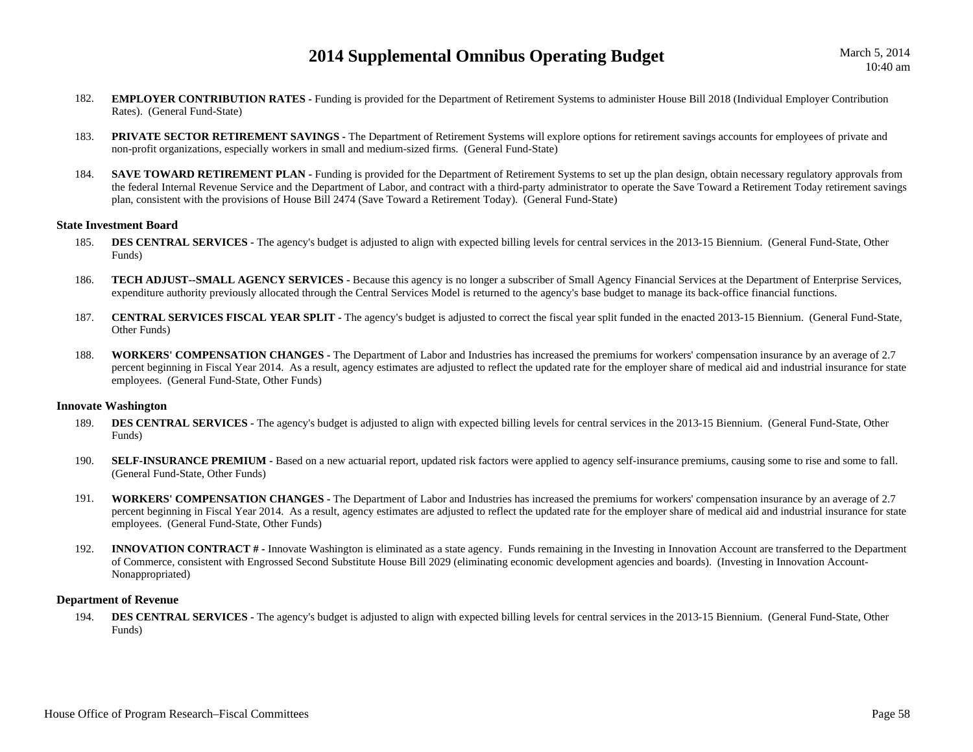- 182. **EMPLOYER CONTRIBUTION RATES -** Funding is provided for the Department of Retirement Systems to administer House Bill 2018 (Individual Employer Contribution Rates). (General Fund-State)
- 183. **PRIVATE SECTOR RETIREMENT SAVINGS -** The Department of Retirement Systems will explore options for retirement savings accounts for employees of private and non-profit organizations, especially workers in small and medium-sized firms. (General Fund-State)
- 184.**SAVE TOWARD RETIREMENT PLAN -** Funding is provided for the Department of Retirement Systems to set up the plan design, obtain necessary regulatory approvals from the federal Internal Revenue Service and the Department of Labor, and contract with a third-party administrator to operate the Save Toward a Retirement Today retirement savings plan, consistent with the provisions of House Bill 2474 (Save Toward a Retirement Today). (General Fund-State)

#### **State Investment Board**

- 185.**DES CENTRAL SERVICES -** The agency's budget is adjusted to align with expected billing levels for central services in the 2013-15 Biennium. (General Fund-State, Other Funds)
- 186. **TECH ADJUST--SMALL AGENCY SERVICES -** Because this agency is no longer a subscriber of Small Agency Financial Services at the Department of Enterprise Services, expenditure authority previously allocated through the Central Services Model is returned to the agency's base budget to manage its back-office financial functions.
- 187. **CENTRAL SERVICES FISCAL YEAR SPLIT -** The agency's budget is adjusted to correct the fiscal year split funded in the enacted 2013-15 Biennium. (General Fund-State, Other Funds)
- 188. **WORKERS' COMPENSATION CHANGES -** The Department of Labor and Industries has increased the premiums for workers' compensation insurance by an average of 2.7 percent beginning in Fiscal Year 2014. As a result, agency estimates are adjusted to reflect the updated rate for the employer share of medical aid and industrial insurance for state employees. (General Fund-State, Other Funds)

#### **Innovate Washington**

- 189.**DES CENTRAL SERVICES -** The agency's budget is adjusted to align with expected billing levels for central services in the 2013-15 Biennium. (General Fund-State, Other Funds)
- 190.**SELF-INSURANCE PREMIUM -** Based on a new actuarial report, updated risk factors were applied to agency self-insurance premiums, causing some to rise and some to fall. (General Fund-State, Other Funds)
- 191. **WORKERS' COMPENSATION CHANGES -** The Department of Labor and Industries has increased the premiums for workers' compensation insurance by an average of 2.7 percent beginning in Fiscal Year 2014. As a result, agency estimates are adjusted to reflect the updated rate for the employer share of medical aid and industrial insurance for state employees. (General Fund-State, Other Funds)
- 192.**INNOVATION CONTRACT** # - Innovate Washington is eliminated as a state agency. Funds remaining in the Investing in Innovation Account are transferred to the Department of Commerce, consistent with Engrossed Second Substitute House Bill 2029 (eliminating economic development agencies and boards). (Investing in Innovation Account-Nonappropriated)

#### **Department of Revenue**

194.**DES CENTRAL SERVICES -** The agency's budget is adjusted to align with expected billing levels for central services in the 2013-15 Biennium. (General Fund-State, Other Funds)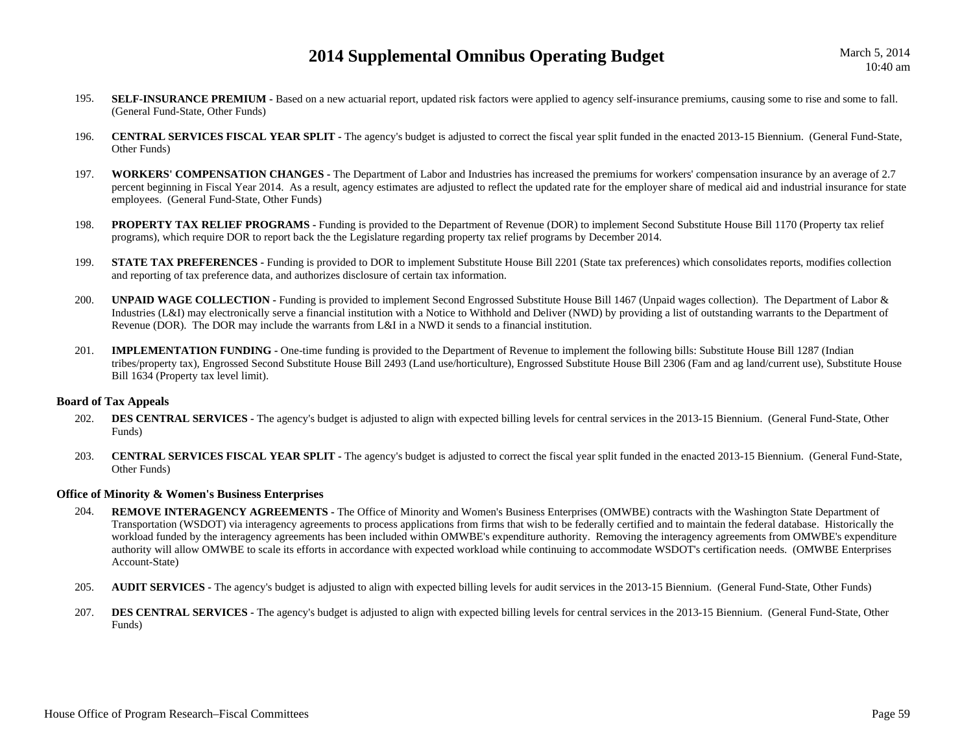- 195.**SELF-INSURANCE PREMIUM -** Based on a new actuarial report, updated risk factors were applied to agency self-insurance premiums, causing some to rise and some to fall. (General Fund-State, Other Funds)
- 196. **CENTRAL SERVICES FISCAL YEAR SPLIT -** The agency's budget is adjusted to correct the fiscal year split funded in the enacted 2013-15 Biennium. (General Fund-State, Other Funds)
- 197. **WORKERS' COMPENSATION CHANGES -** The Department of Labor and Industries has increased the premiums for workers' compensation insurance by an average of 2.7 percent beginning in Fiscal Year 2014. As a result, agency estimates are adjusted to reflect the updated rate for the employer share of medical aid and industrial insurance for state employees. (General Fund-State, Other Funds)
- 198.**PROPERTY TAX RELIEF PROGRAMS -** Funding is provided to the Department of Revenue (DOR) to implement Second Substitute House Bill 1170 (Property tax relief programs), which require DOR to report back the the Legislature regarding property tax relief programs by December 2014.
- 199.**STATE TAX PREFERENCES** - Funding is provided to DOR to implement Substitute House Bill 2201 (State tax preferences) which consolidates reports, modifies collection and reporting of tax preference data, and authorizes disclosure of certain tax information.
- 200.**UNPAID WAGE COLLECTION - Funding is provided to implement Second Engrossed Substitute House Bill 1467 (Unpaid wages collection). The Department of Labor &** Industries (L&I) may electronically serve a financial institution with a Notice to Withhold and Deliver (NWD) by providing a list of outstanding warrants to the Department of Revenue (DOR). The DOR may include the warrants from L&I in a NWD it sends to a financial institution.
- 201. **IMPLEMENTATION FUNDING -** One-time funding is provided to the Department of Revenue to implement the following bills: Substitute House Bill 1287 (Indian tribes/property tax), Engrossed Second Substitute House Bill 2493 (Land use/horticulture), Engrossed Substitute House Bill 2306 (Fam and ag land/current use), Substitute House Bill 1634 (Property tax level limit).

#### **Board of Tax Appeals**

- 202.**DES CENTRAL SERVICES -** The agency's budget is adjusted to align with expected billing levels for central services in the 2013-15 Biennium. (General Fund-State, Other Funds)
- 203. **CENTRAL SERVICES FISCAL YEAR SPLIT -** The agency's budget is adjusted to correct the fiscal year split funded in the enacted 2013-15 Biennium. (General Fund-State, Other Funds)

#### **Office of Minority & Women's Business Enterprises**

- 204. **REMOVE INTERAGENCY AGREEMENTS -** The Office of Minority and Women's Business Enterprises (OMWBE) contracts with the Washington State Department of Transportation (WSDOT) via interagency agreements to process applications from firms that wish to be federally certified and to maintain the federal database. Historically the workload funded by the interagency agreements has been included within OMWBE's expenditure authority. Removing the interagency agreements from OMWBE's expenditure authority will allow OMWBE to scale its efforts in accordance with expected workload while continuing to accommodate WSDOT's certification needs. (OMWBE Enterprises Account-State)
- 205.**AUDIT SERVICES** - The agency's budget is adjusted to align with expected billing levels for audit services in the 2013-15 Biennium. (General Fund-State, Other Funds)
- 207.**DES CENTRAL SERVICES -** The agency's budget is adjusted to align with expected billing levels for central services in the 2013-15 Biennium. (General Fund-State, Other Funds)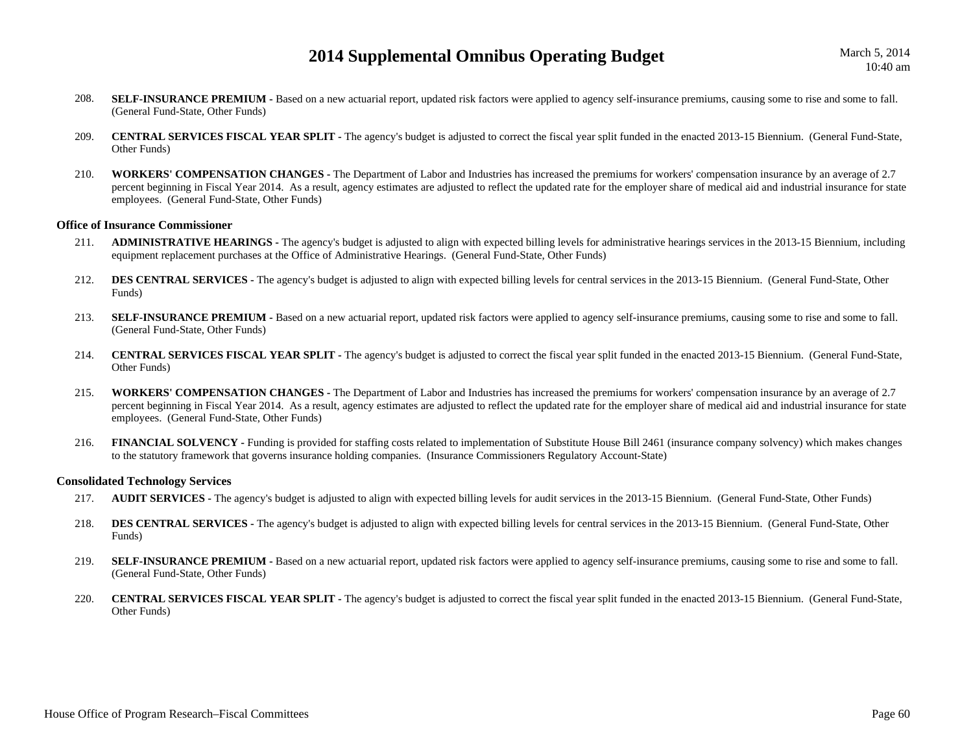- 208.**SELF-INSURANCE PREMIUM -** Based on a new actuarial report, updated risk factors were applied to agency self-insurance premiums, causing some to rise and some to fall. (General Fund-State, Other Funds)
- 209. **CENTRAL SERVICES FISCAL YEAR SPLIT -** The agency's budget is adjusted to correct the fiscal year split funded in the enacted 2013-15 Biennium. (General Fund-State, Other Funds)
- 210. **WORKERS' COMPENSATION CHANGES -** The Department of Labor and Industries has increased the premiums for workers' compensation insurance by an average of 2.7 percent beginning in Fiscal Year 2014. As a result, agency estimates are adjusted to reflect the updated rate for the employer share of medical aid and industrial insurance for state employees. (General Fund-State, Other Funds)

#### **Office of Insurance Commissioner**

- 211. **ADMINISTRATIVE HEARINGS -** The agency's budget is adjusted to align with expected billing levels for administrative hearings services in the 2013-15 Biennium, including equipment replacement purchases at the Office of Administrative Hearings. (General Fund-State, Other Funds)
- 212.**DES CENTRAL SERVICES** - The agency's budget is adjusted to align with expected billing levels for central services in the 2013-15 Biennium. (General Fund-State, Other Funds)
- 213.**SELF-INSURANCE PREMIUM -** Based on a new actuarial report, updated risk factors were applied to agency self-insurance premiums, causing some to rise and some to fall. (General Fund-State, Other Funds)
- 214. **CENTRAL SERVICES FISCAL YEAR SPLIT -** The agency's budget is adjusted to correct the fiscal year split funded in the enacted 2013-15 Biennium. (General Fund-State, Other Funds)
- 215. **WORKERS' COMPENSATION CHANGES -** The Department of Labor and Industries has increased the premiums for workers' compensation insurance by an average of 2.7 percent beginning in Fiscal Year 2014. As a result, agency estimates are adjusted to reflect the updated rate for the employer share of medical aid and industrial insurance for state employees. (General Fund-State, Other Funds)
- 216.**FINANCIAL SOLVENCY** - Funding is provided for staffing costs related to implementation of Substitute House Bill 2461 (insurance company solvency) which makes changes to the statutory framework that governs insurance holding companies. (Insurance Commissioners Regulatory Account-State)

#### **Consolidated Technology Services**

- 217.**AUDIT SERVICES** - The agency's budget is adjusted to align with expected billing levels for audit services in the 2013-15 Biennium. (General Fund-State, Other Funds)
- 218.**DES CENTRAL SERVICES -** The agency's budget is adjusted to align with expected billing levels for central services in the 2013-15 Biennium. (General Fund-State, Other Funds)
- 219. **SELF-INSURANCE PREMIUM -** Based on a new actuarial report, updated risk factors were applied to agency self-insurance premiums, causing some to rise and some to fall. (General Fund-State, Other Funds)
- 220. **CENTRAL SERVICES FISCAL YEAR SPLIT -** The agency's budget is adjusted to correct the fiscal year split funded in the enacted 2013-15 Biennium. (General Fund-State, Other Funds)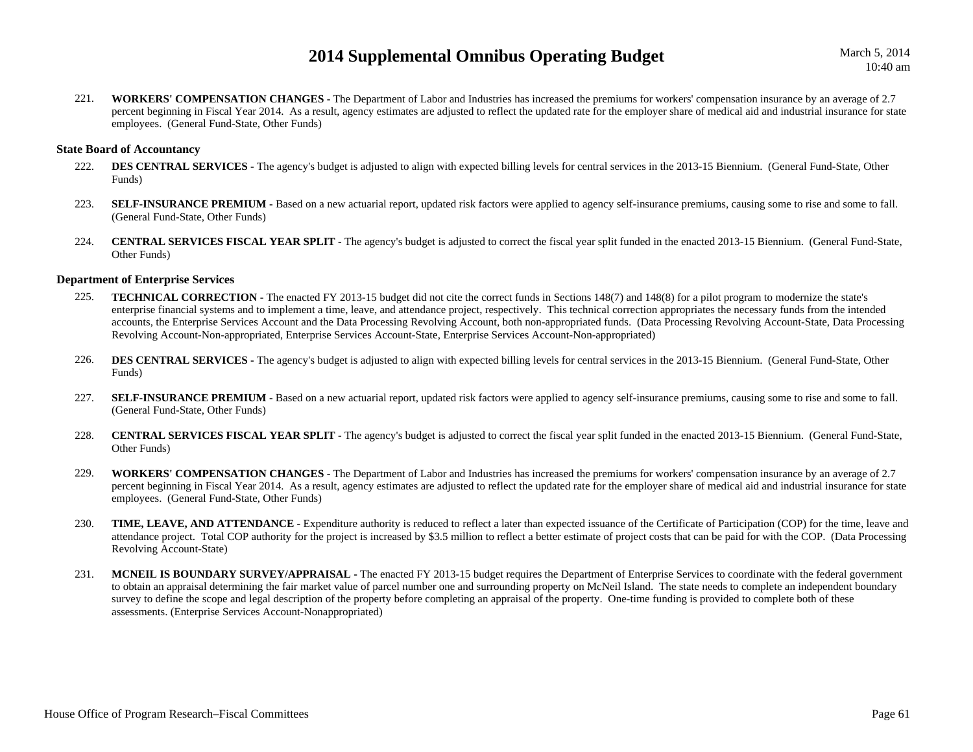March 5, 2014 10:40 am

221. **WORKERS' COMPENSATION CHANGES -** The Department of Labor and Industries has increased the premiums for workers' compensation insurance by an average of 2.7 percent beginning in Fiscal Year 2014. As a result, agency estimates are adjusted to reflect the updated rate for the employer share of medical aid and industrial insurance for state employees. (General Fund-State, Other Funds)

#### **State Board of Accountancy**

- 222.**DES CENTRAL SERVICES -** The agency's budget is adjusted to align with expected billing levels for central services in the 2013-15 Biennium. (General Fund-State, Other Funds)
- 223.**SELF-INSURANCE PREMIUM -** Based on a new actuarial report, updated risk factors were applied to agency self-insurance premiums, causing some to rise and some to fall. (General Fund-State, Other Funds)
- 224. **CENTRAL SERVICES FISCAL YEAR SPLIT -** The agency's budget is adjusted to correct the fiscal year split funded in the enacted 2013-15 Biennium. (General Fund-State, Other Funds)

#### **Department of Enterprise Services**

- 225.**TECHNICAL CORRECTION -** The enacted FY 2013-15 budget did not cite the correct funds in Sections 148(7) and 148(8) for a pilot program to modernize the state's enterprise financial systems and to implement a time, leave, and attendance project, respectively. This technical correction appropriates the necessary funds from the intended accounts, the Enterprise Services Account and the Data Processing Revolving Account, both non-appropriated funds. (Data Processing Revolving Account-State, Data Processing Revolving Account-Non-appropriated, Enterprise Services Account-State, Enterprise Services Account-Non-appropriated)
- 226.**DES CENTRAL SERVICES -** The agency's budget is adjusted to align with expected billing levels for central services in the 2013-15 Biennium. (General Fund-State, Other Funds)
- 227.**SELF-INSURANCE PREMIUM -** Based on a new actuarial report, updated risk factors were applied to agency self-insurance premiums, causing some to rise and some to fall. (General Fund-State, Other Funds)
- 228. **CENTRAL SERVICES FISCAL YEAR SPLIT -** The agency's budget is adjusted to correct the fiscal year split funded in the enacted 2013-15 Biennium. (General Fund-State, Other Funds)
- 229. **WORKERS' COMPENSATION CHANGES -** The Department of Labor and Industries has increased the premiums for workers' compensation insurance by an average of 2.7 percent beginning in Fiscal Year 2014. As a result, agency estimates are adjusted to reflect the updated rate for the employer share of medical aid and industrial insurance for state employees. (General Fund-State, Other Funds)
- 230.**TIME, LEAVE, AND ATTENDANCE** - Expenditure authority is reduced to reflect a later than expected issuance of the Certificate of Participation (COP) for the time, leave and attendance project. Total COP authority for the project is increased by \$3.5 million to reflect a better estimate of project costs that can be paid for with the COP. (Data Processing Revolving Account-State)
- 231. **MCNEIL IS BOUNDARY SURVEY/APPRAISAL -** The enacted FY 2013-15 budget requires the Department of Enterprise Services to coordinate with the federal government to obtain an appraisal determining the fair market value of parcel number one and surrounding property on McNeil Island. The state needs to complete an independent boundary survey to define the scope and legal description of the property before completing an appraisal of the property. One-time funding is provided to complete both of these assessments. (Enterprise Services Account-Nonappropriated)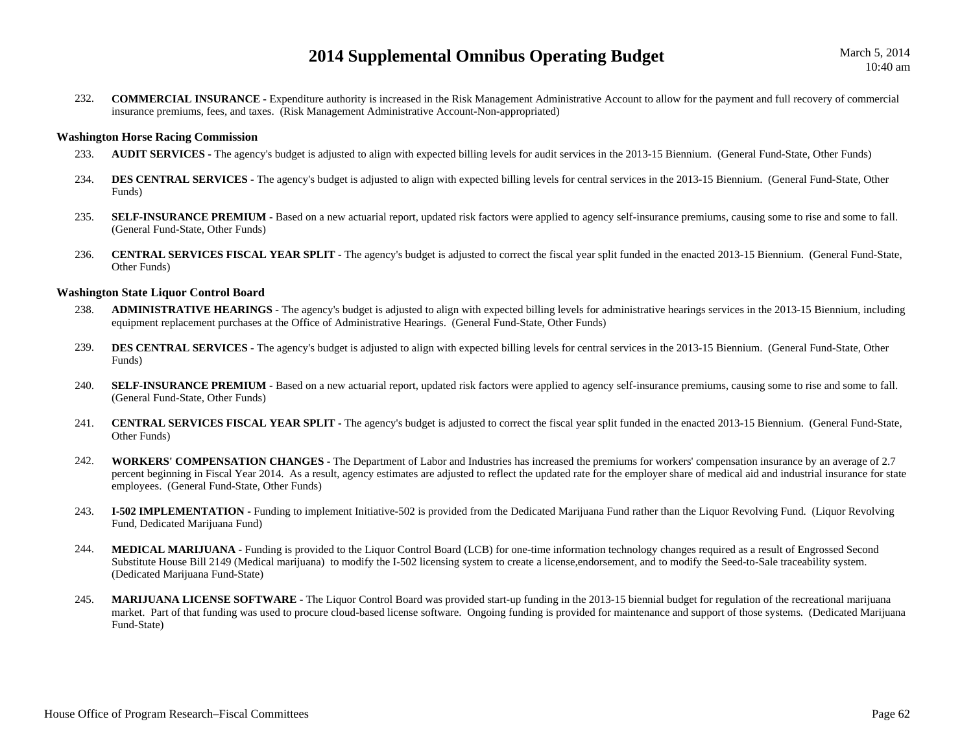232. **COMMERCIAL INSURANCE -** Expenditure authority is increased in the Risk Management Administrative Account to allow for the payment and full recovery of commercial insurance premiums, fees, and taxes. (Risk Management Administrative Account-Non-appropriated)

### **Washington Horse Racing Commission**

- 233.**AUDIT SERVICES -** The agency's budget is adjusted to align with expected billing levels for audit services in the 2013-15 Biennium. (General Fund-State, Other Funds)
- 234.**DES CENTRAL SERVICES -** The agency's budget is adjusted to align with expected billing levels for central services in the 2013-15 Biennium. (General Fund-State, Other Funds)
- 235.**SELF-INSURANCE PREMIUM -** Based on a new actuarial report, updated risk factors were applied to agency self-insurance premiums, causing some to rise and some to fall. (General Fund-State, Other Funds)
- 236. **CENTRAL SERVICES FISCAL YEAR SPLIT -** The agency's budget is adjusted to correct the fiscal year split funded in the enacted 2013-15 Biennium. (General Fund-State, Other Funds)

## **Washington State Liquor Control Board**

- 238. **ADMINISTRATIVE HEARINGS -** The agency's budget is adjusted to align with expected billing levels for administrative hearings services in the 2013-15 Biennium, including equipment replacement purchases at the Office of Administrative Hearings. (General Fund-State, Other Funds)
- 239.**DES CENTRAL SERVICES** - The agency's budget is adjusted to align with expected billing levels for central services in the 2013-15 Biennium. (General Fund-State, Other Funds)
- 240. **SELF-INSURANCE PREMIUM -** Based on a new actuarial report, updated risk factors were applied to agency self-insurance premiums, causing some to rise and some to fall. (General Fund-State, Other Funds)
- 241. **CENTRAL SERVICES FISCAL YEAR SPLIT -** The agency's budget is adjusted to correct the fiscal year split funded in the enacted 2013-15 Biennium. (General Fund-State, Other Funds)
- 242. **WORKERS' COMPENSATION CHANGES -** The Department of Labor and Industries has increased the premiums for workers' compensation insurance by an average of 2.7 percent beginning in Fiscal Year 2014. As a result, agency estimates are adjusted to reflect the updated rate for the employer share of medical aid and industrial insurance for state employees. (General Fund-State, Other Funds)
- 243. **I-502 IMPLEMENTATION -** Funding to implement Initiative-502 is provided from the Dedicated Marijuana Fund rather than the Liquor Revolving Fund. (Liquor Revolving Fund, Dedicated Marijuana Fund)
- 244. **MEDICAL MARIJUANA -** Funding is provided to the Liquor Control Board (LCB) for one-time information technology changes required as a result of Engrossed Second Substitute House Bill 2149 (Medical marijuana) to modify the I-502 licensing system to create a license,endorsement, and to modify the Seed-to-Sale traceability system. (Dedicated Marijuana Fund-State)
- 245. **MARIJUANA LICENSE SOFTWARE -** The Liquor Control Board was provided start-up funding in the 2013-15 biennial budget for regulation of the recreational marijuana market. Part of that funding was used to procure cloud-based license software. Ongoing funding is provided for maintenance and support of those systems. (Dedicated Marijuana Fund-State)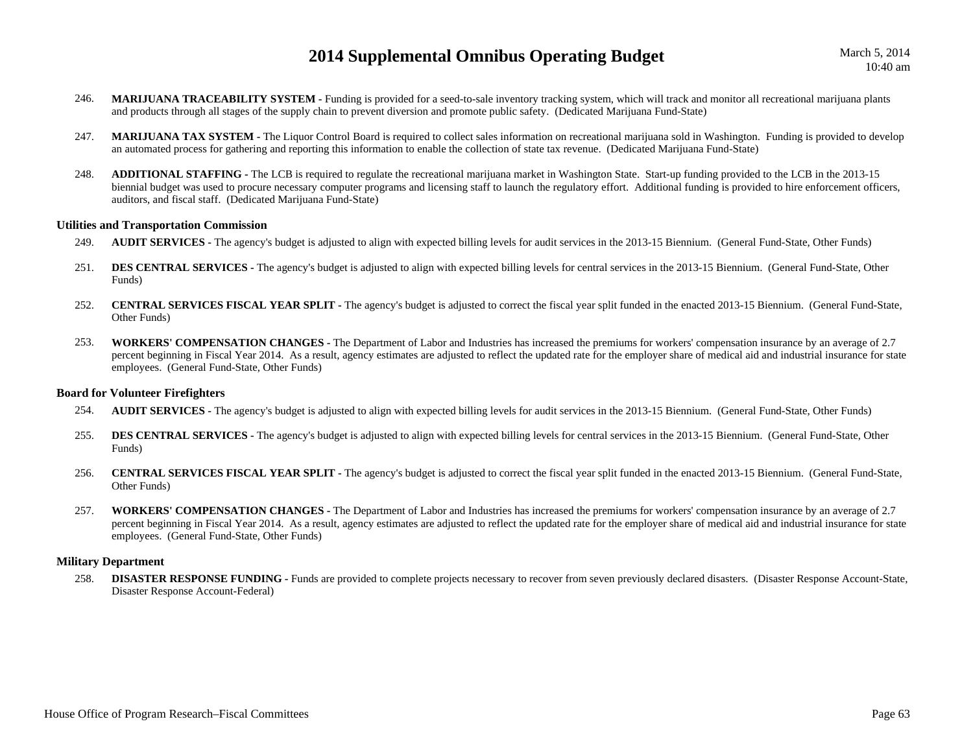- 246. **MARIJUANA TRACEABILITY SYSTEM -** Funding is provided for a seed-to-sale inventory tracking system, which will track and monitor all recreational marijuana plants and products through all stages of the supply chain to prevent diversion and promote public safety. (Dedicated Marijuana Fund-State)
- 247. **MARIJUANA TAX SYSTEM -** The Liquor Control Board is required to collect sales information on recreational marijuana sold in Washington. Funding is provided to develop an automated process for gathering and reporting this information to enable the collection of state tax revenue. (Dedicated Marijuana Fund-State)
- 248. **ADDITIONAL STAFFING -** The LCB is required to regulate the recreational marijuana market in Washington State. Start-up funding provided to the LCB in the 2013-15 biennial budget was used to procure necessary computer programs and licensing staff to launch the regulatory effort. Additional funding is provided to hire enforcement officers, auditors, and fiscal staff. (Dedicated Marijuana Fund-State)

#### **Utilities and Transportation Commission**

- 249.**AUDIT SERVICES** - The agency's budget is adjusted to align with expected billing levels for audit services in the 2013-15 Biennium. (General Fund-State, Other Funds)
- 251.**DES CENTRAL SERVICES** - The agency's budget is adjusted to align with expected billing levels for central services in the 2013-15 Biennium. (General Fund-State, Other Funds)
- 252. **CENTRAL SERVICES FISCAL YEAR SPLIT -** The agency's budget is adjusted to correct the fiscal year split funded in the enacted 2013-15 Biennium. (General Fund-State, Other Funds)
- 253. **WORKERS' COMPENSATION CHANGES -** The Department of Labor and Industries has increased the premiums for workers' compensation insurance by an average of 2.7 percent beginning in Fiscal Year 2014. As a result, agency estimates are adjusted to reflect the updated rate for the employer share of medical aid and industrial insurance for state employees. (General Fund-State, Other Funds)

#### **Board for Volunteer Firefighters**

- 254.**AUDIT SERVICES** - The agency's budget is adjusted to align with expected billing levels for audit services in the 2013-15 Biennium. (General Fund-State, Other Funds)
- 255.**DES CENTRAL SERVICES -** The agency's budget is adjusted to align with expected billing levels for central services in the 2013-15 Biennium. (General Fund-State, Other Funds)
- 256. **CENTRAL SERVICES FISCAL YEAR SPLIT -** The agency's budget is adjusted to correct the fiscal year split funded in the enacted 2013-15 Biennium. (General Fund-State, Other Funds)
- 257. **WORKERS' COMPENSATION CHANGES -** The Department of Labor and Industries has increased the premiums for workers' compensation insurance by an average of 2.7 percent beginning in Fiscal Year 2014. As a result, agency estimates are adjusted to reflect the updated rate for the employer share of medical aid and industrial insurance for state employees. (General Fund-State, Other Funds)

#### **Military Department**

258. **DISASTER RESPONSE FUNDING -** Funds are provided to complete projects necessary to recover from seven previously declared disasters. (Disaster Response Account-State, Disaster Response Account-Federal)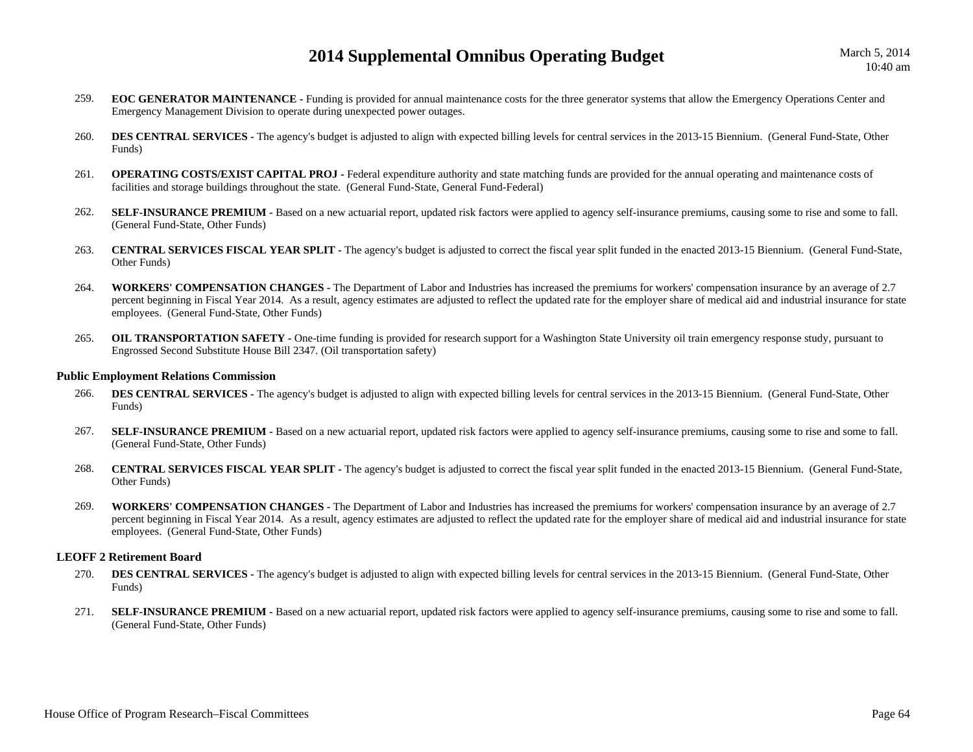- 259. **EOC GENERATOR MAINTENANCE -** Funding is provided for annual maintenance costs for the three generator systems that allow the Emergency Operations Center and Emergency Management Division to operate during unexpected power outages.
- 260.**DES CENTRAL SERVICES** - The agency's budget is adjusted to align with expected billing levels for central services in the 2013-15 Biennium. (General Fund-State, Other Funds)
- 261.**OPERATING COSTS/EXIST CAPITAL PROJ -** Federal expenditure authority and state matching funds are provided for the annual operating and maintenance costs of facilities and storage buildings throughout the state. (General Fund-State, General Fund-Federal)
- 262.SELF-INSURANCE PREMIUM - Based on a new actuarial report, updated risk factors were applied to agency self-insurance premiums, causing some to rise and some to fall. (General Fund-State, Other Funds)
- 263. **CENTRAL SERVICES FISCAL YEAR SPLIT -** The agency's budget is adjusted to correct the fiscal year split funded in the enacted 2013-15 Biennium. (General Fund-State, Other Funds)
- 264. **WORKERS' COMPENSATION CHANGES -** The Department of Labor and Industries has increased the premiums for workers' compensation insurance by an average of 2.7 percent beginning in Fiscal Year 2014. As a result, agency estimates are adjusted to reflect the updated rate for the employer share of medical aid and industrial insurance for state employees. (General Fund-State, Other Funds)
- 265.**OIL TRANSPORTATION SAFETY** - One-time funding is provided for research support for a Washington State University oil train emergency response study, pursuant to Engrossed Second Substitute House Bill 2347. (Oil transportation safety)

#### **Public Employment Relations Commission**

- 266.**DES CENTRAL SERVICES -** The agency's budget is adjusted to align with expected billing levels for central services in the 2013-15 Biennium. (General Fund-State, Other Funds)
- 267.**SELF-INSURANCE PREMIUM -** Based on a new actuarial report, updated risk factors were applied to agency self-insurance premiums, causing some to rise and some to fall. (General Fund-State, Other Funds)
- 268. **CENTRAL SERVICES FISCAL YEAR SPLIT -** The agency's budget is adjusted to correct the fiscal year split funded in the enacted 2013-15 Biennium. (General Fund-State, Other Funds)
- 269. **WORKERS' COMPENSATION CHANGES -** The Department of Labor and Industries has increased the premiums for workers' compensation insurance by an average of 2.7 percent beginning in Fiscal Year 2014. As a result, agency estimates are adjusted to reflect the updated rate for the employer share of medical aid and industrial insurance for state employees. (General Fund-State, Other Funds)

#### **LEOFF 2 Retirement Board**

- 270.**DES CENTRAL SERVICES** - The agency's budget is adjusted to align with expected billing levels for central services in the 2013-15 Biennium. (General Fund-State, Other Funds)
- 271.**SELF-INSURANCE PREMIUM -** Based on a new actuarial report, updated risk factors were applied to agency self-insurance premiums, causing some to rise and some to fall. (General Fund-State, Other Funds)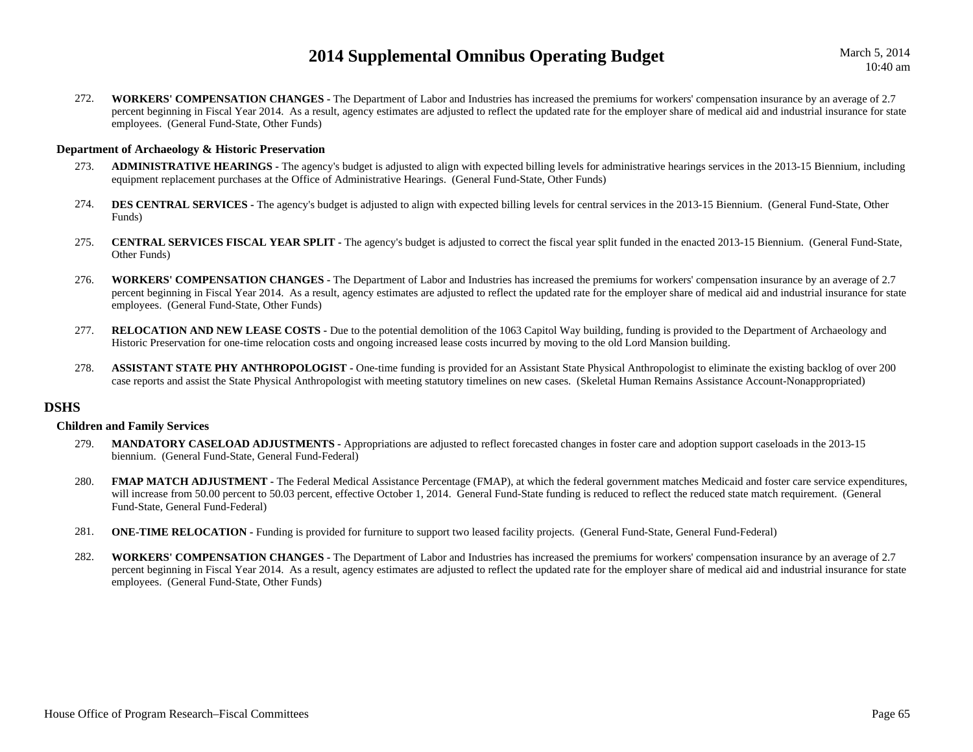March 5, 2014 10:40 am

272. **WORKERS' COMPENSATION CHANGES -** The Department of Labor and Industries has increased the premiums for workers' compensation insurance by an average of 2.7 percent beginning in Fiscal Year 2014. As a result, agency estimates are adjusted to reflect the updated rate for the employer share of medical aid and industrial insurance for state employees. (General Fund-State, Other Funds)

#### **Department of Archaeology & Historic Preservation**

- 273. **ADMINISTRATIVE HEARINGS -** The agency's budget is adjusted to align with expected billing levels for administrative hearings services in the 2013-15 Biennium, including equipment replacement purchases at the Office of Administrative Hearings. (General Fund-State, Other Funds)
- 274.**DES CENTRAL SERVICES** - The agency's budget is adjusted to align with expected billing levels for central services in the 2013-15 Biennium. (General Fund-State, Other Funds)
- 275. **CENTRAL SERVICES FISCAL YEAR SPLIT -** The agency's budget is adjusted to correct the fiscal year split funded in the enacted 2013-15 Biennium. (General Fund-State, Other Funds)
- 276. **WORKERS' COMPENSATION CHANGES -** The Department of Labor and Industries has increased the premiums for workers' compensation insurance by an average of 2.7 percent beginning in Fiscal Year 2014. As a result, agency estimates are adjusted to reflect the updated rate for the employer share of medical aid and industrial insurance for state employees. (General Fund-State, Other Funds)
- 277.**RELOCATION AND NEW LEASE COSTS -** Due to the potential demolition of the 1063 Capitol Way building, funding is provided to the Department of Archaeology and Historic Preservation for one-time relocation costs and ongoing increased lease costs incurred by moving to the old Lord Mansion building.
- 278.**ASSISTANT STATE PHY ANTHROPOLOGIST -** One-time funding is provided for an Assistant State Physical Anthropologist to eliminate the existing backlog of over 200 case reports and assist the State Physical Anthropologist with meeting statutory timelines on new cases. (Skeletal Human Remains Assistance Account-Nonappropriated)

## **DSHS**

#### **Children and Family Services**

- 279. **MANDATORY CASELOAD ADJUSTMENTS -** Appropriations are adjusted to reflect forecasted changes in foster care and adoption support caseloads in the 2013-15 biennium. (General Fund-State, General Fund-Federal)
- 280.FMAP MATCH ADJUSTMENT - The Federal Medical Assistance Percentage (FMAP), at which the federal government matches Medicaid and foster care service expenditures, will increase from 50.00 percent to 50.03 percent, effective October 1, 2014. General Fund-State funding is reduced to reflect the reduced state match requirement. (General Fund-State, General Fund-Federal)
- 281.**ONE-TIME RELOCATION -** Funding is provided for furniture to support two leased facility projects. (General Fund-State, General Fund-Federal)
- 282. **WORKERS' COMPENSATION CHANGES -** The Department of Labor and Industries has increased the premiums for workers' compensation insurance by an average of 2.7 percent beginning in Fiscal Year 2014. As a result, agency estimates are adjusted to reflect the updated rate for the employer share of medical aid and industrial insurance for state employees. (General Fund-State, Other Funds)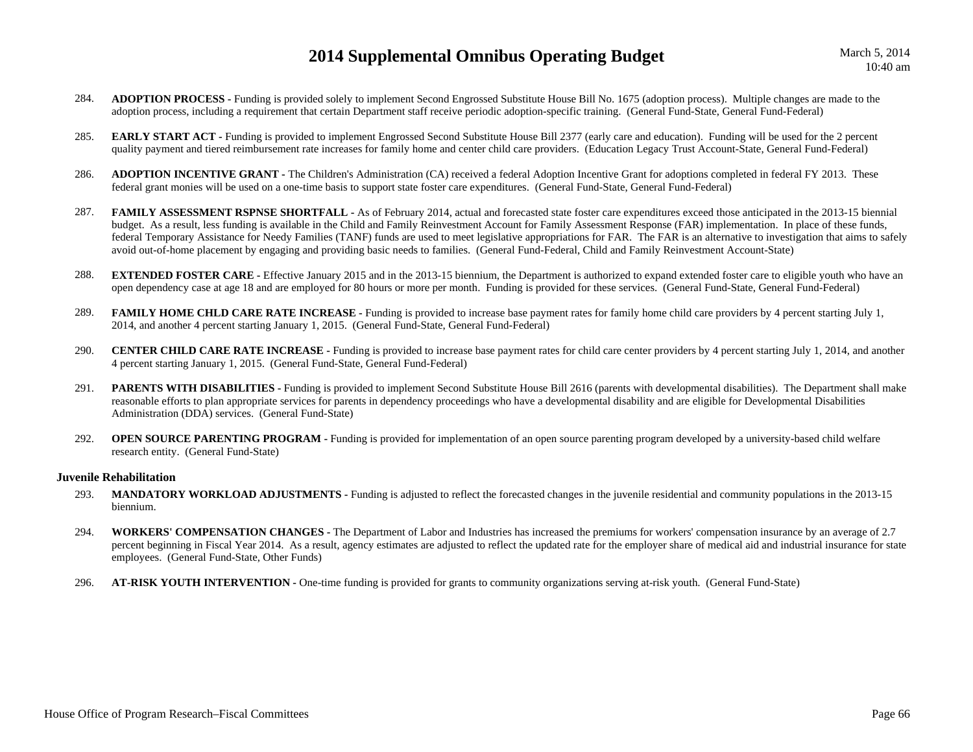- 284. **ADOPTION PROCESS -** Funding is provided solely to implement Second Engrossed Substitute House Bill No. 1675 (adoption process). Multiple changes are made to the adoption process, including a requirement that certain Department staff receive periodic adoption-specific training. (General Fund-State, General Fund-Federal)
- 285.**EARLY START ACT** - Funding is provided to implement Engrossed Second Substitute House Bill 2377 (early care and education). Funding will be used for the 2 percent quality payment and tiered reimbursement rate increases for family home and center child care providers. (Education Legacy Trust Account-State, General Fund-Federal)
- 286. **ADOPTION INCENTIVE GRANT -** The Children's Administration (CA) received a federal Adoption Incentive Grant for adoptions completed in federal FY 2013. These federal grant monies will be used on a one-time basis to support state foster care expenditures. (General Fund-State, General Fund-Federal)
- 287.**FAMILY ASSESSMENT RSPNSE SHORTFALL -** As of February 2014, actual and forecasted state foster care expenditures exceed those anticipated in the 2013-15 biennial budget. As a result, less funding is available in the Child and Family Reinvestment Account for Family Assessment Response (FAR) implementation. In place of these funds, federal Temporary Assistance for Needy Families (TANF) funds are used to meet legislative appropriations for FAR. The FAR is an alternative to investigation that aims to safely avoid out-of-home placement by engaging and providing basic needs to families. (General Fund-Federal, Child and Family Reinvestment Account-State)
- 288.**EXTENDED FOSTER CARE** - Effective January 2015 and in the 2013-15 biennium, the Department is authorized to expand extended foster care to eligible youth who have an open dependency case at age 18 and are employed for 80 hours or more per month. Funding is provided for these services. (General Fund-State, General Fund-Federal)
- 289.**FAMILY HOME CHLD CARE RATE INCREASE** - Funding is provided to increase base payment rates for family home child care providers by 4 percent starting July 1, 2014, and another 4 percent starting January 1, 2015. (General Fund-State, General Fund-Federal)
- 290. **CENTER CHILD CARE RATE INCREASE -** Funding is provided to increase base payment rates for child care center providers by 4 percent starting July 1, 2014, and another 4 percent starting January 1, 2015. (General Fund-State, General Fund-Federal)
- 291.**PARENTS WITH DISABILITIES** - Funding is provided to implement Second Substitute House Bill 2616 (parents with developmental disabilities). The Department shall make reasonable efforts to plan appropriate services for parents in dependency proceedings who have a developmental disability and are eligible for Developmental Disabilities Administration (DDA) services. (General Fund-State)
- 292.**OPEN SOURCE PARENTING PROGRAM -** Funding is provided for implementation of an open source parenting program developed by a university-based child welfare research entity. (General Fund-State)

#### **Juvenile Rehabilitation**

- 293. **MANDATORY WORKLOAD ADJUSTMENTS -** Funding is adjusted to reflect the forecasted changes in the juvenile residential and community populations in the 2013-15 biennium.
- 294. **WORKERS' COMPENSATION CHANGES -** The Department of Labor and Industries has increased the premiums for workers' compensation insurance by an average of 2.7 percent beginning in Fiscal Year 2014. As a result, agency estimates are adjusted to reflect the updated rate for the employer share of medical aid and industrial insurance for state employees. (General Fund-State, Other Funds)
- 296.**AT-RISK YOUTH INTERVENTION -** One-time funding is provided for grants to community organizations serving at-risk youth. (General Fund-State)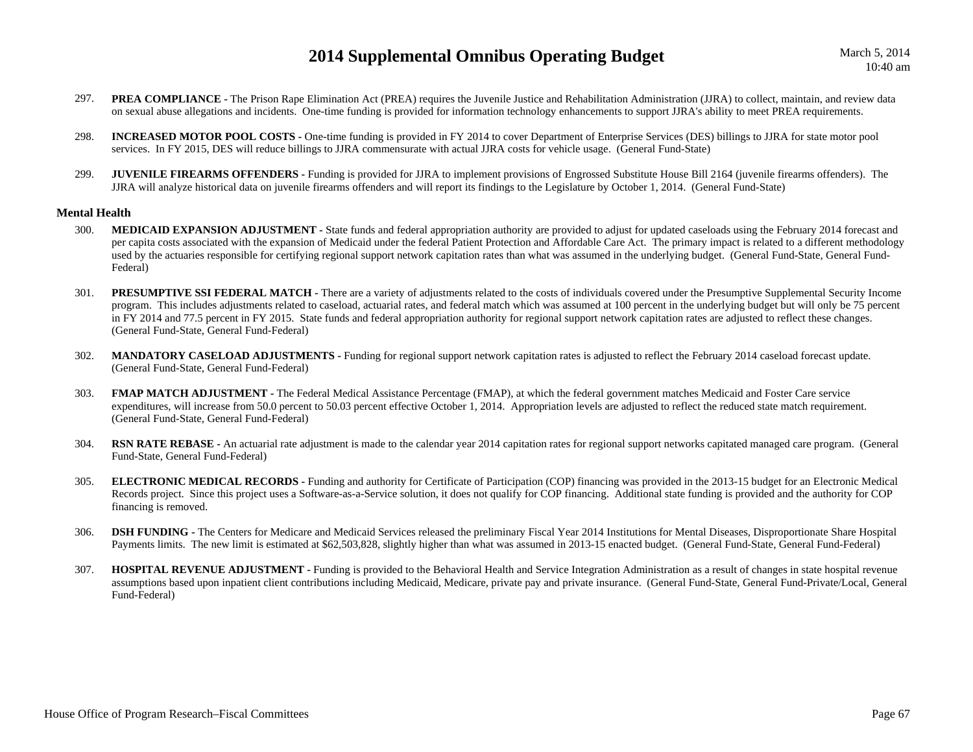- 297.**PREA COMPLIANCE** - The Prison Rape Elimination Act (PREA) requires the Juvenile Justice and Rehabilitation Administration (JJRA) to collect, maintain, and review data on sexual abuse allegations and incidents. One-time funding is provided for information technology enhancements to support JJRA's ability to meet PREA requirements.
- 298. **INCREASED MOTOR POOL COSTS -** One-time funding is provided in FY 2014 to cover Department of Enterprise Services (DES) billings to JJRA for state motor pool services. In FY 2015, DES will reduce billings to JJRA commensurate with actual JJRA costs for vehicle usage. (General Fund-State)
- 299.**JUVENILE FIREARMS OFFENDERS** - Funding is provided for JJRA to implement provisions of Engrossed Substitute House Bill 2164 (juvenile firearms offenders). The JJRA will analyze historical data on juvenile firearms offenders and will report its findings to the Legislature by October 1, 2014. (General Fund-State)

## **Mental Health**

- 300.**MEDICAID EXPANSION ADJUSTMENT** - State funds and federal appropriation authority are provided to adjust for updated caseloads using the February 2014 forecast and per capita costs associated with the expansion of Medicaid under the federal Patient Protection and Affordable Care Act. The primary impact is related to a different methodology used by the actuaries responsible for certifying regional support network capitation rates than what was assumed in the underlying budget. (General Fund-State, General Fund-Federal)
- 301.**PRESUMPTIVE SSI FEDERAL MATCH -** There are a variety of adjustments related to the costs of individuals covered under the Presumptive Supplemental Security Income program. This includes adjustments related to caseload, actuarial rates, and federal match which was assumed at 100 percent in the underlying budget but will only be 75 percent in FY 2014 and 77.5 percent in FY 2015. State funds and federal appropriation authority for regional support network capitation rates are adjusted to reflect these changes. (General Fund-State, General Fund-Federal)
- 302.**MANDATORY CASELOAD ADJUSTMENTS** - Funding for regional support network capitation rates is adjusted to reflect the February 2014 caseload forecast update. (General Fund-State, General Fund-Federal)
- 303.**FMAP MATCH ADJUSTMENT** - The Federal Medical Assistance Percentage (FMAP), at which the federal government matches Medicaid and Foster Care service expenditures, will increase from 50.0 percent to 50.03 percent effective October 1, 2014. Appropriation levels are adjusted to reflect the reduced state match requirement. (General Fund-State, General Fund-Federal)
- 304. **RSN RATE REBASE -** An actuarial rate adjustment is made to the calendar year 2014 capitation rates for regional support networks capitated managed care program. (General Fund-State, General Fund-Federal)
- 305. **ELECTRONIC MEDICAL RECORDS -** Funding and authority for Certificate of Participation (COP) financing was provided in the 2013-15 budget for an Electronic Medical Records project. Since this project uses a Software-as-a-Service solution, it does not qualify for COP financing. Additional state funding is provided and the authority for COP financing is removed.
- 306. **DSH FUNDING -** The Centers for Medicare and Medicaid Services released the preliminary Fiscal Year 2014 Institutions for Mental Diseases, Disproportionate Share Hospital Payments limits. The new limit is estimated at \$62,503,828, slightly higher than what was assumed in 2013-15 enacted budget. (General Fund-State, General Fund-Federal)
- 307. **HOSPITAL REVENUE ADJUSTMENT -** Funding is provided to the Behavioral Health and Service Integration Administration as a result of changes in state hospital revenue assumptions based upon inpatient client contributions including Medicaid, Medicare, private pay and private insurance. (General Fund-State, General Fund-Private/Local, General Fund-Federal)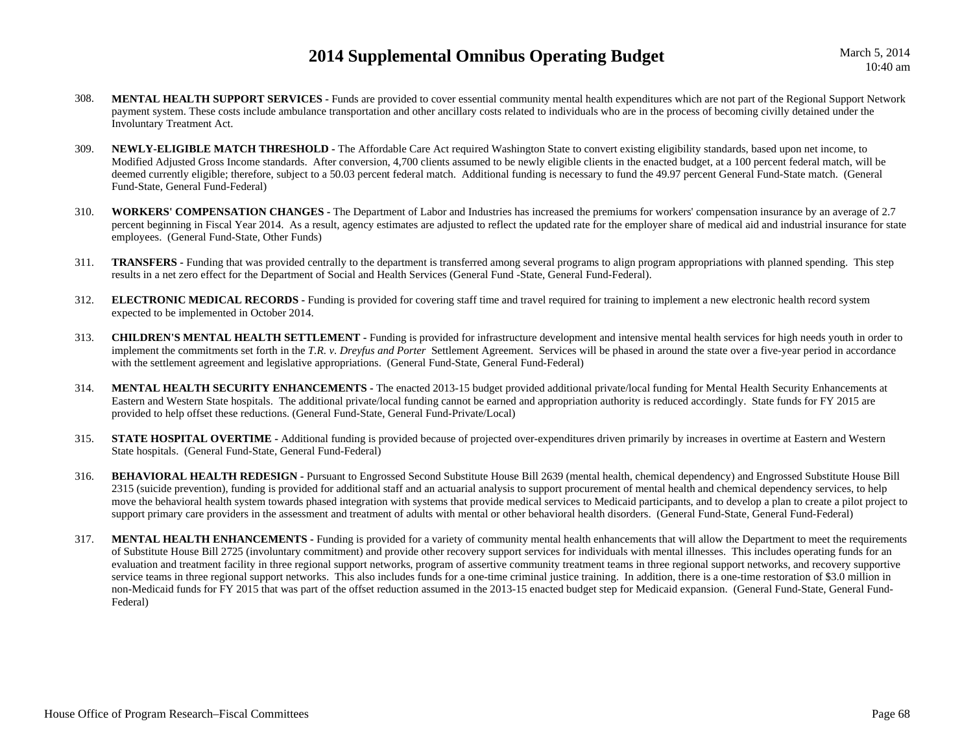- 308. **MENTAL HEALTH SUPPORT SERVICES -** Funds are provided to cover essential community mental health expenditures which are not part of the Regional Support Network payment system. These costs include ambulance transportation and other ancillary costs related to individuals who are in the process of becoming civilly detained under the Involuntary Treatment Act.
- 309. **NEWLY-ELIGIBLE MATCH THRESHOLD -** The Affordable Care Act required Washington State to convert existing eligibility standards, based upon net income, to Modified Adjusted Gross Income standards. After conversion, 4,700 clients assumed to be newly eligible clients in the enacted budget, at a 100 percent federal match, will be deemed currently eligible; therefore, subject to a 50.03 percent federal match. Additional funding is necessary to fund the 49.97 percent General Fund-State match. (General Fund-State, General Fund-Federal)
- 310. **WORKERS' COMPENSATION CHANGES -** The Department of Labor and Industries has increased the premiums for workers' compensation insurance by an average of 2.7 percent beginning in Fiscal Year 2014. As a result, agency estimates are adjusted to reflect the updated rate for the employer share of medical aid and industrial insurance for state employees. (General Fund-State, Other Funds)
- 311. **TRANSFERS -** Funding that was provided centrally to the department is transferred among several programs to align program appropriations with planned spending. This step results in a net zero effect for the Department of Social and Health Services (General Fund -State, General Fund-Federal).
- 312. **ELECTRONIC MEDICAL RECORDS -** Funding is provided for covering staff time and travel required for training to implement a new electronic health record system expected to be implemented in October 2014.
- 313. **CHILDREN'S MENTAL HEALTH SETTLEMENT -** Funding is provided for infrastructure development and intensive mental health services for high needs youth in order to implement the commitments set forth in the *T.R. v. Dreyfus and Porter* Settlement Agreement. Services will be phased in around the state over a five-year period in accordance with the settlement agreement and legislative appropriations. (General Fund-State, General Fund-Federal)
- 314. **MENTAL HEALTH SECURITY ENHANCEMENTS -** The enacted 2013-15 budget provided additional private/local funding for Mental Health Security Enhancements at Eastern and Western State hospitals. The additional private/local funding cannot be earned and appropriation authority is reduced accordingly. State funds for FY 2015 are provided to help offset these reductions. (General Fund-State, General Fund-Private/Local)
- 315.**STATE HOSPITAL OVERTIME -** Additional funding is provided because of projected over-expenditures driven primarily by increases in overtime at Eastern and Western State hospitals. (General Fund-State, General Fund-Federal)
- 316. **BEHAVIORAL HEALTH REDESIGN -** Pursuant to Engrossed Second Substitute House Bill 2639 (mental health, chemical dependency) and Engrossed Substitute House Bill 2315 (suicide prevention), funding is provided for additional staff and an actuarial analysis to support procurement of mental health and chemical dependency services, to help move the behavioral health system towards phased integration with systems that provide medical services to Medicaid participants, and to develop a plan to create a pilot project to support primary care providers in the assessment and treatment of adults with mental or other behavioral health disorders. (General Fund-State, General Fund-Federal)
- 317.**MENTAL HEALTH ENHANCEMENTS** - Funding is provided for a variety of community mental health enhancements that will allow the Department to meet the requirements of Substitute House Bill 2725 (involuntary commitment) and provide other recovery support services for individuals with mental illnesses. This includes operating funds for an evaluation and treatment facility in three regional support networks, program of assertive community treatment teams in three regional support networks, and recovery supportive service teams in three regional support networks. This also includes funds for a one-time criminal justice training. In addition, there is a one-time restoration of \$3.0 million in non-Medicaid funds for FY 2015 that was part of the offset reduction assumed in the 2013-15 enacted budget step for Medicaid expansion. (General Fund-State, General Fund-Federal)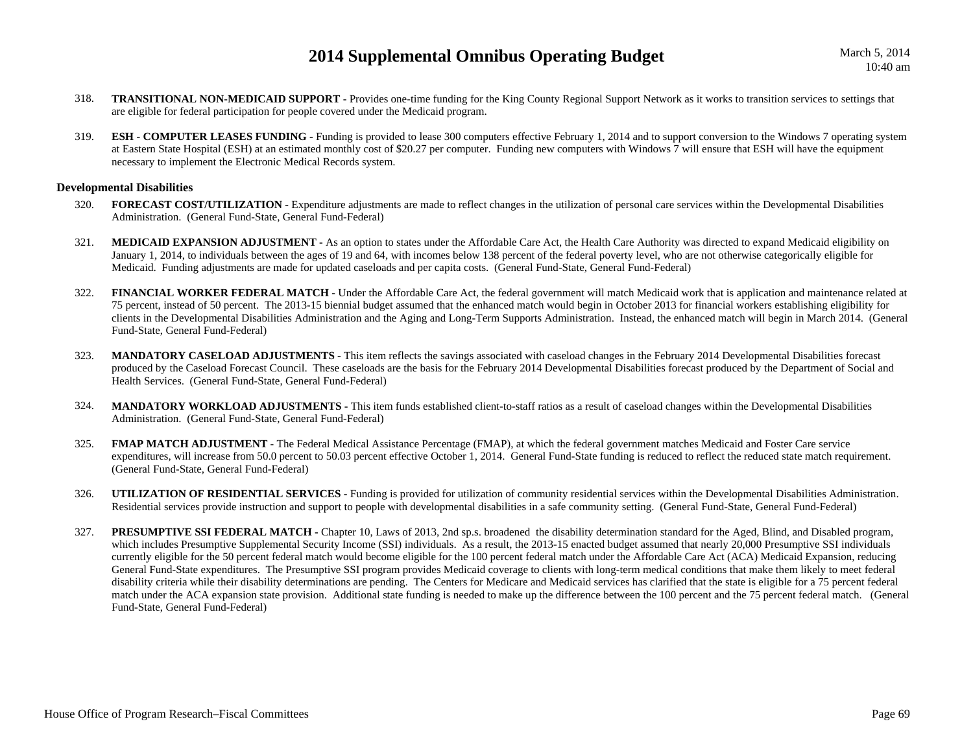- 318. **TRANSITIONAL NON-MEDICAID SUPPORT -** Provides one-time funding for the King County Regional Support Network as it works to transition services to settings that are eligible for federal participation for people covered under the Medicaid program.
- 319.**ESH - COMPUTER LEASES FUNDING -** Funding is provided to lease 300 computers effective February 1, 2014 and to support conversion to the Windows 7 operating system at Eastern State Hospital (ESH) at an estimated monthly cost of \$20.27 per computer. Funding new computers with Windows 7 will ensure that ESH will have the equipment necessary to implement the Electronic Medical Records system.

#### **Developmental Disabilities**

- 320. **FORECAST COST/UTILIZATION -** Expenditure adjustments are made to reflect changes in the utilization of personal care services within the Developmental Disabilities Administration. (General Fund-State, General Fund-Federal)
- 321. **MEDICAID EXPANSION ADJUSTMENT -** As an option to states under the Affordable Care Act, the Health Care Authority was directed to expand Medicaid eligibility on January 1, 2014, to individuals between the ages of 19 and 64, with incomes below 138 percent of the federal poverty level, who are not otherwise categorically eligible for Medicaid. Funding adjustments are made for updated caseloads and per capita costs. (General Fund-State, General Fund-Federal)
- 322.**FINANCIAL WORKER FEDERAL MATCH** - Under the Affordable Care Act, the federal government will match Medicaid work that is application and maintenance related at 75 percent, instead of 50 percent. The 2013-15 biennial budget assumed that the enhanced match would begin in October 2013 for financial workers establishing eligibility for clients in the Developmental Disabilities Administration and the Aging and Long-Term Supports Administration. Instead, the enhanced match will begin in March 2014. (General Fund-State, General Fund-Federal)
- 323. **MANDATORY CASELOAD ADJUSTMENTS -** This item reflects the savings associated with caseload changes in the February 2014 Developmental Disabilities forecast produced by the Caseload Forecast Council. These caseloads are the basis for the February 2014 Developmental Disabilities forecast produced by the Department of Social and Health Services. (General Fund-State, General Fund-Federal)
- 324. **MANDATORY WORKLOAD ADJUSTMENTS -** This item funds established client-to-staff ratios as a result of caseload changes within the Developmental Disabilities Administration. (General Fund-State, General Fund-Federal)
- 325.**FMAP MATCH ADJUSTMENT** - The Federal Medical Assistance Percentage (FMAP), at which the federal government matches Medicaid and Foster Care service expenditures, will increase from 50.0 percent to 50.03 percent effective October 1, 2014. General Fund-State funding is reduced to reflect the reduced state match requirement. (General Fund-State, General Fund-Federal)
- 326. **UTILIZATION OF RESIDENTIAL SERVICES -** Funding is provided for utilization of community residential services within the Developmental Disabilities Administration. Residential services provide instruction and support to people with developmental disabilities in a safe community setting. (General Fund-State, General Fund-Federal)
- 327.**PRESUMPTIVE SSI FEDERAL MATCH -** Chapter 10, Laws of 2013, 2nd sp.s. broadened the disability determination standard for the Aged, Blind, and Disabled program, which includes Presumptive Supplemental Security Income (SSI) individuals. As a result, the 2013-15 enacted budget assumed that nearly 20,000 Presumptive SSI individuals currently eligible for the 50 percent federal match would become eligible for the 100 percent federal match under the Affordable Care Act (ACA) Medicaid Expansion, reducing General Fund-State expenditures. The Presumptive SSI program provides Medicaid coverage to clients with long-term medical conditions that make them likely to meet federal disability criteria while their disability determinations are pending. The Centers for Medicare and Medicaid services has clarified that the state is eligible for a 75 percent federal match under the ACA expansion state provision. Additional state funding is needed to make up the difference between the 100 percent and the 75 percent federal match. (General Fund-State, General Fund-Federal)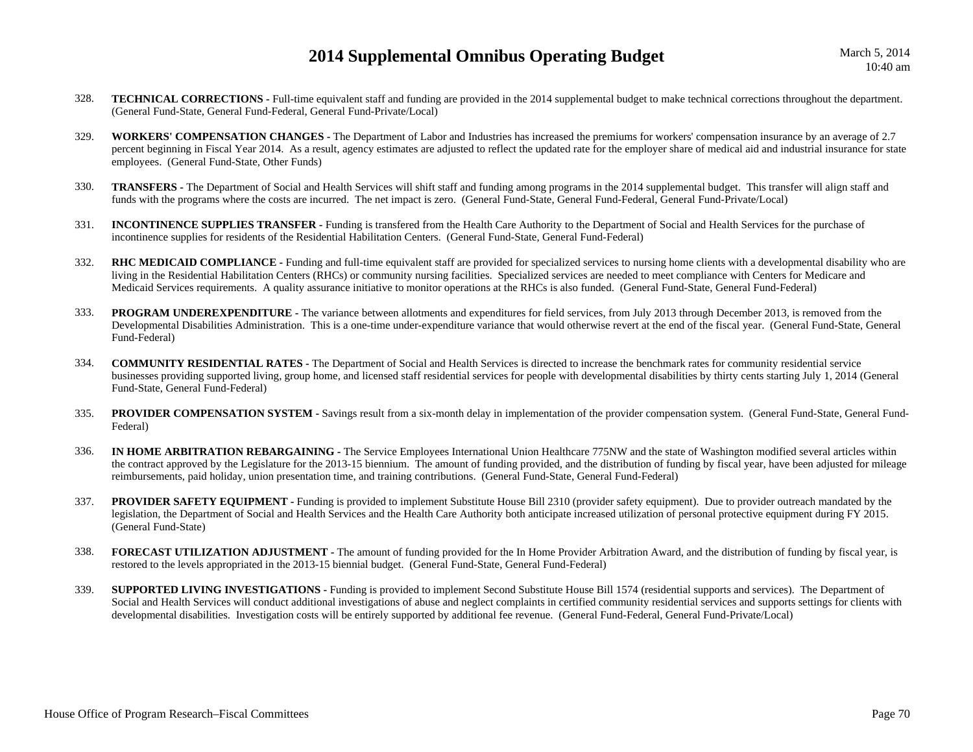- 328. **TECHNICAL CORRECTIONS -** Full-time equivalent staff and funding are provided in the 2014 supplemental budget to make technical corrections throughout the department. (General Fund-State, General Fund-Federal, General Fund-Private/Local)
- 329. **WORKERS' COMPENSATION CHANGES -** The Department of Labor and Industries has increased the premiums for workers' compensation insurance by an average of 2.7 percent beginning in Fiscal Year 2014. As a result, agency estimates are adjusted to reflect the updated rate for the employer share of medical aid and industrial insurance for state employees. (General Fund-State, Other Funds)
- 330. **TRANSFERS -** The Department of Social and Health Services will shift staff and funding among programs in the 2014 supplemental budget. This transfer will align staff and funds with the programs where the costs are incurred. The net impact is zero. (General Fund-State, General Fund-Federal, General Fund-Private/Local)
- 331. **INCONTINENCE SUPPLIES TRANSFER -** Funding is transfered from the Health Care Authority to the Department of Social and Health Services for the purchase of incontinence supplies for residents of the Residential Habilitation Centers. (General Fund-State, General Fund-Federal)
- 332.**RHC MEDICAID COMPLIANCE** - Funding and full-time equivalent staff are provided for specialized services to nursing home clients with a developmental disability who are living in the Residential Habilitation Centers (RHCs) or community nursing facilities. Specialized services are needed to meet compliance with Centers for Medicare and Medicaid Services requirements. A quality assurance initiative to monitor operations at the RHCs is also funded. (General Fund-State, General Fund-Federal)
- 333.**PROGRAM UNDEREXPENDITURE -** The variance between allotments and expenditures for field services, from July 2013 through December 2013, is removed from the Developmental Disabilities Administration. This is a one-time under-expenditure variance that would otherwise revert at the end of the fiscal year. (General Fund-State, General Fund-Federal)
- 334. **COMMUNITY RESIDENTIAL RATES -** The Department of Social and Health Services is directed to increase the benchmark rates for community residential service businesses providing supported living, group home, and licensed staff residential services for people with developmental disabilities by thirty cents starting July 1, 2014 (General Fund-State, General Fund-Federal)
- 335.**PROVIDER COMPENSATION SYSTEM - Savings result from a six-month delay in implementation of the provider compensation system. (General Fund-State, General Fund-**Federal)
- 336. **IN HOME ARBITRATION REBARGAINING -** The Service Employees International Union Healthcare 775NW and the state of Washington modified several articles within the contract approved by the Legislature for the 2013-15 biennium. The amount of funding provided, and the distribution of funding by fiscal year, have been adjusted for mileage reimbursements, paid holiday, union presentation time, and training contributions. (General Fund-State, General Fund-Federal)
- 337.**PROVIDER SAFETY EQUIPMENT -** Funding is provided to implement Substitute House Bill 2310 (provider safety equipment). Due to provider outreach mandated by the legislation, the Department of Social and Health Services and the Health Care Authority both anticipate increased utilization of personal protective equipment during FY 2015. (General Fund-State)
- 338. **FORECAST UTILIZATION ADJUSTMENT -** The amount of funding provided for the In Home Provider Arbitration Award, and the distribution of funding by fiscal year, is restored to the levels appropriated in the 2013-15 biennial budget. (General Fund-State, General Fund-Federal)
- 339.**SUPPORTED LIVING INVESTIGATIONS -** Funding is provided to implement Second Substitute House Bill 1574 (residential supports and services). The Department of Social and Health Services will conduct additional investigations of abuse and neglect complaints in certified community residential services and supports settings for clients with developmental disabilities. Investigation costs will be entirely supported by additional fee revenue. (General Fund-Federal, General Fund-Private/Local)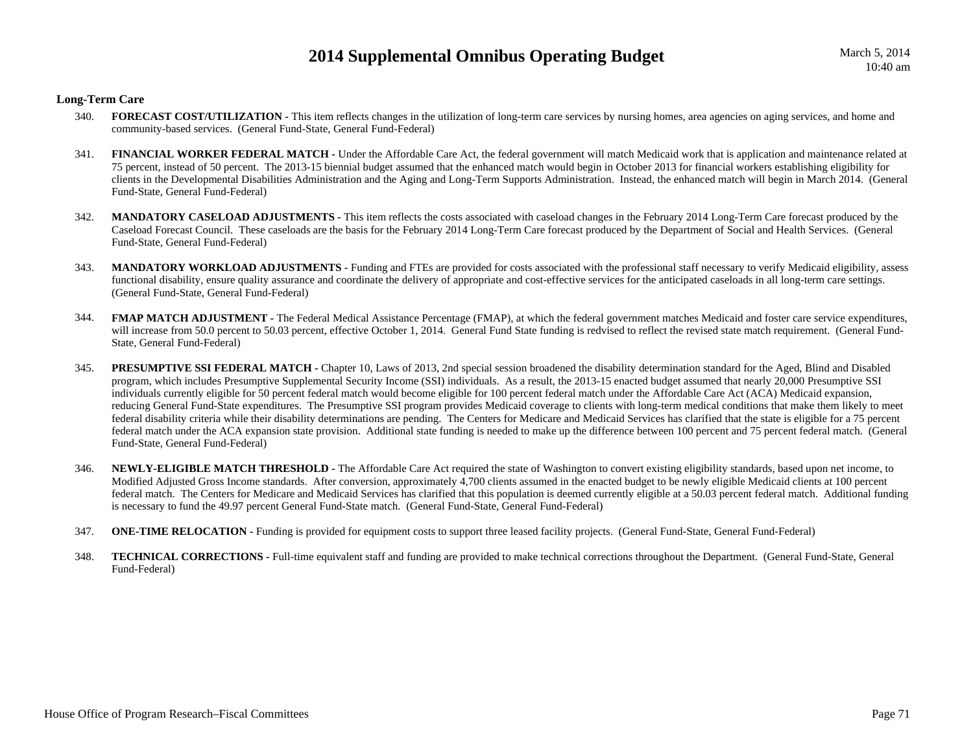## **Long-Term Care**

- 340.FORECAST COST/UTILIZATION - This item reflects changes in the utilization of long-term care services by nursing homes, area agencies on aging services, and home and community-based services. (General Fund-State, General Fund-Federal)
- 341. **FINANCIAL WORKER FEDERAL MATCH -** Under the Affordable Care Act, the federal government will match Medicaid work that is application and maintenance related at 75 percent, instead of 50 percent. The 2013-15 biennial budget assumed that the enhanced match would begin in October 2013 for financial workers establishing eligibility for clients in the Developmental Disabilities Administration and the Aging and Long-Term Supports Administration. Instead, the enhanced match will begin in March 2014. (General Fund-State, General Fund-Federal)
- 342. **MANDATORY CASELOAD ADJUSTMENTS -** This item reflects the costs associated with caseload changes in the February 2014 Long-Term Care forecast produced by the Caseload Forecast Council. These caseloads are the basis for the February 2014 Long-Term Care forecast produced by the Department of Social and Health Services. (General Fund-State, General Fund-Federal)
- 343. **MANDATORY WORKLOAD ADJUSTMENTS -** Funding and FTEs are provided for costs associated with the professional staff necessary to verify Medicaid eligibility, assess functional disability, ensure quality assurance and coordinate the delivery of appropriate and cost-effective services for the anticipated caseloads in all long-term care settings. (General Fund-State, General Fund-Federal)
- 344.**FMAP MATCH ADJUSTMENT** - The Federal Medical Assistance Percentage (FMAP), at which the federal government matches Medicaid and foster care service expenditures, will increase from 50.0 percent to 50.03 percent, effective October 1, 2014. General Fund State funding is redvised to reflect the revised state match requirement. (General Fund-State, General Fund-Federal)
- 345.**PRESUMPTIVE SSI FEDERAL MATCH -** Chapter 10, Laws of 2013, 2nd special session broadened the disability determination standard for the Aged, Blind and Disabled program, which includes Presumptive Supplemental Security Income (SSI) individuals. As a result, the 2013-15 enacted budget assumed that nearly 20,000 Presumptive SSI individuals currently eligible for 50 percent federal match would become eligible for 100 percent federal match under the Affordable Care Act (ACA) Medicaid expansion, reducing General Fund-State expenditures. The Presumptive SSI program provides Medicaid coverage to clients with long-term medical conditions that make them likely to meet federal disability criteria while their disability determinations are pending. The Centers for Medicare and Medicaid Services has clarified that the state is eligible for a 75 percent federal match under the ACA expansion state provision. Additional state funding is needed to make up the difference between 100 percent and 75 percent federal match. (General Fund-State, General Fund-Federal)
- 346. **NEWLY-ELIGIBLE MATCH THRESHOLD -** The Affordable Care Act required the state of Washington to convert existing eligibility standards, based upon net income, to Modified Adjusted Gross Income standards. After conversion, approximately 4,700 clients assumed in the enacted budget to be newly eligible Medicaid clients at 100 percent federal match. The Centers for Medicare and Medicaid Services has clarified that this population is deemed currently eligible at a 50.03 percent federal match. Additional funding is necessary to fund the 49.97 percent General Fund-State match. (General Fund-State, General Fund-Federal)
- 347.**ONE-TIME RELOCATION -** Funding is provided for equipment costs to support three leased facility projects. (General Fund-State, General Fund-Federal)
- 348. **TECHNICAL CORRECTIONS -** Full-time equivalent staff and funding are provided to make technical corrections throughout the Department. (General Fund-State, General Fund-Federal)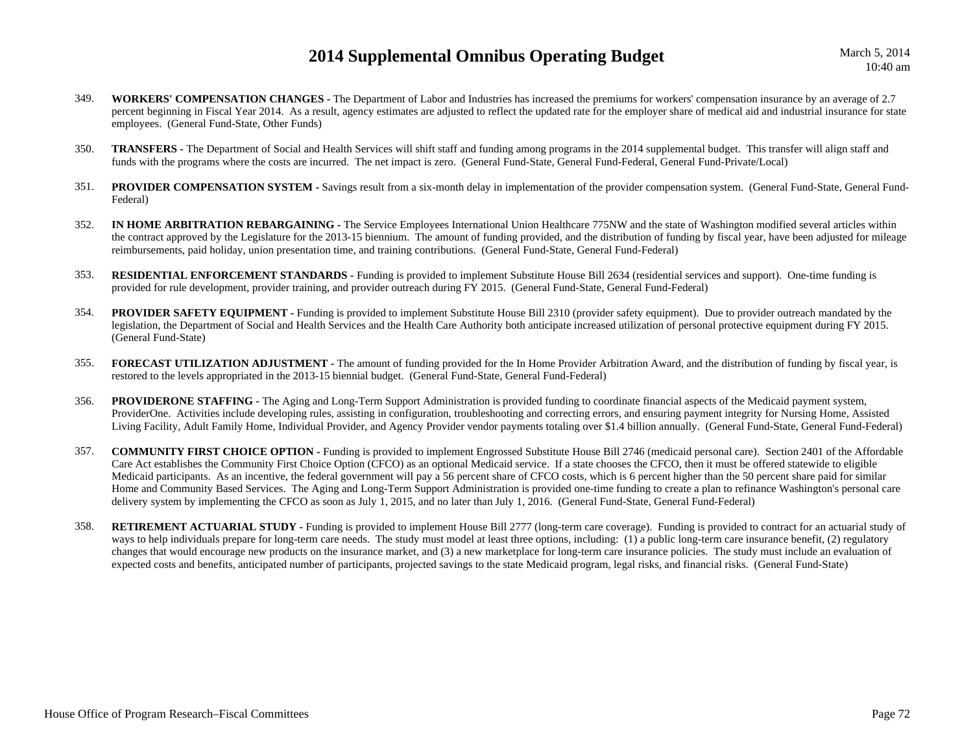- 349. **WORKERS' COMPENSATION CHANGES -** The Department of Labor and Industries has increased the premiums for workers' compensation insurance by an average of 2.7 percent beginning in Fiscal Year 2014. As a result, agency estimates are adjusted to reflect the updated rate for the employer share of medical aid and industrial insurance for state employees. (General Fund-State, Other Funds)
- 350. **TRANSFERS -** The Department of Social and Health Services will shift staff and funding among programs in the 2014 supplemental budget. This transfer will align staff and funds with the programs where the costs are incurred. The net impact is zero. (General Fund-State, General Fund-Federal, General Fund-Private/Local)
- 351.PROVIDER COMPENSATION SYSTEM - Savings result from a six-month delay in implementation of the provider compensation system. (General Fund-State, General Fund-Federal)
- 352. **IN HOME ARBITRATION REBARGAINING -** The Service Employees International Union Healthcare 775NW and the state of Washington modified several articles within the contract approved by the Legislature for the 2013-15 biennium. The amount of funding provided, and the distribution of funding by fiscal year, have been adjusted for mileage reimbursements, paid holiday, union presentation time, and training contributions. (General Fund-State, General Fund-Federal)
- 353. **RESIDENTIAL ENFORCEMENT STANDARDS -** Funding is provided to implement Substitute House Bill 2634 (residential services and support). One-time funding is provided for rule development, provider training, and provider outreach during FY 2015. (General Fund-State, General Fund-Federal)
- 354.**PROVIDER SAFETY EQUIPMENT -** Funding is provided to implement Substitute House Bill 2310 (provider safety equipment). Due to provider outreach mandated by the legislation, the Department of Social and Health Services and the Health Care Authority both anticipate increased utilization of personal protective equipment during FY 2015. (General Fund-State)
- 355. **FORECAST UTILIZATION ADJUSTMENT -** The amount of funding provided for the In Home Provider Arbitration Award, and the distribution of funding by fiscal year, is restored to the levels appropriated in the 2013-15 biennial budget. (General Fund-State, General Fund-Federal)
- 356.**PROVIDERONE STAFFING** - The Aging and Long-Term Support Administration is provided funding to coordinate financial aspects of the Medicaid payment system, ProviderOne. Activities include developing rules, assisting in configuration, troubleshooting and correcting errors, and ensuring payment integrity for Nursing Home, Assisted Living Facility, Adult Family Home, Individual Provider, and Agency Provider vendor payments totaling over \$1.4 billion annually. (General Fund-State, General Fund-Federal)
- 357. **COMMUNITY FIRST CHOICE OPTION -** Funding is provided to implement Engrossed Substitute House Bill 2746 (medicaid personal care). Section 2401 of the Affordable Care Act establishes the Community First Choice Option (CFCO) as an optional Medicaid service. If a state chooses the CFCO, then it must be offered statewide to eligible Medicaid participants. As an incentive, the federal government will pay a 56 percent share of CFCO costs, which is 6 percent higher than the 50 percent share paid for similar Home and Community Based Services. The Aging and Long-Term Support Administration is provided one-time funding to create a plan to refinance Washington's personal care delivery system by implementing the CFCO as soon as July 1, 2015, and no later than July 1, 2016. (General Fund-State, General Fund-Federal)
- 358.**RETIREMENT ACTUARIAL STUDY** - Funding is provided to implement House Bill 2777 (long-term care coverage). Funding is provided to contract for an actuarial study of ways to help individuals prepare for long-term care needs. The study must model at least three options, including: (1) a public long-term care insurance benefit, (2) regulatory changes that would encourage new products on the insurance market, and (3) a new marketplace for long-term care insurance policies. The study must include an evaluation of expected costs and benefits, anticipated number of participants, projected savings to the state Medicaid program, legal risks, and financial risks. (General Fund-State)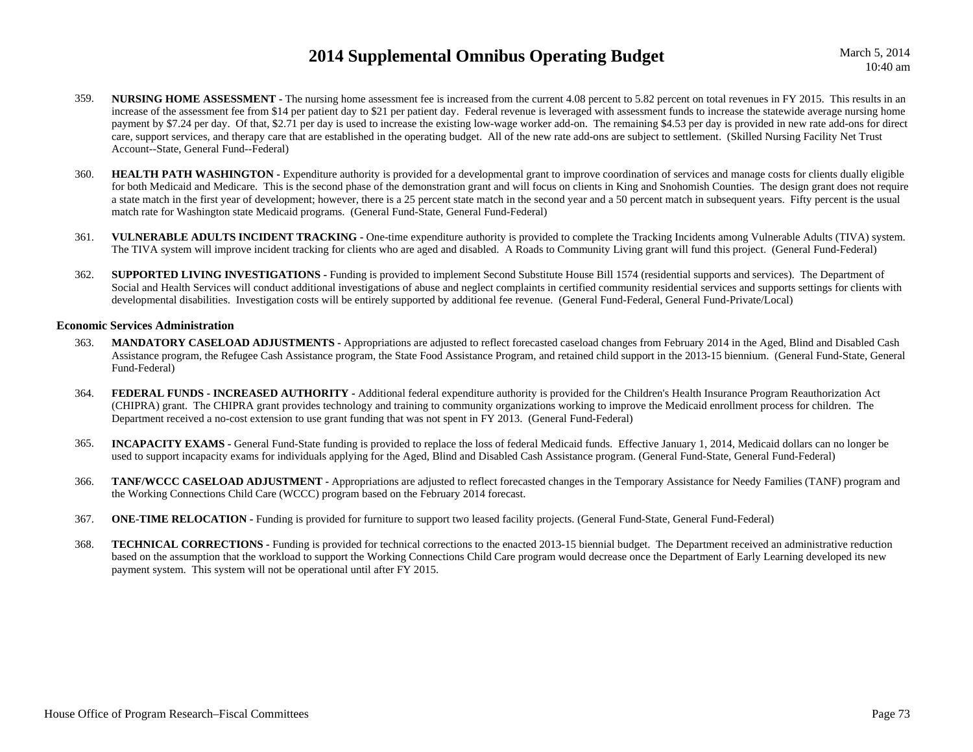- 359.**NURSING HOME ASSESSMENT** - The nursing home assessment fee is increased from the current 4.08 percent to 5.82 percent on total revenues in FY 2015. This results in an increase of the assessment fee from \$14 per patient day to \$21 per patient day. Federal revenue is leveraged with assessment funds to increase the statewide average nursing home payment by \$7.24 per day. Of that, \$2.71 per day is used to increase the existing low-wage worker add-on. The remaining \$4.53 per day is provided in new rate add-ons for direct care, support services, and therapy care that are established in the operating budget. All of the new rate add-ons are subject to settlement. (Skilled Nursing Facility Net Trust Account--State, General Fund--Federal)
- 360.**HEALTH PATH WASHINGTON -** Expenditure authority is provided for a developmental grant to improve coordination of services and manage costs for clients dually eligible for both Medicaid and Medicare. This is the second phase of the demonstration grant and will focus on clients in King and Snohomish Counties. The design grant does not require a state match in the first year of development; however, there is a 25 percent state match in the second year and a 50 percent match in subsequent years. Fifty percent is the usual match rate for Washington state Medicaid programs. (General Fund-State, General Fund-Federal)
- 361. **VULNERABLE ADULTS INCIDENT TRACKING -** One-time expenditure authority is provided to complete the Tracking Incidents among Vulnerable Adults (TIVA) system. The TIVA system will improve incident tracking for clients who are aged and disabled. A Roads to Community Living grant will fund this project. (General Fund-Federal)
- 362.**SUPPORTED LIVING INVESTIGATIONS -** Funding is provided to implement Second Substitute House Bill 1574 (residential supports and services). The Department of Social and Health Services will conduct additional investigations of abuse and neglect complaints in certified community residential services and supports settings for clients with developmental disabilities. Investigation costs will be entirely supported by additional fee revenue. (General Fund-Federal, General Fund-Private/Local)

#### **Economic Services Administration**

- 363. **MANDATORY CASELOAD ADJUSTMENTS -** Appropriations are adjusted to reflect forecasted caseload changes from February 2014 in the Aged, Blind and Disabled Cash Assistance program, the Refugee Cash Assistance program, the State Food Assistance Program, and retained child support in the 2013-15 biennium. (General Fund-State, General Fund-Federal)
- 364. **FEDERAL FUNDS - INCREASED AUTHORITY -** Additional federal expenditure authority is provided for the Children's Health Insurance Program Reauthorization Act (CHIPRA) grant. The CHIPRA grant provides technology and training to community organizations working to improve the Medicaid enrollment process for children. The Department received a no-cost extension to use grant funding that was not spent in FY 2013. (General Fund-Federal)
- 365. **INCAPACITY EXAMS -** General Fund-State funding is provided to replace the loss of federal Medicaid funds. Effective January 1, 2014, Medicaid dollars can no longer be used to support incapacity exams for individuals applying for the Aged, Blind and Disabled Cash Assistance program. (General Fund-State, General Fund-Federal)
- 366. **TANF/WCCC CASELOAD ADJUSTMENT -** Appropriations are adjusted to reflect forecasted changes in the Temporary Assistance for Needy Families (TANF) program and the Working Connections Child Care (WCCC) program based on the February 2014 forecast.
- 367.**ONE-TIME RELOCATION -** Funding is provided for furniture to support two leased facility projects. (General Fund-State, General Fund-Federal)
- 368. **TECHNICAL CORRECTIONS -** Funding is provided for technical corrections to the enacted 2013-15 biennial budget. The Department received an administrative reduction based on the assumption that the workload to support the Working Connections Child Care program would decrease once the Department of Early Learning developed its new payment system. This system will not be operational until after FY 2015.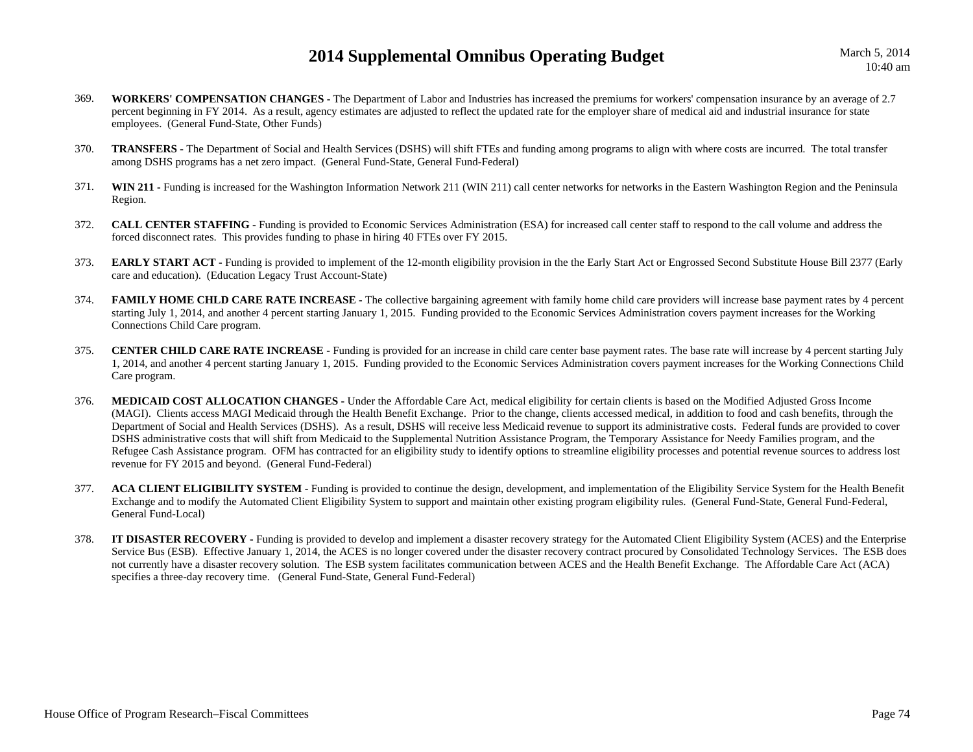March 5, 2014 10:40 am

- 369. **WORKERS' COMPENSATION CHANGES -** The Department of Labor and Industries has increased the premiums for workers' compensation insurance by an average of 2.7 percent beginning in FY 2014. As a result, agency estimates are adjusted to reflect the updated rate for the employer share of medical aid and industrial insurance for state employees. (General Fund-State, Other Funds)
- 370. **TRANSFERS -** The Department of Social and Health Services (DSHS) will shift FTEs and funding among programs to align with where costs are incurred. The total transfer among DSHS programs has a net zero impact. (General Fund-State, General Fund-Federal)
- 371. **WIN 211 -** Funding is increased for the Washington Information Network 211 (WIN 211) call center networks for networks in the Eastern Washington Region and the Peninsula Region.
- 372. **CALL CENTER STAFFING -** Funding is provided to Economic Services Administration (ESA) for increased call center staff to respond to the call volume and address the forced disconnect rates. This provides funding to phase in hiring 40 FTEs over FY 2015.
- 373. **EARLY START ACT -** Funding is provided to implement of the 12-month eligibility provision in the the Early Start Act or Engrossed Second Substitute House Bill 2377 (Early care and education). (Education Legacy Trust Account-State)
- 374.**FAMILY HOME CHLD CARE RATE INCREASE** - The collective bargaining agreement with family home child care providers will increase base payment rates by 4 percent starting July 1, 2014, and another 4 percent starting January 1, 2015. Funding provided to the Economic Services Administration covers payment increases for the Working Connections Child Care program.
- 375. **CENTER CHILD CARE RATE INCREASE -** Funding is provided for an increase in child care center base payment rates. The base rate will increase by 4 percent starting July 1, 2014, and another 4 percent starting January 1, 2015. Funding provided to the Economic Services Administration covers payment increases for the Working Connections Child Care program.
- 376. **MEDICAID COST ALLOCATION CHANGES -** Under the Affordable Care Act, medical eligibility for certain clients is based on the Modified Adjusted Gross Income (MAGI). Clients access MAGI Medicaid through the Health Benefit Exchange. Prior to the change, clients accessed medical, in addition to food and cash benefits, through the Department of Social and Health Services (DSHS). As a result, DSHS will receive less Medicaid revenue to support its administrative costs. Federal funds are provided to cover DSHS administrative costs that will shift from Medicaid to the Supplemental Nutrition Assistance Program, the Temporary Assistance for Needy Families program, and the Refugee Cash Assistance program. OFM has contracted for an eligibility study to identify options to streamline eligibility processes and potential revenue sources to address lost revenue for FY 2015 and beyond. (General Fund-Federal)
- 377. **ACA CLIENT ELIGIBILITY SYSTEM -** Funding is provided to continue the design, development, and implementation of the Eligibility Service System for the Health Benefit Exchange and to modify the Automated Client Eligibility System to support and maintain other existing program eligibility rules. (General Fund-State, General Fund-Federal, General Fund-Local)
- 378. **IT DISASTER RECOVERY -** Funding is provided to develop and implement a disaster recovery strategy for the Automated Client Eligibility System (ACES) and the Enterprise Service Bus (ESB). Effective January 1, 2014, the ACES is no longer covered under the disaster recovery contract procured by Consolidated Technology Services. The ESB does not currently have a disaster recovery solution. The ESB system facilitates communication between ACES and the Health Benefit Exchange. The Affordable Care Act (ACA) specifies a three-day recovery time. (General Fund-State, General Fund-Federal)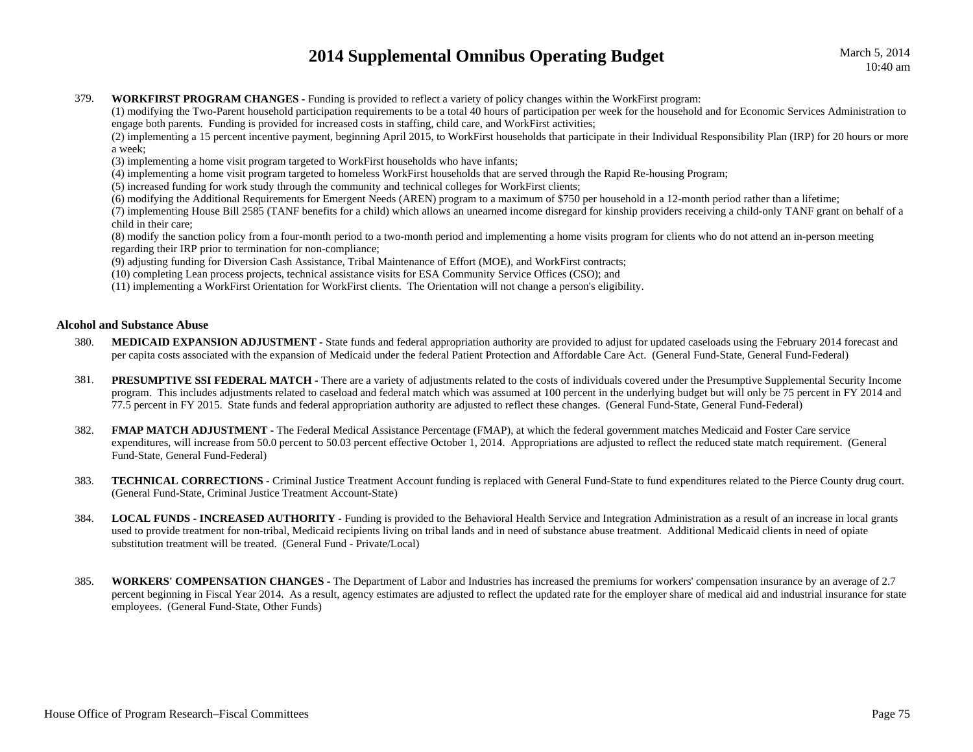#### 379.**WORKFIRST PROGRAM CHANGES -** Funding is provided to reflect a variety of policy changes within the WorkFirst program:

(1) modifying the Two-Parent household participation requirements to be a total 40 hours of participation per week for the household and for Economic Services Administration to engage both parents. Funding is provided for increased costs in staffing, child care, and WorkFirst activities;

(2) implementing a 15 percent incentive payment, beginning April 2015, to WorkFirst households that participate in their Individual Responsibility Plan (IRP) for 20 hours or more a week;

(3) implementing a home visit program targeted to WorkFirst households who have infants;

(4) implementing a home visit program targeted to homeless WorkFirst households that are served through the Rapid Re-housing Program;

(5) increased funding for work study through the community and technical colleges for WorkFirst clients;

(6) modifying the Additional Requirements for Emergent Needs (AREN) program to a maximum of \$750 per household in a 12-month period rather than a lifetime;

(7) implementing House Bill 2585 (TANF benefits for a child) which allows an unearned income disregard for kinship providers receiving a child-only TANF grant on behalf of a child in their care;

(8) modify the sanction policy from a four-month period to a two-month period and implementing a home visits program for clients who do not attend an in-person meeting regarding their IRP prior to termination for non-compliance;

(9) adjusting funding for Diversion Cash Assistance, Tribal Maintenance of Effort (MOE), and WorkFirst contracts;

(10) completing Lean process projects, technical assistance visits for ESA Community Service Offices (CSO); and

(11) implementing a WorkFirst Orientation for WorkFirst clients. The Orientation will not change a person's eligibility.

### **Alcohol and Substance Abuse**

- 380.**MEDICAID EXPANSION ADJUSTMENT** - State funds and federal appropriation authority are provided to adjust for updated caseloads using the February 2014 forecast and per capita costs associated with the expansion of Medicaid under the federal Patient Protection and Affordable Care Act. (General Fund-State, General Fund-Federal)
- 381.**PRESUMPTIVE SSI FEDERAL MATCH -** There are a variety of adjustments related to the costs of individuals covered under the Presumptive Supplemental Security Income program. This includes adjustments related to caseload and federal match which was assumed at 100 percent in the underlying budget but will only be 75 percent in FY 2014 and 77.5 percent in FY 2015. State funds and federal appropriation authority are adjusted to reflect these changes. (General Fund-State, General Fund-Federal)
- 382.**FMAP MATCH ADJUSTMENT** - The Federal Medical Assistance Percentage (FMAP), at which the federal government matches Medicaid and Foster Care service expenditures, will increase from 50.0 percent to 50.03 percent effective October 1, 2014. Appropriations are adjusted to reflect the reduced state match requirement. (General Fund-State, General Fund-Federal)
- 383. **TECHNICAL CORRECTIONS -** Criminal Justice Treatment Account funding is replaced with General Fund-State to fund expenditures related to the Pierce County drug court. (General Fund-State, Criminal Justice Treatment Account-State)
- 384. **LOCAL FUNDS - INCREASED AUTHORITY -** Funding is provided to the Behavioral Health Service and Integration Administration as a result of an increase in local grants used to provide treatment for non-tribal, Medicaid recipients living on tribal lands and in need of substance abuse treatment. Additional Medicaid clients in need of opiate substitution treatment will be treated. (General Fund - Private/Local)
- 385. **WORKERS' COMPENSATION CHANGES -** The Department of Labor and Industries has increased the premiums for workers' compensation insurance by an average of 2.7 percent beginning in Fiscal Year 2014. As a result, agency estimates are adjusted to reflect the updated rate for the employer share of medical aid and industrial insurance for state employees. (General Fund-State, Other Funds)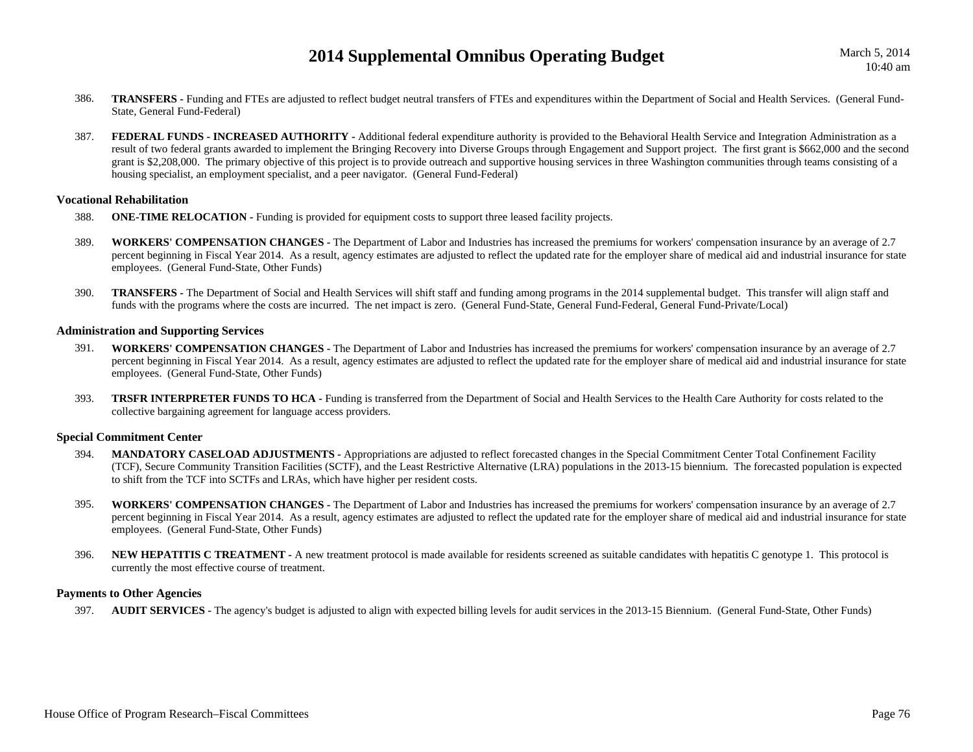- 386. **TRANSFERS -** Funding and FTEs are adjusted to reflect budget neutral transfers of FTEs and expenditures within the Department of Social and Health Services. (General Fund-State, General Fund-Federal)
- 387.**FEDERAL FUNDS - INCREASED AUTHORITY -** Additional federal expenditure authority is provided to the Behavioral Health Service and Integration Administration as a result of two federal grants awarded to implement the Bringing Recovery into Diverse Groups through Engagement and Support project. The first grant is \$662,000 and the second grant is \$2,208,000. The primary objective of this project is to provide outreach and supportive housing services in three Washington communities through teams consisting of a housing specialist, an employment specialist, and a peer navigator. (General Fund-Federal)

#### **Vocational Rehabilitation**

- 388.**ONE-TIME RELOCATION - Funding is provided for equipment costs to support three leased facility projects.**
- 389. **WORKERS' COMPENSATION CHANGES -** The Department of Labor and Industries has increased the premiums for workers' compensation insurance by an average of 2.7 percent beginning in Fiscal Year 2014. As a result, agency estimates are adjusted to reflect the updated rate for the employer share of medical aid and industrial insurance for state employees. (General Fund-State, Other Funds)
- 390. **TRANSFERS -** The Department of Social and Health Services will shift staff and funding among programs in the 2014 supplemental budget. This transfer will align staff and funds with the programs where the costs are incurred. The net impact is zero. (General Fund-State, General Fund-Federal, General Fund-Private/Local)

### **Administration and Supporting Services**

- 391. **WORKERS' COMPENSATION CHANGES -** The Department of Labor and Industries has increased the premiums for workers' compensation insurance by an average of 2.7 percent beginning in Fiscal Year 2014. As a result, agency estimates are adjusted to reflect the updated rate for the employer share of medical aid and industrial insurance for state employees. (General Fund-State, Other Funds)
- 393.**TRSFR INTERPRETER FUNDS TO HCA** - Funding is transferred from the Department of Social and Health Services to the Health Care Authority for costs related to the collective bargaining agreement for language access providers.

### **Special Commitment Center**

- 394. **MANDATORY CASELOAD ADJUSTMENTS -** Appropriations are adjusted to reflect forecasted changes in the Special Commitment Center Total Confinement Facility (TCF), Secure Community Transition Facilities (SCTF), and the Least Restrictive Alternative (LRA) populations in the 2013-15 biennium. The forecasted population is expected to shift from the TCF into SCTFs and LRAs, which have higher per resident costs.
- 395. **WORKERS' COMPENSATION CHANGES -** The Department of Labor and Industries has increased the premiums for workers' compensation insurance by an average of 2.7 percent beginning in Fiscal Year 2014. As a result, agency estimates are adjusted to reflect the updated rate for the employer share of medical aid and industrial insurance for state employees. (General Fund-State, Other Funds)
- 396. **NEW HEPATITIS C TREATMENT -** A new treatment protocol is made available for residents screened as suitable candidates with hepatitis C genotype 1. This protocol is currently the most effective course of treatment.

#### **Payments to Other Agencies**

397. **AUDIT SERVICES -** The agency's budget is adjusted to align with expected billing levels for audit services in the 2013-15 Biennium. (General Fund-State, Other Funds)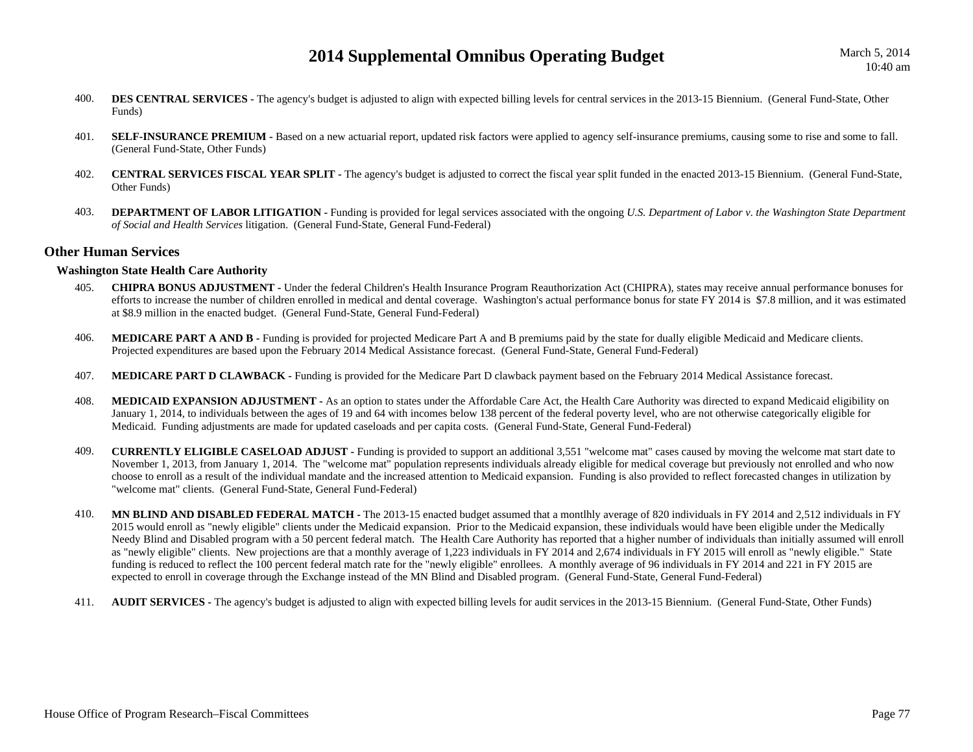- 400.**DES CENTRAL SERVICES -** The agency's budget is adjusted to align with expected billing levels for central services in the 2013-15 Biennium. (General Fund-State, Other Funds)
- 401.**SELF-INSURANCE PREMIUM -** Based on a new actuarial report, updated risk factors were applied to agency self-insurance premiums, causing some to rise and some to fall. (General Fund-State, Other Funds)
- 402. **CENTRAL SERVICES FISCAL YEAR SPLIT -** The agency's budget is adjusted to correct the fiscal year split funded in the enacted 2013-15 Biennium. (General Fund-State, Other Funds)
- 403.**DEPARTMENT OF LABOR LITIGATION -** Funding is provided for legal services associated with the ongoing *U.S. Department of Labor v. the Washington State Department of Social and Health Services* litigation. (General Fund-State, General Fund-Federal)

### **Other Human Services**

### **Washington State Health Care Authority**

- 405. **CHIPRA BONUS ADJUSTMENT -** Under the federal Children's Health Insurance Program Reauthorization Act (CHIPRA), states may receive annual performance bonuses for efforts to increase the number of children enrolled in medical and dental coverage. Washington's actual performance bonus for state FY 2014 is \$7.8 million, and it was estimated at \$8.9 million in the enacted budget. (General Fund-State, General Fund-Federal)
- 406. **MEDICARE PART A AND B -** Funding is provided for projected Medicare Part A and B premiums paid by the state for dually eligible Medicaid and Medicare clients. Projected expenditures are based upon the February 2014 Medical Assistance forecast. (General Fund-State, General Fund-Federal)
- 407.**MEDICARE PART D CLAWBACK -** Funding is provided for the Medicare Part D clawback payment based on the February 2014 Medical Assistance forecast.
- 408. **MEDICAID EXPANSION ADJUSTMENT -** As an option to states under the Affordable Care Act, the Health Care Authority was directed to expand Medicaid eligibility on January 1, 2014, to individuals between the ages of 19 and 64 with incomes below 138 percent of the federal poverty level, who are not otherwise categorically eligible for Medicaid. Funding adjustments are made for updated caseloads and per capita costs. (General Fund-State, General Fund-Federal)
- 409. **CURRENTLY ELIGIBLE CASELOAD ADJUST -** Funding is provided to support an additional 3,551 "welcome mat" cases caused by moving the welcome mat start date to November 1, 2013, from January 1, 2014. The "welcome mat" population represents individuals already eligible for medical coverage but previously not enrolled and who now choose to enroll as a result of the individual mandate and the increased attention to Medicaid expansion. Funding is also provided to reflect forecasted changes in utilization by "welcome mat" clients. (General Fund-State, General Fund-Federal)
- 410. **MN BLIND AND DISABLED FEDERAL MATCH -** The 2013-15 enacted budget assumed that a montlhly average of 820 individuals in FY 2014 and 2,512 individuals in FY 2015 would enroll as "newly eligible" clients under the Medicaid expansion. Prior to the Medicaid expansion, these individuals would have been eligible under the Medically Needy Blind and Disabled program with a 50 percent federal match. The Health Care Authority has reported that a higher number of individuals than initially assumed will enroll as "newly eligible" clients. New projections are that a monthly average of 1,223 individuals in FY 2014 and 2,674 individuals in FY 2015 will enroll as "newly eligible." State funding is reduced to reflect the 100 percent federal match rate for the "newly eligible" enrollees. A monthly average of 96 individuals in FY 2014 and 221 in FY 2015 are expected to enroll in coverage through the Exchange instead of the MN Blind and Disabled program. (General Fund-State, General Fund-Federal)
- 411.**AUDIT SERVICES** - The agency's budget is adjusted to align with expected billing levels for audit services in the 2013-15 Biennium. (General Fund-State, Other Funds)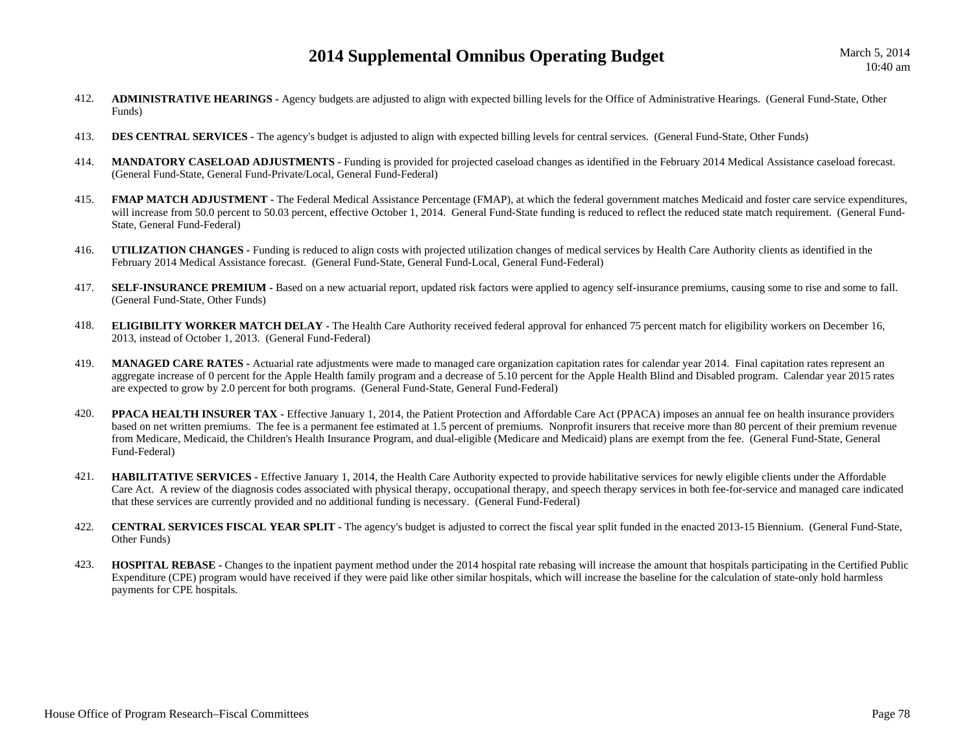- 412. **ADMINISTRATIVE HEARINGS -** Agency budgets are adjusted to align with expected billing levels for the Office of Administrative Hearings. (General Fund-State, Other Funds)
- 413.**DES CENTRAL SERVICES -** The agency's budget is adjusted to align with expected billing levels for central services. (General Fund-State, Other Funds)
- 414.**MANDATORY CASELOAD ADJUSTMENTS** - Funding is provided for projected caseload changes as identified in the February 2014 Medical Assistance caseload forecast. (General Fund-State, General Fund-Private/Local, General Fund-Federal)
- 415.**FMAP MATCH ADJUSTMENT** - The Federal Medical Assistance Percentage (FMAP), at which the federal government matches Medicaid and foster care service expenditures, will increase from 50.0 percent to 50.03 percent, effective October 1, 2014. General Fund-State funding is reduced to reflect the reduced state match requirement. (General Fund-State, General Fund-Federal)
- 416. **UTILIZATION CHANGES -** Funding is reduced to align costs with projected utilization changes of medical services by Health Care Authority clients as identified in the February 2014 Medical Assistance forecast. (General Fund-State, General Fund-Local, General Fund-Federal)
- 417.**SELF-INSURANCE PREMIUM -** Based on a new actuarial report, updated risk factors were applied to agency self-insurance premiums, causing some to rise and some to fall. (General Fund-State, Other Funds)
- 418. **ELIGIBILITY WORKER MATCH DELAY -** The Health Care Authority received federal approval for enhanced 75 percent match for eligibility workers on December 16, 2013, instead of October 1, 2013. (General Fund-Federal)
- 419.**MANAGED CARE RATES** - Actuarial rate adjustments were made to managed care organization capitation rates for calendar year 2014. Final capitation rates represent an aggregate increase of 0 percent for the Apple Health family program and a decrease of 5.10 percent for the Apple Health Blind and Disabled program. Calendar year 2015 rates are expected to grow by 2.0 percent for both programs. (General Fund-State, General Fund-Federal)
- 420.**PPACA HEALTH INSURER TAX** - Effective January 1, 2014, the Patient Protection and Affordable Care Act (PPACA) imposes an annual fee on health insurance providers based on net written premiums. The fee is a permanent fee estimated at 1.5 percent of premiums. Nonprofit insurers that receive more than 80 percent of their premium revenue from Medicare, Medicaid, the Children's Health Insurance Program, and dual-eligible (Medicare and Medicaid) plans are exempt from the fee. (General Fund-State, General Fund-Federal)
- 421. **HABILITATIVE SERVICES -** Effective January 1, 2014, the Health Care Authority expected to provide habilitative services for newly eligible clients under the Affordable Care Act. A review of the diagnosis codes associated with physical therapy, occupational therapy, and speech therapy services in both fee-for-service and managed care indicated that these services are currently provided and no additional funding is necessary. (General Fund-Federal)
- 422. **CENTRAL SERVICES FISCAL YEAR SPLIT -** The agency's budget is adjusted to correct the fiscal year split funded in the enacted 2013-15 Biennium. (General Fund-State, Other Funds)
- 423. **HOSPITAL REBASE -** Changes to the inpatient payment method under the 2014 hospital rate rebasing will increase the amount that hospitals participating in the Certified Public Expenditure (CPE) program would have received if they were paid like other similar hospitals, which will increase the baseline for the calculation of state-only hold harmless payments for CPE hospitals.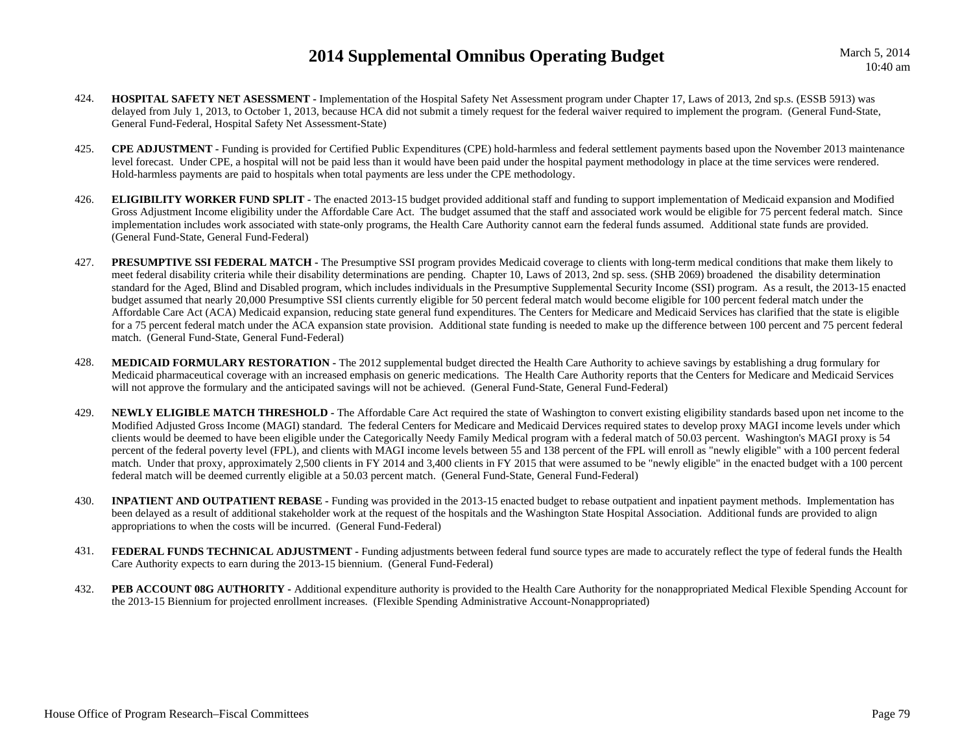March 5, 2014 10:40 am

- 424. **HOSPITAL SAFETY NET ASESSMENT -** Implementation of the Hospital Safety Net Assessment program under Chapter 17, Laws of 2013, 2nd sp.s. (ESSB 5913) was delayed from July 1, 2013, to October 1, 2013, because HCA did not submit a timely request for the federal waiver required to implement the program. (General Fund-State, General Fund-Federal, Hospital Safety Net Assessment-State)
- 425. **CPE ADJUSTMENT -** Funding is provided for Certified Public Expenditures (CPE) hold-harmless and federal settlement payments based upon the November 2013 maintenance level forecast. Under CPE, a hospital will not be paid less than it would have been paid under the hospital payment methodology in place at the time services were rendered. Hold-harmless payments are paid to hospitals when total payments are less under the CPE methodology.
- 426. **ELIGIBILITY WORKER FUND SPLIT -** The enacted 2013-15 budget provided additional staff and funding to support implementation of Medicaid expansion and Modified Gross Adjustment Income eligibility under the Affordable Care Act. The budget assumed that the staff and associated work would be eligible for 75 percent federal match. Since implementation includes work associated with state-only programs, the Health Care Authority cannot earn the federal funds assumed. Additional state funds are provided. (General Fund-State, General Fund-Federal)
- 427. **PRESUMPTIVE SSI FEDERAL MATCH -** The Presumptive SSI program provides Medicaid coverage to clients with long-term medical conditions that make them likely to meet federal disability criteria while their disability determinations are pending. Chapter 10, Laws of 2013, 2nd sp. sess. (SHB 2069) broadened the disability determination standard for the Aged, Blind and Disabled program, which includes individuals in the Presumptive Supplemental Security Income (SSI) program. As a result, the 2013-15 enacted budget assumed that nearly 20,000 Presumptive SSI clients currently eligible for 50 percent federal match would become eligible for 100 percent federal match under the Affordable Care Act (ACA) Medicaid expansion, reducing state general fund expenditures. The Centers for Medicare and Medicaid Services has clarified that the state is eligible for a 75 percent federal match under the ACA expansion state provision. Additional state funding is needed to make up the difference between 100 percent and 75 percent federal match. (General Fund-State, General Fund-Federal)
- 428.**MEDICAID FORMULARY RESTORATION -** The 2012 supplemental budget directed the Health Care Authority to achieve savings by establishing a drug formulary for Medicaid pharmaceutical coverage with an increased emphasis on generic medications. The Health Care Authority reports that the Centers for Medicare and Medicaid Services will not approve the formulary and the anticipated savings will not be achieved. (General Fund-State, General Fund-Federal)
- 429. **NEWLY ELIGIBLE MATCH THRESHOLD -** The Affordable Care Act required the state of Washington to convert existing eligibility standards based upon net income to the Modified Adjusted Gross Income (MAGI) standard. The federal Centers for Medicare and Medicaid Dervices required states to develop proxy MAGI income levels under which clients would be deemed to have been eligible under the Categorically Needy Family Medical program with a federal match of 50.03 percent. Washington's MAGI proxy is 54 percent of the federal poverty level (FPL), and clients with MAGI income levels between 55 and 138 percent of the FPL will enroll as "newly eligible" with a 100 percent federal match. Under that proxy, approximately 2,500 clients in FY 2014 and 3,400 clients in FY 2015 that were assumed to be "newly eligible" in the enacted budget with a 100 percent federal match will be deemed currently eligible at a 50.03 percent match. (General Fund-State, General Fund-Federal)
- 430.**INPATIENT AND OUTPATIENT REBASE -** Funding was provided in the 2013-15 enacted budget to rebase outpatient and inpatient payment methods. Implementation has been delayed as a result of additional stakeholder work at the request of the hospitals and the Washington State Hospital Association. Additional funds are provided to align appropriations to when the costs will be incurred. (General Fund-Federal)
- 431.**FEDERAL FUNDS TECHNICAL ADJUSTMENT -** Funding adjustments between federal fund source types are made to accurately reflect the type of federal funds the Health Care Authority expects to earn during the 2013-15 biennium. (General Fund-Federal)
- 432.PEB ACCOUNT 08G AUTHORITY - Additional expenditure authority is provided to the Health Care Authority for the nonappropriated Medical Flexible Spending Account for the 2013-15 Biennium for projected enrollment increases. (Flexible Spending Administrative Account-Nonappropriated)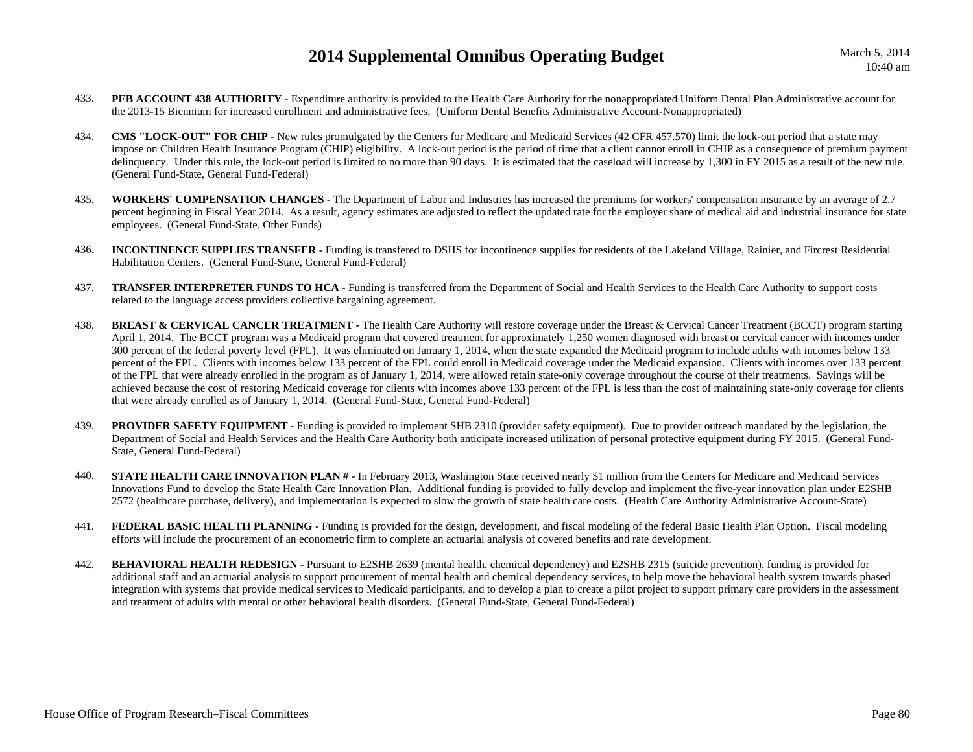- 433.**PEB ACCOUNT 438 AUTHORITY** - Expenditure authority is provided to the Health Care Authority for the nonappropriated Uniform Dental Plan Administrative account for the 2013-15 Biennium for increased enrollment and administrative fees. (Uniform Dental Benefits Administrative Account-Nonappropriated)
- 434. **CMS "LOCK-OUT" FOR CHIP -** New rules promulgated by the Centers for Medicare and Medicaid Services (42 CFR 457.570) limit the lock-out period that a state may impose on Children Health Insurance Program (CHIP) eligibility. A lock-out period is the period of time that a client cannot enroll in CHIP as a consequence of premium payment delinquency. Under this rule, the lock-out period is limited to no more than 90 days. It is estimated that the caseload will increase by 1,300 in FY 2015 as a result of the new rule. (General Fund-State, General Fund-Federal)
- 435. **WORKERS' COMPENSATION CHANGES -** The Department of Labor and Industries has increased the premiums for workers' compensation insurance by an average of 2.7 percent beginning in Fiscal Year 2014. As a result, agency estimates are adjusted to reflect the updated rate for the employer share of medical aid and industrial insurance for state employees. (General Fund-State, Other Funds)
- 436. **INCONTINENCE SUPPLIES TRANSFER -** Funding is transfered to DSHS for incontinence supplies for residents of the Lakeland Village, Rainier, and Fircrest Residential Habilitation Centers. (General Fund-State, General Fund-Federal)
- 437.**TRANSFER INTERPRETER FUNDS TO HCA -** Funding is transferred from the Department of Social and Health Services to the Health Care Authority to support costs related to the language access providers collective bargaining agreement.
- 438. **BREAST & CERVICAL CANCER TREATMENT -** The Health Care Authority will restore coverage under the Breast & Cervical Cancer Treatment (BCCT) program starting April 1, 2014. The BCCT program was a Medicaid program that covered treatment for approximately 1,250 women diagnosed with breast or cervical cancer with incomes under 300 percent of the federal poverty level (FPL). It was eliminated on January 1, 2014, when the state expanded the Medicaid program to include adults with incomes below 133 percent of the FPL. Clients with incomes below 133 percent of the FPL could enroll in Medicaid coverage under the Medicaid expansion. Clients with incomes over 133 percent of the FPL that were already enrolled in the program as of January 1, 2014, were allowed retain state-only coverage throughout the course of their treatments. Savings will be achieved because the cost of restoring Medicaid coverage for clients with incomes above 133 percent of the FPL is less than the cost of maintaining state-only coverage for clients that were already enrolled as of January 1, 2014. (General Fund-State, General Fund-Federal)
- 439.**PROVIDER SAFETY EQUIPMENT -** Funding is provided to implement SHB 2310 (provider safety equipment). Due to provider outreach mandated by the legislation, the Department of Social and Health Services and the Health Care Authority both anticipate increased utilization of personal protective equipment during FY 2015. (General Fund-State, General Fund-Federal)
- 440.**STATE HEALTH CARE INNOVATION PLAN # -** In February 2013, Washington State received nearly \$1 million from the Centers for Medicare and Medicaid Services Innovations Fund to develop the State Health Care Innovation Plan. Additional funding is provided to fully develop and implement the five-year innovation plan under E2SHB 2572 (healthcare purchase, delivery), and implementation is expected to slow the growth of state health care costs. (Health Care Authority Administrative Account-State)
- 441.**FEDERAL BASIC HEALTH PLANNING -** Funding is provided for the design, development, and fiscal modeling of the federal Basic Health Plan Option. Fiscal modeling efforts will include the procurement of an econometric firm to complete an actuarial analysis of covered benefits and rate development.
- 442. **BEHAVIORAL HEALTH REDESIGN -** Pursuant to E2SHB 2639 (mental health, chemical dependency) and E2SHB 2315 (suicide prevention), funding is provided for additional staff and an actuarial analysis to support procurement of mental health and chemical dependency services, to help move the behavioral health system towards phased integration with systems that provide medical services to Medicaid participants, and to develop a plan to create a pilot project to support primary care providers in the assessment and treatment of adults with mental or other behavioral health disorders. (General Fund-State, General Fund-Federal)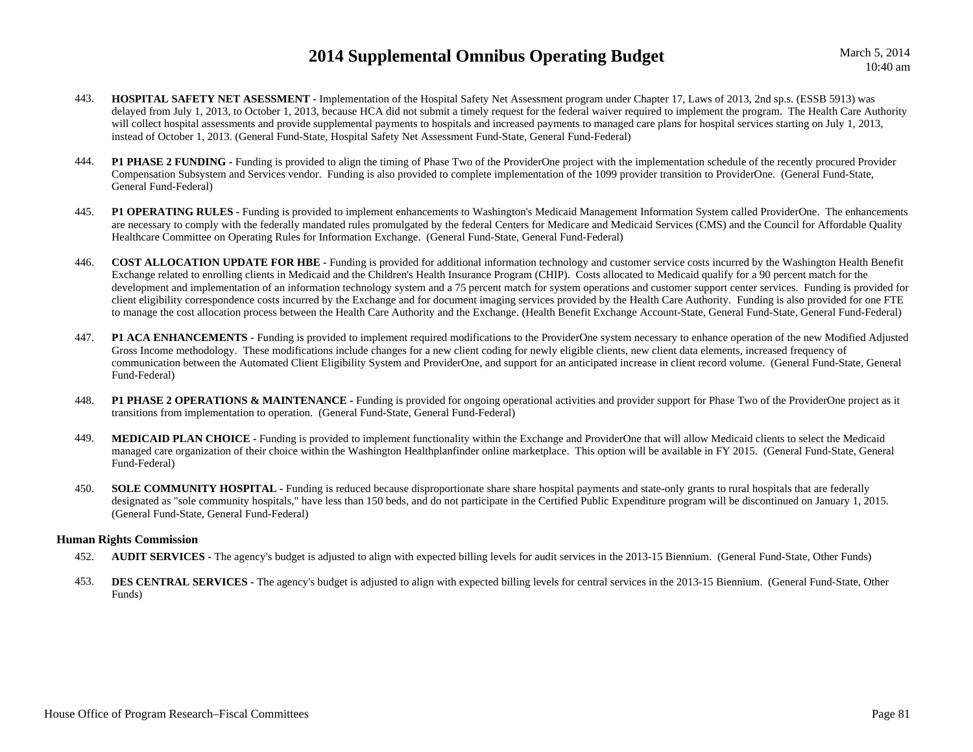- 443. **HOSPITAL SAFETY NET ASESSMENT -** Implementation of the Hospital Safety Net Assessment program under Chapter 17, Laws of 2013, 2nd sp.s. (ESSB 5913) was delayed from July 1, 2013, to October 1, 2013, because HCA did not submit a timely request for the federal waiver required to implement the program. The Health Care Authority will collect hospital assessments and provide supplemental payments to hospitals and increased payments to managed care plans for hospital services starting on July 1, 2013, instead of October 1, 2013. (General Fund-State, Hospital Safety Net Assessment Fund-State, General Fund-Federal)
- 444.**P1 PHASE 2 FUNDING -** Funding is provided to align the timing of Phase Two of the ProviderOne project with the implementation schedule of the recently procured Provider Compensation Subsystem and Services vendor. Funding is also provided to complete implementation of the 1099 provider transition to ProviderOne. (General Fund-State, General Fund-Federal)
- 445. **P1 OPERATING RULES -** Funding is provided to implement enhancements to Washington's Medicaid Management Information System called ProviderOne. The enhancements are necessary to comply with the federally mandated rules promulgated by the federal Centers for Medicare and Medicaid Services (CMS) and the Council for Affordable Quality Healthcare Committee on Operating Rules for Information Exchange. (General Fund-State, General Fund-Federal)
- 446. **COST ALLOCATION UPDATE FOR HBE -** Funding is provided for additional information technology and customer service costs incurred by the Washington Health Benefit Exchange related to enrolling clients in Medicaid and the Children's Health Insurance Program (CHIP). Costs allocated to Medicaid qualify for a 90 percent match for the development and implementation of an information technology system and a 75 percent match for system operations and customer support center services. Funding is provided for client eligibility correspondence costs incurred by the Exchange and for document imaging services provided by the Health Care Authority. Funding is also provided for one FTE to manage the cost allocation process between the Health Care Authority and the Exchange. (Health Benefit Exchange Account-State, General Fund-State, General Fund-Federal)
- 447. **P1 ACA ENHANCEMENTS -** Funding is provided to implement required modifications to the ProviderOne system necessary to enhance operation of the new Modified Adjusted Gross Income methodology. These modifications include changes for a new client coding for newly eligible clients, new client data elements, increased frequency of communication between the Automated Client Eligibility System and ProviderOne, and support for an anticipated increase in client record volume. (General Fund-State, General Fund-Federal)
- 448.**P1 PHASE 2 OPERATIONS & MAINTENANCE -** Funding is provided for ongoing operational activities and provider support for Phase Two of the ProviderOne project as it transitions from implementation to operation. (General Fund-State, General Fund-Federal)
- 449. **MEDICAID PLAN CHOICE -** Funding is provided to implement functionality within the Exchange and ProviderOne that will allow Medicaid clients to select the Medicaid managed care organization of their choice within the Washington Healthplanfinder online marketplace. This option will be available in FY 2015. (General Fund-State, General Fund-Federal)
- 450.**SOLE COMMUNITY HOSPITAL** - Funding is reduced because disproportionate share hospital payments and state-only grants to rural hospitals that are federally designated as "sole community hospitals," have less than 150 beds, and do not participate in the Certified Public Expenditure program will be discontinued on January 1, 2015. (General Fund-State, General Fund-Federal)

### **Human Rights Commission**

- 452.**AUDIT SERVICES -** The agency's budget is adjusted to align with expected billing levels for audit services in the 2013-15 Biennium. (General Fund-State, Other Funds)
- 453.**DES CENTRAL SERVICES** - The agency's budget is adjusted to align with expected billing levels for central services in the 2013-15 Biennium. (General Fund-State, Other Funds)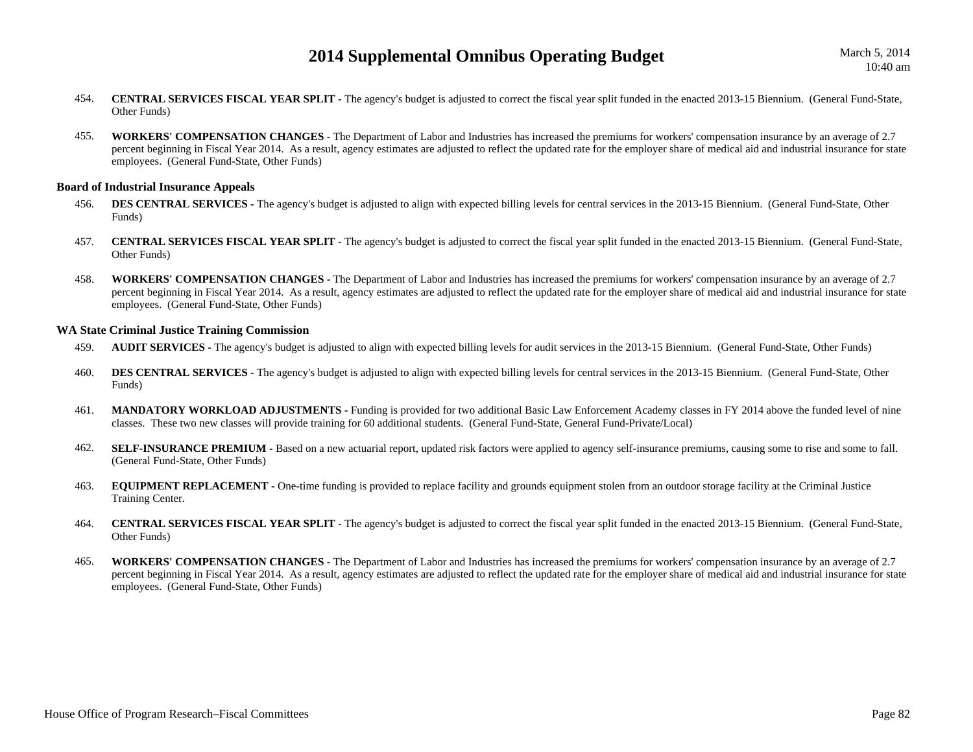- 454. **CENTRAL SERVICES FISCAL YEAR SPLIT -** The agency's budget is adjusted to correct the fiscal year split funded in the enacted 2013-15 Biennium. (General Fund-State, Other Funds)
- 455. **WORKERS' COMPENSATION CHANGES -** The Department of Labor and Industries has increased the premiums for workers' compensation insurance by an average of 2.7 percent beginning in Fiscal Year 2014. As a result, agency estimates are adjusted to reflect the updated rate for the employer share of medical aid and industrial insurance for state employees. (General Fund-State, Other Funds)

#### **Board of Industrial Insurance Appeals**

- 456.**DES CENTRAL SERVICES -** The agency's budget is adjusted to align with expected billing levels for central services in the 2013-15 Biennium. (General Fund-State, Other Funds)
- 457. **CENTRAL SERVICES FISCAL YEAR SPLIT -** The agency's budget is adjusted to correct the fiscal year split funded in the enacted 2013-15 Biennium. (General Fund-State, Other Funds)
- 458. **WORKERS' COMPENSATION CHANGES -** The Department of Labor and Industries has increased the premiums for workers' compensation insurance by an average of 2.7 percent beginning in Fiscal Year 2014. As a result, agency estimates are adjusted to reflect the updated rate for the employer share of medical aid and industrial insurance for state employees. (General Fund-State, Other Funds)

#### **WA State Criminal Justice Training Commission**

- 459.**AUDIT SERVICES** - The agency's budget is adjusted to align with expected billing levels for audit services in the 2013-15 Biennium. (General Fund-State, Other Funds)
- 460.**DES CENTRAL SERVICES** - The agency's budget is adjusted to align with expected billing levels for central services in the 2013-15 Biennium. (General Fund-State, Other Funds)
- 461. **MANDATORY WORKLOAD ADJUSTMENTS -** Funding is provided for two additional Basic Law Enforcement Academy classes in FY 2014 above the funded level of nine classes. These two new classes will provide training for 60 additional students. (General Fund-State, General Fund-Private/Local)
- 462.**SELF-INSURANCE PREMIUM -** Based on a new actuarial report, updated risk factors were applied to agency self-insurance premiums, causing some to rise and some to fall. (General Fund-State, Other Funds)
- 463.**EQUIPMENT REPLACEMENT** - One-time funding is provided to replace facility and grounds equipment stolen from an outdoor storage facility at the Criminal Justice Training Center.
- 464. **CENTRAL SERVICES FISCAL YEAR SPLIT -** The agency's budget is adjusted to correct the fiscal year split funded in the enacted 2013-15 Biennium. (General Fund-State, Other Funds)
- 465. **WORKERS' COMPENSATION CHANGES -** The Department of Labor and Industries has increased the premiums for workers' compensation insurance by an average of 2.7 percent beginning in Fiscal Year 2014. As a result, agency estimates are adjusted to reflect the updated rate for the employer share of medical aid and industrial insurance for state employees. (General Fund-State, Other Funds)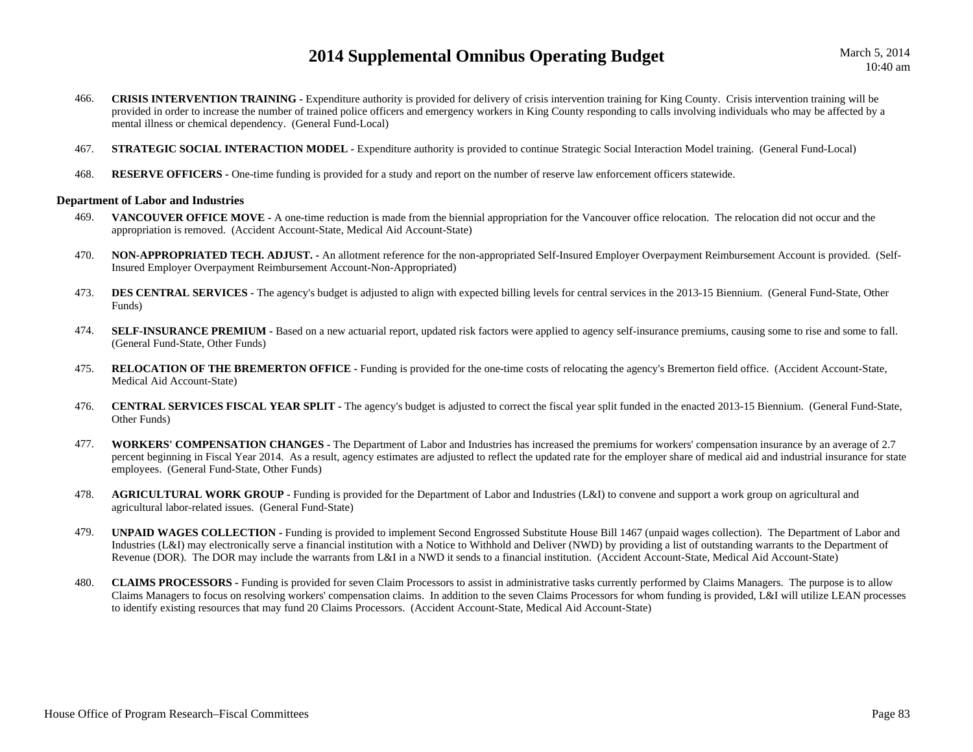March 5, 2014 10:40 am

- 466.**CRISIS INTERVENTION TRAINING** - Expenditure authority is provided for delivery of crisis intervention training for King County. Crisis intervention training will be provided in order to increase the number of trained police officers and emergency workers in King County responding to calls involving individuals who may be affected by a mental illness or chemical dependency. (General Fund-Local)
- 467.**STRATEGIC SOCIAL INTERACTION MODEL -** Expenditure authority is provided to continue Strategic Social Interaction Model training. (General Fund-Local)
- 468.**RESERVE OFFICERS -** One-time funding is provided for a study and report on the number of reserve law enforcement officers statewide.

#### **Department of Labor and Industries**

- 469. **VANCOUVER OFFICE MOVE -** A one-time reduction is made from the biennial appropriation for the Vancouver office relocation. The relocation did not occur and the appropriation is removed. (Accident Account-State, Medical Aid Account-State)
- 470. **NON-APPROPRIATED TECH. ADJUST. -** An allotment reference for the non-appropriated Self-Insured Employer Overpayment Reimbursement Account is provided. (Self-Insured Employer Overpayment Reimbursement Account-Non-Appropriated)
- 473.**DES CENTRAL SERVICES -** The agency's budget is adjusted to align with expected billing levels for central services in the 2013-15 Biennium. (General Fund-State, Other Funds)
- 474.**SELF-INSURANCE PREMIUM -** Based on a new actuarial report, updated risk factors were applied to agency self-insurance premiums, causing some to rise and some to fall. (General Fund-State, Other Funds)
- 475.**RELOCATION OF THE BREMERTON OFFICE -** Funding is provided for the one-time costs of relocating the agency's Bremerton field office. (Accident Account-State, Medical Aid Account-State)
- 476. **CENTRAL SERVICES FISCAL YEAR SPLIT -** The agency's budget is adjusted to correct the fiscal year split funded in the enacted 2013-15 Biennium. (General Fund-State, Other Funds)
- 477. **WORKERS' COMPENSATION CHANGES -** The Department of Labor and Industries has increased the premiums for workers' compensation insurance by an average of 2.7 percent beginning in Fiscal Year 2014. As a result, agency estimates are adjusted to reflect the updated rate for the employer share of medical aid and industrial insurance for state employees. (General Fund-State, Other Funds)
- 478. **AGRICULTURAL WORK GROUP -** Funding is provided for the Department of Labor and Industries (L&I) to convene and support a work group on agricultural and agricultural labor-related issues. (General Fund-State)
- 479. **UNPAID WAGES COLLECTION -** Funding is provided to implement Second Engrossed Substitute House Bill 1467 (unpaid wages collection). The Department of Labor and Industries (L&I) may electronically serve a financial institution with a Notice to Withhold and Deliver (NWD) by providing a list of outstanding warrants to the Department of Revenue (DOR). The DOR may include the warrants from L&I in a NWD it sends to a financial institution. (Accident Account-State, Medical Aid Account-State)
- 480. **CLAIMS PROCESSORS -** Funding is provided for seven Claim Processors to assist in administrative tasks currently performed by Claims Managers. The purpose is to allow Claims Managers to focus on resolving workers' compensation claims. In addition to the seven Claims Processors for whom funding is provided, L&I will utilize LEAN processes to identify existing resources that may fund 20 Claims Processors. (Accident Account-State, Medical Aid Account-State)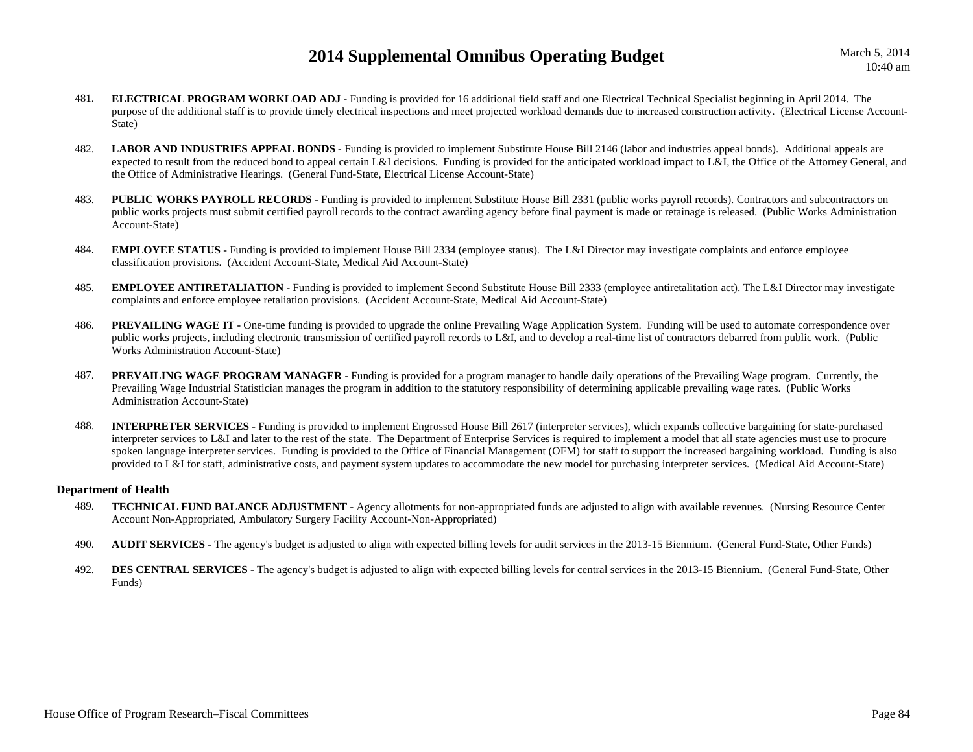March 5, 2014 10:40 am

- 481. **ELECTRICAL PROGRAM WORKLOAD ADJ -** Funding is provided for 16 additional field staff and one Electrical Technical Specialist beginning in April 2014. The purpose of the additional staff is to provide timely electrical inspections and meet projected workload demands due to increased construction activity. (Electrical License Account-State)
- 482.**LABOR AND INDUSTRIES APPEAL BONDS -** Funding is provided to implement Substitute House Bill 2146 (labor and industries appeal bonds). Additional appeals are expected to result from the reduced bond to appeal certain L&I decisions. Funding is provided for the anticipated workload impact to L&I, the Office of the Attorney General, and the Office of Administrative Hearings. (General Fund-State, Electrical License Account-State)
- 483.**PUBLIC WORKS PAYROLL RECORDS -** Funding is provided to implement Substitute House Bill 2331 (public works payroll records). Contractors and subcontractors on public works projects must submit certified payroll records to the contract awarding agency before final payment is made or retainage is released. (Public Works Administration Account-State)
- 484. **EMPLOYEE STATUS -** Funding is provided to implement House Bill 2334 (employee status). The L&I Director may investigate complaints and enforce employee classification provisions. (Accident Account-State, Medical Aid Account-State)
- 485. **EMPLOYEE ANTIRETALIATION -** Funding is provided to implement Second Substitute House Bill 2333 (employee antiretalitation act). The L&I Director may investigate complaints and enforce employee retaliation provisions. (Accident Account-State, Medical Aid Account-State)
- 486.**PREVAILING WAGE IT -** One-time funding is provided to upgrade the online Prevailing Wage Application System. Funding will be used to automate correspondence over public works projects, including electronic transmission of certified payroll records to L&I, and to develop a real-time list of contractors debarred from public work. (Public Works Administration Account-State)
- 487. **PREVAILING WAGE PROGRAM MANAGER -** Funding is provided for a program manager to handle daily operations of the Prevailing Wage program. Currently, the Prevailing Wage Industrial Statistician manages the program in addition to the statutory responsibility of determining applicable prevailing wage rates. (Public Works Administration Account-State)
- 488. **INTERPRETER SERVICES -** Funding is provided to implement Engrossed House Bill 2617 (interpreter services), which expands collective bargaining for state-purchased interpreter services to L&I and later to the rest of the state. The Department of Enterprise Services is required to implement a model that all state agencies must use to procure spoken language interpreter services. Funding is provided to the Office of Financial Management (OFM) for staff to support the increased bargaining workload. Funding is also provided to L&I for staff, administrative costs, and payment system updates to accommodate the new model for purchasing interpreter services. (Medical Aid Account-State)

#### **Department of Health**

- 489. **TECHNICAL FUND BALANCE ADJUSTMENT -** Agency allotments for non-appropriated funds are adjusted to align with available revenues. (Nursing Resource Center Account Non-Appropriated, Ambulatory Surgery Facility Account-Non-Appropriated)
- 490.**AUDIT SERVICES -** The agency's budget is adjusted to align with expected billing levels for audit services in the 2013-15 Biennium. (General Fund-State, Other Funds)
- 492.**DES CENTRAL SERVICES** - The agency's budget is adjusted to align with expected billing levels for central services in the 2013-15 Biennium. (General Fund-State, Other Funds)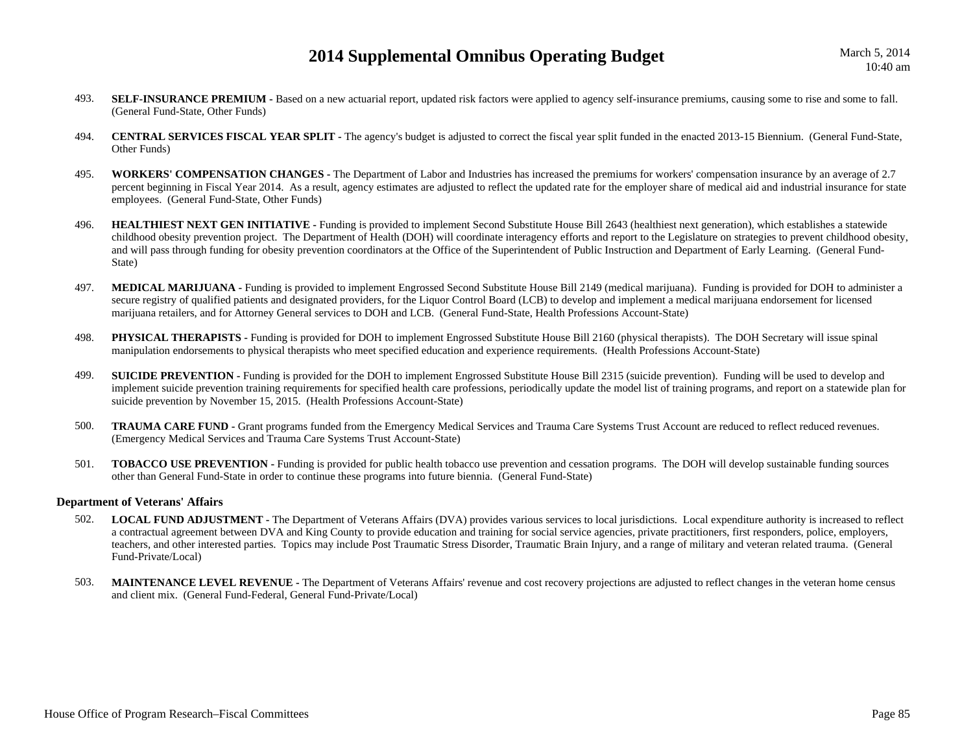- 493.**SELF-INSURANCE PREMIUM -** Based on a new actuarial report, updated risk factors were applied to agency self-insurance premiums, causing some to rise and some to fall. (General Fund-State, Other Funds)
- 494. **CENTRAL SERVICES FISCAL YEAR SPLIT -** The agency's budget is adjusted to correct the fiscal year split funded in the enacted 2013-15 Biennium. (General Fund-State, Other Funds)
- 495. **WORKERS' COMPENSATION CHANGES -** The Department of Labor and Industries has increased the premiums for workers' compensation insurance by an average of 2.7 percent beginning in Fiscal Year 2014. As a result, agency estimates are adjusted to reflect the updated rate for the employer share of medical aid and industrial insurance for state employees. (General Fund-State, Other Funds)
- 496.**HEALTHIEST NEXT GEN INITIATIVE -** Funding is provided to implement Second Substitute House Bill 2643 (healthiest next generation), which establishes a statewide childhood obesity prevention project. The Department of Health (DOH) will coordinate interagency efforts and report to the Legislature on strategies to prevent childhood obesity, and will pass through funding for obesity prevention coordinators at the Office of the Superintendent of Public Instruction and Department of Early Learning. (General Fund-State)
- 497.**MEDICAL MARIJUANA -** Funding is provided to implement Engrossed Second Substitute House Bill 2149 (medical marijuana). Funding is provided for DOH to administer a secure registry of qualified patients and designated providers, for the Liquor Control Board (LCB) to develop and implement a medical marijuana endorsement for licensed marijuana retailers, and for Attorney General services to DOH and LCB. (General Fund-State, Health Professions Account-State)
- 498.**PHYSICAL THERAPISTS** - Funding is provided for DOH to implement Engrossed Substitute House Bill 2160 (physical therapists). The DOH Secretary will issue spinal manipulation endorsements to physical therapists who meet specified education and experience requirements. (Health Professions Account-State)
- 499.**SUICIDE PREVENTION -** Funding is provided for the DOH to implement Engrossed Substitute House Bill 2315 (suicide prevention). Funding will be used to develop and implement suicide prevention training requirements for specified health care professions, periodically update the model list of training programs, and report on a statewide plan for suicide prevention by November 15, 2015. (Health Professions Account-State)
- 500. **TRAUMA CARE FUND -** Grant programs funded from the Emergency Medical Services and Trauma Care Systems Trust Account are reduced to reflect reduced revenues. (Emergency Medical Services and Trauma Care Systems Trust Account-State)
- 501. **TOBACCO USE PREVENTION -** Funding is provided for public health tobacco use prevention and cessation programs. The DOH will develop sustainable funding sources other than General Fund-State in order to continue these programs into future biennia. (General Fund-State)

#### **Department of Veterans' Affairs**

- 502. **LOCAL FUND ADJUSTMENT -** The Department of Veterans Affairs (DVA) provides various services to local jurisdictions. Local expenditure authority is increased to reflect a contractual agreement between DVA and King County to provide education and training for social service agencies, private practitioners, first responders, police, employers, teachers, and other interested parties. Topics may include Post Traumatic Stress Disorder, Traumatic Brain Injury, and a range of military and veteran related trauma. (General Fund-Private/Local)
- 503.**MAINTENANCE LEVEL REVENUE** - The Department of Veterans Affairs' revenue and cost recovery projections are adjusted to reflect changes in the veteran home census and client mix. (General Fund-Federal, General Fund-Private/Local)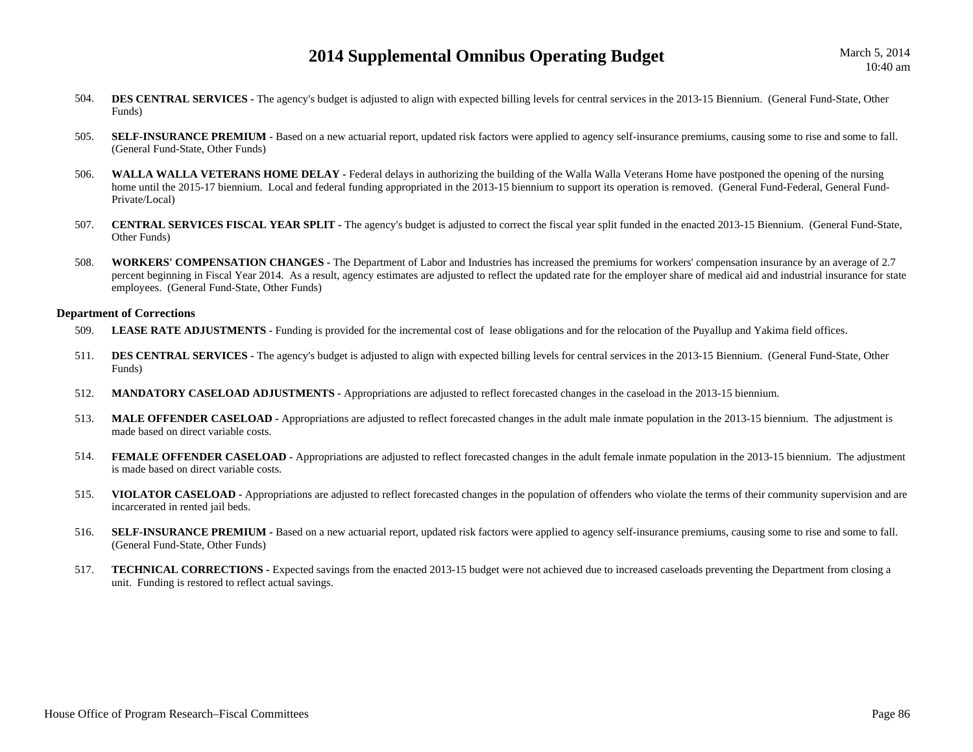- 504.**DES CENTRAL SERVICES -** The agency's budget is adjusted to align with expected billing levels for central services in the 2013-15 Biennium. (General Fund-State, Other Funds)
- 505.**SELF-INSURANCE PREMIUM -** Based on a new actuarial report, updated risk factors were applied to agency self-insurance premiums, causing some to rise and some to fall. (General Fund-State, Other Funds)
- 506.WALLA WALLA VETERANS HOME DELAY - Federal delays in authorizing the building of the Walla Walla Veterans Home have postponed the opening of the nursing home until the 2015-17 biennium. Local and federal funding appropriated in the 2013-15 biennium to support its operation is removed. (General Fund-Federal, General Fund-Private/Local)
- 507. **CENTRAL SERVICES FISCAL YEAR SPLIT -** The agency's budget is adjusted to correct the fiscal year split funded in the enacted 2013-15 Biennium. (General Fund-State, Other Funds)
- 508. **WORKERS' COMPENSATION CHANGES -** The Department of Labor and Industries has increased the premiums for workers' compensation insurance by an average of 2.7 percent beginning in Fiscal Year 2014. As a result, agency estimates are adjusted to reflect the updated rate for the employer share of medical aid and industrial insurance for state employees. (General Fund-State, Other Funds)

#### **Department of Corrections**

- 509.LEASE RATE ADJUSTMENTS - Funding is provided for the incremental cost of lease obligations and for the relocation of the Puyallup and Yakima field offices.
- 511. **DES CENTRAL SERVICES -** The agency's budget is adjusted to align with expected billing levels for central services in the 2013-15 Biennium. (General Fund-State, Other Funds)
- 512.**MANDATORY CASELOAD ADJUSTMENTS -** Appropriations are adjusted to reflect forecasted changes in the caseload in the 2013-15 biennium.
- 513. **MALE OFFENDER CASELOAD -** Appropriations are adjusted to reflect forecasted changes in the adult male inmate population in the 2013-15 biennium. The adjustment is made based on direct variable costs.
- 514.**FEMALE OFFENDER CASELOAD -** Appropriations are adjusted to reflect forecasted changes in the adult female inmate population in the 2013-15 biennium. The adjustment is made based on direct variable costs.
- 515. **VIOLATOR CASELOAD -** Appropriations are adjusted to reflect forecasted changes in the population of offenders who violate the terms of their community supervision and are incarcerated in rented jail beds.
- 516.SELF-INSURANCE PREMIUM - Based on a new actuarial report, updated risk factors were applied to agency self-insurance premiums, causing some to rise and some to fall. (General Fund-State, Other Funds)
- 517. **TECHNICAL CORRECTIONS -** Expected savings from the enacted 2013-15 budget were not achieved due to increased caseloads preventing the Department from closing a unit. Funding is restored to reflect actual savings.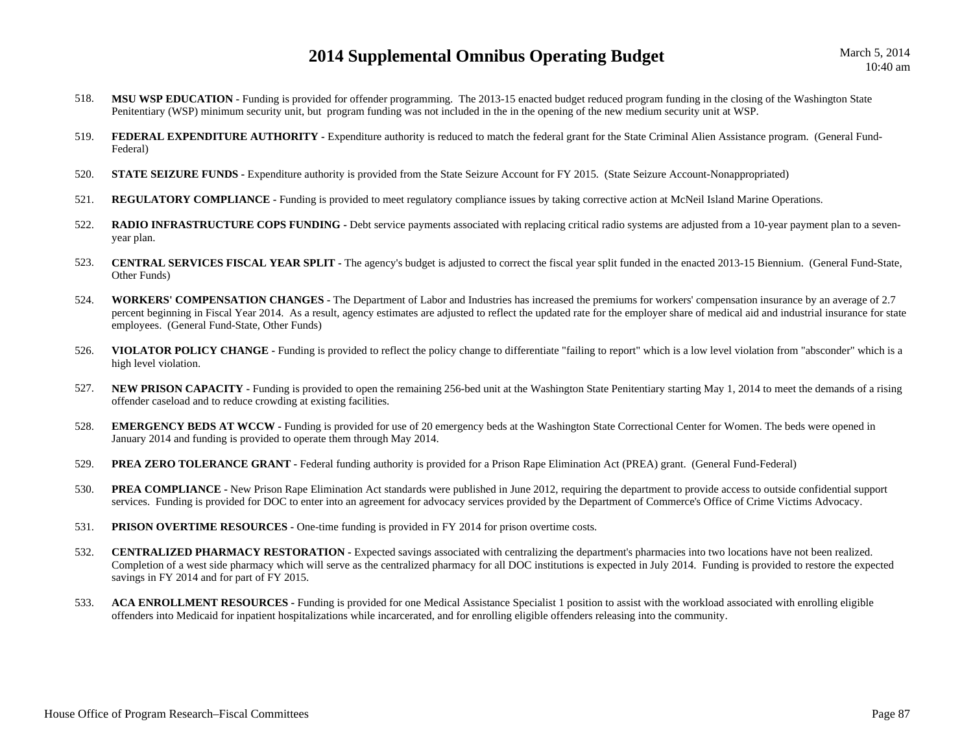- 518.**MSU WSP EDUCATION -** Funding is provided for offender programming. The 2013-15 enacted budget reduced program funding in the closing of the Washington State Penitentiary (WSP) minimum security unit, but program funding was not included in the in the opening of the new medium security unit at WSP.
- 519.**FEDERAL EXPENDITURE AUTHORITY** - Expenditure authority is reduced to match the federal grant for the State Criminal Alien Assistance program. (General Fund-Federal)
- 520.**STATE SEIZURE FUNDS -** Expenditure authority is provided from the State Seizure Account for FY 2015. (State Seizure Account-Nonappropriated)
- 521.**REGULATORY COMPLIANCE -** Funding is provided to meet regulatory compliance issues by taking corrective action at McNeil Island Marine Operations.
- 522.**RADIO INFRASTRUCTURE COPS FUNDING -** Debt service payments associated with replacing critical radio systems are adjusted from a 10-year payment plan to a sevenyear plan.
- 523. **CENTRAL SERVICES FISCAL YEAR SPLIT -** The agency's budget is adjusted to correct the fiscal year split funded in the enacted 2013-15 Biennium. (General Fund-State, Other Funds)
- 524. **WORKERS' COMPENSATION CHANGES -** The Department of Labor and Industries has increased the premiums for workers' compensation insurance by an average of 2.7 percent beginning in Fiscal Year 2014. As a result, agency estimates are adjusted to reflect the updated rate for the employer share of medical aid and industrial insurance for state employees. (General Fund-State, Other Funds)
- 526. **VIOLATOR POLICY CHANGE -** Funding is provided to reflect the policy change to differentiate "failing to report" which is a low level violation from "absconder" which is a high level violation.
- 527.**NEW PRISON CAPACITY** - Funding is provided to open the remaining 256-bed unit at the Washington State Penitentiary starting May 1, 2014 to meet the demands of a rising offender caseload and to reduce crowding at existing facilities.
- 528.**EMERGENCY BEDS AT WCCW -** Funding is provided for use of 20 emergency beds at the Washington State Correctional Center for Women. The beds were opened in January 2014 and funding is provided to operate them through May 2014.
- 529.**PREA ZERO TOLERANCE GRANT -** Federal funding authority is provided for a Prison Rape Elimination Act (PREA) grant. (General Fund-Federal)
- 530.**PREA COMPLIANCE** - New Prison Rape Elimination Act standards were published in June 2012, requiring the department to provide access to outside confidential support services. Funding is provided for DOC to enter into an agreement for advocacy services provided by the Department of Commerce's Office of Crime Victims Advocacy.
- 531.**PRISON OVERTIME RESOURCES -** One-time funding is provided in FY 2014 for prison overtime costs.
- 532.**CENTRALIZED PHARMACY RESTORATION -** Expected savings associated with centralizing the department's pharmacies into two locations have not been realized. Completion of a west side pharmacy which will serve as the centralized pharmacy for all DOC institutions is expected in July 2014. Funding is provided to restore the expected savings in FY 2014 and for part of FY 2015.
- 533. **ACA ENROLLMENT RESOURCES -** Funding is provided for one Medical Assistance Specialist 1 position to assist with the workload associated with enrolling eligible offenders into Medicaid for inpatient hospitalizations while incarcerated, and for enrolling eligible offenders releasing into the community.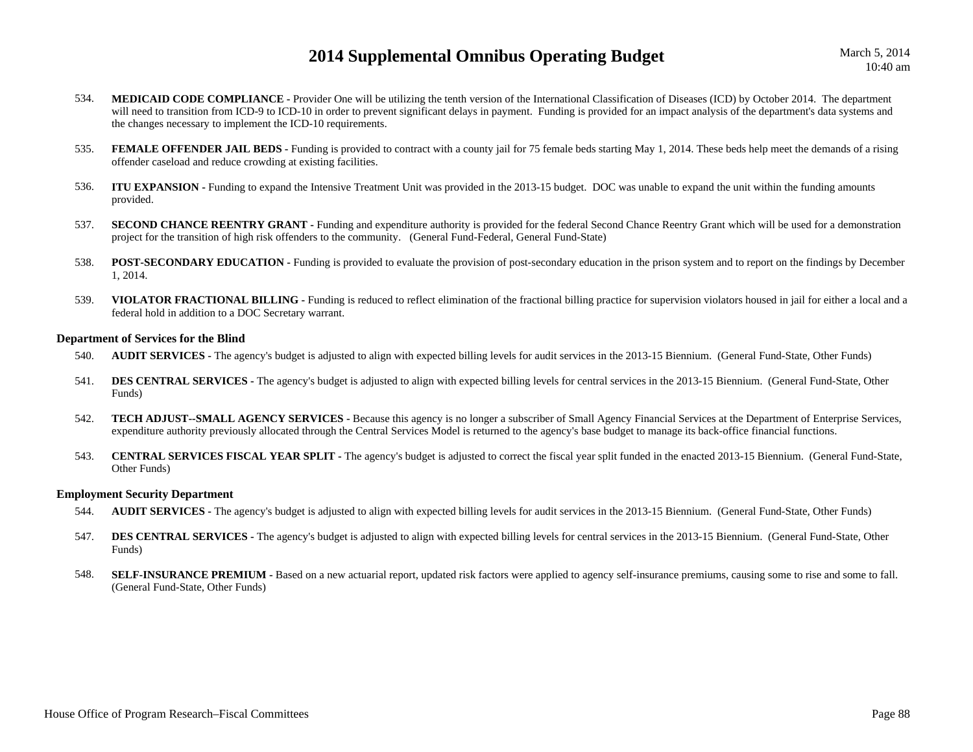March 5, 2014 10:40 am

- 534.**MEDICAID CODE COMPLIANCE -** Provider One will be utilizing the tenth version of the International Classification of Diseases (ICD) by October 2014. The department will need to transition from ICD-9 to ICD-10 in order to prevent significant delays in payment. Funding is provided for an impact analysis of the department's data systems and the changes necessary to implement the ICD-10 requirements.
- 535.**FEMALE OFFENDER JAIL BEDS** - Funding is provided to contract with a county jail for 75 female beds starting May 1, 2014. These beds help meet the demands of a rising offender caseload and reduce crowding at existing facilities.
- 536. **ITU EXPANSION -** Funding to expand the Intensive Treatment Unit was provided in the 2013-15 budget. DOC was unable to expand the unit within the funding amounts provided.
- 537.**SECOND CHANCE REENTRY GRANT -** Funding and expenditure authority is provided for the federal Second Chance Reentry Grant which will be used for a demonstration project for the transition of high risk offenders to the community. (General Fund-Federal, General Fund-State)
- 538.**POST-SECONDARY EDUCATION -** Funding is provided to evaluate the provision of post-secondary education in the prison system and to report on the findings by December 1, 2014.
- 539.**VIOLATOR FRACTIONAL BILLING** - Funding is reduced to reflect elimination of the fractional billing practice for supervision violators housed in jail for either a local and a federal hold in addition to a DOC Secretary warrant.

#### **Department of Services for the Blind**

- 540.**AUDIT SERVICES -** The agency's budget is adjusted to align with expected billing levels for audit services in the 2013-15 Biennium. (General Fund-State, Other Funds)
- 541. **DES CENTRAL SERVICES -** The agency's budget is adjusted to align with expected billing levels for central services in the 2013-15 Biennium. (General Fund-State, Other Funds)
- 542. **TECH ADJUST--SMALL AGENCY SERVICES -** Because this agency is no longer a subscriber of Small Agency Financial Services at the Department of Enterprise Services, expenditure authority previously allocated through the Central Services Model is returned to the agency's base budget to manage its back-office financial functions.
- 543. **CENTRAL SERVICES FISCAL YEAR SPLIT -** The agency's budget is adjusted to correct the fiscal year split funded in the enacted 2013-15 Biennium. (General Fund-State, Other Funds)

#### **Employment Security Department**

- 544.**AUDIT SERVICES -** The agency's budget is adjusted to align with expected billing levels for audit services in the 2013-15 Biennium. (General Fund-State, Other Funds)
- 547.**DES CENTRAL SERVICES** - The agency's budget is adjusted to align with expected billing levels for central services in the 2013-15 Biennium. (General Fund-State, Other Funds)
- 548.**SELF-INSURANCE PREMIUM -** Based on a new actuarial report, updated risk factors were applied to agency self-insurance premiums, causing some to rise and some to fall. (General Fund-State, Other Funds)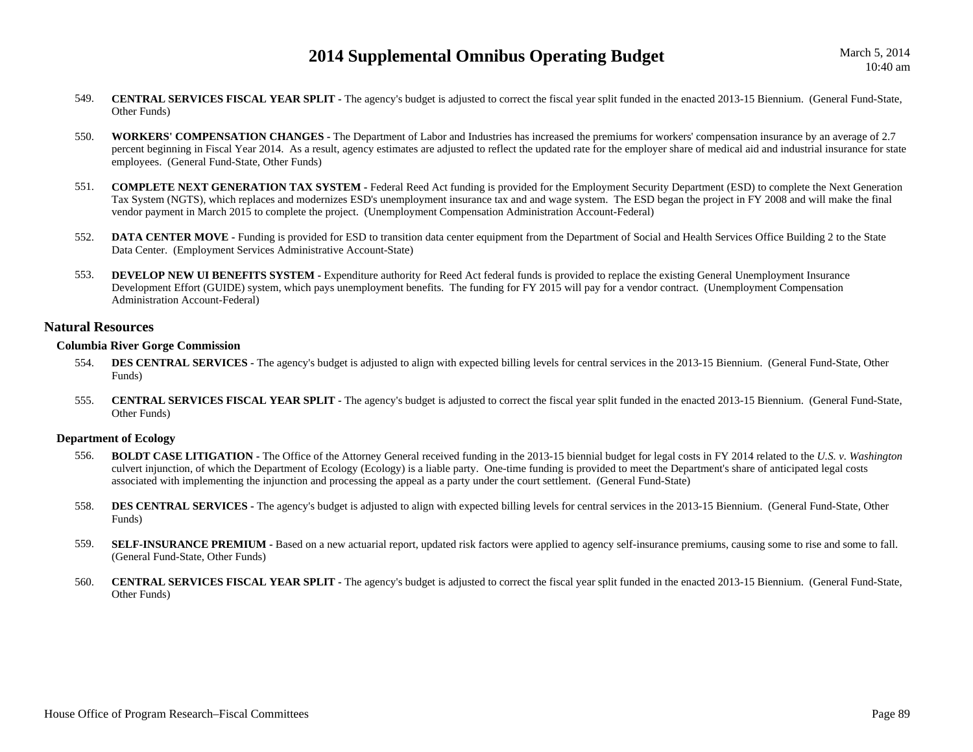- 549. **CENTRAL SERVICES FISCAL YEAR SPLIT -** The agency's budget is adjusted to correct the fiscal year split funded in the enacted 2013-15 Biennium. (General Fund-State, Other Funds)
- 550. **WORKERS' COMPENSATION CHANGES -** The Department of Labor and Industries has increased the premiums for workers' compensation insurance by an average of 2.7 percent beginning in Fiscal Year 2014. As a result, agency estimates are adjusted to reflect the updated rate for the employer share of medical aid and industrial insurance for state employees. (General Fund-State, Other Funds)
- 551. **COMPLETE NEXT GENERATION TAX SYSTEM -** Federal Reed Act funding is provided for the Employment Security Department (ESD) to complete the Next Generation Tax System (NGTS), which replaces and modernizes ESD's unemployment insurance tax and and wage system. The ESD began the project in FY 2008 and will make the final vendor payment in March 2015 to complete the project. (Unemployment Compensation Administration Account-Federal)
- 552.**DATA CENTER MOVE -** Funding is provided for ESD to transition data center equipment from the Department of Social and Health Services Office Building 2 to the State Data Center. (Employment Services Administrative Account-State)
- 553. **DEVELOP NEW UI BENEFITS SYSTEM -** Expenditure authority for Reed Act federal funds is provided to replace the existing General Unemployment Insurance Development Effort (GUIDE) system, which pays unemployment benefits. The funding for FY 2015 will pay for a vendor contract. (Unemployment Compensation Administration Account-Federal)

### **Natural Resources**

### **Columbia River Gorge Commission**

- 554.**DES CENTRAL SERVICES -** The agency's budget is adjusted to align with expected billing levels for central services in the 2013-15 Biennium. (General Fund-State, Other Funds)
- 555. **CENTRAL SERVICES FISCAL YEAR SPLIT -** The agency's budget is adjusted to correct the fiscal year split funded in the enacted 2013-15 Biennium. (General Fund-State, Other Funds)

### **Department of Ecology**

- 556. **BOLDT CASE LITIGATION -** The Office of the Attorney General received funding in the 2013-15 biennial budget for legal costs in FY 2014 related to the *U.S. v. Washington* culvert injunction, of which the Department of Ecology (Ecology) is a liable party. One-time funding is provided to meet the Department's share of anticipated legal costs associated with implementing the injunction and processing the appeal as a party under the court settlement. (General Fund-State)
- 558.**DES CENTRAL SERVICES** - The agency's budget is adjusted to align with expected billing levels for central services in the 2013-15 Biennium. (General Fund-State, Other Funds)
- 559.SELF-INSURANCE PREMIUM - Based on a new actuarial report, updated risk factors were applied to agency self-insurance premiums, causing some to rise and some to fall. (General Fund-State, Other Funds)
- 560. **CENTRAL SERVICES FISCAL YEAR SPLIT -** The agency's budget is adjusted to correct the fiscal year split funded in the enacted 2013-15 Biennium. (General Fund-State, Other Funds)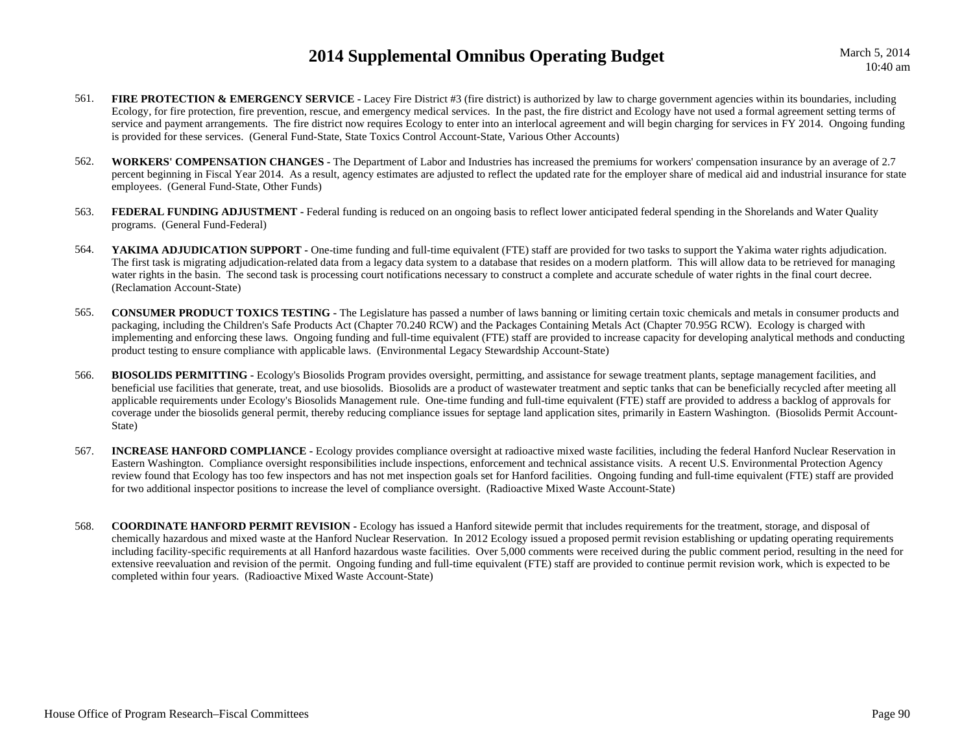March 5, 2014 10:40 am

- 561.**FIRE PROTECTION & EMERGENCY SERVICE** - Lacey Fire District #3 (fire district) is authorized by law to charge government agencies within its boundaries, including Ecology, for fire protection, fire prevention, rescue, and emergency medical services. In the past, the fire district and Ecology have not used a formal agreement setting terms of service and payment arrangements. The fire district now requires Ecology to enter into an interlocal agreement and will begin charging for services in FY 2014. Ongoing funding is provided for these services. (General Fund-State, State Toxics Control Account-State, Various Other Accounts)
- 562. **WORKERS' COMPENSATION CHANGES -** The Department of Labor and Industries has increased the premiums for workers' compensation insurance by an average of 2.7 percent beginning in Fiscal Year 2014. As a result, agency estimates are adjusted to reflect the updated rate for the employer share of medical aid and industrial insurance for state employees. (General Fund-State, Other Funds)
- 563.**FEDERAL FUNDING ADJUSTMENT** - Federal funding is reduced on an ongoing basis to reflect lower anticipated federal spending in the Shorelands and Water Quality programs. (General Fund-Federal)
- 564.YAKIMA ADJUDICATION SUPPORT - One-time funding and full-time equivalent (FTE) staff are provided for two tasks to support the Yakima water rights adjudication. The first task is migrating adjudication-related data from a legacy data system to a database that resides on a modern platform. This will allow data to be retrieved for managing water rights in the basin. The second task is processing court notifications necessary to construct a complete and accurate schedule of water rights in the final court decree. (Reclamation Account-State)
- 565. **CONSUMER PRODUCT TOXICS TESTING -** The Legislature has passed a number of laws banning or limiting certain toxic chemicals and metals in consumer products and packaging, including the Children's Safe Products Act (Chapter 70.240 RCW) and the Packages Containing Metals Act (Chapter 70.95G RCW). Ecology is charged with implementing and enforcing these laws. Ongoing funding and full-time equivalent (FTE) staff are provided to increase capacity for developing analytical methods and conducting product testing to ensure compliance with applicable laws. (Environmental Legacy Stewardship Account-State)
- 566. **BIOSOLIDS PERMITTING -** Ecology's Biosolids Program provides oversight, permitting, and assistance for sewage treatment plants, septage management facilities, and beneficial use facilities that generate, treat, and use biosolids. Biosolids are a product of wastewater treatment and septic tanks that can be beneficially recycled after meeting all applicable requirements under Ecology's Biosolids Management rule. One-time funding and full-time equivalent (FTE) staff are provided to address a backlog of approvals for coverage under the biosolids general permit, thereby reducing compliance issues for septage land application sites, primarily in Eastern Washington. (Biosolids Permit Account-State)
- 567.**INCREASE HANFORD COMPLIANCE** - Ecology provides compliance oversight at radioactive mixed waste facilities, including the federal Hanford Nuclear Reservation in Eastern Washington. Compliance oversight responsibilities include inspections, enforcement and technical assistance visits. A recent U.S. Environmental Protection Agency review found that Ecology has too few inspectors and has not met inspection goals set for Hanford facilities. Ongoing funding and full-time equivalent (FTE) staff are provided for two additional inspector positions to increase the level of compliance oversight. (Radioactive Mixed Waste Account-State)
- 568. **COORDINATE HANFORD PERMIT REVISION -** Ecology has issued a Hanford sitewide permit that includes requirements for the treatment, storage, and disposal of chemically hazardous and mixed waste at the Hanford Nuclear Reservation. In 2012 Ecology issued a proposed permit revision establishing or updating operating requirements including facility-specific requirements at all Hanford hazardous waste facilities. Over 5,000 comments were received during the public comment period, resulting in the need for extensive reevaluation and revision of the permit. Ongoing funding and full-time equivalent (FTE) staff are provided to continue permit revision work, which is expected to be completed within four years. (Radioactive Mixed Waste Account-State)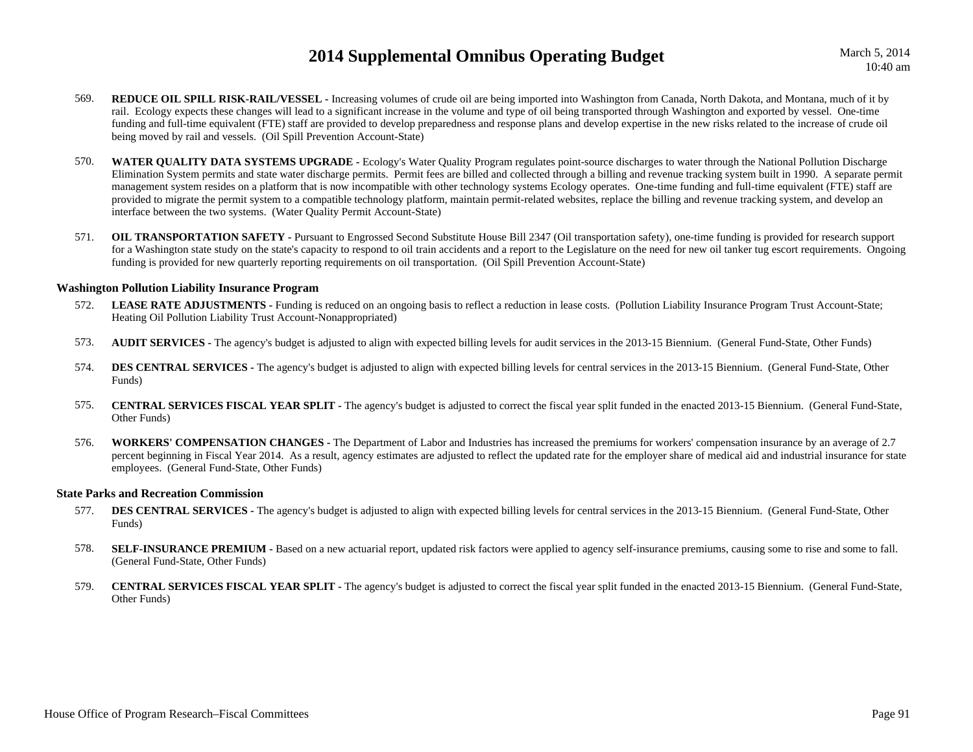- 569. **REDUCE OIL SPILL RISK-RAIL/VESSEL -** Increasing volumes of crude oil are being imported into Washington from Canada, North Dakota, and Montana, much of it by rail. Ecology expects these changes will lead to a significant increase in the volume and type of oil being transported through Washington and exported by vessel. One-time funding and full-time equivalent (FTE) staff are provided to develop preparedness and response plans and develop expertise in the new risks related to the increase of crude oil being moved by rail and vessels. (Oil Spill Prevention Account-State)
- 570. **WATER QUALITY DATA SYSTEMS UPGRADE -** Ecology's Water Quality Program regulates point-source discharges to water through the National Pollution Discharge Elimination System permits and state water discharge permits. Permit fees are billed and collected through a billing and revenue tracking system built in 1990. A separate permit management system resides on a platform that is now incompatible with other technology systems Ecology operates. One-time funding and full-time equivalent (FTE) staff are provided to migrate the permit system to a compatible technology platform, maintain permit-related websites, replace the billing and revenue tracking system, and develop an interface between the two systems. (Water Quality Permit Account-State)
- 571.**OIL TRANSPORTATION SAFETY** - Pursuant to Engrossed Second Substitute House Bill 2347 (Oil transportation safety), one-time funding is provided for research support for a Washington state study on the state's capacity to respond to oil train accidents and a report to the Legislature on the need for new oil tanker tug escort requirements. Ongoing funding is provided for new quarterly reporting requirements on oil transportation. (Oil Spill Prevention Account-State)

#### **Washington Pollution Liability Insurance Program**

- 572.LEASE RATE ADJUSTMENTS - Funding is reduced on an ongoing basis to reflect a reduction in lease costs. (Pollution Liability Insurance Program Trust Account-State; Heating Oil Pollution Liability Trust Account-Nonappropriated)
- 573.**AUDIT SERVICES** - The agency's budget is adjusted to align with expected billing levels for audit services in the 2013-15 Biennium. (General Fund-State, Other Funds)
- 574.**DES CENTRAL SERVICES -** The agency's budget is adjusted to align with expected billing levels for central services in the 2013-15 Biennium. (General Fund-State, Other Funds)
- 575. **CENTRAL SERVICES FISCAL YEAR SPLIT -** The agency's budget is adjusted to correct the fiscal year split funded in the enacted 2013-15 Biennium. (General Fund-State, Other Funds)
- 576. **WORKERS' COMPENSATION CHANGES -** The Department of Labor and Industries has increased the premiums for workers' compensation insurance by an average of 2.7 percent beginning in Fiscal Year 2014. As a result, agency estimates are adjusted to reflect the updated rate for the employer share of medical aid and industrial insurance for state employees. (General Fund-State, Other Funds)

### **State Parks and Recreation Commission**

- 577. **DES CENTRAL SERVICES -** The agency's budget is adjusted to align with expected billing levels for central services in the 2013-15 Biennium. (General Fund-State, Other Funds)
- 578.**SELF-INSURANCE PREMIUM -** Based on a new actuarial report, updated risk factors were applied to agency self-insurance premiums, causing some to rise and some to fall. (General Fund-State, Other Funds)
- 579. **CENTRAL SERVICES FISCAL YEAR SPLIT -** The agency's budget is adjusted to correct the fiscal year split funded in the enacted 2013-15 Biennium. (General Fund-State, Other Funds)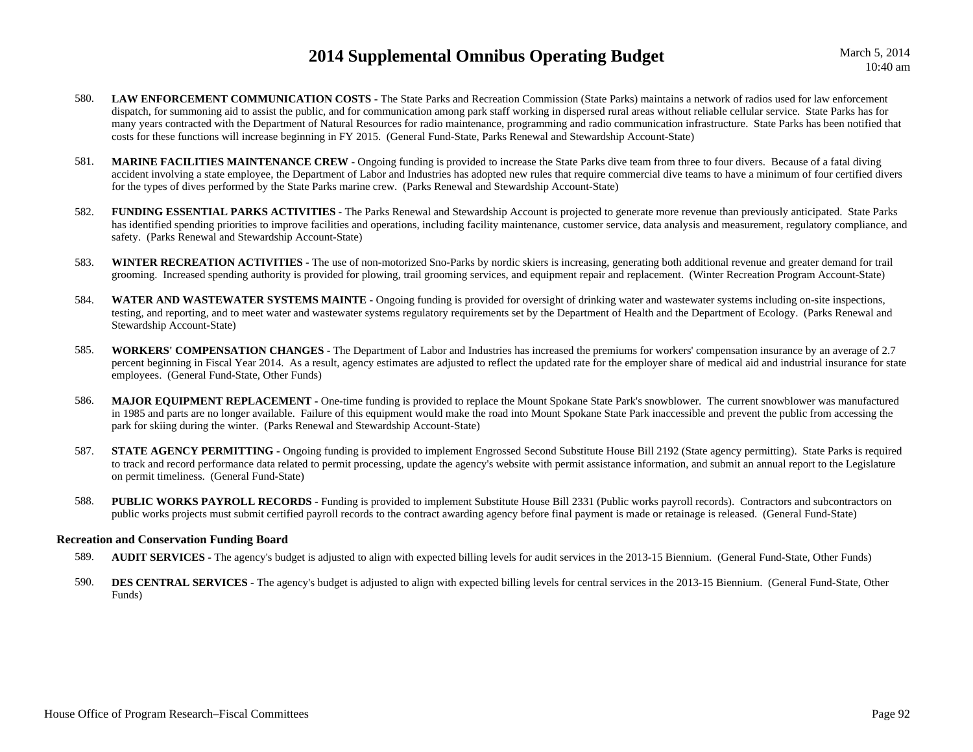- 580.**LAW ENFORCEMENT COMMUNICATION COSTS** - The State Parks and Recreation Commission (State Parks) maintains a network of radios used for law enforcement dispatch, for summoning aid to assist the public, and for communication among park staff working in dispersed rural areas without reliable cellular service. State Parks has for many years contracted with the Department of Natural Resources for radio maintenance, programming and radio communication infrastructure. State Parks has been notified that costs for these functions will increase beginning in FY 2015. (General Fund-State, Parks Renewal and Stewardship Account-State)
- 581.**MARINE FACILITIES MAINTENANCE CREW -** Ongoing funding is provided to increase the State Parks dive team from three to four divers. Because of a fatal diving accident involving a state employee, the Department of Labor and Industries has adopted new rules that require commercial dive teams to have a minimum of four certified divers for the types of dives performed by the State Parks marine crew. (Parks Renewal and Stewardship Account-State)
- 582. **FUNDING ESSENTIAL PARKS ACTIVITIES -** The Parks Renewal and Stewardship Account is projected to generate more revenue than previously anticipated. State Parks has identified spending priorities to improve facilities and operations, including facility maintenance, customer service, data analysis and measurement, regulatory compliance, and safety. (Parks Renewal and Stewardship Account-State)
- 583. **WINTER RECREATION ACTIVITIES -** The use of non-motorized Sno-Parks by nordic skiers is increasing, generating both additional revenue and greater demand for trail grooming. Increased spending authority is provided for plowing, trail grooming services, and equipment repair and replacement. (Winter Recreation Program Account-State)
- 584. **WATER AND WASTEWATER SYSTEMS MAINTE -** Ongoing funding is provided for oversight of drinking water and wastewater systems including on-site inspections, testing, and reporting, and to meet water and wastewater systems regulatory requirements set by the Department of Health and the Department of Ecology. (Parks Renewal and Stewardship Account-State)
- 585. **WORKERS' COMPENSATION CHANGES -** The Department of Labor and Industries has increased the premiums for workers' compensation insurance by an average of 2.7 percent beginning in Fiscal Year 2014. As a result, agency estimates are adjusted to reflect the updated rate for the employer share of medical aid and industrial insurance for state employees. (General Fund-State, Other Funds)
- 586. **MAJOR EQUIPMENT REPLACEMENT -** One-time funding is provided to replace the Mount Spokane State Park's snowblower. The current snowblower was manufactured in 1985 and parts are no longer available. Failure of this equipment would make the road into Mount Spokane State Park inaccessible and prevent the public from accessing the park for skiing during the winter. (Parks Renewal and Stewardship Account-State)
- 587.**STATE AGENCY PERMITTING -** Ongoing funding is provided to implement Engrossed Second Substitute House Bill 2192 (State agency permitting). State Parks is required to track and record performance data related to permit processing, update the agency's website with permit assistance information, and submit an annual report to the Legislature on permit timeliness. (General Fund-State)
- 588. **PUBLIC WORKS PAYROLL RECORDS -** Funding is provided to implement Substitute House Bill 2331 (Public works payroll records). Contractors and subcontractors on public works projects must submit certified payroll records to the contract awarding agency before final payment is made or retainage is released. (General Fund-State)

### **Recreation and Conservation Funding Board**

- 589.**AUDIT SERVICES** - The agency's budget is adjusted to align with expected billing levels for audit services in the 2013-15 Biennium. (General Fund-State, Other Funds)
- 590.**DES CENTRAL SERVICES** - The agency's budget is adjusted to align with expected billing levels for central services in the 2013-15 Biennium. (General Fund-State, Other Funds)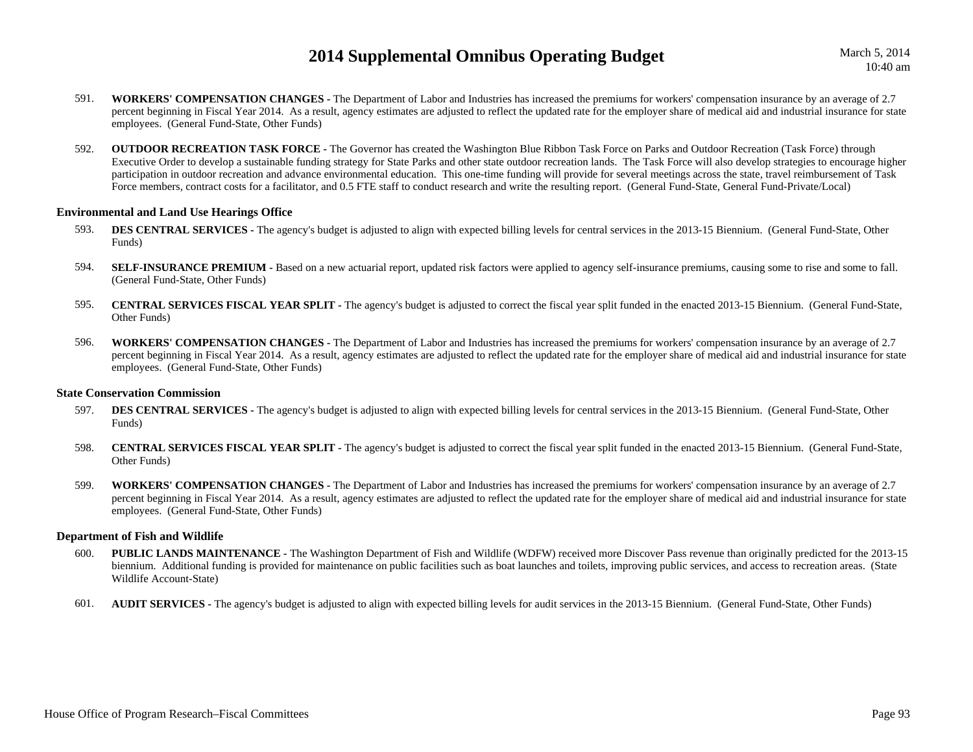March 5, 2014 10:40 am

- 591. **WORKERS' COMPENSATION CHANGES -** The Department of Labor and Industries has increased the premiums for workers' compensation insurance by an average of 2.7 percent beginning in Fiscal Year 2014. As a result, agency estimates are adjusted to reflect the updated rate for the employer share of medical aid and industrial insurance for state employees. (General Fund-State, Other Funds)
- 592. **OUTDOOR RECREATION TASK FORCE -** The Governor has created the Washington Blue Ribbon Task Force on Parks and Outdoor Recreation (Task Force) through Executive Order to develop a sustainable funding strategy for State Parks and other state outdoor recreation lands. The Task Force will also develop strategies to encourage higher participation in outdoor recreation and advance environmental education. This one-time funding will provide for several meetings across the state, travel reimbursement of Task Force members, contract costs for a facilitator, and 0.5 FTE staff to conduct research and write the resulting report. (General Fund-State, General Fund-Private/Local)

#### **Environmental and Land Use Hearings Office**

- 593.**DES CENTRAL SERVICES** - The agency's budget is adjusted to align with expected billing levels for central services in the 2013-15 Biennium. (General Fund-State, Other Funds)
- 594.**SELF-INSURANCE PREMIUM -** Based on a new actuarial report, updated risk factors were applied to agency self-insurance premiums, causing some to rise and some to fall. (General Fund-State, Other Funds)
- 595. **CENTRAL SERVICES FISCAL YEAR SPLIT -** The agency's budget is adjusted to correct the fiscal year split funded in the enacted 2013-15 Biennium. (General Fund-State, Other Funds)
- 596. **WORKERS' COMPENSATION CHANGES -** The Department of Labor and Industries has increased the premiums for workers' compensation insurance by an average of 2.7 percent beginning in Fiscal Year 2014. As a result, agency estimates are adjusted to reflect the updated rate for the employer share of medical aid and industrial insurance for state employees. (General Fund-State, Other Funds)

#### **State Conservation Commission**

- 597.**DES CENTRAL SERVICES** - The agency's budget is adjusted to align with expected billing levels for central services in the 2013-15 Biennium. (General Fund-State, Other Funds)
- 598. **CENTRAL SERVICES FISCAL YEAR SPLIT -** The agency's budget is adjusted to correct the fiscal year split funded in the enacted 2013-15 Biennium. (General Fund-State, Other Funds)
- 599. **WORKERS' COMPENSATION CHANGES -** The Department of Labor and Industries has increased the premiums for workers' compensation insurance by an average of 2.7 percent beginning in Fiscal Year 2014. As a result, agency estimates are adjusted to reflect the updated rate for the employer share of medical aid and industrial insurance for state employees. (General Fund-State, Other Funds)

### **Department of Fish and Wildlife**

- 600.**PUBLIC LANDS MAINTENANCE** - The Washington Department of Fish and Wildlife (WDFW) received more Discover Pass revenue than originally predicted for the 2013-15 biennium. Additional funding is provided for maintenance on public facilities such as boat launches and toilets, improving public services, and access to recreation areas. (State Wildlife Account-State)
- 601.**AUDIT SERVICES** - The agency's budget is adjusted to align with expected billing levels for audit services in the 2013-15 Biennium. (General Fund-State, Other Funds)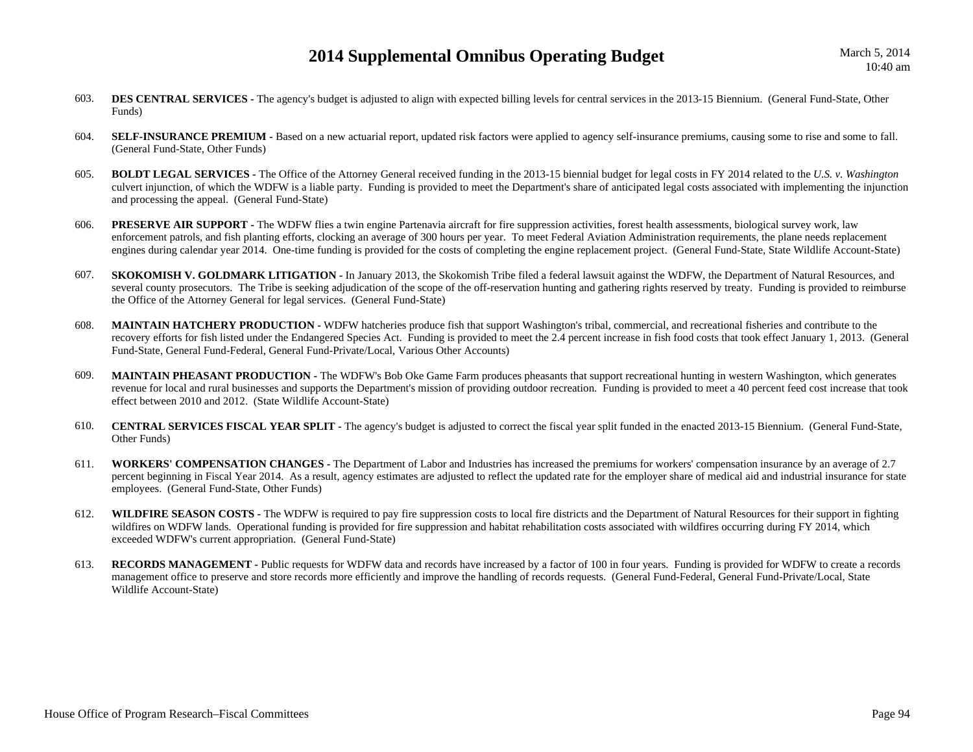- 603.**DES CENTRAL SERVICES -** The agency's budget is adjusted to align with expected billing levels for central services in the 2013-15 Biennium. (General Fund-State, Other Funds)
- 604.**SELF-INSURANCE PREMIUM** - Based on a new actuarial report, updated risk factors were applied to agency self-insurance premiums, causing some to rise and some to fall. (General Fund-State, Other Funds)
- 605. **BOLDT LEGAL SERVICES -** The Office of the Attorney General received funding in the 2013-15 biennial budget for legal costs in FY 2014 related to the *U.S. v. Washington* culvert injunction, of which the WDFW is a liable party. Funding is provided to meet the Department's share of anticipated legal costs associated with implementing the injunction and processing the appeal. (General Fund-State)
- 606. **PRESERVE AIR SUPPORT -** The WDFW flies a twin engine Partenavia aircraft for fire suppression activities, forest health assessments, biological survey work, law enforcement patrols, and fish planting efforts, clocking an average of 300 hours per year. To meet Federal Aviation Administration requirements, the plane needs replacement engines during calendar year 2014. One-time funding is provided for the costs of completing the engine replacement project. (General Fund-State, State Wildlife Account-State)
- 607.**SKOKOMISH V. GOLDMARK LITIGATION -** In January 2013, the Skokomish Tribe filed a federal lawsuit against the WDFW, the Department of Natural Resources, and several county prosecutors. The Tribe is seeking adjudication of the scope of the off-reservation hunting and gathering rights reserved by treaty. Funding is provided to reimburse the Office of the Attorney General for legal services. (General Fund-State)
- 608. **MAINTAIN HATCHERY PRODUCTION -** WDFW hatcheries produce fish that support Washington's tribal, commercial, and recreational fisheries and contribute to the recovery efforts for fish listed under the Endangered Species Act. Funding is provided to meet the 2.4 percent increase in fish food costs that took effect January 1, 2013. (General Fund-State, General Fund-Federal, General Fund-Private/Local, Various Other Accounts)
- 609. **MAINTAIN PHEASANT PRODUCTION -** The WDFW's Bob Oke Game Farm produces pheasants that support recreational hunting in western Washington, which generates revenue for local and rural businesses and supports the Department's mission of providing outdoor recreation. Funding is provided to meet a 40 percent feed cost increase that took effect between 2010 and 2012. (State Wildlife Account-State)
- 610. **CENTRAL SERVICES FISCAL YEAR SPLIT -** The agency's budget is adjusted to correct the fiscal year split funded in the enacted 2013-15 Biennium. (General Fund-State, Other Funds)
- 611. **WORKERS' COMPENSATION CHANGES -** The Department of Labor and Industries has increased the premiums for workers' compensation insurance by an average of 2.7 percent beginning in Fiscal Year 2014. As a result, agency estimates are adjusted to reflect the updated rate for the employer share of medical aid and industrial insurance for state employees. (General Fund-State, Other Funds)
- 612. **WILDFIRE SEASON COSTS -** The WDFW is required to pay fire suppression costs to local fire districts and the Department of Natural Resources for their support in fighting wildfires on WDFW lands. Operational funding is provided for fire suppression and habitat rehabilitation costs associated with wildfires occurring during FY 2014, which exceeded WDFW's current appropriation. (General Fund-State)
- 613. **RECORDS MANAGEMENT -** Public requests for WDFW data and records have increased by a factor of 100 in four years. Funding is provided for WDFW to create a records management office to preserve and store records more efficiently and improve the handling of records requests. (General Fund-Federal, General Fund-Private/Local, State Wildlife Account-State)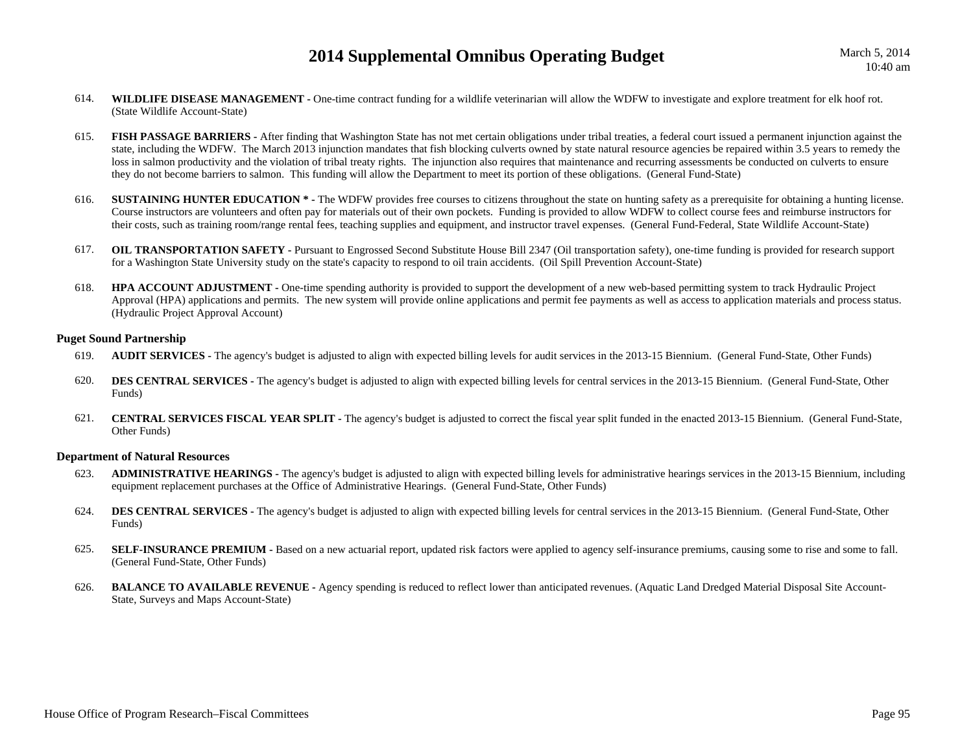- 614.**WILDLIFE DISEASE MANAGEMENT** - One-time contract funding for a wildlife veterinarian will allow the WDFW to investigate and explore treatment for elk hoof rot. (State Wildlife Account-State)
- 615. **FISH PASSAGE BARRIERS -** After finding that Washington State has not met certain obligations under tribal treaties, a federal court issued a permanent injunction against the state, including the WDFW. The March 2013 injunction mandates that fish blocking culverts owned by state natural resource agencies be repaired within 3.5 years to remedy the loss in salmon productivity and the violation of tribal treaty rights. The injunction also requires that maintenance and recurring assessments be conducted on culverts to ensure they do not become barriers to salmon. This funding will allow the Department to meet its portion of these obligations. (General Fund-State)
- 616. **SUSTAINING HUNTER EDUCATION \* -** The WDFW provides free courses to citizens throughout the state on hunting safety as a prerequisite for obtaining a hunting license. Course instructors are volunteers and often pay for materials out of their own pockets. Funding is provided to allow WDFW to collect course fees and reimburse instructors for their costs, such as training room/range rental fees, teaching supplies and equipment, and instructor travel expenses. (General Fund-Federal, State Wildlife Account-State)
- 617.**OIL TRANSPORTATION SAFETY** - Pursuant to Engrossed Second Substitute House Bill 2347 (Oil transportation safety), one-time funding is provided for research support for a Washington State University study on the state's capacity to respond to oil train accidents. (Oil Spill Prevention Account-State)
- 618. **HPA ACCOUNT ADJUSTMENT -** One-time spending authority is provided to support the development of a new web-based permitting system to track Hydraulic Project Approval (HPA) applications and permits. The new system will provide online applications and permit fee payments as well as access to application materials and process status. (Hydraulic Project Approval Account)

#### **Puget Sound Partnership**

- 619.**AUDIT SERVICES** - The agency's budget is adjusted to align with expected billing levels for audit services in the 2013-15 Biennium. (General Fund-State, Other Funds)
- 620.**DES CENTRAL SERVICES** - The agency's budget is adjusted to align with expected billing levels for central services in the 2013-15 Biennium. (General Fund-State, Other Funds)
- 621. **CENTRAL SERVICES FISCAL YEAR SPLIT -** The agency's budget is adjusted to correct the fiscal year split funded in the enacted 2013-15 Biennium. (General Fund-State, Other Funds)

#### **Department of Natural Resources**

- 623. **ADMINISTRATIVE HEARINGS -** The agency's budget is adjusted to align with expected billing levels for administrative hearings services in the 2013-15 Biennium, including equipment replacement purchases at the Office of Administrative Hearings. (General Fund-State, Other Funds)
- 624.**DES CENTRAL SERVICES -** The agency's budget is adjusted to align with expected billing levels for central services in the 2013-15 Biennium. (General Fund-State, Other Funds)
- 625.SELF-INSURANCE PREMIUM - Based on a new actuarial report, updated risk factors were applied to agency self-insurance premiums, causing some to rise and some to fall. (General Fund-State, Other Funds)
- 626.**BALANCE TO AVAILABLE REVENUE -** Agency spending is reduced to reflect lower than anticipated revenues. (Aquatic Land Dredged Material Disposal Site Account-State, Surveys and Maps Account-State)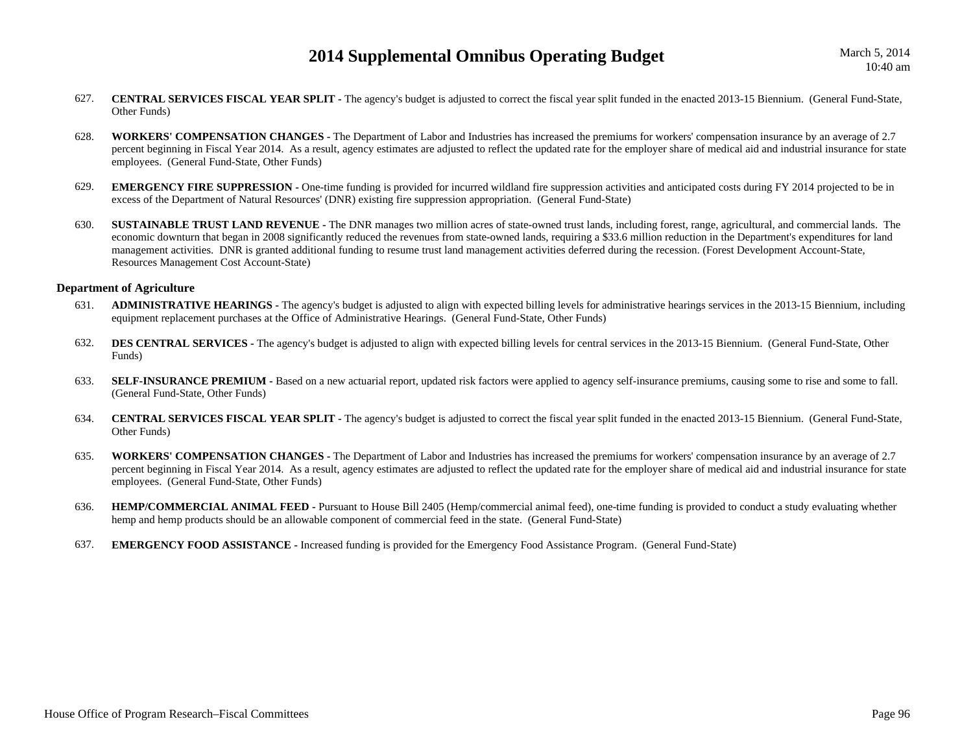- 627. **CENTRAL SERVICES FISCAL YEAR SPLIT -** The agency's budget is adjusted to correct the fiscal year split funded in the enacted 2013-15 Biennium. (General Fund-State, Other Funds)
- 628. **WORKERS' COMPENSATION CHANGES -** The Department of Labor and Industries has increased the premiums for workers' compensation insurance by an average of 2.7 percent beginning in Fiscal Year 2014. As a result, agency estimates are adjusted to reflect the updated rate for the employer share of medical aid and industrial insurance for state employees. (General Fund-State, Other Funds)
- 629.**EMERGENCY FIRE SUPPRESSION -** One-time funding is provided for incurred wildland fire suppression activities and anticipated costs during FY 2014 projected to be in excess of the Department of Natural Resources' (DNR) existing fire suppression appropriation. (General Fund-State)
- 630.**SUSTAINABLE TRUST LAND REVENUE -** The DNR manages two million acres of state-owned trust lands, including forest, range, agricultural, and commercial lands. The economic downturn that began in 2008 significantly reduced the revenues from state-owned lands, requiring a \$33.6 million reduction in the Department's expenditures for land management activities. DNR is granted additional funding to resume trust land management activities deferred during the recession. (Forest Development Account-State, Resources Management Cost Account-State)

#### **Department of Agriculture**

- 631. **ADMINISTRATIVE HEARINGS -** The agency's budget is adjusted to align with expected billing levels for administrative hearings services in the 2013-15 Biennium, including equipment replacement purchases at the Office of Administrative Hearings. (General Fund-State, Other Funds)
- 632.**DES CENTRAL SERVICES -** The agency's budget is adjusted to align with expected billing levels for central services in the 2013-15 Biennium. (General Fund-State, Other Funds)
- 633.**SELF-INSURANCE PREMIUM -** Based on a new actuarial report, updated risk factors were applied to agency self-insurance premiums, causing some to rise and some to fall. (General Fund-State, Other Funds)
- 634. **CENTRAL SERVICES FISCAL YEAR SPLIT -** The agency's budget is adjusted to correct the fiscal year split funded in the enacted 2013-15 Biennium. (General Fund-State, Other Funds)
- 635. **WORKERS' COMPENSATION CHANGES -** The Department of Labor and Industries has increased the premiums for workers' compensation insurance by an average of 2.7 percent beginning in Fiscal Year 2014. As a result, agency estimates are adjusted to reflect the updated rate for the employer share of medical aid and industrial insurance for state employees. (General Fund-State, Other Funds)
- 636.**HEMP/COMMERCIAL ANIMAL FEED -** Pursuant to House Bill 2405 (Hemp/commercial animal feed), one-time funding is provided to conduct a study evaluating whether hemp and hemp products should be an allowable component of commercial feed in the state. (General Fund-State)
- 637.**EMERGENCY FOOD ASSISTANCE -** Increased funding is provided for the Emergency Food Assistance Program. (General Fund-State)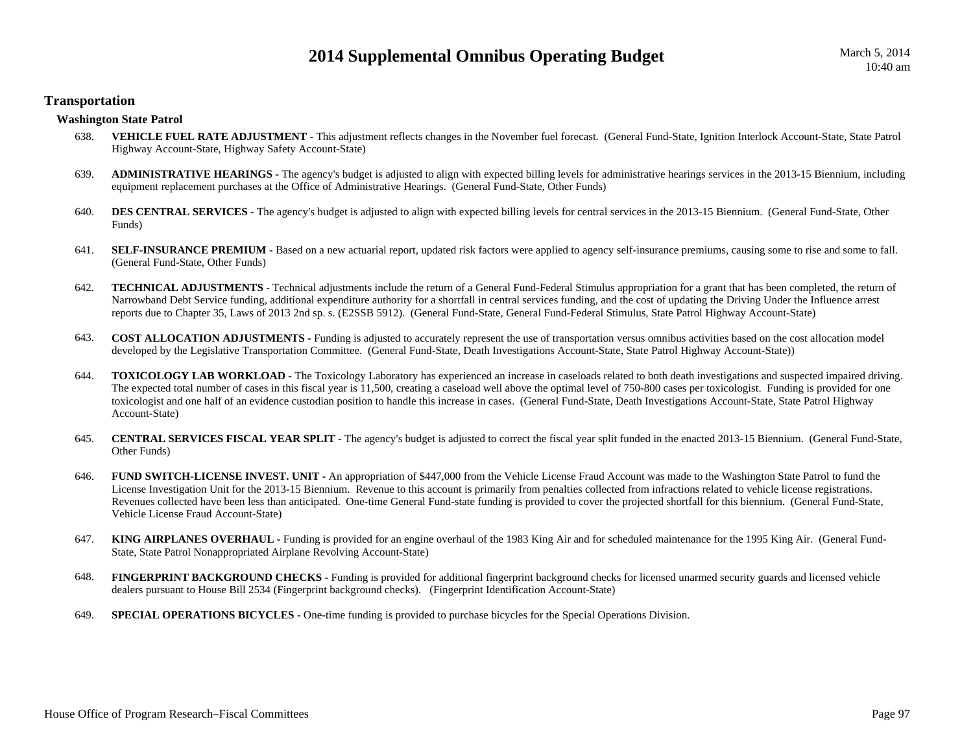### **Transportation**

### **Washington State Patrol**

- 638.**VEHICLE FUEL RATE ADJUSTMENT** - This adjustment reflects changes in the November fuel forecast. (General Fund-State, Ignition Interlock Account-State, State Patrol Highway Account-State, Highway Safety Account-State)
- 639. **ADMINISTRATIVE HEARINGS -** The agency's budget is adjusted to align with expected billing levels for administrative hearings services in the 2013-15 Biennium, including equipment replacement purchases at the Office of Administrative Hearings. (General Fund-State, Other Funds)
- 640.**DES CENTRAL SERVICES -** The agency's budget is adjusted to align with expected billing levels for central services in the 2013-15 Biennium. (General Fund-State, Other Funds)
- 641.**SELF-INSURANCE PREMIUM -** Based on a new actuarial report, updated risk factors were applied to agency self-insurance premiums, causing some to rise and some to fall. (General Fund-State, Other Funds)
- 642. **TECHNICAL ADJUSTMENTS -** Technical adjustments include the return of a General Fund-Federal Stimulus appropriation for a grant that has been completed, the return of Narrowband Debt Service funding, additional expenditure authority for a shortfall in central services funding, and the cost of updating the Driving Under the Influence arrest reports due to Chapter 35, Laws of 2013 2nd sp. s. (E2SSB 5912). (General Fund-State, General Fund-Federal Stimulus, State Patrol Highway Account-State)
- 643. **COST ALLOCATION ADJUSTMENTS -** Funding is adjusted to accurately represent the use of transportation versus omnibus activities based on the cost allocation model developed by the Legislative Transportation Committee. (General Fund-State, Death Investigations Account-State, State Patrol Highway Account-State))
- 644.**TOXICOLOGY LAB WORKLOAD -** The Toxicology Laboratory has experienced an increase in caseloads related to both death investigations and suspected impaired driving. The expected total number of cases in this fiscal year is 11,500, creating a caseload well above the optimal level of 750-800 cases per toxicologist. Funding is provided for one toxicologist and one half of an evidence custodian position to handle this increase in cases. (General Fund-State, Death Investigations Account-State, State Patrol Highway Account-State)
- 645. **CENTRAL SERVICES FISCAL YEAR SPLIT -** The agency's budget is adjusted to correct the fiscal year split funded in the enacted 2013-15 Biennium. (General Fund-State, Other Funds)
- 646. **FUND SWITCH-LICENSE INVEST. UNIT -** An appropriation of \$447,000 from the Vehicle License Fraud Account was made to the Washington State Patrol to fund the License Investigation Unit for the 2013-15 Biennium. Revenue to this account is primarily from penalties collected from infractions related to vehicle license registrations. Revenues collected have been less than anticipated. One-time General Fund-state funding is provided to cover the projected shortfall for this biennium. (General Fund-State, Vehicle License Fraud Account-State)
- 647. **KING AIRPLANES OVERHAUL -** Funding is provided for an engine overhaul of the 1983 King Air and for scheduled maintenance for the 1995 King Air. (General Fund-State, State Patrol Nonappropriated Airplane Revolving Account-State)
- 648.**FINGERPRINT BACKGROUND CHECKS** - Funding is provided for additional fingerprint background checks for licensed unarmed security guards and licensed vehicle dealers pursuant to House Bill 2534 (Fingerprint background checks). (Fingerprint Identification Account-State)
- 649.**SPECIAL OPERATIONS BICYCLES -** One-time funding is provided to purchase bicycles for the Special Operations Division.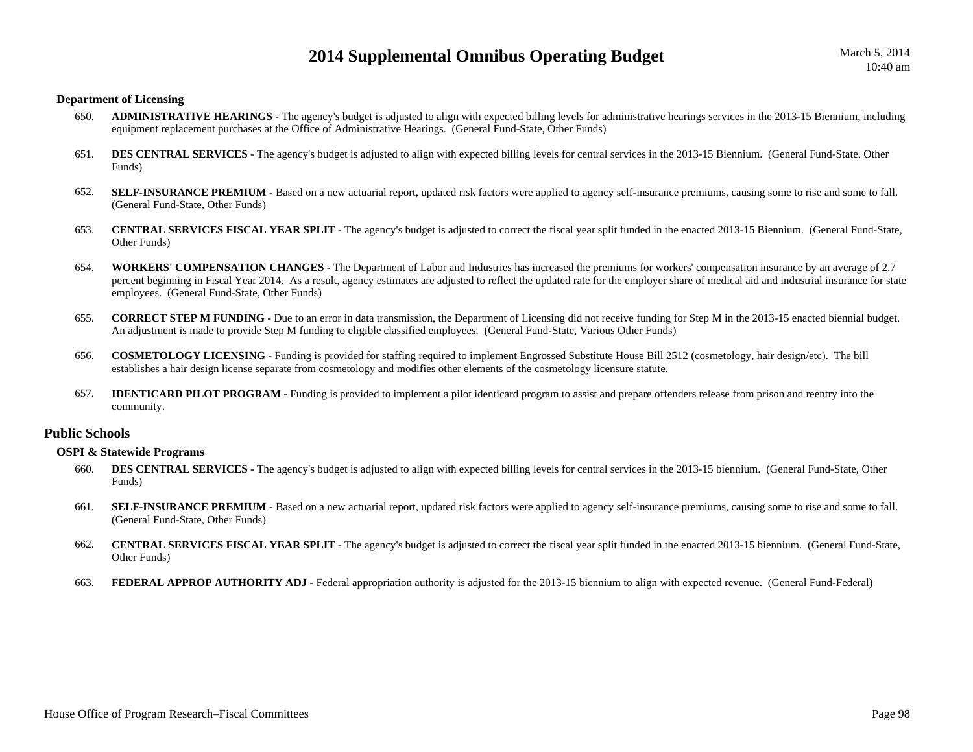#### **Department of Licensing**

- 650. **ADMINISTRATIVE HEARINGS -** The agency's budget is adjusted to align with expected billing levels for administrative hearings services in the 2013-15 Biennium, including equipment replacement purchases at the Office of Administrative Hearings. (General Fund-State, Other Funds)
- 651.**DES CENTRAL SERVICES** - The agency's budget is adjusted to align with expected billing levels for central services in the 2013-15 Biennium. (General Fund-State, Other Funds)
- 652.**SELF-INSURANCE PREMIUM -** Based on a new actuarial report, updated risk factors were applied to agency self-insurance premiums, causing some to rise and some to fall. (General Fund-State, Other Funds)
- 653. **CENTRAL SERVICES FISCAL YEAR SPLIT -** The agency's budget is adjusted to correct the fiscal year split funded in the enacted 2013-15 Biennium. (General Fund-State, Other Funds)
- 654. **WORKERS' COMPENSATION CHANGES -** The Department of Labor and Industries has increased the premiums for workers' compensation insurance by an average of 2.7 percent beginning in Fiscal Year 2014. As a result, agency estimates are adjusted to reflect the updated rate for the employer share of medical aid and industrial insurance for state employees. (General Fund-State, Other Funds)
- 655. **CORRECT STEP M FUNDING -** Due to an error in data transmission, the Department of Licensing did not receive funding for Step M in the 2013-15 enacted biennial budget. An adjustment is made to provide Step M funding to eligible classified employees. (General Fund-State, Various Other Funds)
- 656. **COSMETOLOGY LICENSING -** Funding is provided for staffing required to implement Engrossed Substitute House Bill 2512 (cosmetology, hair design/etc). The bill establishes a hair design license separate from cosmetology and modifies other elements of the cosmetology licensure statute.
- 657. **IDENTICARD PILOT PROGRAM -** Funding is provided to implement a pilot identicard program to assist and prepare offenders release from prison and reentry into the community.

### **Public Schools**

#### **OSPI & Statewide Programs**

- 660.**DES CENTRAL SERVICES** - The agency's budget is adjusted to align with expected billing levels for central services in the 2013-15 biennium. (General Fund-State, Other Funds)
- 661.**SELF-INSURANCE PREMIUM -** Based on a new actuarial report, updated risk factors were applied to agency self-insurance premiums, causing some to rise and some to fall. (General Fund-State, Other Funds)
- 662. **CENTRAL SERVICES FISCAL YEAR SPLIT -** The agency's budget is adjusted to correct the fiscal year split funded in the enacted 2013-15 biennium. (General Fund-State, Other Funds)
- 663.**FEDERAL APPROP AUTHORITY ADJ -** Federal appropriation authority is adjusted for the 2013-15 biennium to align with expected revenue. (General Fund-Federal)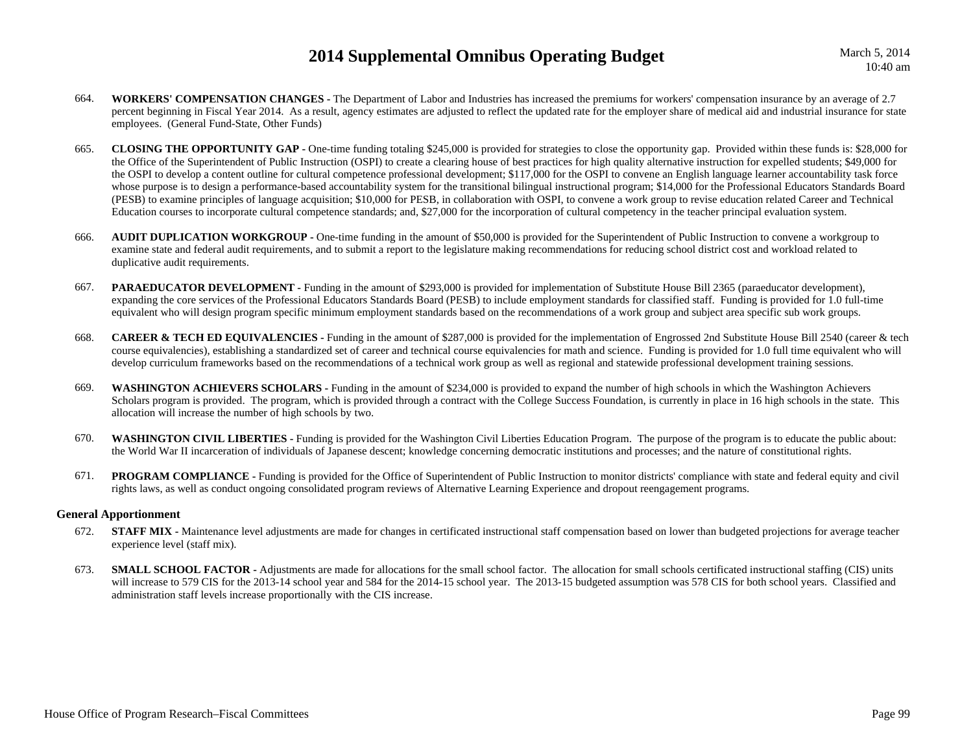March 5, 2014 10:40 am

- 664. **WORKERS' COMPENSATION CHANGES -** The Department of Labor and Industries has increased the premiums for workers' compensation insurance by an average of 2.7 percent beginning in Fiscal Year 2014. As a result, agency estimates are adjusted to reflect the updated rate for the employer share of medical aid and industrial insurance for state employees. (General Fund-State, Other Funds)
- 665. **CLOSING THE OPPORTUNITY GAP -** One-time funding totaling \$245,000 is provided for strategies to close the opportunity gap. Provided within these funds is: \$28,000 for the Office of the Superintendent of Public Instruction (OSPI) to create a clearing house of best practices for high quality alternative instruction for expelled students; \$49,000 for the OSPI to develop a content outline for cultural competence professional development; \$117,000 for the OSPI to convene an English language learner accountability task force whose purpose is to design a performance-based accountability system for the transitional bilingual instructional program; \$14,000 for the Professional Educators Standards Board (PESB) to examine principles of language acquisition; \$10,000 for PESB, in collaboration with OSPI, to convene a work group to revise education related Career and Technical Education courses to incorporate cultural competence standards; and, \$27,000 for the incorporation of cultural competency in the teacher principal evaluation system.
- 666. **AUDIT DUPLICATION WORKGROUP -** One-time funding in the amount of \$50,000 is provided for the Superintendent of Public Instruction to convene a workgroup to examine state and federal audit requirements, and to submit a report to the legislature making recommendations for reducing school district cost and workload related to duplicative audit requirements.
- 667.**PARAEDUCATOR DEVELOPMENT** - Funding in the amount of \$293,000 is provided for implementation of Substitute House Bill 2365 (paraeducator development), expanding the core services of the Professional Educators Standards Board (PESB) to include employment standards for classified staff. Funding is provided for 1.0 full-time equivalent who will design program specific minimum employment standards based on the recommendations of a work group and subject area specific sub work groups.
- 668.**CAREER & TECH ED EQUIVALENCIES** - Funding in the amount of \$287,000 is provided for the implementation of Engrossed 2nd Substitute House Bill 2540 (career & tech course equivalencies), establishing a standardized set of career and technical course equivalencies for math and science. Funding is provided for 1.0 full time equivalent who will develop curriculum frameworks based on the recommendations of a technical work group as well as regional and statewide professional development training sessions.
- 669. **WASHINGTON ACHIEVERS SCHOLARS -** Funding in the amount of \$234,000 is provided to expand the number of high schools in which the Washington Achievers Scholars program is provided. The program, which is provided through a contract with the College Success Foundation, is currently in place in 16 high schools in the state. This allocation will increase the number of high schools by two.
- 670.**WASHINGTON CIVIL LIBERTIES** - Funding is provided for the Washington Civil Liberties Education Program. The purpose of the program is to educate the public about: the World War II incarceration of individuals of Japanese descent; knowledge concerning democratic institutions and processes; and the nature of constitutional rights.
- 671.**PROGRAM COMPLIANCE** - Funding is provided for the Office of Superintendent of Public Instruction to monitor districts' compliance with state and federal equity and civil rights laws, as well as conduct ongoing consolidated program reviews of Alternative Learning Experience and dropout reengagement programs.

#### **General Apportionment**

- 672.**STAFF MIX** - Maintenance level adjustments are made for changes in certificated instructional staff compensation based on lower than budgeted projections for average teacher experience level (staff mix).
- 673.**SMALL SCHOOL FACTOR -** Adjustments are made for allocations for the small school factor. The allocation for small schools certificated instructional staffing (CIS) units will increase to 579 CIS for the 2013-14 school year and 584 for the 2014-15 school year. The 2013-15 budgeted assumption was 578 CIS for both school years. Classified and administration staff levels increase proportionally with the CIS increase.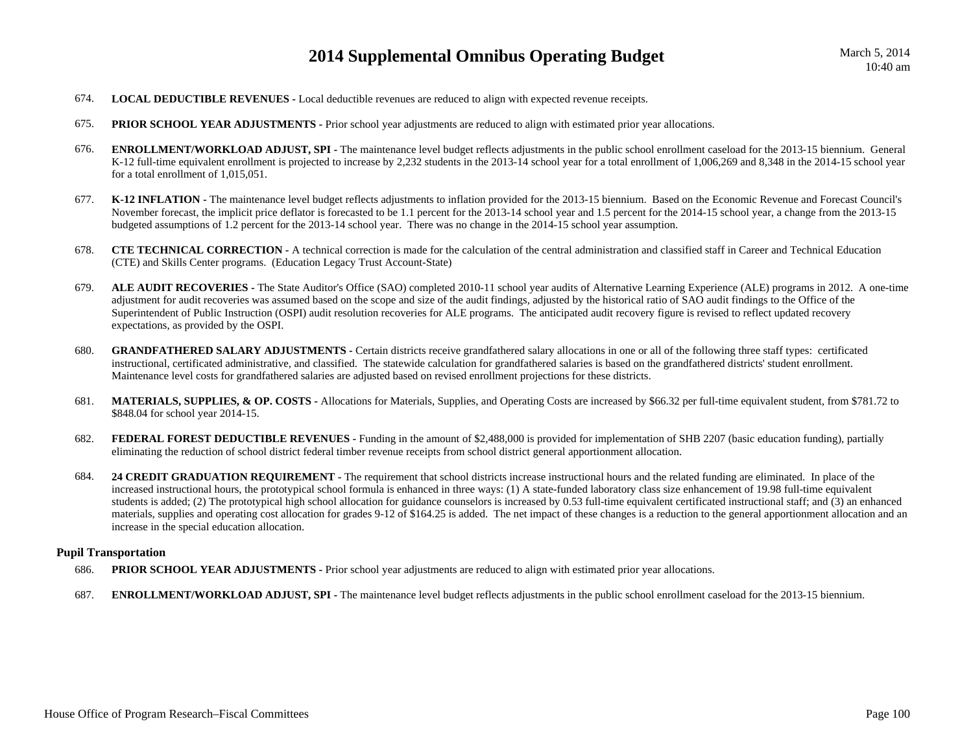- 674.**LOCAL DEDUCTIBLE REVENUES -** Local deductible revenues are reduced to align with expected revenue receipts.
- 675.**PRIOR SCHOOL YEAR ADJUSTMENTS** - Prior school year adjustments are reduced to align with estimated prior year allocations.
- 676.**ENROLLMENT/WORKLOAD ADJUST, SPI** - The maintenance level budget reflects adjustments in the public school enrollment caseload for the 2013-15 biennium. General K-12 full-time equivalent enrollment is projected to increase by 2.232 students in the 2013-14 school year for a total enrollment of 1,006,269 and 8,348 in the 2014-15 school year for a total enrollment of 1,015,051.
- 677. **K-12 INFLATION -** The maintenance level budget reflects adjustments to inflation provided for the 2013-15 biennium. Based on the Economic Revenue and Forecast Council's November forecast, the implicit price deflator is forecasted to be 1.1 percent for the 2013-14 school year and 1.5 percent for the 2014-15 school year, a change from the 2013-15 budgeted assumptions of 1.2 percent for the 2013-14 school year. There was no change in the 2014-15 school year assumption.
- 678. **CTE TECHNICAL CORRECTION -** A technical correction is made for the calculation of the central administration and classified staff in Career and Technical Education (CTE) and Skills Center programs. (Education Legacy Trust Account-State)
- 679. **ALE AUDIT RECOVERIES -** The State Auditor's Office (SAO) completed 2010-11 school year audits of Alternative Learning Experience (ALE) programs in 2012. A one-time adjustment for audit recoveries was assumed based on the scope and size of the audit findings, adjusted by the historical ratio of SAO audit findings to the Office of the Superintendent of Public Instruction (OSPI) audit resolution recoveries for ALE programs. The anticipated audit recovery figure is revised to reflect updated recovery expectations, as provided by the OSPI.
- 680.**GRANDFATHERED SALARY ADJUSTMENTS -** Certain districts receive grandfathered salary allocations in one or all of the following three staff types: certificated instructional, certificated administrative, and classified. The statewide calculation for grandfathered salaries is based on the grandfathered districts' student enrollment. Maintenance level costs for grandfathered salaries are adjusted based on revised enrollment projections for these districts.
- 681. **MATERIALS, SUPPLIES, & OP. COSTS -** Allocations for Materials, Supplies, and Operating Costs are increased by \$66.32 per full-time equivalent student, from \$781.72 to \$848.04 for school year 2014-15.
- 682. **FEDERAL FOREST DEDUCTIBLE REVENUES -** Funding in the amount of \$2,488,000 is provided for implementation of SHB 2207 (basic education funding), partially eliminating the reduction of school district federal timber revenue receipts from school district general apportionment allocation.
- 684.**24 CREDIT GRADUATION REQUIREMENT** - The requirement that school districts increase instructional hours and the related funding are eliminated. In place of the increased instructional hours, the prototypical school formula is enhanced in three ways: (1) A state-funded laboratory class size enhancement of 19.98 full-time equivalent students is added; (2) The prototypical high school allocation for guidance counselors is increased by 0.53 full-time equivalent certificated instructional staff; and (3) an enhanced materials, supplies and operating cost allocation for grades 9-12 of \$164.25 is added. The net impact of these changes is a reduction to the general apportionment allocation and an increase in the special education allocation.

#### **Pupil Transportation**

- 686.**PRIOR SCHOOL YEAR ADJUSTMENTS** - Prior school year adjustments are reduced to align with estimated prior year allocations.
- 687.**ENROLLMENT/WORKLOAD ADJUST, SPI** - The maintenance level budget reflects adjustments in the public school enrollment caseload for the 2013-15 biennium.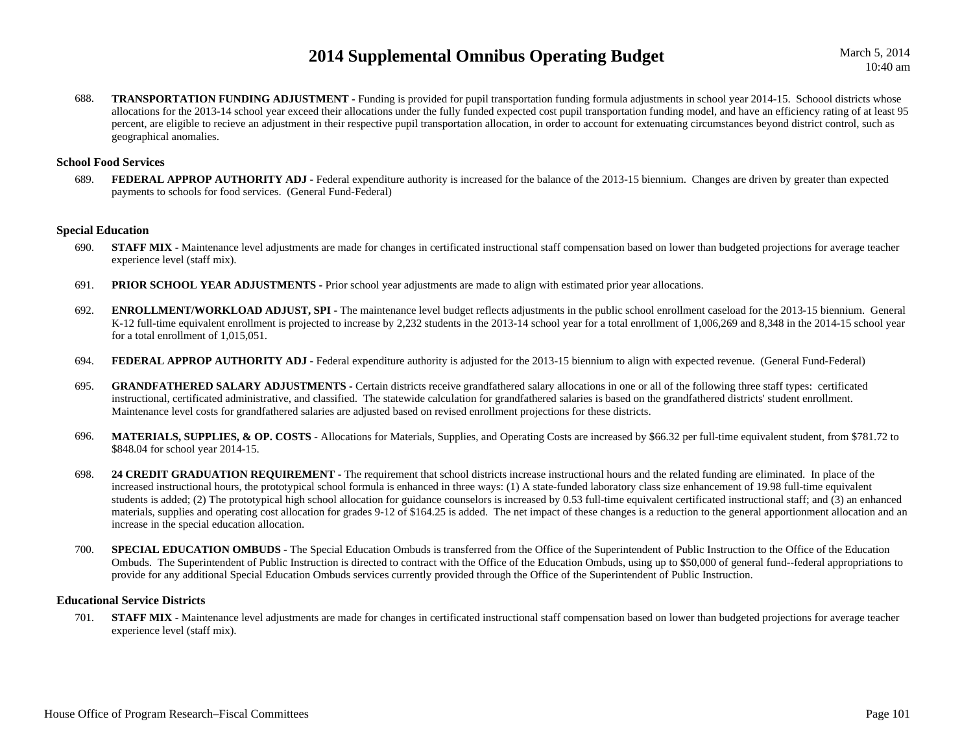688.**TRANSPORTATION FUNDING ADJUSTMENT** - Funding is provided for pupil transportation funding formula adjustments in school year 2014-15. Schoool districts whose allocations for the 2013-14 school year exceed their allocations under the fully funded expected cost pupil transportation funding model, and have an efficiency rating of at least 95 percent, are eligible to recieve an adjustment in their respective pupil transportation allocation, in order to account for extenuating circumstances beyond district control, such as geographical anomalies.

#### **School Food Services**

689.**FEDERAL APPROP AUTHORITY ADJ** - Federal expenditure authority is increased for the balance of the 2013-15 biennium. Changes are driven by greater than expected payments to schools for food services. (General Fund-Federal)

#### **Special Education**

- 690.**STAFF MIX** - Maintenance level adjustments are made for changes in certificated instructional staff compensation based on lower than budgeted projections for average teacher experience level (staff mix).
- 691.**PRIOR SCHOOL YEAR ADJUSTMENTS** - Prior school year adjustments are made to align with estimated prior year allocations.
- 692. **ENROLLMENT/WORKLOAD ADJUST, SPI -** The maintenance level budget reflects adjustments in the public school enrollment caseload for the 2013-15 biennium. General K-12 full-time equivalent enrollment is projected to increase by 2,232 students in the 2013-14 school year for a total enrollment of 1,006,269 and 8,348 in the 2014-15 school year for a total enrollment of 1,015,051.
- 694.**FEDERAL APPROP AUTHORITY ADJ -** Federal expenditure authority is adjusted for the 2013-15 biennium to align with expected revenue. (General Fund-Federal)
- 695.**GRANDFATHERED SALARY ADJUSTMENTS** - Certain districts receive grandfathered salary allocations in one or all of the following three staff types: certificated instructional, certificated administrative, and classified. The statewide calculation for grandfathered salaries is based on the grandfathered districts' student enrollment. Maintenance level costs for grandfathered salaries are adjusted based on revised enrollment projections for these districts.
- 696. **MATERIALS, SUPPLIES, & OP. COSTS -** Allocations for Materials, Supplies, and Operating Costs are increased by \$66.32 per full-time equivalent student, from \$781.72 to \$848.04 for school year 2014-15.
- 698. **24 CREDIT GRADUATION REQUIREMENT -** The requirement that school districts increase instructional hours and the related funding are eliminated. In place of the increased instructional hours, the prototypical school formula is enhanced in three ways: (1) A state-funded laboratory class size enhancement of 19.98 full-time equivalent students is added; (2) The prototypical high school allocation for guidance counselors is increased by 0.53 full-time equivalent certificated instructional staff; and (3) an enhanced materials, supplies and operating cost allocation for grades 9-12 of \$164.25 is added. The net impact of these changes is a reduction to the general apportionment allocation and an increase in the special education allocation.
- 700.**SPECIAL EDUCATION OMBUDS -** The Special Education Ombuds is transferred from the Office of the Superintendent of Public Instruction to the Office of the Education Ombuds. The Superintendent of Public Instruction is directed to contract with the Office of the Education Ombuds, using up to \$50,000 of general fund--federal appropriations to provide for any additional Special Education Ombuds services currently provided through the Office of the Superintendent of Public Instruction.

#### **Educational Service Districts**

701.**STAFF MIX** - Maintenance level adjustments are made for changes in certificated instructional staff compensation based on lower than budgeted projections for average teacher experience level (staff mix).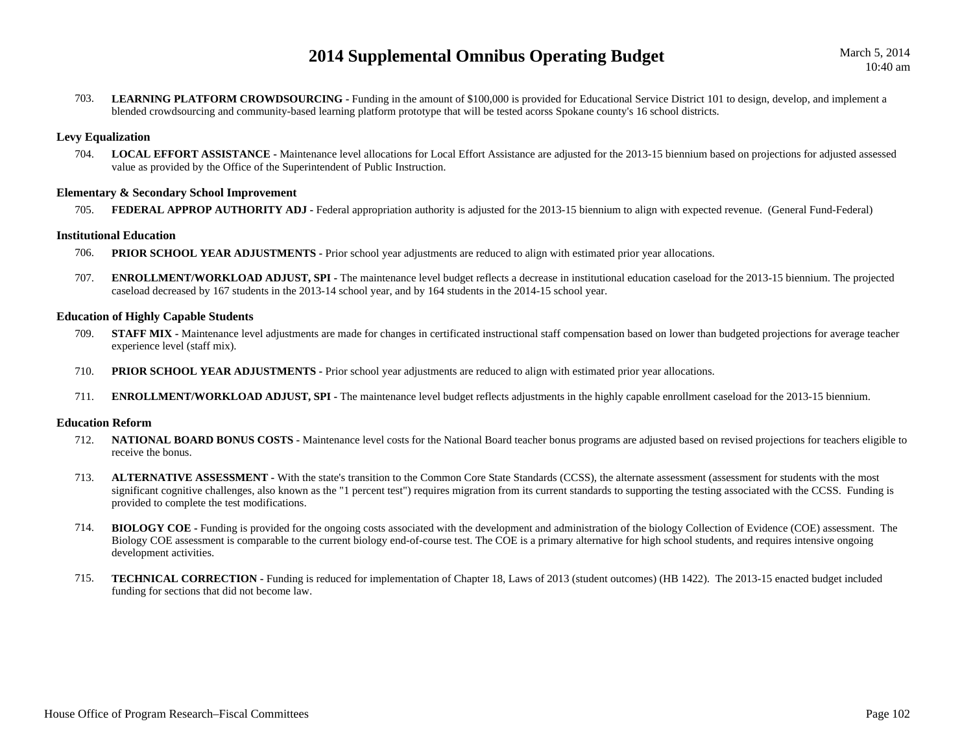703.LEARNING PLATFORM CROWDSOURCING - Funding in the amount of \$100,000 is provided for Educational Service District 101 to design, develop, and implement a blended crowdsourcing and community-based learning platform prototype that will be tested acorss Spokane county's 16 school districts.

### **Levy Equalization**

704. **LOCAL EFFORT ASSISTANCE -** Maintenance level allocations for Local Effort Assistance are adjusted for the 2013-15 biennium based on projections for adjusted assessed value as provided by the Office of the Superintendent of Public Instruction.

#### **Elementary & Secondary School Improvement**

705.**FEDERAL APPROP AUTHORITY ADJ** - Federal appropriation authority is adjusted for the 2013-15 biennium to align with expected revenue. (General Fund-Federal)

### **Institutional Education**

- 706.**PRIOR SCHOOL YEAR ADJUSTMENTS** - Prior school year adjustments are reduced to align with estimated prior year allocations.
- 707.**ENROLLMENT/WORKLOAD ADJUST, SPI** - The maintenance level budget reflects a decrease in institutional education caseload for the 2013-15 biennium. The projected caseload decreased by 167 students in the 2013-14 school year, and by 164 students in the 2014-15 school year.

### **Education of Highly Capable Students**

- 709.**STAFF MIX -** Maintenance level adjustments are made for changes in certificated instructional staff compensation based on lower than budgeted projections for average teacher experience level (staff mix).
- 710.**PRIOR SCHOOL YEAR ADJUSTMENTS -** Prior school year adjustments are reduced to align with estimated prior year allocations.
- 711.**ENROLLMENT/WORKLOAD ADJUST, SPI** - The maintenance level budget reflects adjustments in the highly capable enrollment caseload for the 2013-15 biennium.

#### **Education Reform**

- 712. **NATIONAL BOARD BONUS COSTS -** Maintenance level costs for the National Board teacher bonus programs are adjusted based on revised projections for teachers eligible to receive the bonus.
- 713.ALTERNATIVE ASSESSMENT - With the state's transition to the Common Core State Standards (CCSS), the alternate assessment (assessment for students with the most significant cognitive challenges, also known as the "1 percent test") requires migration from its current standards to supporting the testing associated with the CCSS. Funding is provided to complete the test modifications.
- 714.**BIOLOGY COE** - Funding is provided for the ongoing costs associated with the development and administration of the biology Collection of Evidence (COE) assessment. The Biology COE assessment is comparable to the current biology end-of-course test. The COE is a primary alternative for high school students, and requires intensive ongoing development activities.
- 715.**TECHNICAL CORRECTION - Funding is reduced for implementation of Chapter 18, Laws of 2013 (student outcomes) (HB 1422). The 2013-15 enacted budget included** funding for sections that did not become law.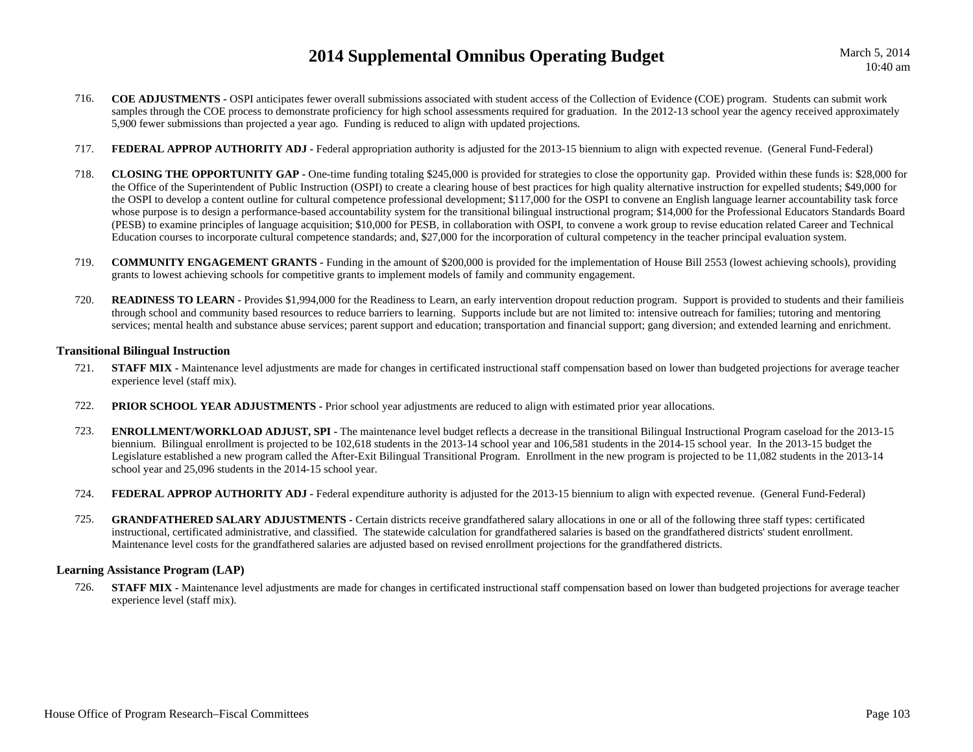- 716. **COE ADJUSTMENTS -** OSPI anticipates fewer overall submissions associated with student access of the Collection of Evidence (COE) program. Students can submit work samples through the COE process to demonstrate proficiency for high school assessments required for graduation. In the 2012-13 school year the agency received approximately 5,900 fewer submissions than projected a year ago. Funding is reduced to align with updated projections.
- 717.**FEDERAL APPROP AUTHORITY ADJ** - Federal appropriation authority is adjusted for the 2013-15 biennium to align with expected revenue. (General Fund-Federal)
- 718. **CLOSING THE OPPORTUNITY GAP -** One-time funding totaling \$245,000 is provided for strategies to close the opportunity gap. Provided within these funds is: \$28,000 for the Office of the Superintendent of Public Instruction (OSPI) to create a clearing house of best practices for high quality alternative instruction for expelled students; \$49,000 for the OSPI to develop a content outline for cultural competence professional development; \$117,000 for the OSPI to convene an English language learner accountability task force whose purpose is to design a performance-based accountability system for the transitional bilingual instructional program; \$14,000 for the Professional Educators Standards Board (PESB) to examine principles of language acquisition; \$10,000 for PESB, in collaboration with OSPI, to convene a work group to revise education related Career and Technical Education courses to incorporate cultural competence standards; and, \$27,000 for the incorporation of cultural competency in the teacher principal evaluation system.
- 719. **COMMUNITY ENGAGEMENT GRANTS -** Funding in the amount of \$200,000 is provided for the implementation of House Bill 2553 (lowest achieving schools), providing grants to lowest achieving schools for competitive grants to implement models of family and community engagement.
- 720.**READINESS TO LEARN -** Provides \$1,994,000 for the Readiness to Learn, an early intervention dropout reduction program. Support is provided to students and their familieis through school and community based resources to reduce barriers to learning. Supports include but are not limited to: intensive outreach for families; tutoring and mentoring services; mental health and substance abuse services; parent support and education; transportation and financial support; gang diversion; and extended learning and enrichment.

### **Transitional Bilingual Instruction**

- 721.**STAFF MIX** - Maintenance level adjustments are made for changes in certificated instructional staff compensation based on lower than budgeted projections for average teacher experience level (staff mix).
- 722.**PRIOR SCHOOL YEAR ADJUSTMENTS** - Prior school year adjustments are reduced to align with estimated prior year allocations.
- 723.**ENROLLMENT/WORKLOAD ADJUST, SPI** - The maintenance level budget reflects a decrease in the transitional Bilingual Instructional Program caseload for the 2013-15 biennium. Bilingual enrollment is projected to be 102,618 students in the 2013-14 school year and 106,581 students in the 2014-15 school year. In the 2013-15 budget the Legislature established a new program called the After-Exit Bilingual Transitional Program. Enrollment in the new program is projected to be 11,082 students in the 2013-14 school year and 25,096 students in the 2014-15 school year.
- 724.**FEDERAL APPROP AUTHORITY ADJ -** Federal expenditure authority is adjusted for the 2013-15 biennium to align with expected revenue. (General Fund-Federal)
- 725.**GRANDFATHERED SALARY ADJUSTMENTS** - Certain districts receive grandfathered salary allocations in one or all of the following three staff types: certificated instructional, certificated administrative, and classified. The statewide calculation for grandfathered salaries is based on the grandfathered districts' student enrollment. Maintenance level costs for the grandfathered salaries are adjusted based on revised enrollment projections for the grandfathered districts.

#### **Learning Assistance Program (LAP)**

726.**STAFF MIX** - Maintenance level adjustments are made for changes in certificated instructional staff compensation based on lower than budgeted projections for average teacher experience level (staff mix).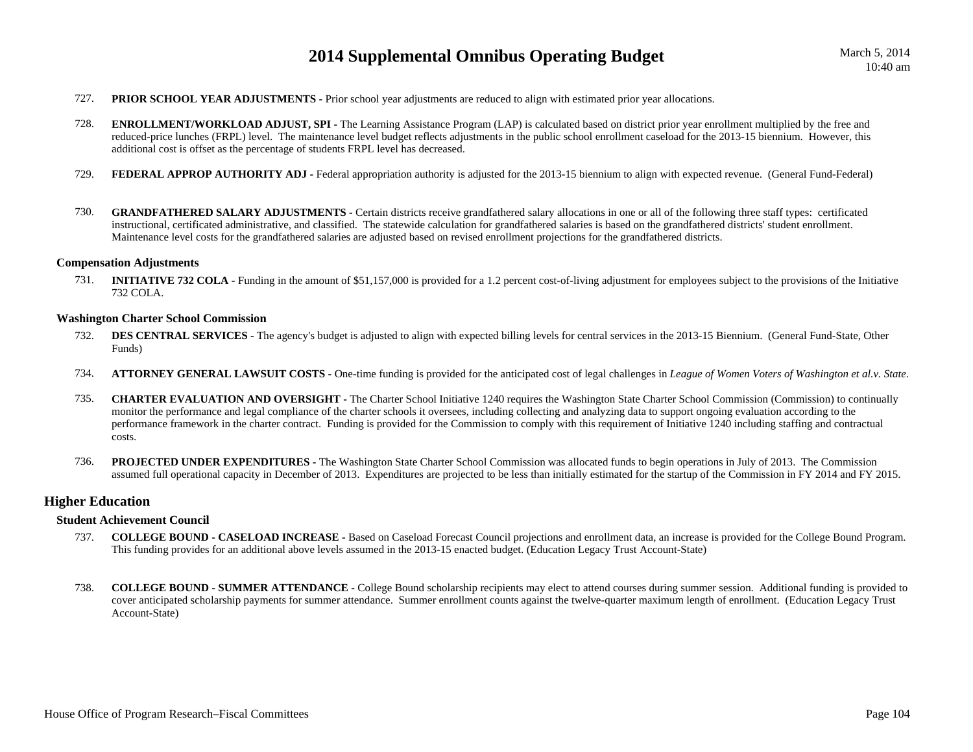- 727.**PRIOR SCHOOL YEAR ADJUSTMENTS** - Prior school year adjustments are reduced to align with estimated prior year allocations.
- 728.**ENROLLMENT/WORKLOAD ADJUST, SPI** - The Learning Assistance Program (LAP) is calculated based on district prior year enrollment multiplied by the free and reduced-price lunches (FRPL) level. The maintenance level budget reflects adjustments in the public school enrollment caseload for the 2013-15 biennium. However, this additional cost is offset as the percentage of students FRPL level has decreased.
- 729.**FEDERAL APPROP AUTHORITY ADJ** - Federal appropriation authority is adjusted for the 2013-15 biennium to align with expected revenue. (General Fund-Federal)
- 730.**GRANDFATHERED SALARY ADJUSTMENTS** - Certain districts receive grandfathered salary allocations in one or all of the following three staff types: certificated instructional, certificated administrative, and classified. The statewide calculation for grandfathered salaries is based on the grandfathered districts' student enrollment. Maintenance level costs for the grandfathered salaries are adjusted based on revised enrollment projections for the grandfathered districts.

#### **Compensation Adjustments**

731. **INITIATIVE 732 COLA -** Funding in the amount of \$51,157,000 is provided for a 1.2 percent cost-of-living adjustment for employees subject to the provisions of the Initiative 732 COLA.

#### **Washington Charter School Commission**

- 732.**DES CENTRAL SERVICES** - The agency's budget is adjusted to align with expected billing levels for central services in the 2013-15 Biennium. (General Fund-State, Other Funds)
- 734.**ATTORNEY GENERAL LAWSUIT COSTS -** One-time funding is provided for the anticipated cost of legal challenges in *League of Women Voters of Washington et al.v. State*.
- 735. **CHARTER EVALUATION AND OVERSIGHT -** The Charter School Initiative 1240 requires the Washington State Charter School Commission (Commission) to continually monitor the performance and legal compliance of the charter schools it oversees, including collecting and analyzing data to support ongoing evaluation according to the performance framework in the charter contract. Funding is provided for the Commission to comply with this requirement of Initiative 1240 including staffing and contractual costs.
- 736. **PROJECTED UNDER EXPENDITURES -** The Washington State Charter School Commission was allocated funds to begin operations in July of 2013. The Commission assumed full operational capacity in December of 2013. Expenditures are projected to be less than initially estimated for the startup of the Commission in FY 2014 and FY 2015.

#### **Higher Education**

#### **Student Achievement Council**

- 737. **COLLEGE BOUND - CASELOAD INCREASE -** Based on Caseload Forecast Council projections and enrollment data, an increase is provided for the College Bound Program. This funding provides for an additional above levels assumed in the 2013-15 enacted budget. (Education Legacy Trust Account-State)
- 738. **COLLEGE BOUND - SUMMER ATTENDANCE -** College Bound scholarship recipients may elect to attend courses during summer session. Additional funding is provided to cover anticipated scholarship payments for summer attendance. Summer enrollment counts against the twelve-quarter maximum length of enrollment. (Education Legacy Trust Account-State)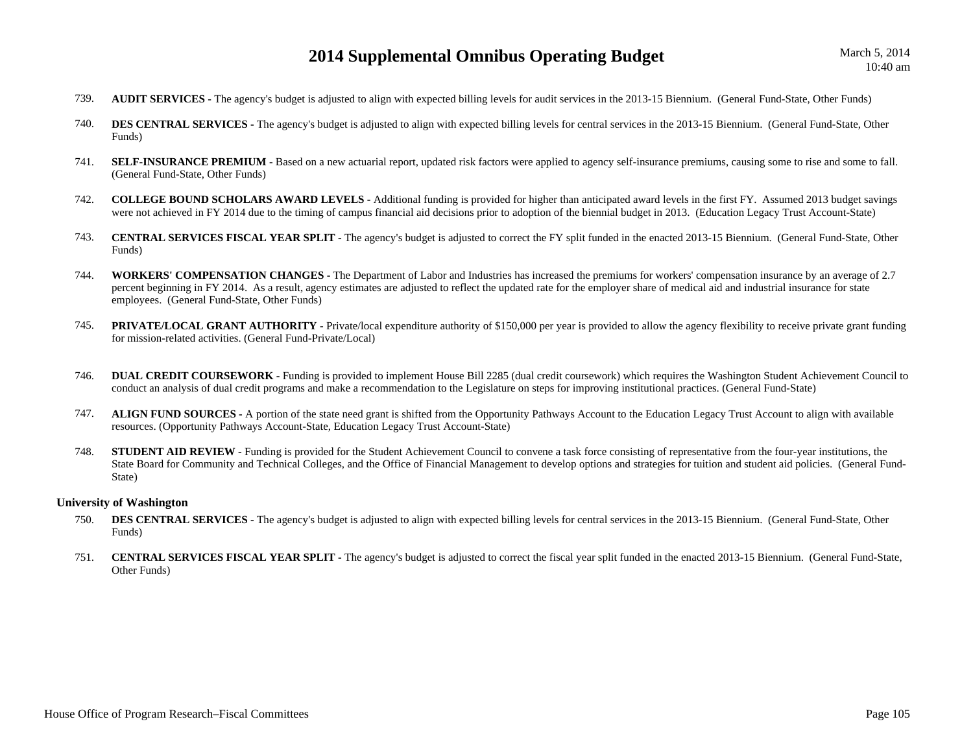- 739.**AUDIT SERVICES** - The agency's budget is adjusted to align with expected billing levels for audit services in the 2013-15 Biennium. (General Fund-State, Other Funds)
- 740.**DES CENTRAL SERVICES -** The agency's budget is adjusted to align with expected billing levels for central services in the 2013-15 Biennium. (General Fund-State, Other Funds)
- 741.SELF-INSURANCE PREMIUM - Based on a new actuarial report, updated risk factors were applied to agency self-insurance premiums, causing some to rise and some to fall. (General Fund-State, Other Funds)
- 742. **COLLEGE BOUND SCHOLARS AWARD LEVELS -** Additional funding is provided for higher than anticipated award levels in the first FY. Assumed 2013 budget savings were not achieved in FY 2014 due to the timing of campus financial aid decisions prior to adoption of the biennial budget in 2013. (Education Legacy Trust Account-State)
- 743. **CENTRAL SERVICES FISCAL YEAR SPLIT -** The agency's budget is adjusted to correct the FY split funded in the enacted 2013-15 Biennium. (General Fund-State, Other Funds)
- 744. **WORKERS' COMPENSATION CHANGES -** The Department of Labor and Industries has increased the premiums for workers' compensation insurance by an average of 2.7 percent beginning in FY 2014. As a result, agency estimates are adjusted to reflect the updated rate for the employer share of medical aid and industrial insurance for state employees. (General Fund-State, Other Funds)
- 745.**PRIVATE/LOCAL GRANT AUTHORITY** - Private/local expenditure authority of \$150,000 per year is provided to allow the agency flexibility to receive private grant funding for mission-related activities. (General Fund-Private/Local)
- 746.**DUAL CREDIT COURSEWORK -** Funding is provided to implement House Bill 2285 (dual credit coursework) which requires the Washington Student Achievement Council to conduct an analysis of dual credit programs and make a recommendation to the Legislature on steps for improving institutional practices. (General Fund-State)
- 747. **ALIGN FUND SOURCES -** A portion of the state need grant is shifted from the Opportunity Pathways Account to the Education Legacy Trust Account to align with available resources. (Opportunity Pathways Account-State, Education Legacy Trust Account-State)
- 748.**STUDENT AID REVIEW -** Funding is provided for the Student Achievement Council to convene a task force consisting of representative from the four-year institutions, the State Board for Community and Technical Colleges, and the Office of Financial Management to develop options and strategies for tuition and student aid policies. (General Fund-State)

#### **University of Washington**

- 750.**DES CENTRAL SERVICES -** The agency's budget is adjusted to align with expected billing levels for central services in the 2013-15 Biennium. (General Fund-State, Other Funds)
- 751. **CENTRAL SERVICES FISCAL YEAR SPLIT -** The agency's budget is adjusted to correct the fiscal year split funded in the enacted 2013-15 Biennium. (General Fund-State, Other Funds)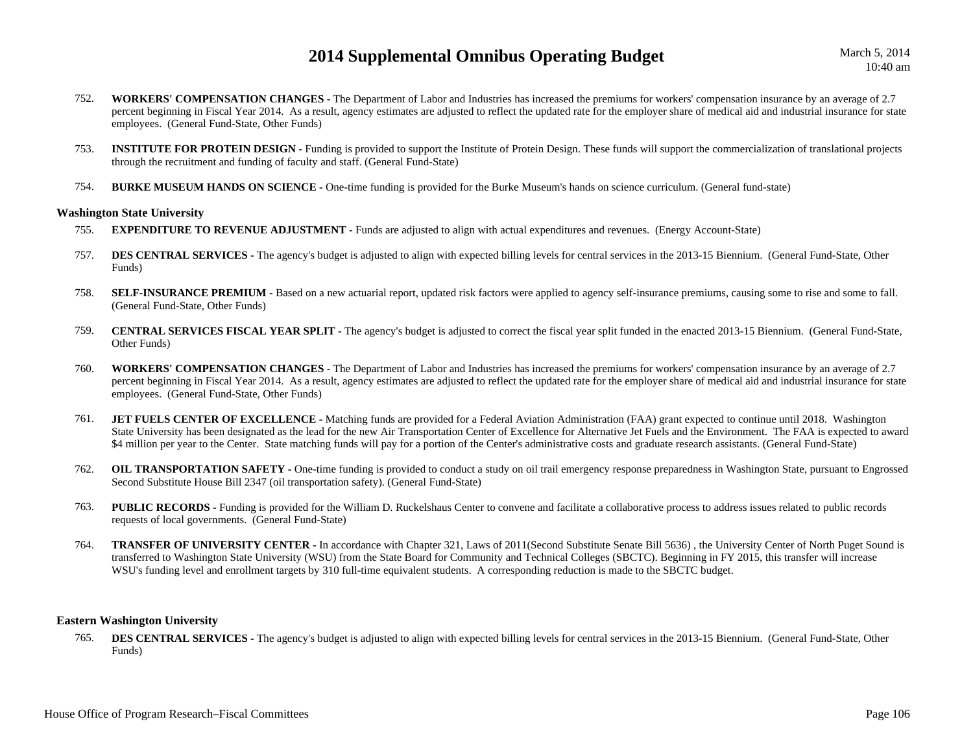March 5, 2014 10:40 am

- 752. **WORKERS' COMPENSATION CHANGES -** The Department of Labor and Industries has increased the premiums for workers' compensation insurance by an average of 2.7 percent beginning in Fiscal Year 2014. As a result, agency estimates are adjusted to reflect the updated rate for the employer share of medical aid and industrial insurance for state employees. (General Fund-State, Other Funds)
- 753.**INSTITUTE FOR PROTEIN DESIGN - Funding is provided to support the Institute of Protein Design. These funds will support the commercialization of translational projects** through the recruitment and funding of faculty and staff. (General Fund-State)
- 754.**BURKE MUSEUM HANDS ON SCIENCE -** One-time funding is provided for the Burke Museum's hands on science curriculum. (General fund-state)

#### **Washington State University**

- 755.**EXPENDITURE TO REVENUE ADJUSTMENT - Funds are adjusted to align with actual expenditures and revenues. (Energy Account-State)**
- 757.**DES CENTRAL SERVICES -** The agency's budget is adjusted to align with expected billing levels for central services in the 2013-15 Biennium. (General Fund-State, Other Funds)
- 758.**SELF-INSURANCE PREMIUM** - Based on a new actuarial report, updated risk factors were applied to agency self-insurance premiums, causing some to rise and some to fall. (General Fund-State, Other Funds)
- 759. **CENTRAL SERVICES FISCAL YEAR SPLIT -** The agency's budget is adjusted to correct the fiscal year split funded in the enacted 2013-15 Biennium. (General Fund-State, Other Funds)
- 760. **WORKERS' COMPENSATION CHANGES -** The Department of Labor and Industries has increased the premiums for workers' compensation insurance by an average of 2.7 percent beginning in Fiscal Year 2014. As a result, agency estimates are adjusted to reflect the updated rate for the employer share of medical aid and industrial insurance for state employees. (General Fund-State, Other Funds)
- 761.**JET FUELS CENTER OF EXCELLENCE -** Matching funds are provided for a Federal Aviation Administration (FAA) grant expected to continue until 2018. Washington State University has been designated as the lead for the new Air Transportation Center of Excellence for Alternative Jet Fuels and the Environment. The FAA is expected to award \$4 million per year to the Center. State matching funds will pay for a portion of the Center's administrative costs and graduate research assistants. (General Fund-State)
- 762.**OIL TRANSPORTATION SAFETY** - One-time funding is provided to conduct a study on oil trail emergency response preparedness in Washington State, pursuant to Engrossed Second Substitute House Bill 2347 (oil transportation safety). (General Fund-State)
- 763.**PUBLIC RECORDS** - Funding is provided for the William D. Ruckelshaus Center to convene and facilitate a collaborative process to address issues related to public records requests of local governments. (General Fund-State)
- 764.**TRANSFER OF UNIVERSITY CENTER -** In accordance with Chapter 321, Laws of 2011(Second Substitute Senate Bill 5636), the University Center of North Puget Sound is transferred to Washington State University (WSU) from the State Board for Community and Technical Colleges (SBCTC). Beginning in FY 2015, this transfer will increase WSU's funding level and enrollment targets by 310 full-time equivalent students. A corresponding reduction is made to the SBCTC budget.

#### **Eastern Washington University**

765.**DES CENTRAL SERVICES -** The agency's budget is adjusted to align with expected billing levels for central services in the 2013-15 Biennium. (General Fund-State, Other Funds)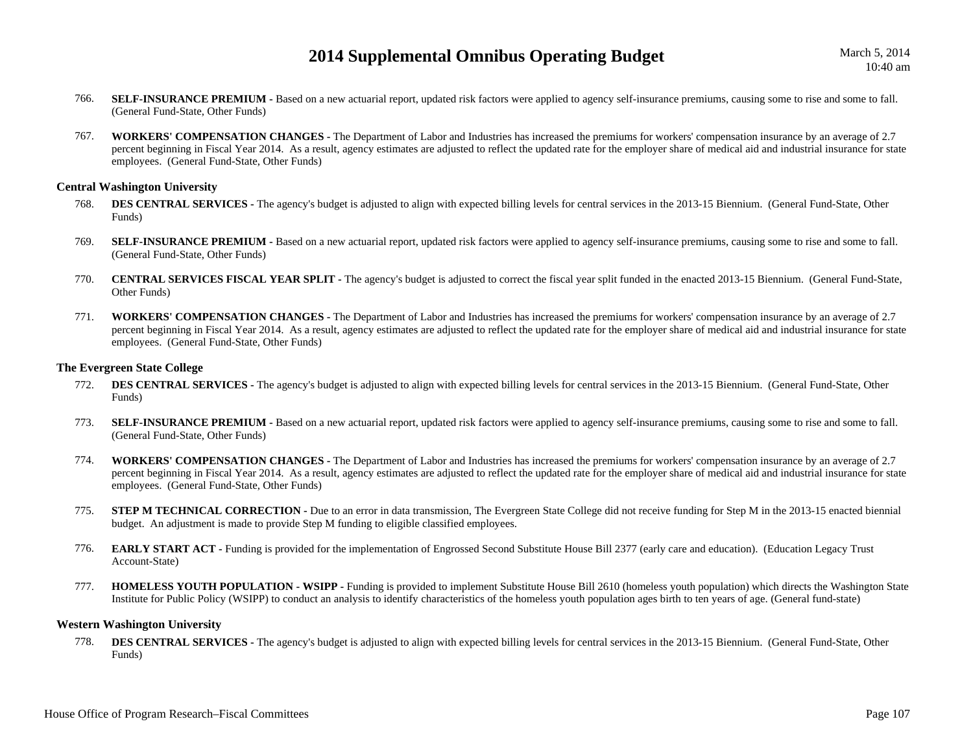- 766.**SELF-INSURANCE PREMIUM -** Based on a new actuarial report, updated risk factors were applied to agency self-insurance premiums, causing some to rise and some to fall. (General Fund-State, Other Funds)
- 767. **WORKERS' COMPENSATION CHANGES -** The Department of Labor and Industries has increased the premiums for workers' compensation insurance by an average of 2.7 percent beginning in Fiscal Year 2014. As a result, agency estimates are adjusted to reflect the updated rate for the employer share of medical aid and industrial insurance for state employees. (General Fund-State, Other Funds)

### **Central Washington University**

- 768. **DES CENTRAL SERVICES -** The agency's budget is adjusted to align with expected billing levels for central services in the 2013-15 Biennium. (General Fund-State, Other Funds)
- 769.**SELF-INSURANCE PREMIUM -** Based on a new actuarial report, updated risk factors were applied to agency self-insurance premiums, causing some to rise and some to fall. (General Fund-State, Other Funds)
- 770. **CENTRAL SERVICES FISCAL YEAR SPLIT -** The agency's budget is adjusted to correct the fiscal year split funded in the enacted 2013-15 Biennium. (General Fund-State, Other Funds)
- 771. **WORKERS' COMPENSATION CHANGES -** The Department of Labor and Industries has increased the premiums for workers' compensation insurance by an average of 2.7 percent beginning in Fiscal Year 2014. As a result, agency estimates are adjusted to reflect the updated rate for the employer share of medical aid and industrial insurance for state employees. (General Fund-State, Other Funds)

### **The Evergreen State College**

- 772.**DES CENTRAL SERVICES -** The agency's budget is adjusted to align with expected billing levels for central services in the 2013-15 Biennium. (General Fund-State, Other Funds)
- 773.SELF-INSURANCE PREMIUM - Based on a new actuarial report, updated risk factors were applied to agency self-insurance premiums, causing some to rise and some to fall. (General Fund-State, Other Funds)
- 774. **WORKERS' COMPENSATION CHANGES -** The Department of Labor and Industries has increased the premiums for workers' compensation insurance by an average of 2.7 percent beginning in Fiscal Year 2014. As a result, agency estimates are adjusted to reflect the updated rate for the employer share of medical aid and industrial insurance for state employees. (General Fund-State, Other Funds)
- 775.**STEP M TECHNICAL CORRECTION -** Due to an error in data transmission, The Evergreen State College did not receive funding for Step M in the 2013-15 enacted biennial budget. An adjustment is made to provide Step M funding to eligible classified employees.
- 776.**EARLY START ACT** - Funding is provided for the implementation of Engrossed Second Substitute House Bill 2377 (early care and education). (Education Legacy Trust Account-State)
- 777. **HOMELESS YOUTH POPULATION - WSIPP -** Funding is provided to implement Substitute House Bill 2610 (homeless youth population) which directs the Washington State Institute for Public Policy (WSIPP) to conduct an analysis to identify characteristics of the homeless youth population ages birth to ten years of age. (General fund-state)

### **Western Washington University**

778. **DES CENTRAL SERVICES -** The agency's budget is adjusted to align with expected billing levels for central services in the 2013-15 Biennium. (General Fund-State, Other Funds)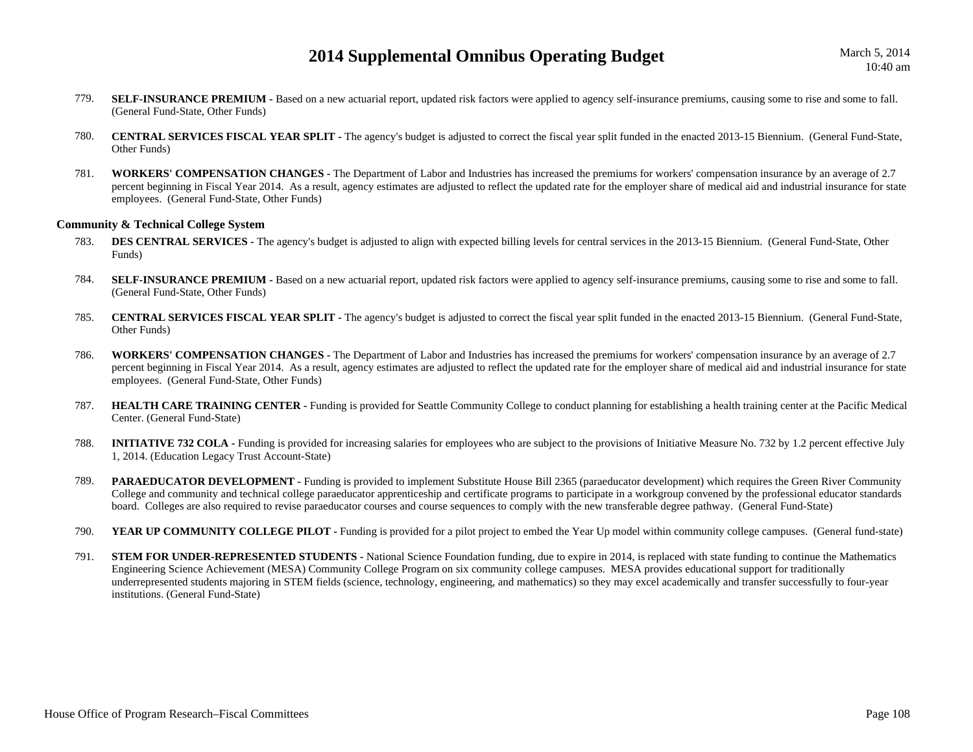- 779.**SELF-INSURANCE PREMIUM -** Based on a new actuarial report, updated risk factors were applied to agency self-insurance premiums, causing some to rise and some to fall. (General Fund-State, Other Funds)
- 780. **CENTRAL SERVICES FISCAL YEAR SPLIT -** The agency's budget is adjusted to correct the fiscal year split funded in the enacted 2013-15 Biennium. (General Fund-State, Other Funds)
- 781. **WORKERS' COMPENSATION CHANGES -** The Department of Labor and Industries has increased the premiums for workers' compensation insurance by an average of 2.7 percent beginning in Fiscal Year 2014. As a result, agency estimates are adjusted to reflect the updated rate for the employer share of medical aid and industrial insurance for state employees. (General Fund-State, Other Funds)

#### **Community & Technical College System**

- 783.**DES CENTRAL SERVICES** - The agency's budget is adjusted to align with expected billing levels for central services in the 2013-15 Biennium. (General Fund-State, Other Funds)
- 784.**SELF-INSURANCE PREMIUM -** Based on a new actuarial report, updated risk factors were applied to agency self-insurance premiums, causing some to rise and some to fall. (General Fund-State, Other Funds)
- 785. **CENTRAL SERVICES FISCAL YEAR SPLIT -** The agency's budget is adjusted to correct the fiscal year split funded in the enacted 2013-15 Biennium. (General Fund-State, Other Funds)
- 786. **WORKERS' COMPENSATION CHANGES -** The Department of Labor and Industries has increased the premiums for workers' compensation insurance by an average of 2.7 percent beginning in Fiscal Year 2014. As a result, agency estimates are adjusted to reflect the updated rate for the employer share of medical aid and industrial insurance for state employees. (General Fund-State, Other Funds)
- 787. **HEALTH CARE TRAINING CENTER -** Funding is provided for Seattle Community College to conduct planning for establishing a health training center at the Pacific Medical Center. (General Fund-State)
- 788.**INITIATIVE 732 COLA -** Funding is provided for increasing salaries for employees who are subject to the provisions of Initiative Measure No. 732 by 1.2 percent effective July 1, 2014. (Education Legacy Trust Account-State)
- 789.**PARAEDUCATOR DEVELOPMENT** - Funding is provided to implement Substitute House Bill 2365 (paraeducator development) which requires the Green River Community College and community and technical college paraeducator apprenticeship and certificate programs to participate in a workgroup convened by the professional educator standards board. Colleges are also required to revise paraeducator courses and course sequences to comply with the new transferable degree pathway. (General Fund-State)
- 790.**YEAR UP COMMUNITY COLLEGE PILOT** - Funding is provided for a pilot project to embed the Year Up model within community college campuses. (General fund-state)
- 791.**STEM FOR UNDER-REPRESENTED STUDENTS** - National Science Foundation funding, due to expire in 2014, is replaced with state funding to continue the Mathematics Engineering Science Achievement (MESA) Community College Program on six community college campuses. MESA provides educational support for traditionally underrepresented students majoring in STEM fields (science, technology, engineering, and mathematics) so they may excel academically and transfer successfully to four-year institutions. (General Fund-State)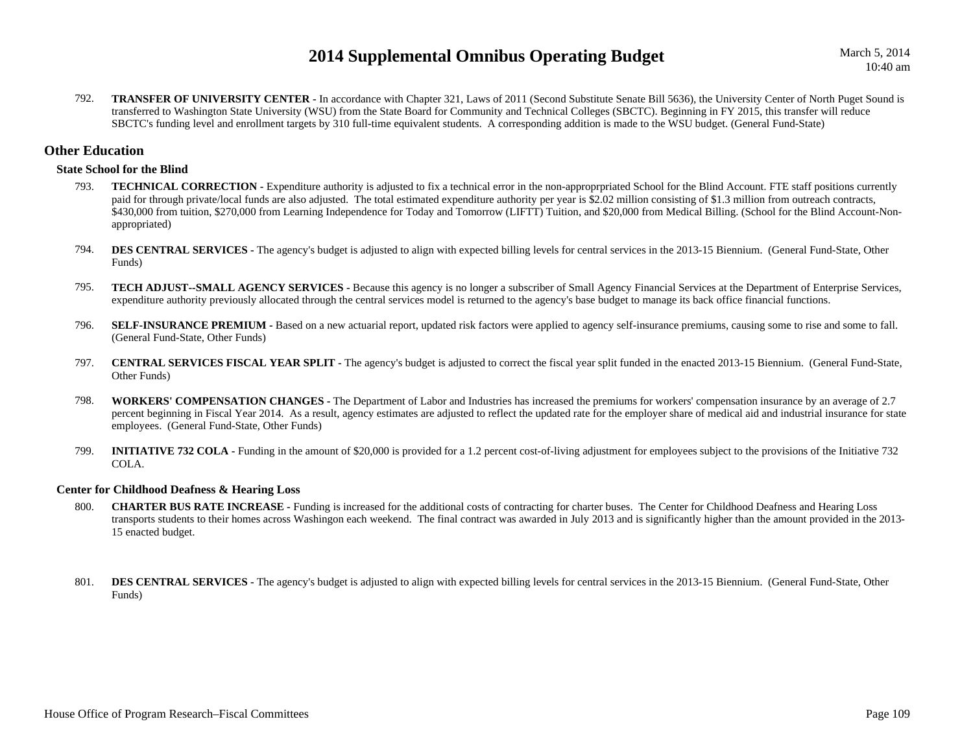792.**TRANSFER OF UNIVERSITY CENTER -** In accordance with Chapter 321, Laws of 2011 (Second Substitute Senate Bill 5636), the University Center of North Puget Sound is transferred to Washington State University (WSU) from the State Board for Community and Technical Colleges (SBCTC). Beginning in FY 2015, this transfer will reduce SBCTC's funding level and enrollment targets by 310 full-time equivalent students. A corresponding addition is made to the WSU budget. (General Fund-State)

# **Other Education**

## **State School for the Blind**

- 793.**TECHNICAL CORRECTION -** Expenditure authority is adjusted to fix a technical error in the non-approprpriated School for the Blind Account. FTE staff positions currently paid for through private/local funds are also adjusted. The total estimated expenditure authority per year is \$2.02 million consisting of \$1.3 million from outreach contracts, \$430,000 from tuition, \$270,000 from Learning Independence for Today and Tomorrow (LIFTT) Tuition, and \$20,000 from Medical Billing. (School for the Blind Account-Nonappropriated)
- 794.**DES CENTRAL SERVICES -** The agency's budget is adjusted to align with expected billing levels for central services in the 2013-15 Biennium. (General Fund-State, Other Funds)
- 795. **TECH ADJUST--SMALL AGENCY SERVICES -** Because this agency is no longer a subscriber of Small Agency Financial Services at the Department of Enterprise Services, expenditure authority previously allocated through the central services model is returned to the agency's base budget to manage its back office financial functions.
- 796.**SELF-INSURANCE PREMIUM -** Based on a new actuarial report, updated risk factors were applied to agency self-insurance premiums, causing some to rise and some to fall. (General Fund-State, Other Funds)
- 797. **CENTRAL SERVICES FISCAL YEAR SPLIT -** The agency's budget is adjusted to correct the fiscal year split funded in the enacted 2013-15 Biennium. (General Fund-State, Other Funds)
- 798. **WORKERS' COMPENSATION CHANGES -** The Department of Labor and Industries has increased the premiums for workers' compensation insurance by an average of 2.7 percent beginning in Fiscal Year 2014. As a result, agency estimates are adjusted to reflect the updated rate for the employer share of medical aid and industrial insurance for state employees. (General Fund-State, Other Funds)
- 799.**INITIATIVE 732 COLA - Funding in the amount of \$20,000 is provided for a 1.2 percent cost-of-living adjustment for employees subject to the provisions of the Initiative 732** COLA.

### **Center for Childhood Deafness & Hearing Loss**

- 800. **CHARTER BUS RATE INCREASE -** Funding is increased for the additional costs of contracting for charter buses. The Center for Childhood Deafness and Hearing Loss transports students to their homes across Washingon each weekend. The final contract was awarded in July 2013 and is significantly higher than the amount provided in the 2013- 15 enacted budget.
- 801.**DES CENTRAL SERVICES -** The agency's budget is adjusted to align with expected billing levels for central services in the 2013-15 Biennium. (General Fund-State, Other Funds)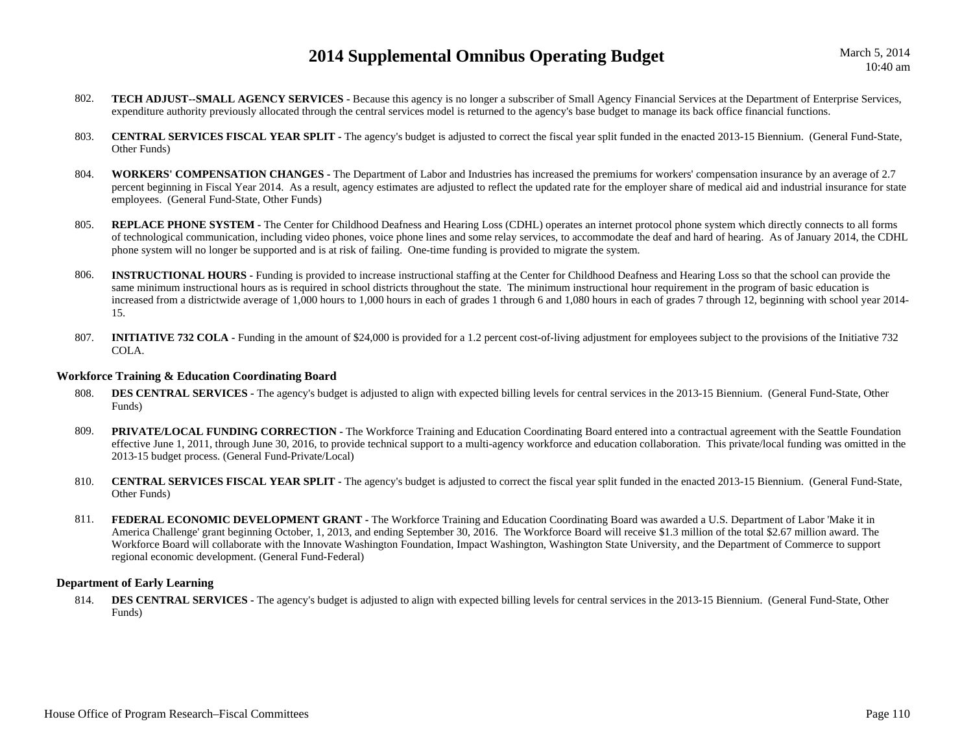- 802. **TECH ADJUST--SMALL AGENCY SERVICES -** Because this agency is no longer a subscriber of Small Agency Financial Services at the Department of Enterprise Services, expenditure authority previously allocated through the central services model is returned to the agency's base budget to manage its back office financial functions.
- 803. **CENTRAL SERVICES FISCAL YEAR SPLIT -** The agency's budget is adjusted to correct the fiscal year split funded in the enacted 2013-15 Biennium. (General Fund-State, Other Funds)
- 804. **WORKERS' COMPENSATION CHANGES -** The Department of Labor and Industries has increased the premiums for workers' compensation insurance by an average of 2.7 percent beginning in Fiscal Year 2014. As a result, agency estimates are adjusted to reflect the updated rate for the employer share of medical aid and industrial insurance for state employees. (General Fund-State, Other Funds)
- 805.**REPLACE PHONE SYSTEM -** The Center for Childhood Deafness and Hearing Loss (CDHL) operates an internet protocol phone system which directly connects to all forms of technological communication, including video phones, voice phone lines and some relay services, to accommodate the deaf and hard of hearing. As of January 2014, the CDHL phone system will no longer be supported and is at risk of failing. One-time funding is provided to migrate the system.
- 806. **INSTRUCTIONAL HOURS -** Funding is provided to increase instructional staffing at the Center for Childhood Deafness and Hearing Loss so that the school can provide the same minimum instructional hours as is required in school districts throughout the state. The minimum instructional hour requirement in the program of basic education is increased from a districtwide average of 1,000 hours to 1,000 hours in each of grades 1 through 6 and 1,080 hours in each of grades 7 through 12, beginning with school year 2014- 15.
- 807. **INITIATIVE 732 COLA -** Funding in the amount of \$24,000 is provided for a 1.2 percent cost-of-living adjustment for employees subject to the provisions of the Initiative 732 COLA.

### **Workforce Training & Education Coordinating Board**

- 808.**DES CENTRAL SERVICES** - The agency's budget is adjusted to align with expected billing levels for central services in the 2013-15 Biennium. (General Fund-State, Other Funds)
- 809.**PRIVATE/LOCAL FUNDING CORRECTION -** The Workforce Training and Education Coordinating Board entered into a contractual agreement with the Seattle Foundation effective June 1, 2011, through June 30, 2016, to provide technical support to a multi-agency workforce and education collaboration. This private/local funding was omitted in the 2013-15 budget process. (General Fund-Private/Local)
- 810. **CENTRAL SERVICES FISCAL YEAR SPLIT -** The agency's budget is adjusted to correct the fiscal year split funded in the enacted 2013-15 Biennium. (General Fund-State, Other Funds)
- 811. **FEDERAL ECONOMIC DEVELOPMENT GRANT -** The Workforce Training and Education Coordinating Board was awarded a U.S. Department of Labor 'Make it in America Challenge' grant beginning October, 1, 2013, and ending September 30, 2016. The Workforce Board will receive \$1.3 million of the total \$2.67 million award. The Workforce Board will collaborate with the Innovate Washington Foundation, Impact Washington, Washington State University, and the Department of Commerce to support regional economic development. (General Fund-Federal)

## **Department of Early Learning**

814.**DES CENTRAL SERVICES -** The agency's budget is adjusted to align with expected billing levels for central services in the 2013-15 Biennium. (General Fund-State, Other Funds)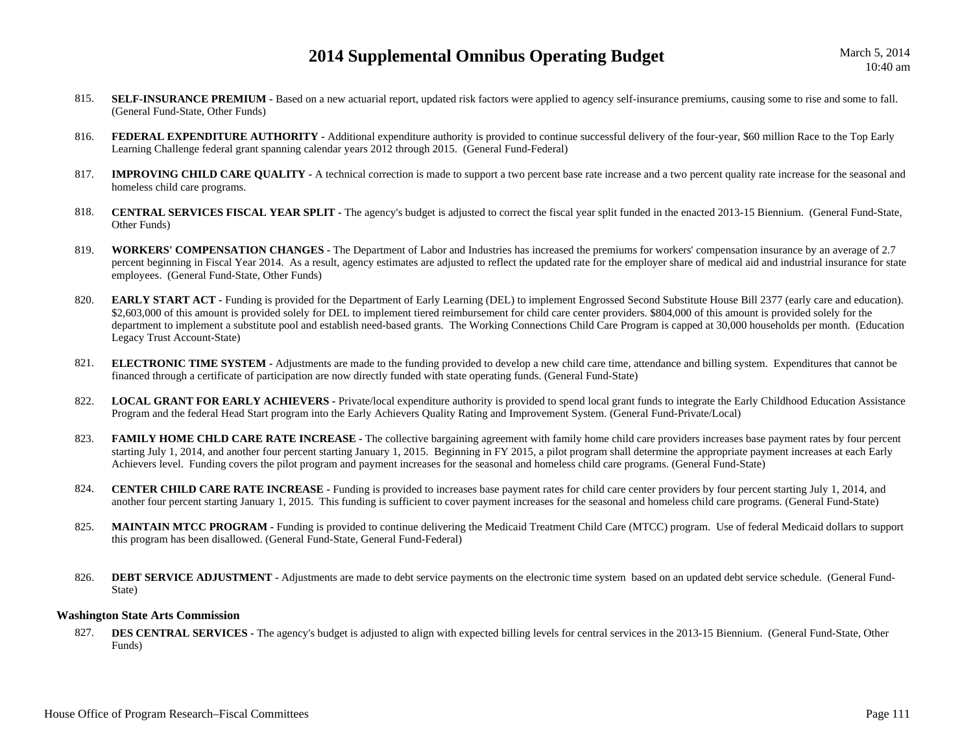- 815.**SELF-INSURANCE PREMIUM -** Based on a new actuarial report, updated risk factors were applied to agency self-insurance premiums, causing some to rise and some to fall. (General Fund-State, Other Funds)
- 816.**FEDERAL EXPENDITURE AUTHORITY** - Additional expenditure authority is provided to continue successful delivery of the four-year, \$60 million Race to the Top Early Learning Challenge federal grant spanning calendar years 2012 through 2015. (General Fund-Federal)
- 817.**IMPROVING CHILD CARE QUALITY** - A technical correction is made to support a two percent base rate increase and a two percent quality rate increase for the seasonal and homeless child care programs.
- 818. **CENTRAL SERVICES FISCAL YEAR SPLIT -** The agency's budget is adjusted to correct the fiscal year split funded in the enacted 2013-15 Biennium. (General Fund-State, Other Funds)
- 819. **WORKERS' COMPENSATION CHANGES -** The Department of Labor and Industries has increased the premiums for workers' compensation insurance by an average of 2.7 percent beginning in Fiscal Year 2014. As a result, agency estimates are adjusted to reflect the updated rate for the employer share of medical aid and industrial insurance for state employees. (General Fund-State, Other Funds)
- 820.**EARLY START ACT** - Funding is provided for the Department of Early Learning (DEL) to implement Engrossed Second Substitute House Bill 2377 (early care and education). \$2,603,000 of this amount is provided solely for DEL to implement tiered reimbursement for child care center providers. \$804,000 of this amount is provided solely for the department to implement a substitute pool and establish need-based grants. The Working Connections Child Care Program is capped at 30,000 households per month. (Education Legacy Trust Account-State)
- 821. **ELECTRONIC TIME SYSTEM -** Adjustments are made to the funding provided to develop a new child care time, attendance and billing system. Expenditures that cannot be financed through a certificate of participation are now directly funded with state operating funds. (General Fund-State)
- 822. **LOCAL GRANT FOR EARLY ACHIEVERS -** Private/local expenditure authority is provided to spend local grant funds to integrate the Early Childhood Education Assistance Program and the federal Head Start program into the Early Achievers Quality Rating and Improvement System. (General Fund-Private/Local)
- 823. **FAMILY HOME CHLD CARE RATE INCREASE -** The collective bargaining agreement with family home child care providers increases base payment rates by four percent starting July 1, 2014, and another four percent starting January 1, 2015. Beginning in FY 2015, a pilot program shall determine the appropriate payment increases at each Early Achievers level. Funding covers the pilot program and payment increases for the seasonal and homeless child care programs. (General Fund-State)
- 824.**CENTER CHILD CARE RATE INCREASE -** Funding is provided to increases base payment rates for child care center providers by four percent starting July 1, 2014, and another four percent starting January 1, 2015. This funding is sufficient to cover payment increases for the seasonal and homeless child care programs. (General Fund-State)
- 825. **MAINTAIN MTCC PROGRAM -** Funding is provided to continue delivering the Medicaid Treatment Child Care (MTCC) program. Use of federal Medicaid dollars to support this program has been disallowed. (General Fund-State, General Fund-Federal)
- 826.**DEBT SERVICE ADJUSTMENT -** Adjustments are made to debt service payments on the electronic time system based on an updated debt service schedule. (General Fund-State)

### **Washington State Arts Commission**

827.**DES CENTRAL SERVICES -** The agency's budget is adjusted to align with expected billing levels for central services in the 2013-15 Biennium. (General Fund-State, Other Funds)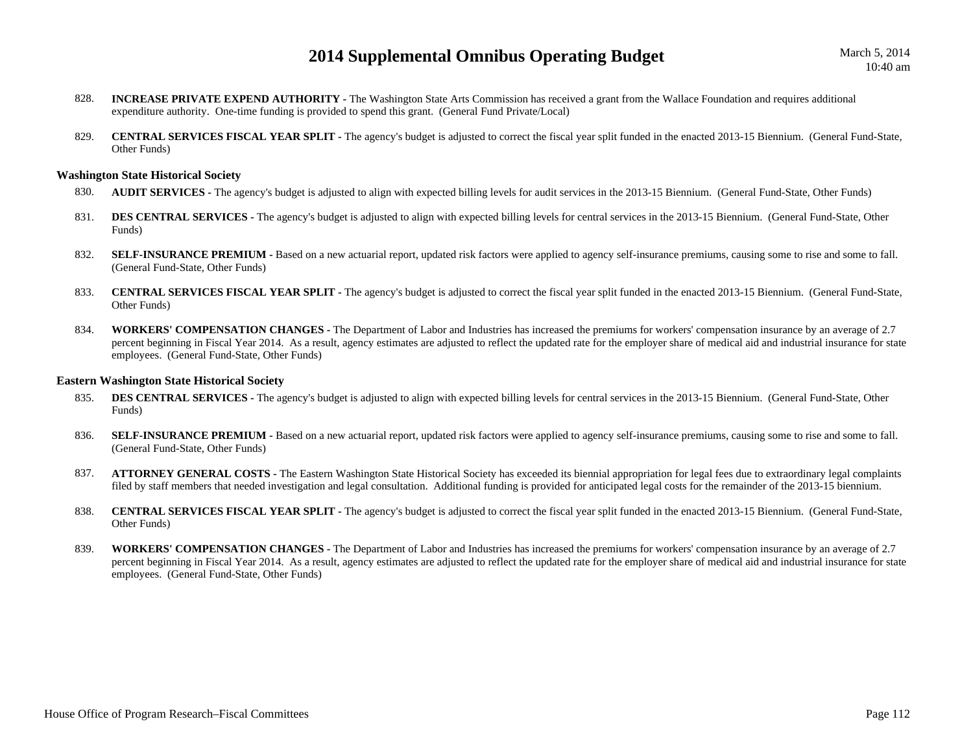March 5, 2014 10:40 am

- 828. **INCREASE PRIVATE EXPEND AUTHORITY -** The Washington State Arts Commission has received a grant from the Wallace Foundation and requires additional expenditure authority. One-time funding is provided to spend this grant. (General Fund Private/Local)
- 829. **CENTRAL SERVICES FISCAL YEAR SPLIT -** The agency's budget is adjusted to correct the fiscal year split funded in the enacted 2013-15 Biennium. (General Fund-State, Other Funds)

#### **Washington State Historical Society**

- 830.**AUDIT SERVICES** - The agency's budget is adjusted to align with expected billing levels for audit services in the 2013-15 Biennium. (General Fund-State, Other Funds)
- 831.**DES CENTRAL SERVICES -** The agency's budget is adjusted to align with expected billing levels for central services in the 2013-15 Biennium. (General Fund-State, Other Funds)
- 832.**SELF-INSURANCE PREMIUM -** Based on a new actuarial report, updated risk factors were applied to agency self-insurance premiums, causing some to rise and some to fall. (General Fund-State, Other Funds)
- 833. **CENTRAL SERVICES FISCAL YEAR SPLIT -** The agency's budget is adjusted to correct the fiscal year split funded in the enacted 2013-15 Biennium. (General Fund-State, Other Funds)
- 834. **WORKERS' COMPENSATION CHANGES -** The Department of Labor and Industries has increased the premiums for workers' compensation insurance by an average of 2.7 percent beginning in Fiscal Year 2014. As a result, agency estimates are adjusted to reflect the updated rate for the employer share of medical aid and industrial insurance for state employees. (General Fund-State, Other Funds)

#### **Eastern Washington State Historical Society**

- 835.**DES CENTRAL SERVICES -** The agency's budget is adjusted to align with expected billing levels for central services in the 2013-15 Biennium. (General Fund-State, Other Funds)
- 836.**SELF-INSURANCE PREMIUM -** Based on a new actuarial report, updated risk factors were applied to agency self-insurance premiums, causing some to rise and some to fall. (General Fund-State, Other Funds)
- 837. **ATTORNEY GENERAL COSTS -** The Eastern Washington State Historical Society has exceeded its biennial appropriation for legal fees due to extraordinary legal complaints filed by staff members that needed investigation and legal consultation. Additional funding is provided for anticipated legal costs for the remainder of the 2013-15 biennium.
- 838. **CENTRAL SERVICES FISCAL YEAR SPLIT -** The agency's budget is adjusted to correct the fiscal year split funded in the enacted 2013-15 Biennium. (General Fund-State, Other Funds)
- 839. **WORKERS' COMPENSATION CHANGES -** The Department of Labor and Industries has increased the premiums for workers' compensation insurance by an average of 2.7 percent beginning in Fiscal Year 2014. As a result, agency estimates are adjusted to reflect the updated rate for the employer share of medical aid and industrial insurance for state employees. (General Fund-State, Other Funds)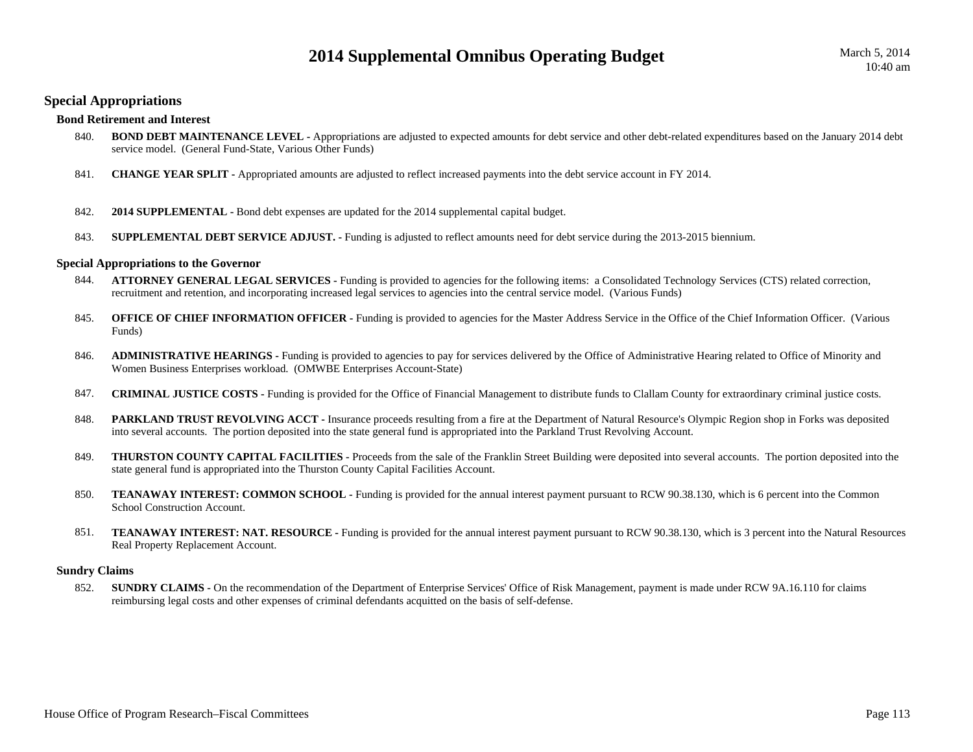# **Special Appropriations**

## **Bond Retirement and Interest**

- 840. **BOND DEBT MAINTENANCE LEVEL -** Appropriations are adjusted to expected amounts for debt service and other debt-related expenditures based on the January 2014 debt service model. (General Fund-State, Various Other Funds)
- 841.**CHANGE YEAR SPLIT -** Appropriated amounts are adjusted to reflect increased payments into the debt service account in FY 2014.
- 842.**2014 SUPPLEMENTAL -** Bond debt expenses are updated for the 2014 supplemental capital budget.
- 843.**SUPPLEMENTAL DEBT SERVICE ADJUST. -** Funding is adjusted to reflect amounts need for debt service during the 2013-2015 biennium.

### **Special Appropriations to the Governor**

- 844. **ATTORNEY GENERAL LEGAL SERVICES -** Funding is provided to agencies for the following items: a Consolidated Technology Services (CTS) related correction, recruitment and retention, and incorporating increased legal services to agencies into the central service model. (Various Funds)
- 845.**OFFICE OF CHIEF INFORMATION OFFICER -** Funding is provided to agencies for the Master Address Service in the Office of the Chief Information Officer. (Various Funds)
- 846. **ADMINISTRATIVE HEARINGS -** Funding is provided to agencies to pay for services delivered by the Office of Administrative Hearing related to Office of Minority and Women Business Enterprises workload. (OMWBE Enterprises Account-State)
- 847.**CRIMINAL JUSTICE COSTS -** Funding is provided for the Office of Financial Management to distribute funds to Clallam County for extraordinary criminal justice costs.
- 848.**PARKLAND TRUST REVOLVING ACCT** - Insurance proceeds resulting from a fire at the Department of Natural Resource's Olympic Region shop in Forks was deposited into several accounts. The portion deposited into the state general fund is appropriated into the Parkland Trust Revolving Account.
- 849.**THURSTON COUNTY CAPITAL FACILITIES** - Proceeds from the sale of the Franklin Street Building were deposited into several accounts. The portion deposited into the state general fund is appropriated into the Thurston County Capital Facilities Account.
- 850. **TEANAWAY INTEREST: COMMON SCHOOL -** Funding is provided for the annual interest payment pursuant to RCW 90.38.130, which is 6 percent into the Common School Construction Account.
- 851.**TEANAWAY INTEREST: NAT. RESOURCE -** Funding is provided for the annual interest payment pursuant to RCW 90.38.130, which is 3 percent into the Natural Resources Real Property Replacement Account.

### **Sundry Claims**

852. **SUNDRY CLAIMS -** On the recommendation of the Department of Enterprise Services' Office of Risk Management, payment is made under RCW 9A.16.110 for claims reimbursing legal costs and other expenses of criminal defendants acquitted on the basis of self-defense.